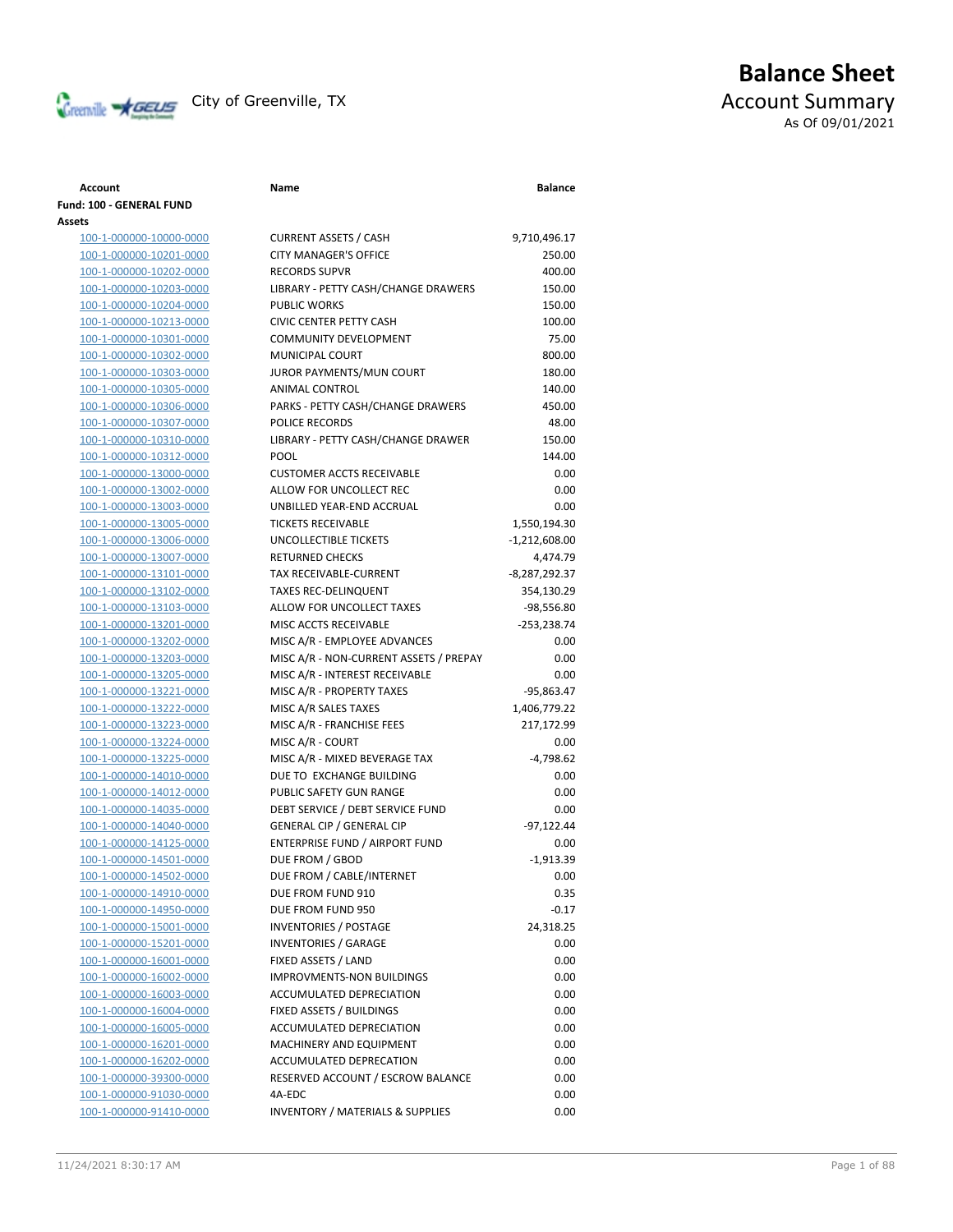

# **Balance Sheet** Creenville **AGEUS** City of Greenville, TX **ACCOUNT** ACCOUNT Summary As Of 09/01/2021

### **Account Name Balance Fund: 100 - GENERAL FUND Assets** 100-1-000000-10000-0000 CURRENT ASSETS / CASH 9,710,496.17 100-1-000000-10201-0000 100-1-000000-10202-0000 100-1-000000-10203-0000 100-1-000000-10204-0000 100-1-000000-10213-0000 100-1-000000-10301-0000

100-1-000000-10302-0000 100-1-000000-10303-0000 100-1-000000-10305-0000 100-1-000000-10306-0000 100-1-000000-10307-0000 100-1-000000-10310-0000 100-1-000000-10312-0000 100-1-000000-13000-0000 100-1-000000-13002-0000 100-1-000000-13003-0000 100-1-000000-13005-0000 100-1-000000-13006-0000 100-1-000000-13007-0000 100-1-000000-13101-0000 100-1-000000-13102-0000 100-1-000000-13103-0000 100-1-000000-13201-0000 100-1-000000-13202-0000 100-1-000000-13203-0000 MISC A/R - NON-CURRENT ASSETS / PREPAYMENTS 0.00 100-1-000000-13205-0000 100-1-000000-13221-0000 100-1-000000-13222-0000 100-1-000000-13223-0000 100-1-000000-13224-0000 100-1-000000-13225-0000 100-1-000000-14010-0000 100-1-000000-14012-0000 100-1-000000-14035-0000 100-1-000000-14040-0000 100-1-000000-14125-0000 100-1-000000-14501-0000 100-1-000000-14502-0000 100-1-000000-14910-0000 100-1-000000-14950-0000 100-1-000000-15001-0000 100-1-000000-15201-0000 100-1-000000-16001-0000 100-1-000000-16002-0000 100-1-000000-16003-0000 100-1-000000-16004-0000 100-1-000000-16005-0000 100-1-000000-16201-0000 100-1-000000-16202-0000 100-1-000000-39300-0000 100-1-000000-91030-0000 100-1-000000-91410-0000

| CURRENT ASSETS / CASH                       | 9,710,496.17    |
|---------------------------------------------|-----------------|
| <b>CITY MANAGER'S OFFICE</b>                | 250.00          |
| <b>RECORDS SUPVR</b>                        | 400.00          |
| LIBRARY - PETTY CASH/CHANGE DRAWERS         | 150.00          |
| <b>PUBLIC WORKS</b>                         | 150.00          |
| <b>CIVIC CENTER PETTY CASH</b>              | 100.00          |
| <b>COMMUNITY DEVELOPMENT</b>                | 75.00           |
| <b>MUNICIPAL COURT</b>                      | 800.00          |
| JUROR PAYMENTS/MUN COURT                    | 180.00          |
| ANIMAL CONTROL                              | 140.00          |
| PARKS - PETTY CASH/CHANGE DRAWERS           | 450.00          |
| POLICE RECORDS                              | 48.00           |
| LIBRARY - PETTY CASH/CHANGE DRAWER          | 150.00          |
| POOL                                        | 144.00          |
| <b>CUSTOMER ACCTS RECEIVABLE</b>            | 0.00            |
| ALLOW FOR UNCOLLECT REC                     | 0.00            |
| UNBILLED YEAR-END ACCRUAL                   | 0.00            |
| <b>TICKETS RECEIVABLE</b>                   | 1,550,194.30    |
| <b>UNCOLLECTIBLE TICKETS</b>                | $-1,212,608.00$ |
| <b>RETURNED CHECKS</b>                      | 4,474.79        |
| TAX RECEIVABLE-CURRENT                      | -8,287,292.37   |
| <b>TAXES REC-DELINQUENT</b>                 | 354,130.29      |
| ALLOW FOR UNCOLLECT TAXES                   | $-98,556.80$    |
| MISC ACCTS RECEIVABLE                       | $-253,238.74$   |
| MISC A/R - EMPLOYEE ADVANCES                | 0.00            |
| MISC A/R - NON-CURRENT ASSETS / PREPAY      | 0.00            |
| MISC A/R - INTEREST RECEIVABLE              | 0.00            |
| MISC A/R - PROPERTY TAXES                   | -95,863.47      |
| MISC A/R SALES TAXES                        | 1,406,779.22    |
| MISC A/R - FRANCHISE FEES                   | 217,172.99      |
| MISC A/R - COURT                            | 0.00            |
| MISC A/R - MIXED BEVERAGE TAX               | $-4,798.62$     |
| DUE TO EXCHANGE BUILDING                    | 0.00            |
| PUBLIC SAFETY GUN RANGE                     | 0.00            |
| DEBT SERVICE / DEBT SERVICE FUND            | 0.00            |
| <b>GENERAL CIP / GENERAL CIP</b>            | -97,122.44      |
| <b>ENTERPRISE FUND / AIRPORT FUND</b>       | 0.00            |
| DUE FROM / GBOD                             | $-1,913.39$     |
| DUE FROM / CABLE/INTERNET                   | 0.00            |
| DUE FROM FUND 910                           | 0.35            |
| DUE FROM FUND 950                           | $-0.17$         |
| <b>INVENTORIES / POSTAGE</b>                | 24,318.25       |
| INVENTORIES / GARAGE                        | 0.00            |
| FIXED ASSETS / LAND                         | 0.00            |
| <b>IMPROVMENTS-NON BUILDINGS</b>            | 0.00            |
| <b>ACCUMULATED DEPRECIATION</b>             | 0.00            |
| FIXED ASSETS / BUILDINGS                    | 0.00            |
| ACCUMULATED DEPRECIATION                    | 0.00            |
| MACHINERY AND EQUIPMENT                     | 0.00            |
| ACCUMULATED DEPRECATION                     |                 |
| RESERVED ACCOUNT / ESCROW BALANCE           | 0.00            |
|                                             | 0.00            |
| 4A-EDC                                      | 0.00            |
| <b>INVENTORY / MATERIALS &amp; SUPPLIES</b> | 0.00            |

## 11/24/2021 8:30:17 AM Page 1 of 88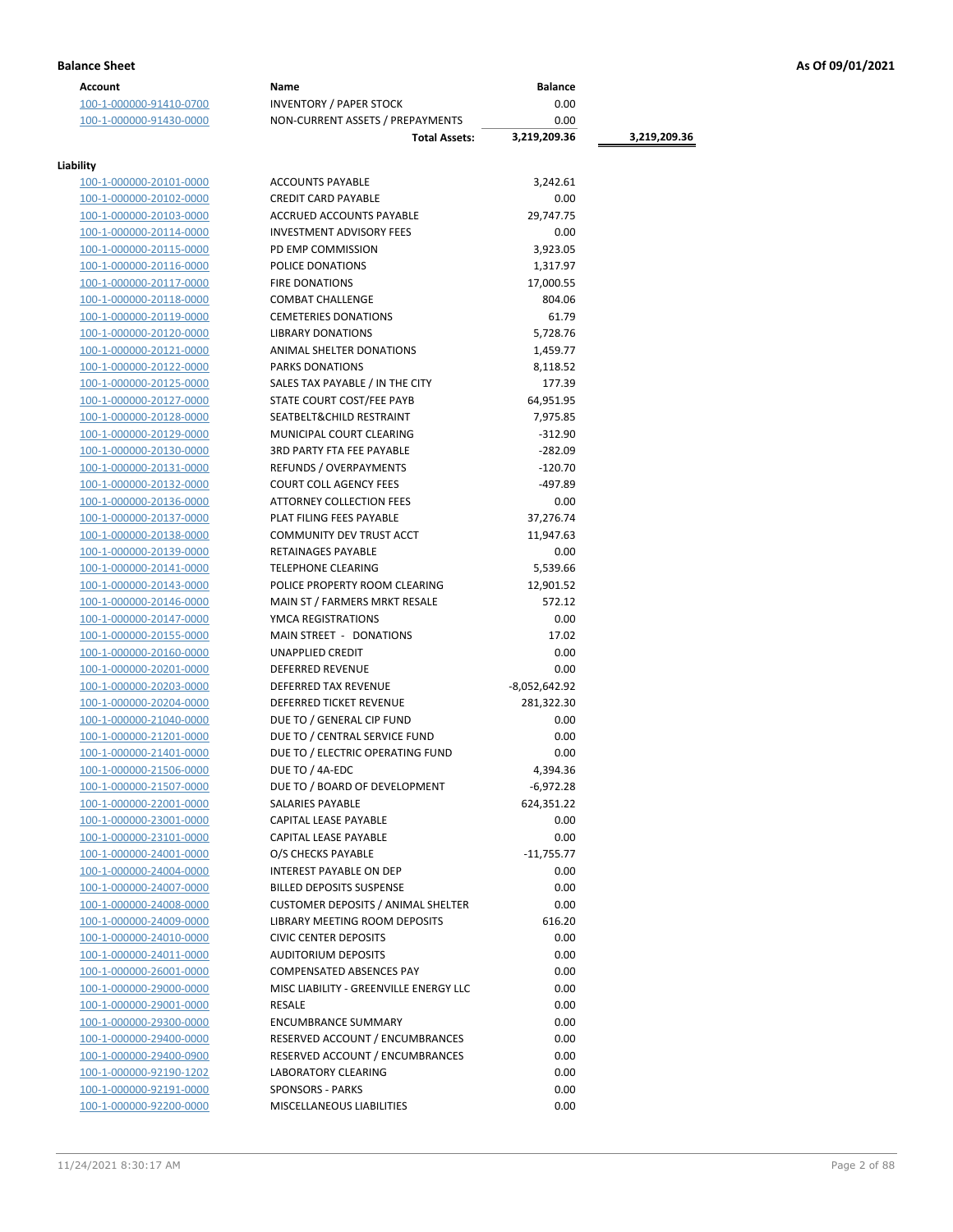| <b>Account</b>                       | Name                                      | <b>Balance</b>  |              |
|--------------------------------------|-------------------------------------------|-----------------|--------------|
| 100-1-000000-91410-0700              | <b>INVENTORY / PAPER STOCK</b>            | 0.00            |              |
| 100-1-000000-91430-0000              | NON-CURRENT ASSETS / PREPAYMENTS          | 0.00            |              |
|                                      | <b>Total Assets:</b>                      | 3,219,209.36    | 3,219,209.36 |
|                                      |                                           |                 |              |
| Liability<br>100-1-000000-20101-0000 | <b>ACCOUNTS PAYABLE</b>                   | 3,242.61        |              |
|                                      |                                           |                 |              |
| 100-1-000000-20102-0000              | <b>CREDIT CARD PAYABLE</b>                | 0.00            |              |
| 100-1-000000-20103-0000              | ACCRUED ACCOUNTS PAYABLE                  | 29,747.75       |              |
| 100-1-000000-20114-0000              | <b>INVESTMENT ADVISORY FEES</b>           | 0.00            |              |
| 100-1-000000-20115-0000              | PD EMP COMMISSION                         | 3,923.05        |              |
| 100-1-000000-20116-0000              | POLICE DONATIONS                          | 1,317.97        |              |
| 100-1-000000-20117-0000              | <b>FIRE DONATIONS</b>                     | 17,000.55       |              |
| 100-1-000000-20118-0000              | <b>COMBAT CHALLENGE</b>                   | 804.06          |              |
| 100-1-000000-20119-0000              | <b>CEMETERIES DONATIONS</b>               | 61.79           |              |
| 100-1-000000-20120-0000              | <b>LIBRARY DONATIONS</b>                  | 5,728.76        |              |
| 100-1-000000-20121-0000              | ANIMAL SHELTER DONATIONS                  | 1,459.77        |              |
| 100-1-000000-20122-0000              | PARKS DONATIONS                           | 8,118.52        |              |
| 100-1-000000-20125-0000              | SALES TAX PAYABLE / IN THE CITY           | 177.39          |              |
| 100-1-000000-20127-0000              | STATE COURT COST/FEE PAYB                 | 64,951.95       |              |
| 100-1-000000-20128-0000              | SEATBELT& CHILD RESTRAINT                 | 7,975.85        |              |
| 100-1-000000-20129-0000              | MUNICIPAL COURT CLEARING                  | $-312.90$       |              |
| 100-1-000000-20130-0000              | <b>3RD PARTY FTA FEE PAYABLE</b>          | $-282.09$       |              |
| 100-1-000000-20131-0000              | REFUNDS / OVERPAYMENTS                    | $-120.70$       |              |
| 100-1-000000-20132-0000              | <b>COURT COLL AGENCY FEES</b>             | -497.89         |              |
| 100-1-000000-20136-0000              | <b>ATTORNEY COLLECTION FEES</b>           | 0.00            |              |
| 100-1-000000-20137-0000              | PLAT FILING FEES PAYABLE                  | 37,276.74       |              |
| 100-1-000000-20138-0000              | COMMUNITY DEV TRUST ACCT                  | 11,947.63       |              |
| 100-1-000000-20139-0000              | RETAINAGES PAYABLE                        | 0.00            |              |
| 100-1-000000-20141-0000              | <b>TELEPHONE CLEARING</b>                 | 5,539.66        |              |
| 100-1-000000-20143-0000              | POLICE PROPERTY ROOM CLEARING             | 12,901.52       |              |
| 100-1-000000-20146-0000              | MAIN ST / FARMERS MRKT RESALE             | 572.12          |              |
| 100-1-000000-20147-0000              | YMCA REGISTRATIONS                        | 0.00            |              |
| 100-1-000000-20155-0000              | MAIN STREET - DONATIONS                   | 17.02           |              |
| 100-1-000000-20160-0000              | UNAPPLIED CREDIT                          | 0.00            |              |
| 100-1-000000-20201-0000              | <b>DEFERRED REVENUE</b>                   | 0.00            |              |
| 100-1-000000-20203-0000              | <b>DEFERRED TAX REVENUE</b>               | $-8,052,642.92$ |              |
| 100-1-000000-20204-0000              | <b>DEFERRED TICKET REVENUE</b>            | 281,322.30      |              |
| 100-1-000000-21040-0000              | DUE TO / GENERAL CIP FUND                 | 0.00            |              |
| 100-1-000000-21201-0000              | DUE TO / CENTRAL SERVICE FUND             | 0.00            |              |
| 100-1-000000-21401-0000              | DUE TO / ELECTRIC OPERATING FUND          | 0.00            |              |
| 100-1-000000-21506-0000              | DUE TO / 4A-EDC                           | 4,394.36        |              |
| 100-1-000000-21507-0000              | DUE TO / BOARD OF DEVELOPMENT             | $-6,972.28$     |              |
| 100-1-000000-22001-0000              | SALARIES PAYABLE                          | 624,351.22      |              |
| 100-1-000000-23001-0000              | CAPITAL LEASE PAYABLE                     | 0.00            |              |
| 100-1-000000-23101-0000              | <b>CAPITAL LEASE PAYABLE</b>              | 0.00            |              |
| 100-1-000000-24001-0000              | O/S CHECKS PAYABLE                        | $-11,755.77$    |              |
| 100-1-000000-24004-0000              | <b>INTEREST PAYABLE ON DEP</b>            | 0.00            |              |
| 100-1-000000-24007-0000              | <b>BILLED DEPOSITS SUSPENSE</b>           | 0.00            |              |
| 100-1-000000-24008-0000              | <b>CUSTOMER DEPOSITS / ANIMAL SHELTER</b> | 0.00            |              |
| 100-1-000000-24009-0000              | LIBRARY MEETING ROOM DEPOSITS             | 616.20          |              |
| 100-1-000000-24010-0000              | <b>CIVIC CENTER DEPOSITS</b>              | 0.00            |              |
| 100-1-000000-24011-0000              | <b>AUDITORIUM DEPOSITS</b>                | 0.00            |              |
| 100-1-000000-26001-0000              | COMPENSATED ABSENCES PAY                  | 0.00            |              |
| 100-1-000000-29000-0000              | MISC LIABILITY - GREENVILLE ENERGY LLC    | 0.00            |              |
| 100-1-000000-29001-0000              | RESALE                                    | 0.00            |              |
| 100-1-000000-29300-0000              | <b>ENCUMBRANCE SUMMARY</b>                | 0.00            |              |
| 100-1-000000-29400-0000              | RESERVED ACCOUNT / ENCUMBRANCES           | 0.00            |              |
| 100-1-000000-29400-0900              | RESERVED ACCOUNT / ENCUMBRANCES           | 0.00            |              |
| 100-1-000000-92190-1202              | <b>LABORATORY CLEARING</b>                | 0.00            |              |
| 100-1-000000-92191-0000              | <b>SPONSORS - PARKS</b>                   | 0.00            |              |
| 100-1-000000-92200-0000              | MISCELLANEOUS LIABILITIES                 | 0.00            |              |
|                                      |                                           |                 |              |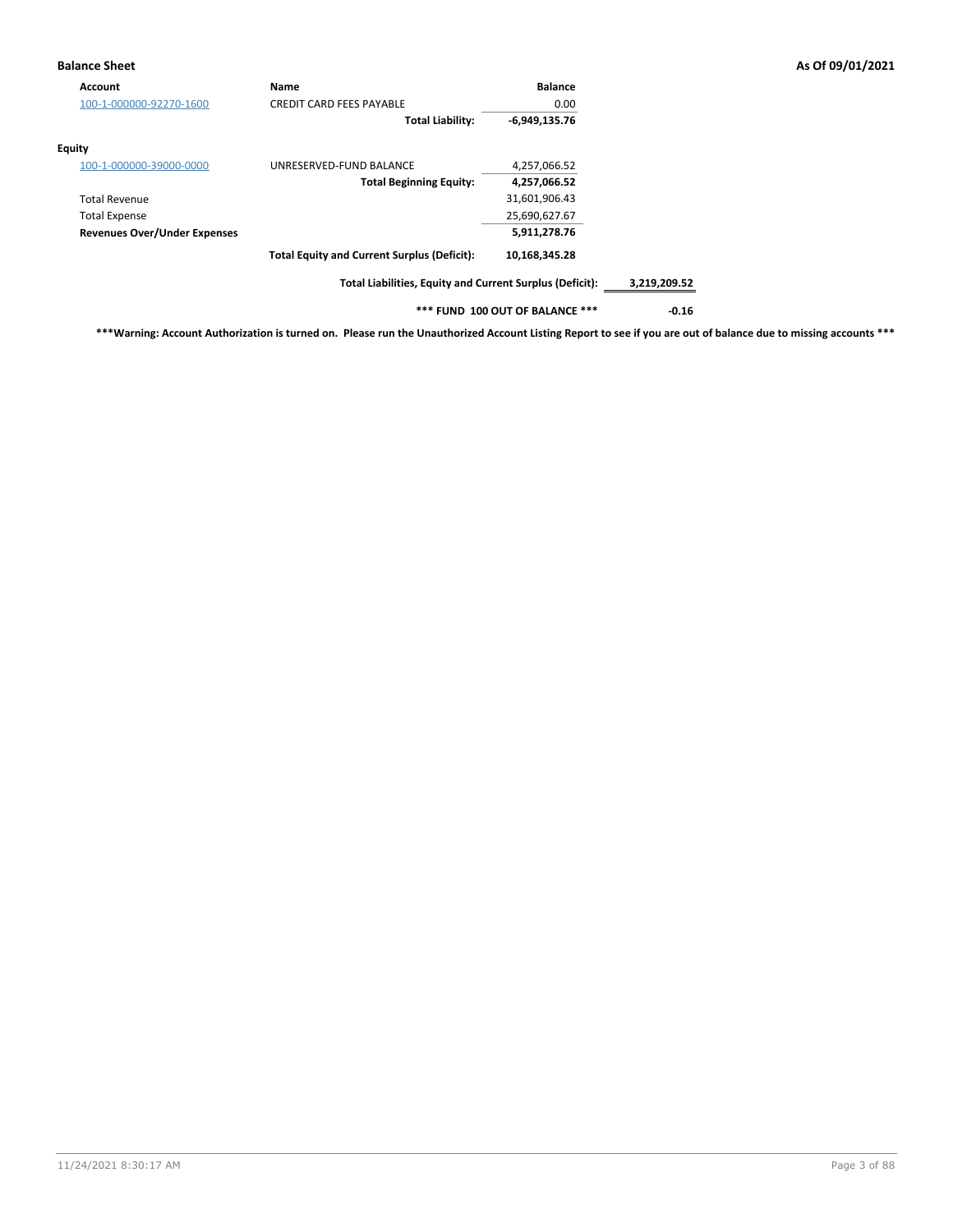## **Balance Sheet As Of 09/01/2021**

| Account                             | <b>Name</b>                                              | <b>Balance</b>                  |              |
|-------------------------------------|----------------------------------------------------------|---------------------------------|--------------|
| 100-1-000000-92270-1600             | <b>CREDIT CARD FEES PAYABLE</b>                          | 0.00                            |              |
|                                     | <b>Total Liability:</b>                                  | $-6,949,135.76$                 |              |
| Equity                              |                                                          |                                 |              |
| 100-1-000000-39000-0000             | UNRESERVED-FUND BALANCE                                  | 4,257,066.52                    |              |
|                                     | <b>Total Beginning Equity:</b>                           | 4,257,066.52                    |              |
| <b>Total Revenue</b>                |                                                          | 31,601,906.43                   |              |
| <b>Total Expense</b>                |                                                          | 25,690,627.67                   |              |
| <b>Revenues Over/Under Expenses</b> |                                                          | 5,911,278.76                    |              |
|                                     | <b>Total Equity and Current Surplus (Deficit):</b>       | 10,168,345.28                   |              |
|                                     | Total Liabilities, Equity and Current Surplus (Deficit): |                                 | 3,219,209.52 |
|                                     |                                                          | *** FUND 100 OUT OF BALANCE *** | $-0.16$      |

**\*\*\*Warning: Account Authorization is turned on. Please run the Unauthorized Account Listing Report to see if you are out of balance due to missing accounts \*\*\***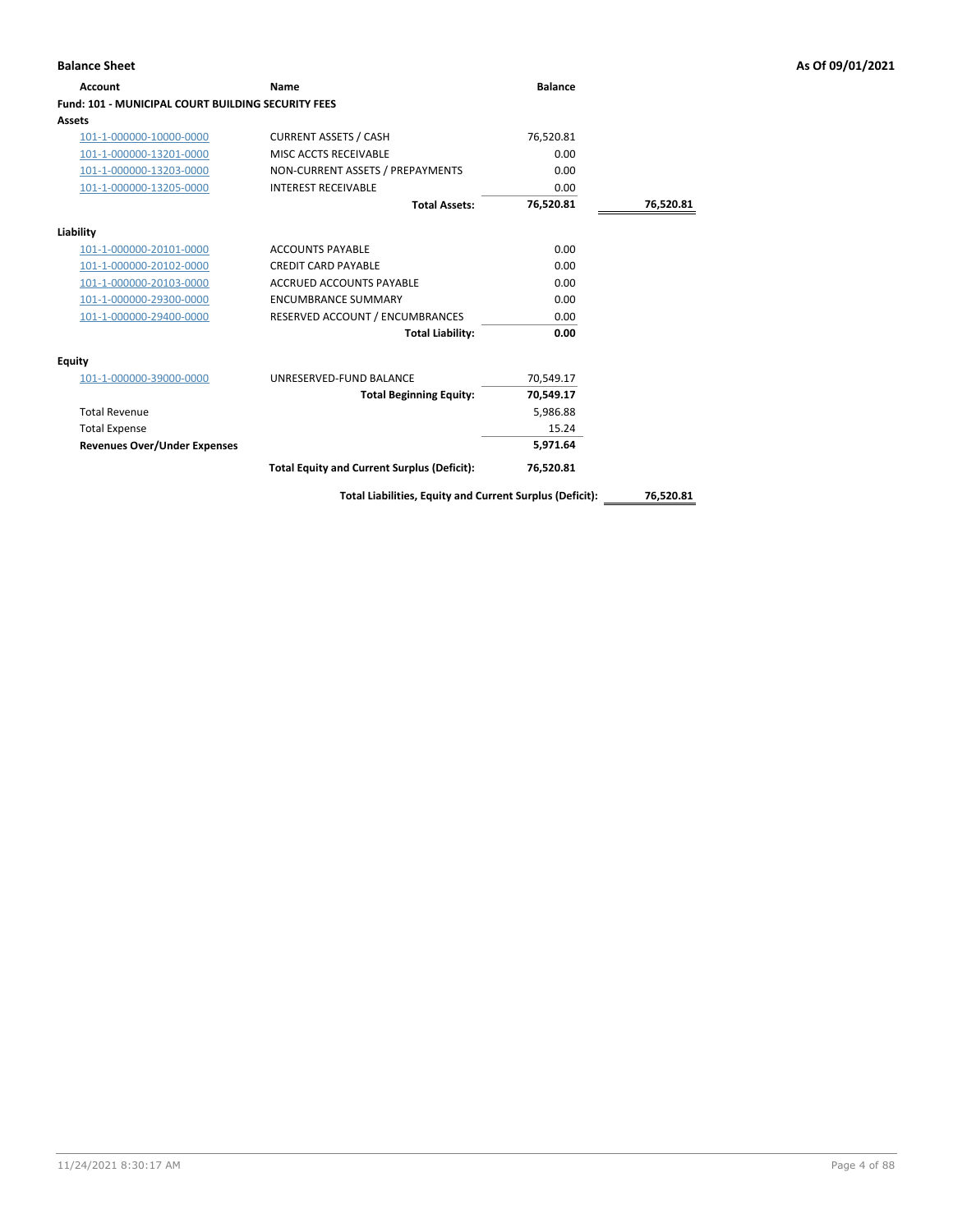# **Account Name Balance Fund: 101 - MUNICIPAL COURT BUILDING SECURITY FEES Assets** 101-1-000000-10000-0000 CURRENT ASSETS / CASH 76,520.81 101-1-000000-13201-0000 MISC ACCTS RECEIVABLE 0.00 101-1-000000-13203-0000 NON-CURRENT ASSETS / PREPAYMENTS 0.00 101-1-000000-13205-0000 INTEREST RECEIVABLE 0.00 **Total Assets: 76,520.81 76,520.81 Liability** 101-1-000000-20101-0000 ACCOUNTS PAYABLE 0.00 101-1-000000-20102-0000 CREDIT CARD PAYABLE 0.00 101-1-000000-20103-0000 ACCRUED ACCOUNTS PAYABLE 0.00 101-1-000000-29300-0000 ENCUMBRANCE SUMMARY 0.00 101-1-000000-29400-0000 RESERVED ACCOUNT / ENCUMBRANCES 0.00 **Total Liability: 0.00 Equity** 101-1-000000-39000-0000 UNRESERVED-FUND BALANCE 70,549.17 **Total Beginning Equity: 70,549.17** Total Revenue 5,986.88 Total Expense 15.24 **Revenues Over/Under Expenses 5,971.64 Total Equity and Current Surplus (Deficit): 76,520.81**

**Total Liabilities, Equity and Current Surplus (Deficit): 76,520.81**

## **Balance Sheet As Of 09/01/2021**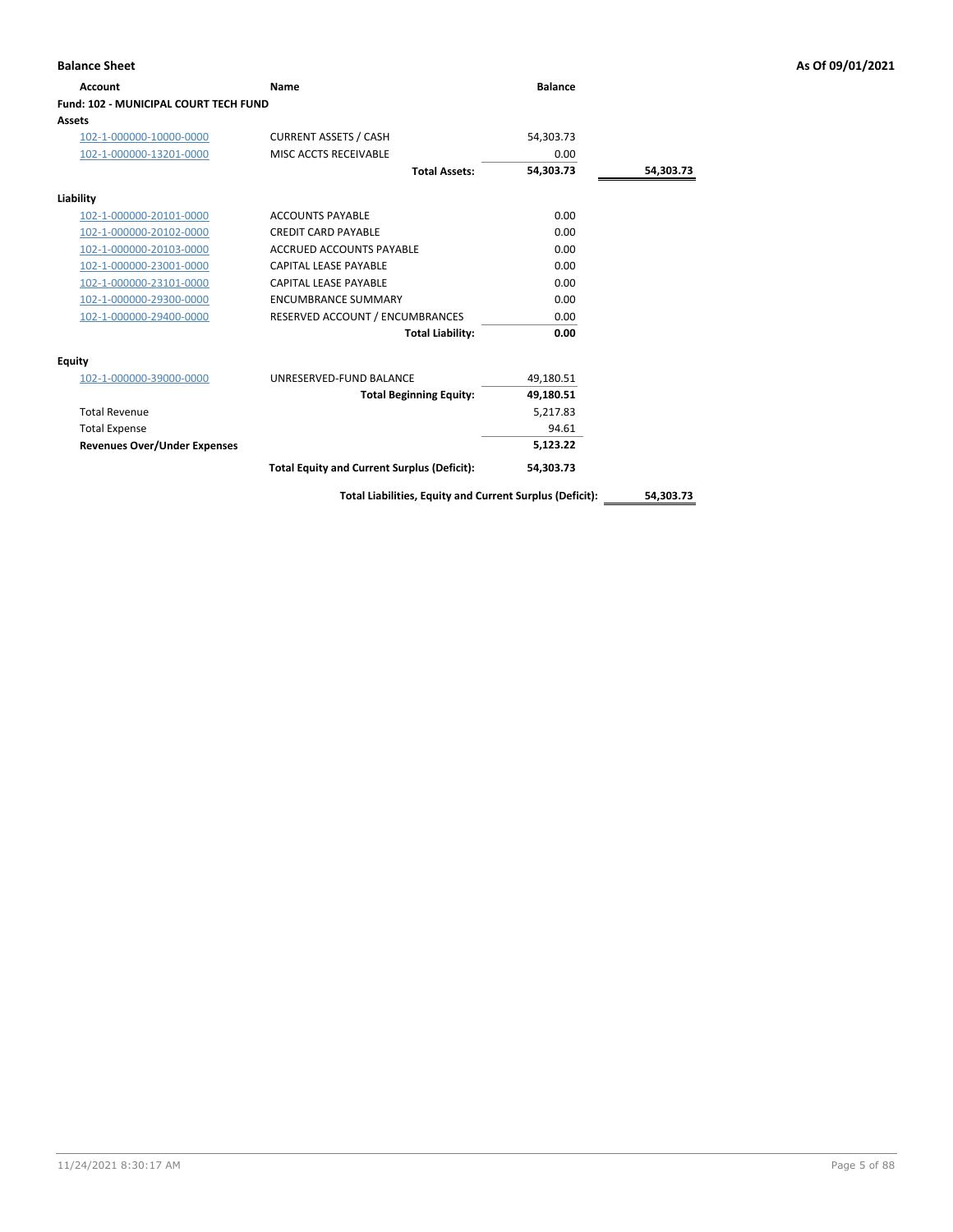| <b>Balance Sheet</b>                  |                                                    |                |           | As Of 09/01/2021 |
|---------------------------------------|----------------------------------------------------|----------------|-----------|------------------|
| <b>Account</b>                        | Name                                               | <b>Balance</b> |           |                  |
| Fund: 102 - MUNICIPAL COURT TECH FUND |                                                    |                |           |                  |
| <b>Assets</b>                         |                                                    |                |           |                  |
| 102-1-000000-10000-0000               | <b>CURRENT ASSETS / CASH</b>                       | 54,303.73      |           |                  |
| 102-1-000000-13201-0000               | MISC ACCTS RECEIVABLE                              | 0.00           |           |                  |
|                                       | <b>Total Assets:</b>                               | 54,303.73      | 54,303.73 |                  |
| Liability                             |                                                    |                |           |                  |
| 102-1-000000-20101-0000               | <b>ACCOUNTS PAYABLE</b>                            | 0.00           |           |                  |
| 102-1-000000-20102-0000               | <b>CREDIT CARD PAYABLE</b>                         | 0.00           |           |                  |
| 102-1-000000-20103-0000               | <b>ACCRUED ACCOUNTS PAYABLE</b>                    | 0.00           |           |                  |
| 102-1-000000-23001-0000               | <b>CAPITAL LEASE PAYABLE</b>                       | 0.00           |           |                  |
| 102-1-000000-23101-0000               | <b>CAPITAL LEASE PAYABLE</b>                       | 0.00           |           |                  |
| 102-1-000000-29300-0000               | <b>ENCUMBRANCE SUMMARY</b>                         | 0.00           |           |                  |
| 102-1-000000-29400-0000               | RESERVED ACCOUNT / ENCUMBRANCES                    | 0.00           |           |                  |
|                                       | <b>Total Liability:</b>                            | 0.00           |           |                  |
| Equity                                |                                                    |                |           |                  |
| 102-1-000000-39000-0000               | UNRESERVED-FUND BALANCE                            | 49,180.51      |           |                  |
|                                       | <b>Total Beginning Equity:</b>                     | 49,180.51      |           |                  |
| <b>Total Revenue</b>                  |                                                    | 5,217.83       |           |                  |
| <b>Total Expense</b>                  |                                                    | 94.61          |           |                  |
| <b>Revenues Over/Under Expenses</b>   |                                                    | 5,123.22       |           |                  |
|                                       | <b>Total Equity and Current Surplus (Deficit):</b> | 54,303.73      |           |                  |

# **Assets**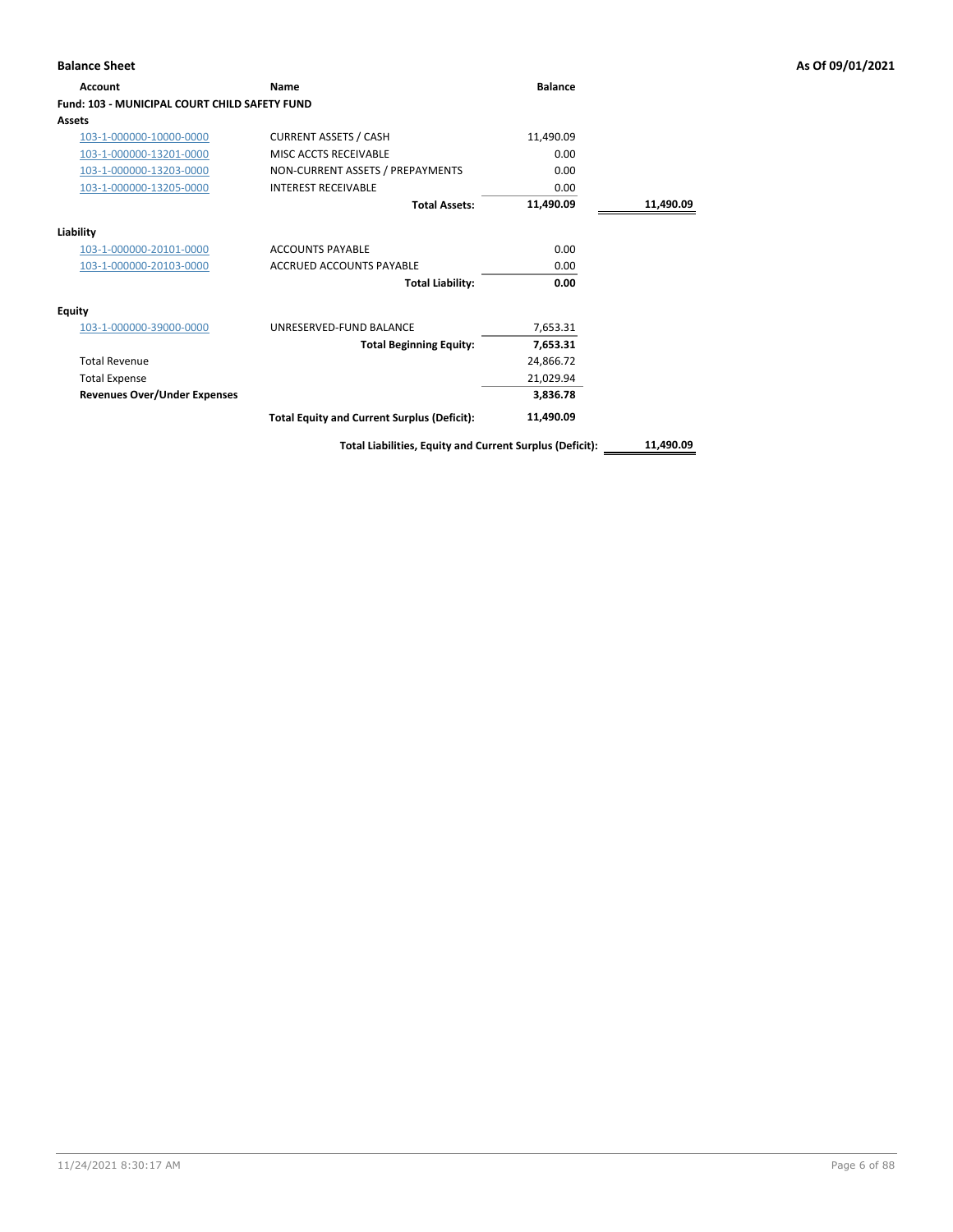| Account                                              | Name                                                     | <b>Balance</b> |           |
|------------------------------------------------------|----------------------------------------------------------|----------------|-----------|
| <b>Fund: 103 - MUNICIPAL COURT CHILD SAFETY FUND</b> |                                                          |                |           |
| Assets                                               |                                                          |                |           |
| 103-1-000000-10000-0000                              | <b>CURRENT ASSETS / CASH</b>                             | 11,490.09      |           |
| 103-1-000000-13201-0000                              | MISC ACCTS RECEIVABLE                                    | 0.00           |           |
| 103-1-000000-13203-0000                              | NON-CURRENT ASSETS / PREPAYMENTS                         | 0.00           |           |
| 103-1-000000-13205-0000                              | <b>INTEREST RECEIVABLE</b>                               | 0.00           |           |
|                                                      | <b>Total Assets:</b>                                     | 11,490.09      | 11,490.09 |
| Liability                                            |                                                          |                |           |
| 103-1-000000-20101-0000                              | <b>ACCOUNTS PAYABLE</b>                                  | 0.00           |           |
| 103-1-000000-20103-0000                              | ACCRUED ACCOUNTS PAYABLE                                 | 0.00           |           |
|                                                      | <b>Total Liability:</b>                                  | 0.00           |           |
| <b>Equity</b>                                        |                                                          |                |           |
| 103-1-000000-39000-0000                              | UNRESERVED-FUND BALANCE                                  | 7,653.31       |           |
|                                                      | <b>Total Beginning Equity:</b>                           | 7,653.31       |           |
| <b>Total Revenue</b>                                 |                                                          | 24,866.72      |           |
| <b>Total Expense</b>                                 |                                                          | 21,029.94      |           |
| <b>Revenues Over/Under Expenses</b>                  |                                                          | 3,836.78       |           |
|                                                      | <b>Total Equity and Current Surplus (Deficit):</b>       | 11,490.09      |           |
|                                                      | Total Liabilities, Equity and Current Surplus (Deficit): |                | 11,490.09 |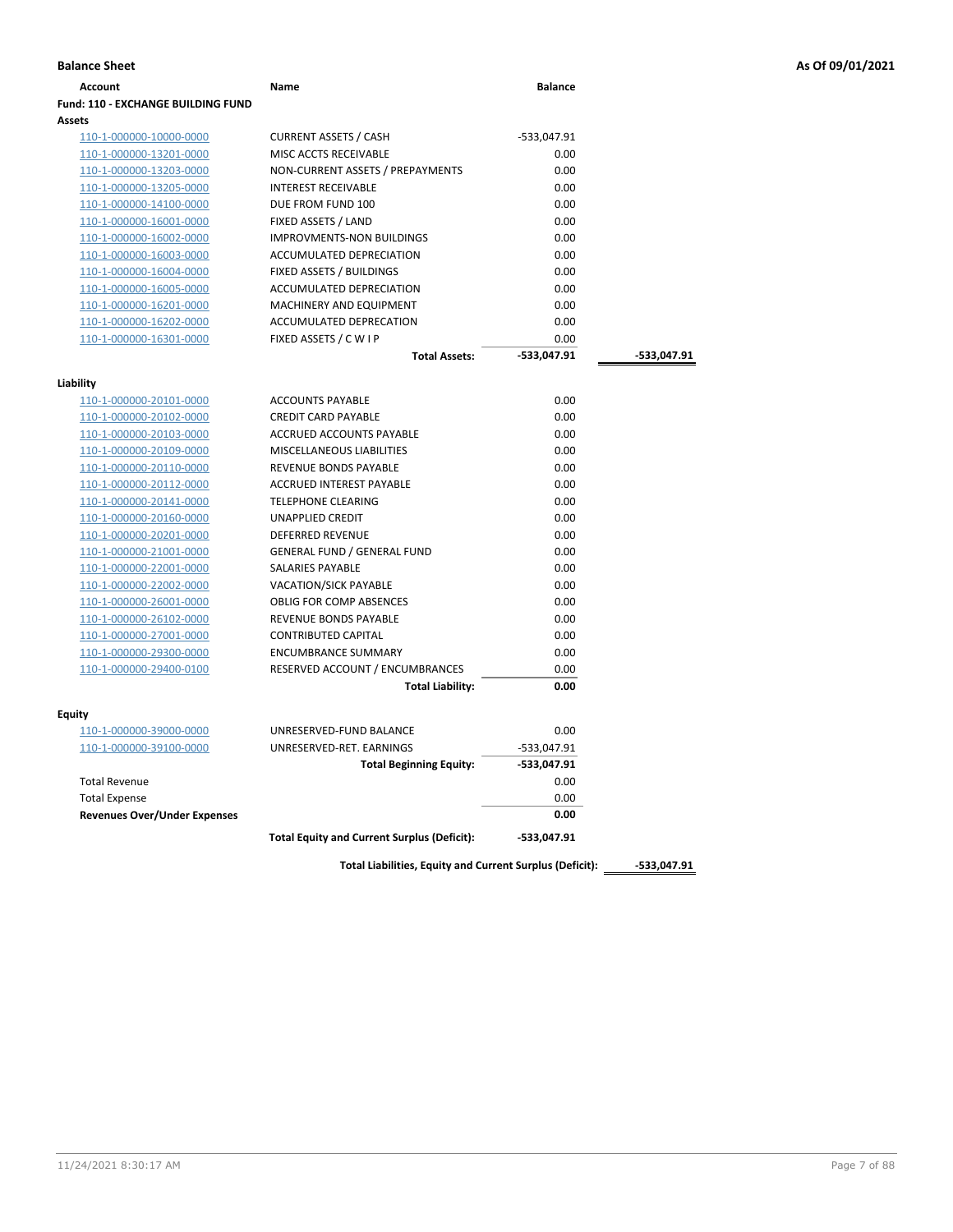| <b>Fund: 110 - EXCHANGE BUILDING FUND</b><br>Assets<br><b>CURRENT ASSETS / CASH</b><br>110-1-000000-10000-0000<br>-533,047.91<br>0.00<br>110-1-000000-13201-0000<br>MISC ACCTS RECEIVABLE<br>NON-CURRENT ASSETS / PREPAYMENTS<br>0.00<br>110-1-000000-13203-0000<br><b>INTEREST RECEIVABLE</b><br>0.00<br>110-1-000000-13205-0000<br>0.00<br>DUE FROM FUND 100<br>110-1-000000-14100-0000<br>FIXED ASSETS / LAND<br>0.00<br>110-1-000000-16001-0000<br>0.00<br>110-1-000000-16002-0000<br><b>IMPROVMENTS-NON BUILDINGS</b><br>ACCUMULATED DEPRECIATION<br>0.00<br>110-1-000000-16003-0000<br>FIXED ASSETS / BUILDINGS<br>0.00<br>110-1-000000-16004-0000<br>ACCUMULATED DEPRECIATION<br>0.00<br>110-1-000000-16005-0000<br>0.00<br>MACHINERY AND EQUIPMENT<br>110-1-000000-16201-0000<br>110-1-000000-16202-0000<br>ACCUMULATED DEPRECATION<br>0.00<br>FIXED ASSETS / C W I P<br>110-1-000000-16301-0000<br>0.00<br><b>Total Assets:</b><br>-533,047.91<br>Liability<br><b>ACCOUNTS PAYABLE</b><br>0.00<br>110-1-000000-20101-0000<br><b>CREDIT CARD PAYABLE</b><br>0.00<br>110-1-000000-20102-0000<br>0.00<br>110-1-000000-20103-0000<br>ACCRUED ACCOUNTS PAYABLE<br>110-1-000000-20109-0000<br>MISCELLANEOUS LIABILITIES<br>0.00<br>110-1-000000-20110-0000<br><b>REVENUE BONDS PAYABLE</b><br>0.00<br>0.00<br>110-1-000000-20112-0000<br>ACCRUED INTEREST PAYABLE<br><b>TELEPHONE CLEARING</b><br>0.00<br>110-1-000000-20141-0000<br>0.00<br>110-1-000000-20160-0000<br>UNAPPLIED CREDIT<br>DEFERRED REVENUE<br>0.00<br>110-1-000000-20201-0000<br><b>GENERAL FUND / GENERAL FUND</b><br>0.00<br>110-1-000000-21001-0000<br>SALARIES PAYABLE<br>0.00<br>110-1-000000-22001-0000<br><b>VACATION/SICK PAYABLE</b><br>0.00<br>110-1-000000-22002-0000<br><b>OBLIG FOR COMP ABSENCES</b><br>0.00<br>110-1-000000-26001-0000<br>0.00<br>110-1-000000-26102-0000<br>REVENUE BONDS PAYABLE<br><b>CONTRIBUTED CAPITAL</b><br>0.00<br>110-1-000000-27001-0000<br>0.00<br><b>ENCUMBRANCE SUMMARY</b><br>110-1-000000-29300-0000<br>110-1-000000-29400-0100<br>RESERVED ACCOUNT / ENCUMBRANCES<br>0.00<br><b>Total Liability:</b><br>0.00<br>Equity<br>110-1-000000-39000-0000<br>UNRESERVED-FUND BALANCE<br>0.00<br>UNRESERVED-RET. EARNINGS<br>110-1-000000-39100-0000<br>-533,047.91<br>-533,047.91<br><b>Total Beginning Equity:</b><br><b>Total Revenue</b><br>0.00<br>0.00<br><b>Total Expense</b> | Account | Name | <b>Balance</b> |             |
|--------------------------------------------------------------------------------------------------------------------------------------------------------------------------------------------------------------------------------------------------------------------------------------------------------------------------------------------------------------------------------------------------------------------------------------------------------------------------------------------------------------------------------------------------------------------------------------------------------------------------------------------------------------------------------------------------------------------------------------------------------------------------------------------------------------------------------------------------------------------------------------------------------------------------------------------------------------------------------------------------------------------------------------------------------------------------------------------------------------------------------------------------------------------------------------------------------------------------------------------------------------------------------------------------------------------------------------------------------------------------------------------------------------------------------------------------------------------------------------------------------------------------------------------------------------------------------------------------------------------------------------------------------------------------------------------------------------------------------------------------------------------------------------------------------------------------------------------------------------------------------------------------------------------------------------------------------------------------------------------------------------------------------------------------------------------------------------------------------------------------------------------------------------------------------------------------------------------------------------------------------------------------------------------------------------------------------------------------------------------------------------------------|---------|------|----------------|-------------|
|                                                                                                                                                                                                                                                                                                                                                                                                                                                                                                                                                                                                                                                                                                                                                                                                                                                                                                                                                                                                                                                                                                                                                                                                                                                                                                                                                                                                                                                                                                                                                                                                                                                                                                                                                                                                                                                                                                                                                                                                                                                                                                                                                                                                                                                                                                                                                                                                  |         |      |                |             |
|                                                                                                                                                                                                                                                                                                                                                                                                                                                                                                                                                                                                                                                                                                                                                                                                                                                                                                                                                                                                                                                                                                                                                                                                                                                                                                                                                                                                                                                                                                                                                                                                                                                                                                                                                                                                                                                                                                                                                                                                                                                                                                                                                                                                                                                                                                                                                                                                  |         |      |                |             |
|                                                                                                                                                                                                                                                                                                                                                                                                                                                                                                                                                                                                                                                                                                                                                                                                                                                                                                                                                                                                                                                                                                                                                                                                                                                                                                                                                                                                                                                                                                                                                                                                                                                                                                                                                                                                                                                                                                                                                                                                                                                                                                                                                                                                                                                                                                                                                                                                  |         |      |                |             |
|                                                                                                                                                                                                                                                                                                                                                                                                                                                                                                                                                                                                                                                                                                                                                                                                                                                                                                                                                                                                                                                                                                                                                                                                                                                                                                                                                                                                                                                                                                                                                                                                                                                                                                                                                                                                                                                                                                                                                                                                                                                                                                                                                                                                                                                                                                                                                                                                  |         |      |                |             |
|                                                                                                                                                                                                                                                                                                                                                                                                                                                                                                                                                                                                                                                                                                                                                                                                                                                                                                                                                                                                                                                                                                                                                                                                                                                                                                                                                                                                                                                                                                                                                                                                                                                                                                                                                                                                                                                                                                                                                                                                                                                                                                                                                                                                                                                                                                                                                                                                  |         |      |                |             |
|                                                                                                                                                                                                                                                                                                                                                                                                                                                                                                                                                                                                                                                                                                                                                                                                                                                                                                                                                                                                                                                                                                                                                                                                                                                                                                                                                                                                                                                                                                                                                                                                                                                                                                                                                                                                                                                                                                                                                                                                                                                                                                                                                                                                                                                                                                                                                                                                  |         |      |                |             |
|                                                                                                                                                                                                                                                                                                                                                                                                                                                                                                                                                                                                                                                                                                                                                                                                                                                                                                                                                                                                                                                                                                                                                                                                                                                                                                                                                                                                                                                                                                                                                                                                                                                                                                                                                                                                                                                                                                                                                                                                                                                                                                                                                                                                                                                                                                                                                                                                  |         |      |                |             |
|                                                                                                                                                                                                                                                                                                                                                                                                                                                                                                                                                                                                                                                                                                                                                                                                                                                                                                                                                                                                                                                                                                                                                                                                                                                                                                                                                                                                                                                                                                                                                                                                                                                                                                                                                                                                                                                                                                                                                                                                                                                                                                                                                                                                                                                                                                                                                                                                  |         |      |                |             |
|                                                                                                                                                                                                                                                                                                                                                                                                                                                                                                                                                                                                                                                                                                                                                                                                                                                                                                                                                                                                                                                                                                                                                                                                                                                                                                                                                                                                                                                                                                                                                                                                                                                                                                                                                                                                                                                                                                                                                                                                                                                                                                                                                                                                                                                                                                                                                                                                  |         |      |                |             |
|                                                                                                                                                                                                                                                                                                                                                                                                                                                                                                                                                                                                                                                                                                                                                                                                                                                                                                                                                                                                                                                                                                                                                                                                                                                                                                                                                                                                                                                                                                                                                                                                                                                                                                                                                                                                                                                                                                                                                                                                                                                                                                                                                                                                                                                                                                                                                                                                  |         |      |                |             |
|                                                                                                                                                                                                                                                                                                                                                                                                                                                                                                                                                                                                                                                                                                                                                                                                                                                                                                                                                                                                                                                                                                                                                                                                                                                                                                                                                                                                                                                                                                                                                                                                                                                                                                                                                                                                                                                                                                                                                                                                                                                                                                                                                                                                                                                                                                                                                                                                  |         |      |                |             |
|                                                                                                                                                                                                                                                                                                                                                                                                                                                                                                                                                                                                                                                                                                                                                                                                                                                                                                                                                                                                                                                                                                                                                                                                                                                                                                                                                                                                                                                                                                                                                                                                                                                                                                                                                                                                                                                                                                                                                                                                                                                                                                                                                                                                                                                                                                                                                                                                  |         |      |                |             |
|                                                                                                                                                                                                                                                                                                                                                                                                                                                                                                                                                                                                                                                                                                                                                                                                                                                                                                                                                                                                                                                                                                                                                                                                                                                                                                                                                                                                                                                                                                                                                                                                                                                                                                                                                                                                                                                                                                                                                                                                                                                                                                                                                                                                                                                                                                                                                                                                  |         |      |                |             |
|                                                                                                                                                                                                                                                                                                                                                                                                                                                                                                                                                                                                                                                                                                                                                                                                                                                                                                                                                                                                                                                                                                                                                                                                                                                                                                                                                                                                                                                                                                                                                                                                                                                                                                                                                                                                                                                                                                                                                                                                                                                                                                                                                                                                                                                                                                                                                                                                  |         |      |                |             |
|                                                                                                                                                                                                                                                                                                                                                                                                                                                                                                                                                                                                                                                                                                                                                                                                                                                                                                                                                                                                                                                                                                                                                                                                                                                                                                                                                                                                                                                                                                                                                                                                                                                                                                                                                                                                                                                                                                                                                                                                                                                                                                                                                                                                                                                                                                                                                                                                  |         |      |                |             |
|                                                                                                                                                                                                                                                                                                                                                                                                                                                                                                                                                                                                                                                                                                                                                                                                                                                                                                                                                                                                                                                                                                                                                                                                                                                                                                                                                                                                                                                                                                                                                                                                                                                                                                                                                                                                                                                                                                                                                                                                                                                                                                                                                                                                                                                                                                                                                                                                  |         |      |                | -533,047.91 |
|                                                                                                                                                                                                                                                                                                                                                                                                                                                                                                                                                                                                                                                                                                                                                                                                                                                                                                                                                                                                                                                                                                                                                                                                                                                                                                                                                                                                                                                                                                                                                                                                                                                                                                                                                                                                                                                                                                                                                                                                                                                                                                                                                                                                                                                                                                                                                                                                  |         |      |                |             |
|                                                                                                                                                                                                                                                                                                                                                                                                                                                                                                                                                                                                                                                                                                                                                                                                                                                                                                                                                                                                                                                                                                                                                                                                                                                                                                                                                                                                                                                                                                                                                                                                                                                                                                                                                                                                                                                                                                                                                                                                                                                                                                                                                                                                                                                                                                                                                                                                  |         |      |                |             |
|                                                                                                                                                                                                                                                                                                                                                                                                                                                                                                                                                                                                                                                                                                                                                                                                                                                                                                                                                                                                                                                                                                                                                                                                                                                                                                                                                                                                                                                                                                                                                                                                                                                                                                                                                                                                                                                                                                                                                                                                                                                                                                                                                                                                                                                                                                                                                                                                  |         |      |                |             |
|                                                                                                                                                                                                                                                                                                                                                                                                                                                                                                                                                                                                                                                                                                                                                                                                                                                                                                                                                                                                                                                                                                                                                                                                                                                                                                                                                                                                                                                                                                                                                                                                                                                                                                                                                                                                                                                                                                                                                                                                                                                                                                                                                                                                                                                                                                                                                                                                  |         |      |                |             |
|                                                                                                                                                                                                                                                                                                                                                                                                                                                                                                                                                                                                                                                                                                                                                                                                                                                                                                                                                                                                                                                                                                                                                                                                                                                                                                                                                                                                                                                                                                                                                                                                                                                                                                                                                                                                                                                                                                                                                                                                                                                                                                                                                                                                                                                                                                                                                                                                  |         |      |                |             |
|                                                                                                                                                                                                                                                                                                                                                                                                                                                                                                                                                                                                                                                                                                                                                                                                                                                                                                                                                                                                                                                                                                                                                                                                                                                                                                                                                                                                                                                                                                                                                                                                                                                                                                                                                                                                                                                                                                                                                                                                                                                                                                                                                                                                                                                                                                                                                                                                  |         |      |                |             |
|                                                                                                                                                                                                                                                                                                                                                                                                                                                                                                                                                                                                                                                                                                                                                                                                                                                                                                                                                                                                                                                                                                                                                                                                                                                                                                                                                                                                                                                                                                                                                                                                                                                                                                                                                                                                                                                                                                                                                                                                                                                                                                                                                                                                                                                                                                                                                                                                  |         |      |                |             |
|                                                                                                                                                                                                                                                                                                                                                                                                                                                                                                                                                                                                                                                                                                                                                                                                                                                                                                                                                                                                                                                                                                                                                                                                                                                                                                                                                                                                                                                                                                                                                                                                                                                                                                                                                                                                                                                                                                                                                                                                                                                                                                                                                                                                                                                                                                                                                                                                  |         |      |                |             |
|                                                                                                                                                                                                                                                                                                                                                                                                                                                                                                                                                                                                                                                                                                                                                                                                                                                                                                                                                                                                                                                                                                                                                                                                                                                                                                                                                                                                                                                                                                                                                                                                                                                                                                                                                                                                                                                                                                                                                                                                                                                                                                                                                                                                                                                                                                                                                                                                  |         |      |                |             |
|                                                                                                                                                                                                                                                                                                                                                                                                                                                                                                                                                                                                                                                                                                                                                                                                                                                                                                                                                                                                                                                                                                                                                                                                                                                                                                                                                                                                                                                                                                                                                                                                                                                                                                                                                                                                                                                                                                                                                                                                                                                                                                                                                                                                                                                                                                                                                                                                  |         |      |                |             |
|                                                                                                                                                                                                                                                                                                                                                                                                                                                                                                                                                                                                                                                                                                                                                                                                                                                                                                                                                                                                                                                                                                                                                                                                                                                                                                                                                                                                                                                                                                                                                                                                                                                                                                                                                                                                                                                                                                                                                                                                                                                                                                                                                                                                                                                                                                                                                                                                  |         |      |                |             |
|                                                                                                                                                                                                                                                                                                                                                                                                                                                                                                                                                                                                                                                                                                                                                                                                                                                                                                                                                                                                                                                                                                                                                                                                                                                                                                                                                                                                                                                                                                                                                                                                                                                                                                                                                                                                                                                                                                                                                                                                                                                                                                                                                                                                                                                                                                                                                                                                  |         |      |                |             |
|                                                                                                                                                                                                                                                                                                                                                                                                                                                                                                                                                                                                                                                                                                                                                                                                                                                                                                                                                                                                                                                                                                                                                                                                                                                                                                                                                                                                                                                                                                                                                                                                                                                                                                                                                                                                                                                                                                                                                                                                                                                                                                                                                                                                                                                                                                                                                                                                  |         |      |                |             |
|                                                                                                                                                                                                                                                                                                                                                                                                                                                                                                                                                                                                                                                                                                                                                                                                                                                                                                                                                                                                                                                                                                                                                                                                                                                                                                                                                                                                                                                                                                                                                                                                                                                                                                                                                                                                                                                                                                                                                                                                                                                                                                                                                                                                                                                                                                                                                                                                  |         |      |                |             |
|                                                                                                                                                                                                                                                                                                                                                                                                                                                                                                                                                                                                                                                                                                                                                                                                                                                                                                                                                                                                                                                                                                                                                                                                                                                                                                                                                                                                                                                                                                                                                                                                                                                                                                                                                                                                                                                                                                                                                                                                                                                                                                                                                                                                                                                                                                                                                                                                  |         |      |                |             |
|                                                                                                                                                                                                                                                                                                                                                                                                                                                                                                                                                                                                                                                                                                                                                                                                                                                                                                                                                                                                                                                                                                                                                                                                                                                                                                                                                                                                                                                                                                                                                                                                                                                                                                                                                                                                                                                                                                                                                                                                                                                                                                                                                                                                                                                                                                                                                                                                  |         |      |                |             |
|                                                                                                                                                                                                                                                                                                                                                                                                                                                                                                                                                                                                                                                                                                                                                                                                                                                                                                                                                                                                                                                                                                                                                                                                                                                                                                                                                                                                                                                                                                                                                                                                                                                                                                                                                                                                                                                                                                                                                                                                                                                                                                                                                                                                                                                                                                                                                                                                  |         |      |                |             |
|                                                                                                                                                                                                                                                                                                                                                                                                                                                                                                                                                                                                                                                                                                                                                                                                                                                                                                                                                                                                                                                                                                                                                                                                                                                                                                                                                                                                                                                                                                                                                                                                                                                                                                                                                                                                                                                                                                                                                                                                                                                                                                                                                                                                                                                                                                                                                                                                  |         |      |                |             |
|                                                                                                                                                                                                                                                                                                                                                                                                                                                                                                                                                                                                                                                                                                                                                                                                                                                                                                                                                                                                                                                                                                                                                                                                                                                                                                                                                                                                                                                                                                                                                                                                                                                                                                                                                                                                                                                                                                                                                                                                                                                                                                                                                                                                                                                                                                                                                                                                  |         |      |                |             |
|                                                                                                                                                                                                                                                                                                                                                                                                                                                                                                                                                                                                                                                                                                                                                                                                                                                                                                                                                                                                                                                                                                                                                                                                                                                                                                                                                                                                                                                                                                                                                                                                                                                                                                                                                                                                                                                                                                                                                                                                                                                                                                                                                                                                                                                                                                                                                                                                  |         |      |                |             |
|                                                                                                                                                                                                                                                                                                                                                                                                                                                                                                                                                                                                                                                                                                                                                                                                                                                                                                                                                                                                                                                                                                                                                                                                                                                                                                                                                                                                                                                                                                                                                                                                                                                                                                                                                                                                                                                                                                                                                                                                                                                                                                                                                                                                                                                                                                                                                                                                  |         |      |                |             |
|                                                                                                                                                                                                                                                                                                                                                                                                                                                                                                                                                                                                                                                                                                                                                                                                                                                                                                                                                                                                                                                                                                                                                                                                                                                                                                                                                                                                                                                                                                                                                                                                                                                                                                                                                                                                                                                                                                                                                                                                                                                                                                                                                                                                                                                                                                                                                                                                  |         |      |                |             |
|                                                                                                                                                                                                                                                                                                                                                                                                                                                                                                                                                                                                                                                                                                                                                                                                                                                                                                                                                                                                                                                                                                                                                                                                                                                                                                                                                                                                                                                                                                                                                                                                                                                                                                                                                                                                                                                                                                                                                                                                                                                                                                                                                                                                                                                                                                                                                                                                  |         |      |                |             |
|                                                                                                                                                                                                                                                                                                                                                                                                                                                                                                                                                                                                                                                                                                                                                                                                                                                                                                                                                                                                                                                                                                                                                                                                                                                                                                                                                                                                                                                                                                                                                                                                                                                                                                                                                                                                                                                                                                                                                                                                                                                                                                                                                                                                                                                                                                                                                                                                  |         |      |                |             |
|                                                                                                                                                                                                                                                                                                                                                                                                                                                                                                                                                                                                                                                                                                                                                                                                                                                                                                                                                                                                                                                                                                                                                                                                                                                                                                                                                                                                                                                                                                                                                                                                                                                                                                                                                                                                                                                                                                                                                                                                                                                                                                                                                                                                                                                                                                                                                                                                  |         |      |                |             |
| <b>Revenues Over/Under Expenses</b><br>0.00                                                                                                                                                                                                                                                                                                                                                                                                                                                                                                                                                                                                                                                                                                                                                                                                                                                                                                                                                                                                                                                                                                                                                                                                                                                                                                                                                                                                                                                                                                                                                                                                                                                                                                                                                                                                                                                                                                                                                                                                                                                                                                                                                                                                                                                                                                                                                      |         |      |                |             |
| <b>Total Equity and Current Surplus (Deficit):</b><br>-533,047.91                                                                                                                                                                                                                                                                                                                                                                                                                                                                                                                                                                                                                                                                                                                                                                                                                                                                                                                                                                                                                                                                                                                                                                                                                                                                                                                                                                                                                                                                                                                                                                                                                                                                                                                                                                                                                                                                                                                                                                                                                                                                                                                                                                                                                                                                                                                                |         |      |                |             |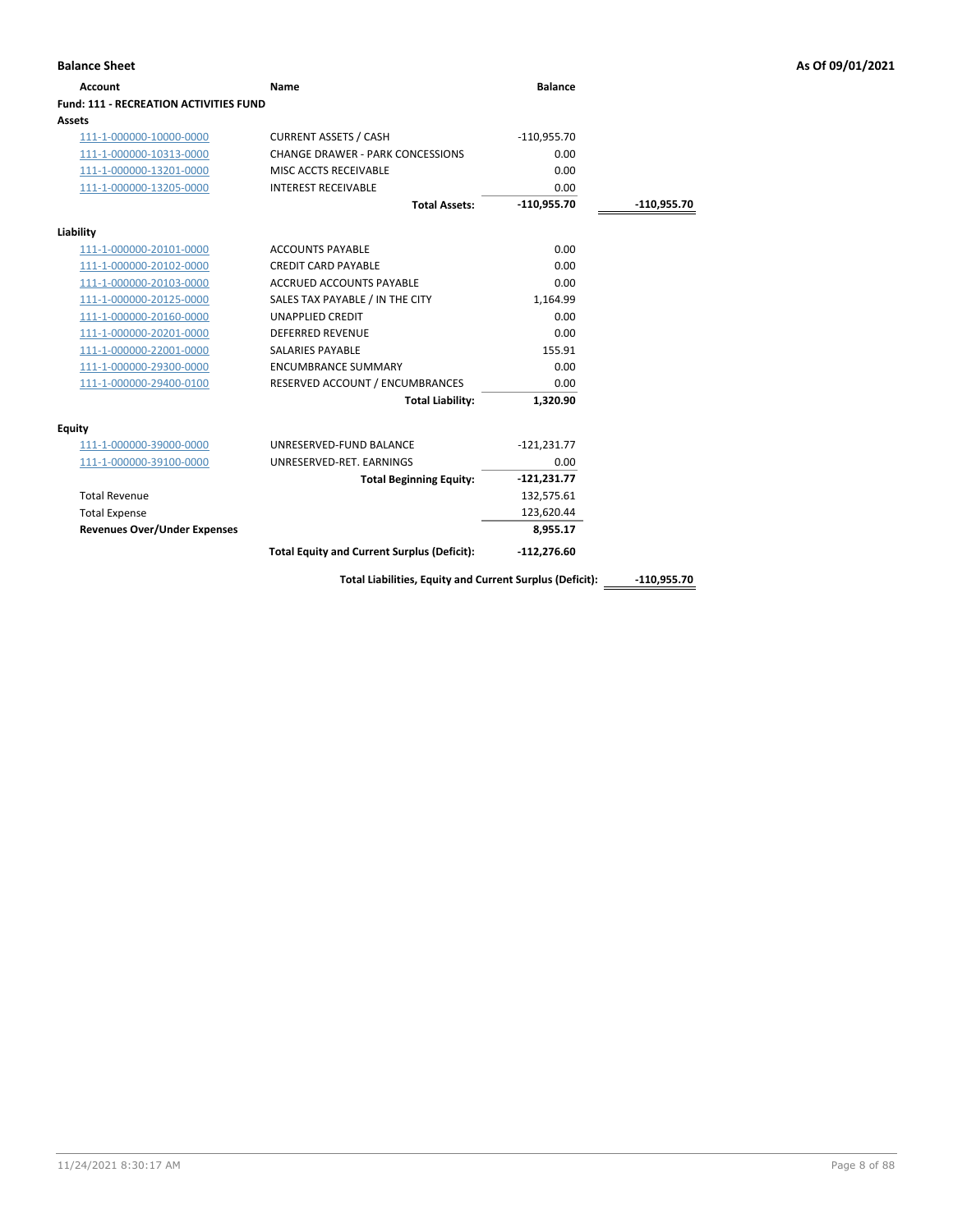| <b>Account</b>                                | Name                                                     | <b>Balance</b> |               |
|-----------------------------------------------|----------------------------------------------------------|----------------|---------------|
| <b>Fund: 111 - RECREATION ACTIVITIES FUND</b> |                                                          |                |               |
| Assets                                        |                                                          |                |               |
| 111-1-000000-10000-0000                       | <b>CURRENT ASSETS / CASH</b>                             | $-110,955.70$  |               |
| 111-1-000000-10313-0000                       | CHANGE DRAWER - PARK CONCESSIONS                         | 0.00           |               |
| 111-1-000000-13201-0000                       | MISC ACCTS RECEIVABLE                                    | 0.00           |               |
| 111-1-000000-13205-0000                       | <b>INTEREST RECEIVABLE</b>                               | 0.00           |               |
|                                               | <b>Total Assets:</b>                                     | $-110,955.70$  | -110,955.70   |
| Liability                                     |                                                          |                |               |
| 111-1-000000-20101-0000                       | <b>ACCOUNTS PAYABLE</b>                                  | 0.00           |               |
| 111-1-000000-20102-0000                       | <b>CREDIT CARD PAYABLE</b>                               | 0.00           |               |
| 111-1-000000-20103-0000                       | <b>ACCRUED ACCOUNTS PAYABLE</b>                          | 0.00           |               |
| 111-1-000000-20125-0000                       | SALES TAX PAYABLE / IN THE CITY                          | 1,164.99       |               |
| 111-1-000000-20160-0000                       | <b>UNAPPLIED CREDIT</b>                                  | 0.00           |               |
| 111-1-000000-20201-0000                       | <b>DEFERRED REVENUE</b>                                  | 0.00           |               |
| 111-1-000000-22001-0000                       | SALARIES PAYABLE                                         | 155.91         |               |
| 111-1-000000-29300-0000                       | <b>ENCUMBRANCE SUMMARY</b>                               | 0.00           |               |
| 111-1-000000-29400-0100                       | RESERVED ACCOUNT / ENCUMBRANCES                          | 0.00           |               |
|                                               | <b>Total Liability:</b>                                  | 1,320.90       |               |
| <b>Equity</b>                                 |                                                          |                |               |
| 111-1-000000-39000-0000                       | UNRESERVED-FUND BALANCE                                  | $-121,231.77$  |               |
| 111-1-000000-39100-0000                       | UNRESERVED-RET. EARNINGS                                 | 0.00           |               |
|                                               | <b>Total Beginning Equity:</b>                           | $-121,231.77$  |               |
| <b>Total Revenue</b>                          |                                                          | 132,575.61     |               |
| <b>Total Expense</b>                          |                                                          | 123,620.44     |               |
| <b>Revenues Over/Under Expenses</b>           |                                                          | 8,955.17       |               |
|                                               | <b>Total Equity and Current Surplus (Deficit):</b>       | $-112,276.60$  |               |
|                                               | Total Liabilities, Equity and Current Surplus (Deficit): |                | $-110,955.70$ |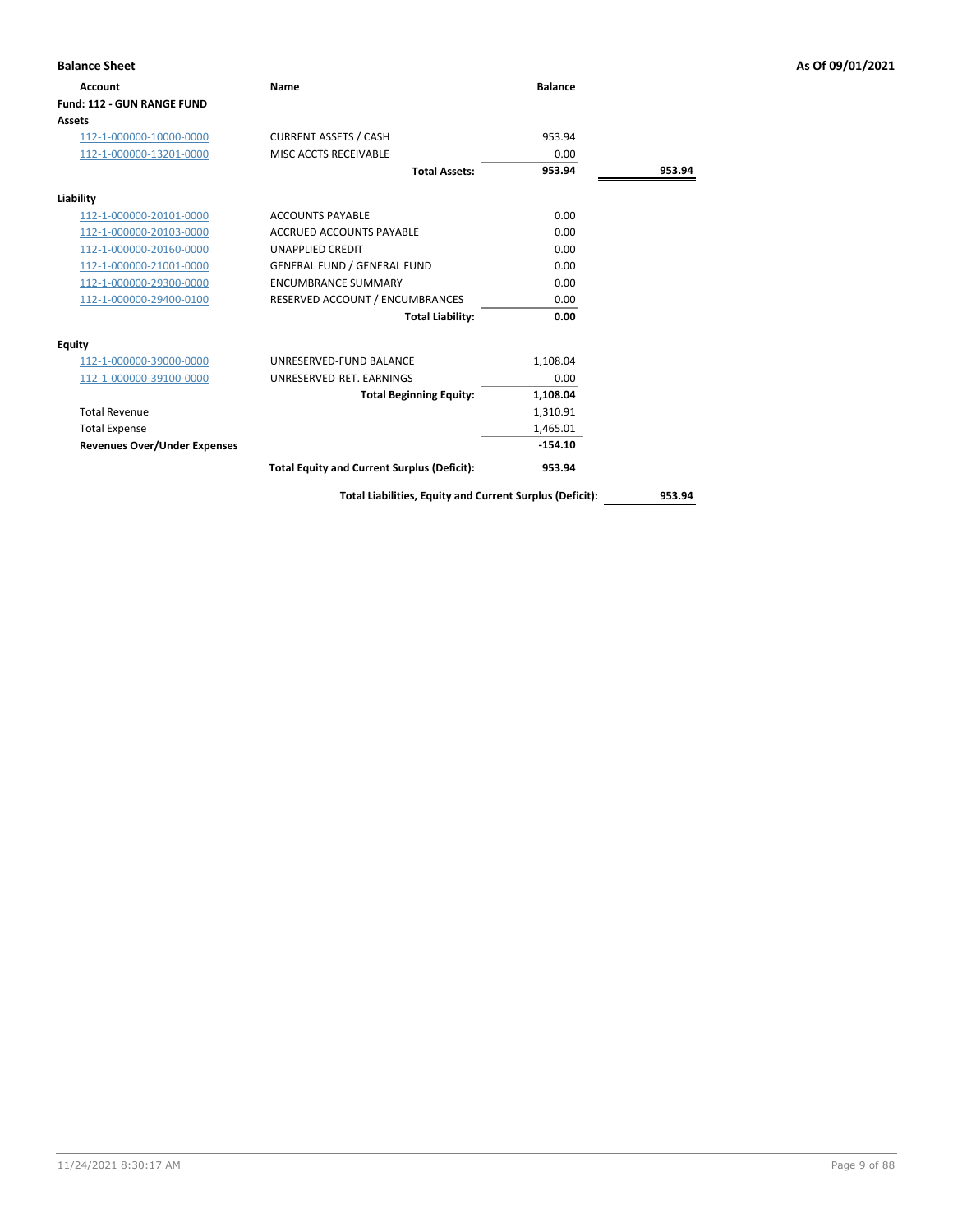| <b>Account</b>                      | Name                                               | <b>Balance</b> |        |
|-------------------------------------|----------------------------------------------------|----------------|--------|
| <b>Fund: 112 - GUN RANGE FUND</b>   |                                                    |                |        |
| Assets                              |                                                    |                |        |
| 112-1-000000-10000-0000             | <b>CURRENT ASSETS / CASH</b>                       | 953.94         |        |
| 112-1-000000-13201-0000             | MISC ACCTS RECEIVABLE                              | 0.00           |        |
|                                     | <b>Total Assets:</b>                               | 953.94         | 953.94 |
| Liability                           |                                                    |                |        |
| 112-1-000000-20101-0000             | <b>ACCOUNTS PAYABLE</b>                            | 0.00           |        |
| 112-1-000000-20103-0000             | ACCRUED ACCOUNTS PAYABLE                           | 0.00           |        |
| 112-1-000000-20160-0000             | <b>UNAPPLIED CREDIT</b>                            | 0.00           |        |
| 112-1-000000-21001-0000             | <b>GENERAL FUND / GENERAL FUND</b>                 | 0.00           |        |
| 112-1-000000-29300-0000             | <b>ENCUMBRANCE SUMMARY</b>                         | 0.00           |        |
| 112-1-000000-29400-0100             | RESERVED ACCOUNT / ENCUMBRANCES                    | 0.00           |        |
|                                     | <b>Total Liability:</b>                            | 0.00           |        |
| <b>Equity</b>                       |                                                    |                |        |
| 112-1-000000-39000-0000             | UNRESERVED-FUND BALANCE                            | 1,108.04       |        |
| 112-1-000000-39100-0000             | UNRESERVED-RET. EARNINGS                           | 0.00           |        |
|                                     | <b>Total Beginning Equity:</b>                     | 1,108.04       |        |
| <b>Total Revenue</b>                |                                                    | 1,310.91       |        |
| <b>Total Expense</b>                |                                                    | 1,465.01       |        |
| <b>Revenues Over/Under Expenses</b> |                                                    | $-154.10$      |        |
|                                     | <b>Total Equity and Current Surplus (Deficit):</b> | 953.94         |        |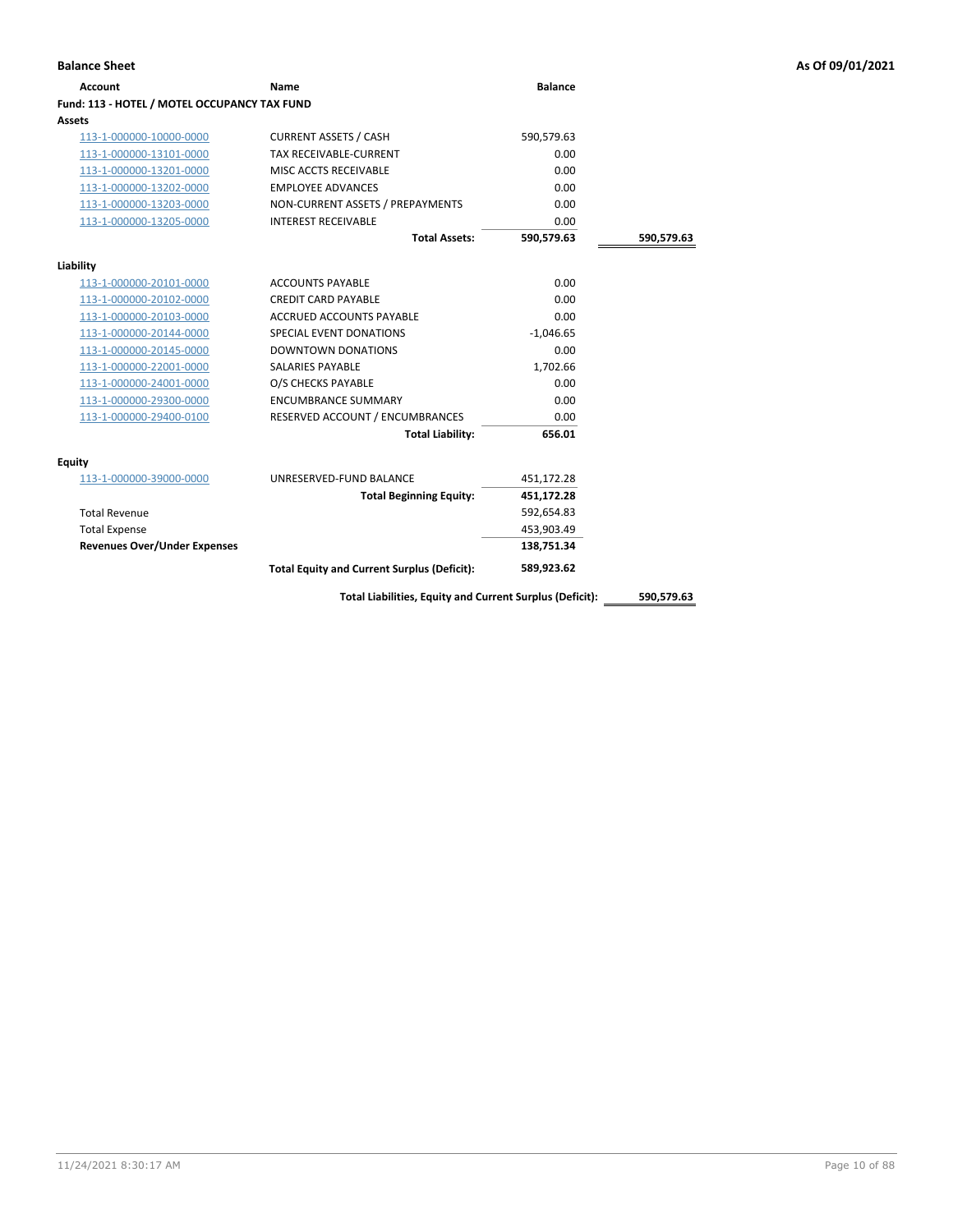|  |  | As Of 09/01/202: |
|--|--|------------------|
|  |  |                  |

| <b>Balance Sheet</b>                         |                                                          |                |            | As Of 09/01/2021 |
|----------------------------------------------|----------------------------------------------------------|----------------|------------|------------------|
| <b>Account</b>                               | <b>Name</b>                                              | <b>Balance</b> |            |                  |
| Fund: 113 - HOTEL / MOTEL OCCUPANCY TAX FUND |                                                          |                |            |                  |
| Assets                                       |                                                          |                |            |                  |
| 113-1-000000-10000-0000                      | <b>CURRENT ASSETS / CASH</b>                             | 590,579.63     |            |                  |
| 113-1-000000-13101-0000                      | TAX RECEIVABLE-CURRENT                                   | 0.00           |            |                  |
| 113-1-000000-13201-0000                      | MISC ACCTS RECEIVABLE                                    | 0.00           |            |                  |
| 113-1-000000-13202-0000                      | <b>EMPLOYEE ADVANCES</b>                                 | 0.00           |            |                  |
| 113-1-000000-13203-0000                      | NON-CURRENT ASSETS / PREPAYMENTS                         | 0.00           |            |                  |
| 113-1-000000-13205-0000                      | <b>INTEREST RECEIVABLE</b>                               | 0.00           |            |                  |
|                                              | <b>Total Assets:</b>                                     | 590,579.63     | 590,579.63 |                  |
| Liability                                    |                                                          |                |            |                  |
| 113-1-000000-20101-0000                      | <b>ACCOUNTS PAYABLE</b>                                  | 0.00           |            |                  |
| 113-1-000000-20102-0000                      | <b>CREDIT CARD PAYABLE</b>                               | 0.00           |            |                  |
| 113-1-000000-20103-0000                      | ACCRUED ACCOUNTS PAYABLE                                 | 0.00           |            |                  |
| 113-1-000000-20144-0000                      | SPECIAL EVENT DONATIONS                                  | $-1,046.65$    |            |                  |
| 113-1-000000-20145-0000                      | <b>DOWNTOWN DONATIONS</b>                                | 0.00           |            |                  |
| 113-1-000000-22001-0000                      | SALARIES PAYABLE                                         | 1,702.66       |            |                  |
| 113-1-000000-24001-0000                      | O/S CHECKS PAYABLE                                       | 0.00           |            |                  |
| 113-1-000000-29300-0000                      | <b>ENCUMBRANCE SUMMARY</b>                               | 0.00           |            |                  |
| 113-1-000000-29400-0100                      | RESERVED ACCOUNT / ENCUMBRANCES                          | 0.00           |            |                  |
|                                              | <b>Total Liability:</b>                                  | 656.01         |            |                  |
| Equity                                       |                                                          |                |            |                  |
| 113-1-000000-39000-0000                      | UNRESERVED-FUND BALANCE                                  | 451,172.28     |            |                  |
|                                              | <b>Total Beginning Equity:</b>                           | 451,172.28     |            |                  |
| <b>Total Revenue</b>                         |                                                          | 592,654.83     |            |                  |
| <b>Total Expense</b>                         |                                                          | 453,903.49     |            |                  |
| <b>Revenues Over/Under Expenses</b>          |                                                          | 138,751.34     |            |                  |
|                                              | <b>Total Equity and Current Surplus (Deficit):</b>       | 589,923.62     |            |                  |
|                                              | Total Liabilities, Equity and Current Surplus (Deficit): |                | 590,579.63 |                  |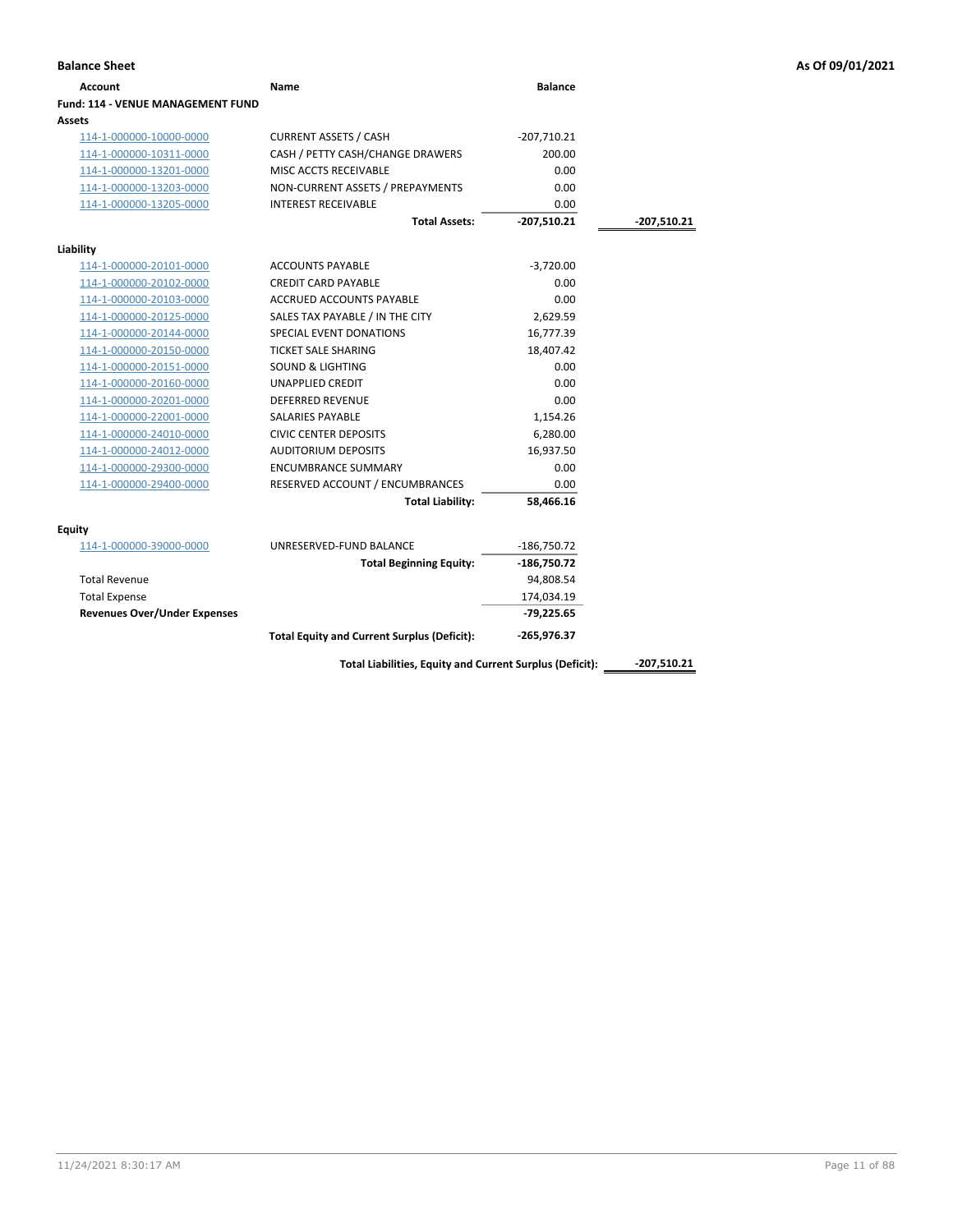|                                          | Name                                               | <b>Balance</b> |             |
|------------------------------------------|----------------------------------------------------|----------------|-------------|
| <b>Fund: 114 - VENUE MANAGEMENT FUND</b> |                                                    |                |             |
| Assets                                   |                                                    |                |             |
| 114-1-000000-10000-0000                  | <b>CURRENT ASSETS / CASH</b>                       | $-207,710.21$  |             |
| 114-1-000000-10311-0000                  | CASH / PETTY CASH/CHANGE DRAWERS                   | 200.00         |             |
| 114-1-000000-13201-0000                  | MISC ACCTS RECEIVABLE                              | 0.00           |             |
| 114-1-000000-13203-0000                  | NON-CURRENT ASSETS / PREPAYMENTS                   | 0.00           |             |
| 114-1-000000-13205-0000                  | <b>INTEREST RECEIVABLE</b>                         | 0.00           |             |
|                                          | <b>Total Assets:</b>                               | $-207,510.21$  | -207,510.21 |
| Liability                                |                                                    |                |             |
| 114-1-000000-20101-0000                  | <b>ACCOUNTS PAYABLE</b>                            | $-3,720.00$    |             |
| 114-1-000000-20102-0000                  | <b>CREDIT CARD PAYABLE</b>                         | 0.00           |             |
| 114-1-000000-20103-0000                  | <b>ACCRUED ACCOUNTS PAYABLE</b>                    | 0.00           |             |
| 114-1-000000-20125-0000                  | SALES TAX PAYABLE / IN THE CITY                    | 2,629.59       |             |
| 114-1-000000-20144-0000                  | SPECIAL EVENT DONATIONS                            | 16,777.39      |             |
| 114-1-000000-20150-0000                  | <b>TICKET SALE SHARING</b>                         | 18,407.42      |             |
| 114-1-000000-20151-0000                  | <b>SOUND &amp; LIGHTING</b>                        | 0.00           |             |
| 114-1-000000-20160-0000                  | <b>UNAPPLIED CREDIT</b>                            | 0.00           |             |
| 114-1-000000-20201-0000                  | DEFERRED REVENUE                                   | 0.00           |             |
| 114-1-000000-22001-0000                  | <b>SALARIES PAYABLE</b>                            | 1,154.26       |             |
| 114-1-000000-24010-0000                  | <b>CIVIC CENTER DEPOSITS</b>                       | 6,280.00       |             |
| 114-1-000000-24012-0000                  | <b>AUDITORIUM DEPOSITS</b>                         | 16,937.50      |             |
| 114-1-000000-29300-0000                  | <b>ENCUMBRANCE SUMMARY</b>                         | 0.00           |             |
| 114-1-000000-29400-0000                  | RESERVED ACCOUNT / ENCUMBRANCES                    | 0.00           |             |
|                                          | <b>Total Liability:</b>                            | 58,466.16      |             |
| Equity                                   |                                                    |                |             |
| 114-1-000000-39000-0000                  | UNRESERVED-FUND BALANCE                            | $-186,750.72$  |             |
|                                          | <b>Total Beginning Equity:</b>                     | $-186,750.72$  |             |
| <b>Total Revenue</b>                     |                                                    | 94,808.54      |             |
| <b>Total Expense</b>                     |                                                    | 174,034.19     |             |
| <b>Revenues Over/Under Expenses</b>      |                                                    | $-79,225.65$   |             |
|                                          | <b>Total Equity and Current Surplus (Deficit):</b> | -265,976.37    |             |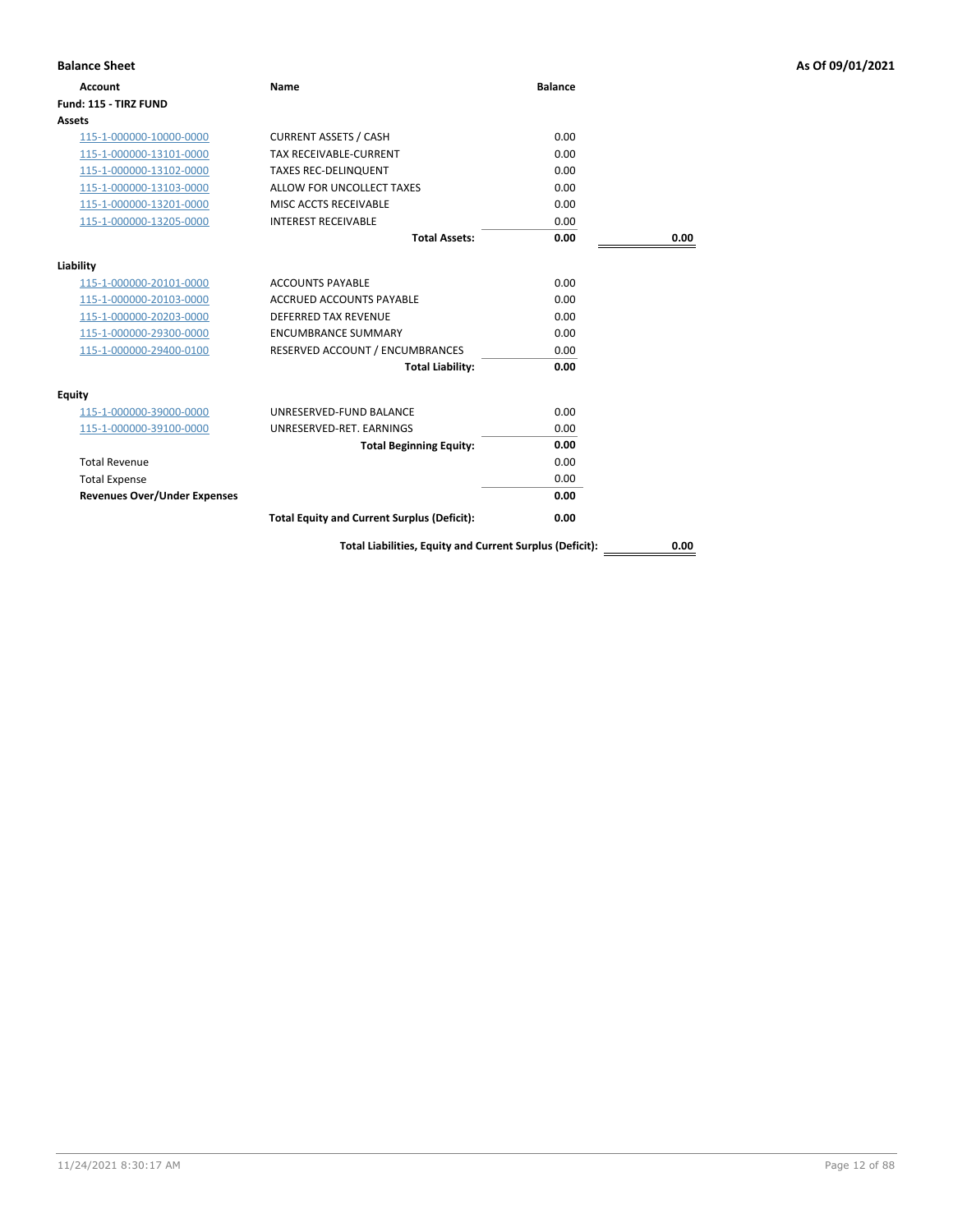| <b>Balance Sheet</b>                |                                                          |                |      | As Of 09/01/2021 |
|-------------------------------------|----------------------------------------------------------|----------------|------|------------------|
| <b>Account</b>                      | <b>Name</b>                                              | <b>Balance</b> |      |                  |
| Fund: 115 - TIRZ FUND               |                                                          |                |      |                  |
| Assets                              |                                                          |                |      |                  |
| 115-1-000000-10000-0000             | <b>CURRENT ASSETS / CASH</b>                             | 0.00           |      |                  |
| 115-1-000000-13101-0000             | <b>TAX RECEIVABLE-CURRENT</b>                            | 0.00           |      |                  |
| 115-1-000000-13102-0000             | <b>TAXES REC-DELINQUENT</b>                              | 0.00           |      |                  |
| 115-1-000000-13103-0000             | ALLOW FOR UNCOLLECT TAXES                                | 0.00           |      |                  |
| 115-1-000000-13201-0000             | MISC ACCTS RECEIVABLE                                    | 0.00           |      |                  |
| 115-1-000000-13205-0000             | <b>INTEREST RECEIVABLE</b>                               | 0.00           |      |                  |
|                                     | <b>Total Assets:</b>                                     | 0.00           | 0.00 |                  |
| Liability                           |                                                          |                |      |                  |
| 115-1-000000-20101-0000             | <b>ACCOUNTS PAYABLE</b>                                  | 0.00           |      |                  |
| 115-1-000000-20103-0000             | ACCRUED ACCOUNTS PAYABLE                                 | 0.00           |      |                  |
| 115-1-000000-20203-0000             | DEFERRED TAX REVENUE                                     | 0.00           |      |                  |
| 115-1-000000-29300-0000             | <b>ENCUMBRANCE SUMMARY</b>                               | 0.00           |      |                  |
| 115-1-000000-29400-0100             | RESERVED ACCOUNT / ENCUMBRANCES                          | 0.00           |      |                  |
|                                     | <b>Total Liability:</b>                                  | 0.00           |      |                  |
| <b>Equity</b>                       |                                                          |                |      |                  |
| 115-1-000000-39000-0000             | UNRESERVED-FUND BALANCE                                  | 0.00           |      |                  |
| 115-1-000000-39100-0000             | UNRESERVED-RET. EARNINGS                                 | 0.00           |      |                  |
|                                     | <b>Total Beginning Equity:</b>                           | 0.00           |      |                  |
| <b>Total Revenue</b>                |                                                          | 0.00           |      |                  |
| <b>Total Expense</b>                |                                                          | 0.00           |      |                  |
| <b>Revenues Over/Under Expenses</b> |                                                          | 0.00           |      |                  |
|                                     | <b>Total Equity and Current Surplus (Deficit):</b>       | 0.00           |      |                  |
|                                     | Total Liabilities, Equity and Current Surplus (Deficit): |                | 0.00 |                  |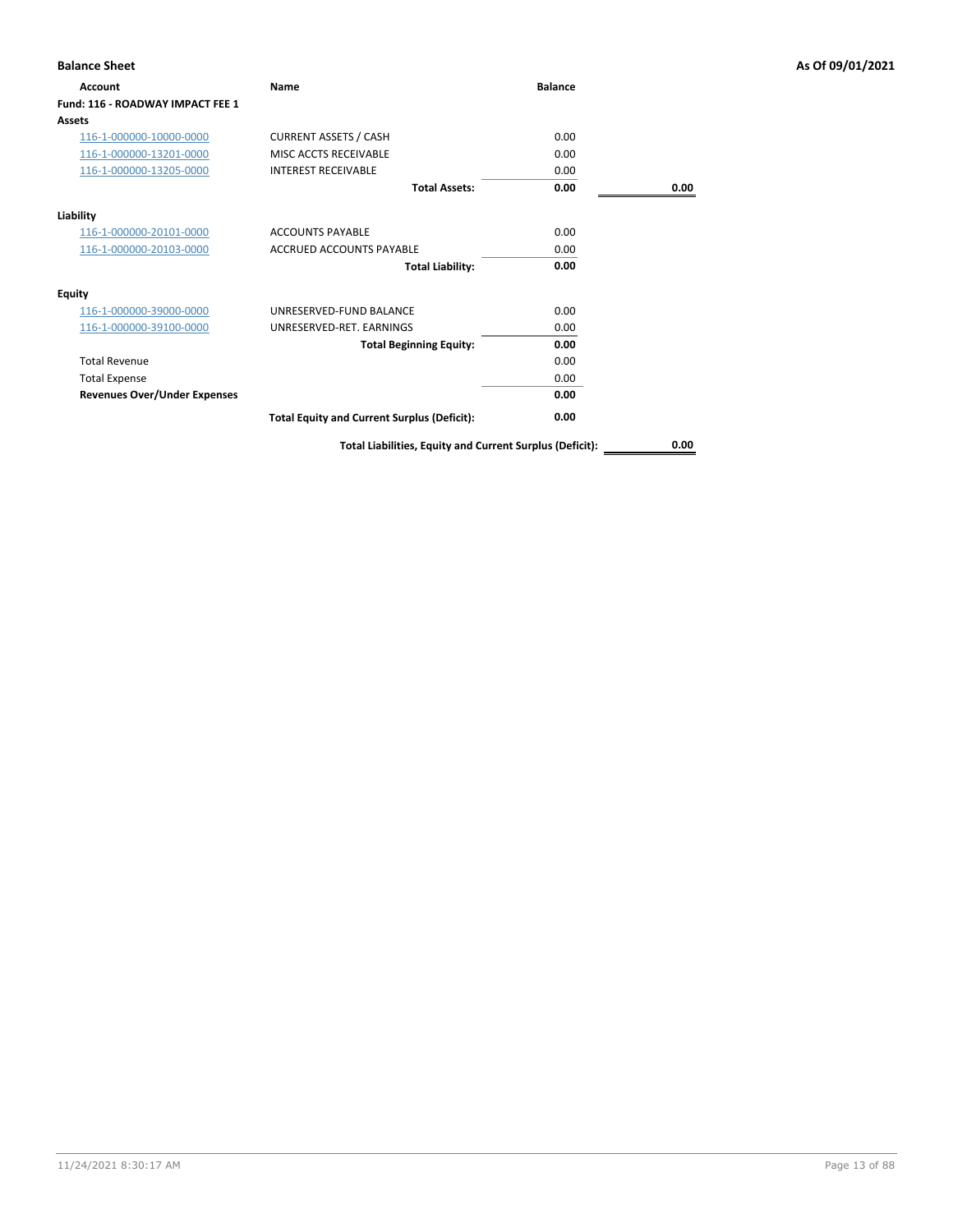| <b>Balance Sheet</b>                |                                                          |                |      | As Of 09/01/2021 |
|-------------------------------------|----------------------------------------------------------|----------------|------|------------------|
| Account                             | Name                                                     | <b>Balance</b> |      |                  |
| Fund: 116 - ROADWAY IMPACT FEE 1    |                                                          |                |      |                  |
| Assets                              |                                                          |                |      |                  |
| 116-1-000000-10000-0000             | <b>CURRENT ASSETS / CASH</b>                             | 0.00           |      |                  |
| 116-1-000000-13201-0000             | MISC ACCTS RECEIVABLE                                    | 0.00           |      |                  |
| 116-1-000000-13205-0000             | <b>INTEREST RECEIVABLE</b>                               | 0.00           |      |                  |
|                                     | <b>Total Assets:</b>                                     | 0.00           | 0.00 |                  |
| Liability                           |                                                          |                |      |                  |
| 116-1-000000-20101-0000             | <b>ACCOUNTS PAYABLE</b>                                  | 0.00           |      |                  |
| 116-1-000000-20103-0000             | <b>ACCRUED ACCOUNTS PAYABLE</b>                          | 0.00           |      |                  |
|                                     | <b>Total Liability:</b>                                  | 0.00           |      |                  |
| <b>Equity</b>                       |                                                          |                |      |                  |
| 116-1-000000-39000-0000             | UNRESERVED-FUND BALANCE                                  | 0.00           |      |                  |
| 116-1-000000-39100-0000             | UNRESERVED-RET. EARNINGS                                 | 0.00           |      |                  |
|                                     | <b>Total Beginning Equity:</b>                           | 0.00           |      |                  |
| <b>Total Revenue</b>                |                                                          | 0.00           |      |                  |
| <b>Total Expense</b>                |                                                          | 0.00           |      |                  |
| <b>Revenues Over/Under Expenses</b> |                                                          | 0.00           |      |                  |
|                                     | <b>Total Equity and Current Surplus (Deficit):</b>       | 0.00           |      |                  |
|                                     | Total Liabilities, Equity and Current Surplus (Deficit): |                | 0.00 |                  |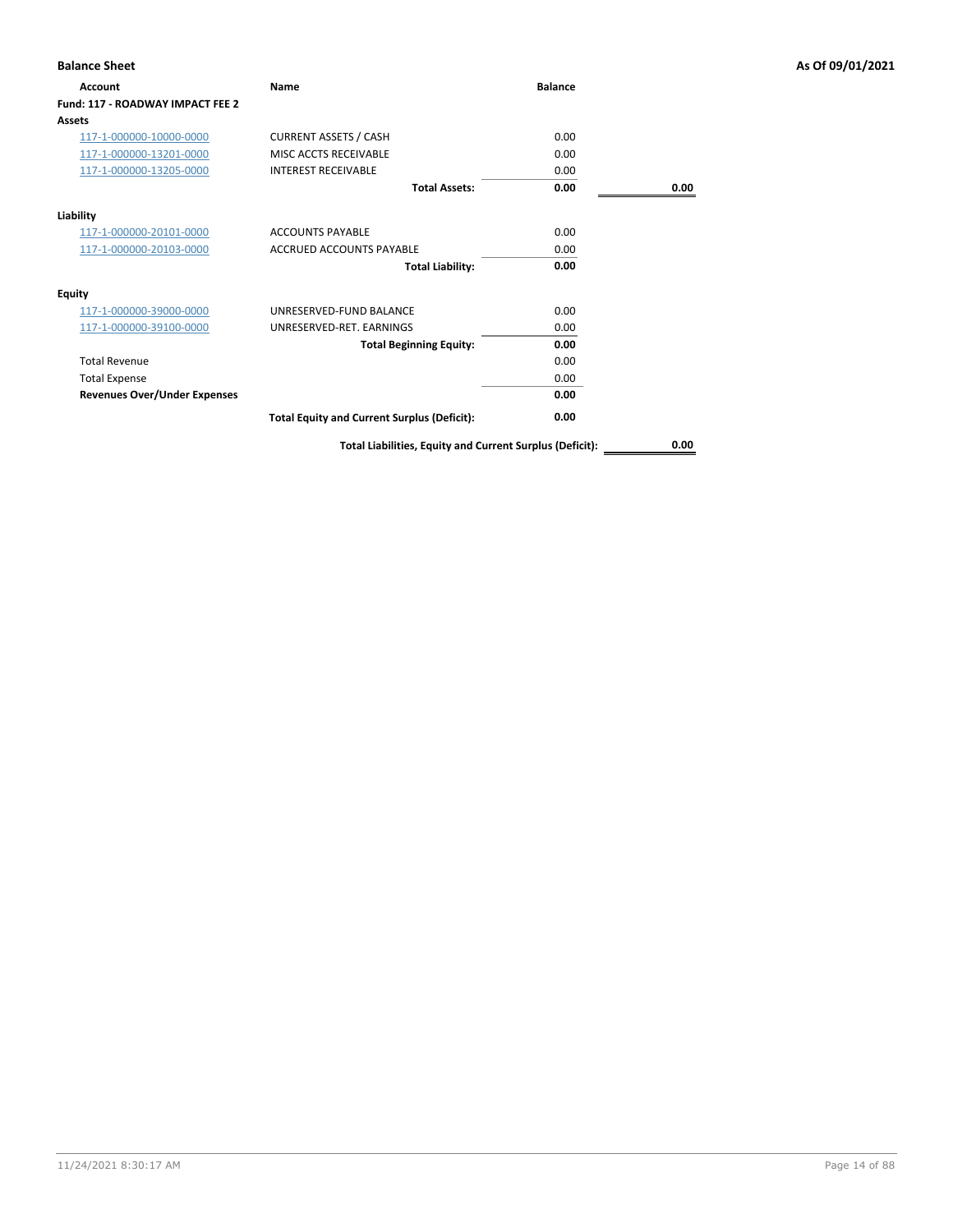| <b>Balance Sheet</b>                |                                                          |                |      | As Of 09/01/2021 |
|-------------------------------------|----------------------------------------------------------|----------------|------|------------------|
| Account                             | Name                                                     | <b>Balance</b> |      |                  |
| Fund: 117 - ROADWAY IMPACT FEE 2    |                                                          |                |      |                  |
| Assets                              |                                                          |                |      |                  |
| 117-1-000000-10000-0000             | <b>CURRENT ASSETS / CASH</b>                             | 0.00           |      |                  |
| 117-1-000000-13201-0000             | MISC ACCTS RECEIVABLE                                    | 0.00           |      |                  |
| 117-1-000000-13205-0000             | <b>INTEREST RECEIVABLE</b>                               | 0.00           |      |                  |
|                                     | <b>Total Assets:</b>                                     | 0.00           | 0.00 |                  |
| Liability                           |                                                          |                |      |                  |
| 117-1-000000-20101-0000             | <b>ACCOUNTS PAYABLE</b>                                  | 0.00           |      |                  |
| 117-1-000000-20103-0000             | <b>ACCRUED ACCOUNTS PAYABLE</b>                          | 0.00           |      |                  |
|                                     | <b>Total Liability:</b>                                  | 0.00           |      |                  |
| <b>Equity</b>                       |                                                          |                |      |                  |
| 117-1-000000-39000-0000             | UNRESERVED-FUND BALANCE                                  | 0.00           |      |                  |
| 117-1-000000-39100-0000             | UNRESERVED-RET. EARNINGS                                 | 0.00           |      |                  |
|                                     | <b>Total Beginning Equity:</b>                           | 0.00           |      |                  |
| <b>Total Revenue</b>                |                                                          | 0.00           |      |                  |
| <b>Total Expense</b>                |                                                          | 0.00           |      |                  |
| <b>Revenues Over/Under Expenses</b> |                                                          | 0.00           |      |                  |
|                                     | <b>Total Equity and Current Surplus (Deficit):</b>       | 0.00           |      |                  |
|                                     | Total Liabilities, Equity and Current Surplus (Deficit): |                | 0.00 |                  |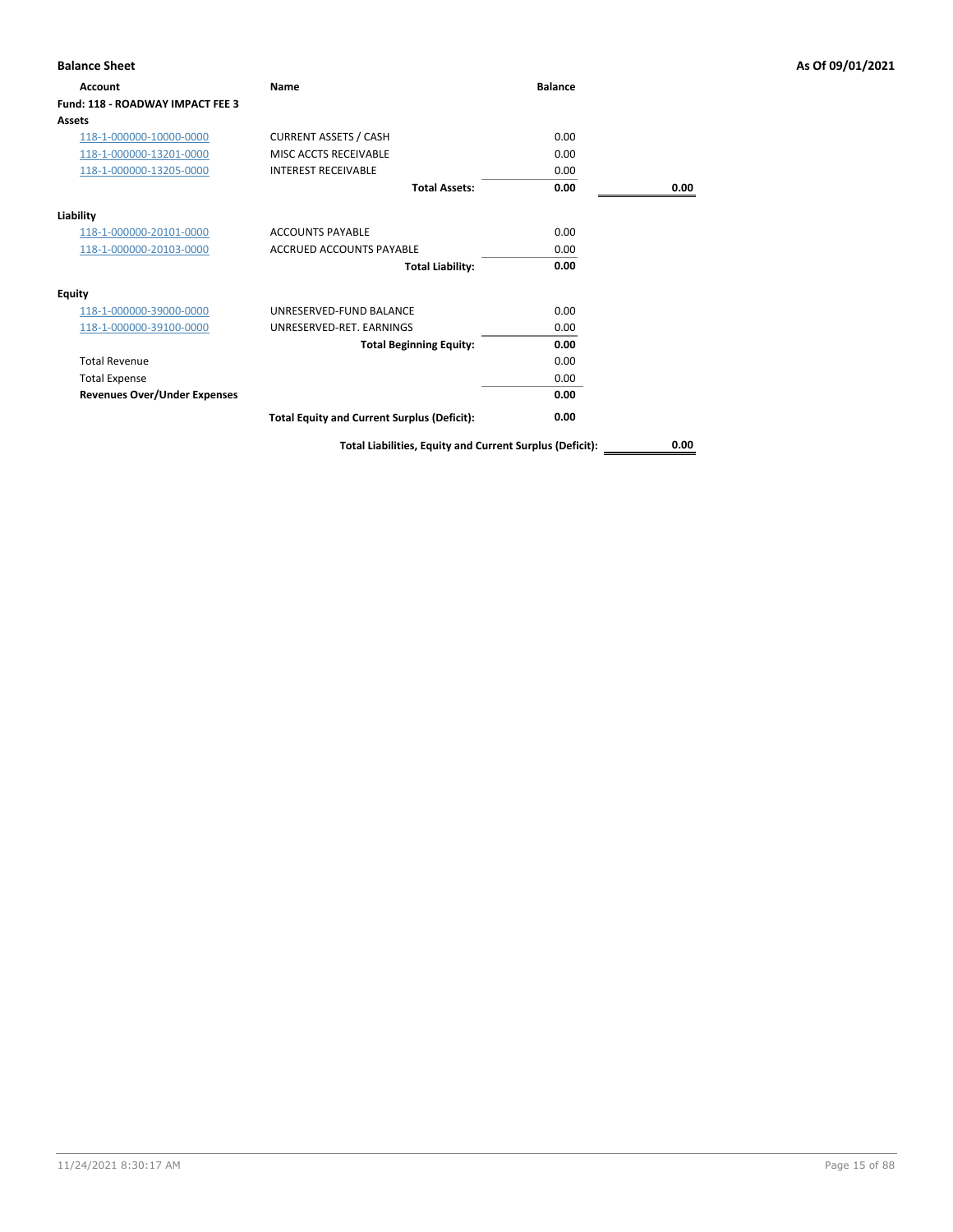| <b>Balance Sheet</b>                |                                                          |                |      | As Of 09/01/2021 |
|-------------------------------------|----------------------------------------------------------|----------------|------|------------------|
| Account                             | Name                                                     | <b>Balance</b> |      |                  |
| Fund: 118 - ROADWAY IMPACT FEE 3    |                                                          |                |      |                  |
| Assets                              |                                                          |                |      |                  |
| 118-1-000000-10000-0000             | <b>CURRENT ASSETS / CASH</b>                             | 0.00           |      |                  |
| 118-1-000000-13201-0000             | MISC ACCTS RECEIVABLE                                    | 0.00           |      |                  |
| 118-1-000000-13205-0000             | <b>INTEREST RECEIVABLE</b>                               | 0.00           |      |                  |
|                                     | <b>Total Assets:</b>                                     | 0.00           | 0.00 |                  |
| Liability                           |                                                          |                |      |                  |
| 118-1-000000-20101-0000             | <b>ACCOUNTS PAYABLE</b>                                  | 0.00           |      |                  |
| 118-1-000000-20103-0000             | <b>ACCRUED ACCOUNTS PAYABLE</b>                          | 0.00           |      |                  |
|                                     | <b>Total Liability:</b>                                  | 0.00           |      |                  |
| <b>Equity</b>                       |                                                          |                |      |                  |
| 118-1-000000-39000-0000             | UNRESERVED-FUND BALANCE                                  | 0.00           |      |                  |
| 118-1-000000-39100-0000             | UNRESERVED-RET. EARNINGS                                 | 0.00           |      |                  |
|                                     | <b>Total Beginning Equity:</b>                           | 0.00           |      |                  |
| <b>Total Revenue</b>                |                                                          | 0.00           |      |                  |
| <b>Total Expense</b>                |                                                          | 0.00           |      |                  |
| <b>Revenues Over/Under Expenses</b> |                                                          | 0.00           |      |                  |
|                                     | <b>Total Equity and Current Surplus (Deficit):</b>       | 0.00           |      |                  |
|                                     | Total Liabilities, Equity and Current Surplus (Deficit): |                | 0.00 |                  |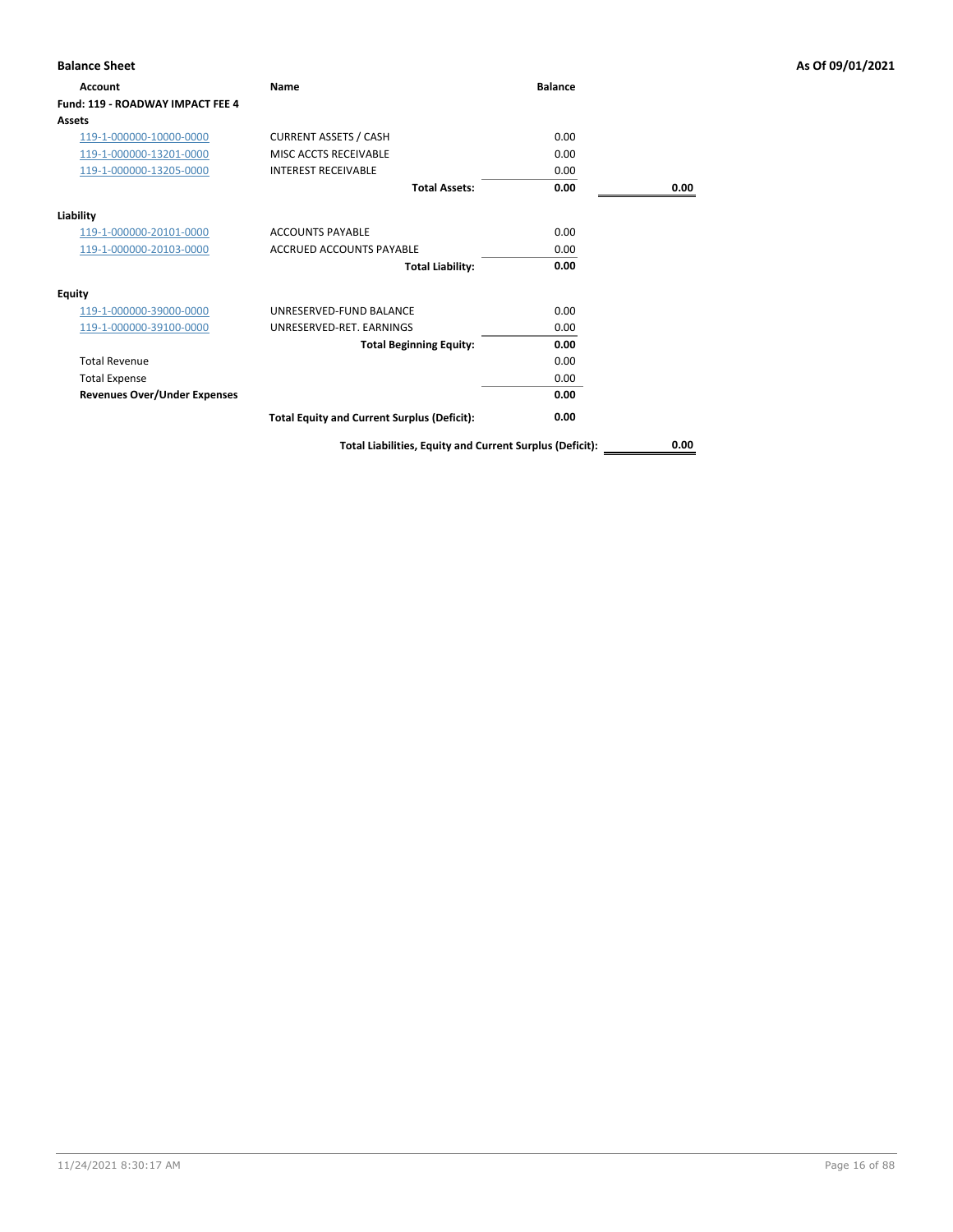| <b>Balance Sheet</b>                |                                                          |                |      | As Of 09/01/2021 |
|-------------------------------------|----------------------------------------------------------|----------------|------|------------------|
| Account                             | Name                                                     | <b>Balance</b> |      |                  |
| Fund: 119 - ROADWAY IMPACT FEE 4    |                                                          |                |      |                  |
| Assets                              |                                                          |                |      |                  |
| 119-1-000000-10000-0000             | <b>CURRENT ASSETS / CASH</b>                             | 0.00           |      |                  |
| 119-1-000000-13201-0000             | MISC ACCTS RECEIVABLE                                    | 0.00           |      |                  |
| 119-1-000000-13205-0000             | <b>INTEREST RECEIVABLE</b>                               | 0.00           |      |                  |
|                                     | <b>Total Assets:</b>                                     | 0.00           | 0.00 |                  |
| Liability                           |                                                          |                |      |                  |
| 119-1-000000-20101-0000             | <b>ACCOUNTS PAYABLE</b>                                  | 0.00           |      |                  |
| 119-1-000000-20103-0000             | <b>ACCRUED ACCOUNTS PAYABLE</b>                          | 0.00           |      |                  |
|                                     | <b>Total Liability:</b>                                  | 0.00           |      |                  |
| <b>Equity</b>                       |                                                          |                |      |                  |
| 119-1-000000-39000-0000             | UNRESERVED-FUND BALANCE                                  | 0.00           |      |                  |
| 119-1-000000-39100-0000             | UNRESERVED-RET. EARNINGS                                 | 0.00           |      |                  |
|                                     | <b>Total Beginning Equity:</b>                           | 0.00           |      |                  |
| <b>Total Revenue</b>                |                                                          | 0.00           |      |                  |
| <b>Total Expense</b>                |                                                          | 0.00           |      |                  |
| <b>Revenues Over/Under Expenses</b> |                                                          | 0.00           |      |                  |
|                                     | <b>Total Equity and Current Surplus (Deficit):</b>       | 0.00           |      |                  |
|                                     | Total Liabilities, Equity and Current Surplus (Deficit): |                | 0.00 |                  |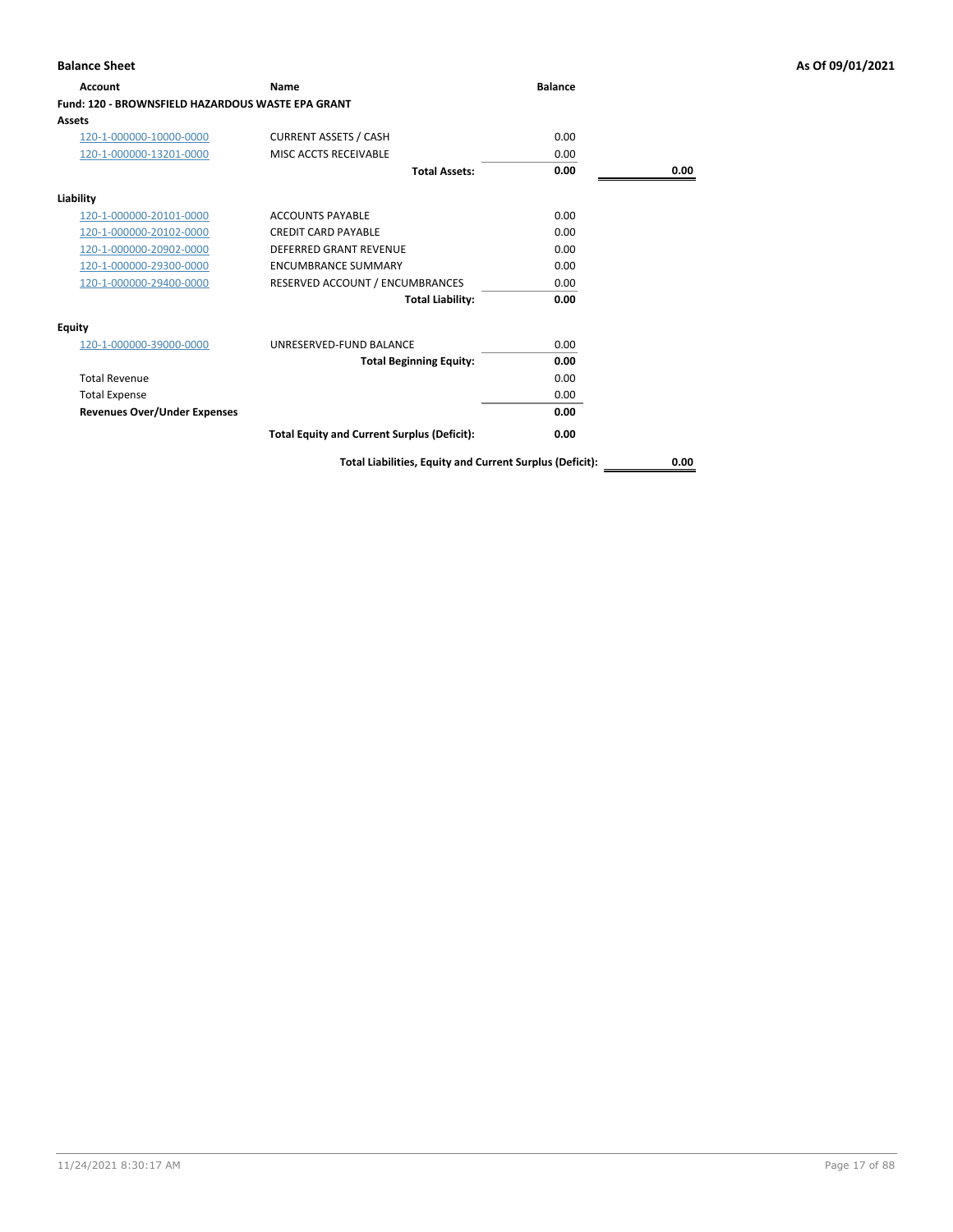| Account                                                  | <b>Name</b>                                        | <b>Balance</b> |      |
|----------------------------------------------------------|----------------------------------------------------|----------------|------|
| <b>Fund: 120 - BROWNSFIELD HAZARDOUS WASTE EPA GRANT</b> |                                                    |                |      |
| Assets                                                   |                                                    |                |      |
| 120-1-000000-10000-0000                                  | <b>CURRENT ASSETS / CASH</b>                       | 0.00           |      |
| 120-1-000000-13201-0000                                  | MISC ACCTS RECEIVABLE                              | 0.00           |      |
|                                                          | <b>Total Assets:</b>                               | 0.00           | 0.00 |
| Liability                                                |                                                    |                |      |
| 120-1-000000-20101-0000                                  | <b>ACCOUNTS PAYABLE</b>                            | 0.00           |      |
| 120-1-000000-20102-0000                                  | <b>CREDIT CARD PAYABLE</b>                         | 0.00           |      |
| 120-1-000000-20902-0000                                  | <b>DEFERRED GRANT REVENUE</b>                      | 0.00           |      |
| 120-1-000000-29300-0000                                  | <b>ENCUMBRANCE SUMMARY</b>                         | 0.00           |      |
| 120-1-000000-29400-0000                                  | RESERVED ACCOUNT / ENCUMBRANCES                    | 0.00           |      |
|                                                          | <b>Total Liability:</b>                            | 0.00           |      |
| <b>Equity</b>                                            |                                                    |                |      |
| 120-1-000000-39000-0000                                  | UNRESERVED-FUND BALANCE                            | 0.00           |      |
|                                                          | <b>Total Beginning Equity:</b>                     | 0.00           |      |
| <b>Total Revenue</b>                                     |                                                    | 0.00           |      |
| <b>Total Expense</b>                                     |                                                    | 0.00           |      |
| <b>Revenues Over/Under Expenses</b>                      |                                                    | 0.00           |      |
|                                                          | <b>Total Equity and Current Surplus (Deficit):</b> | 0.00           |      |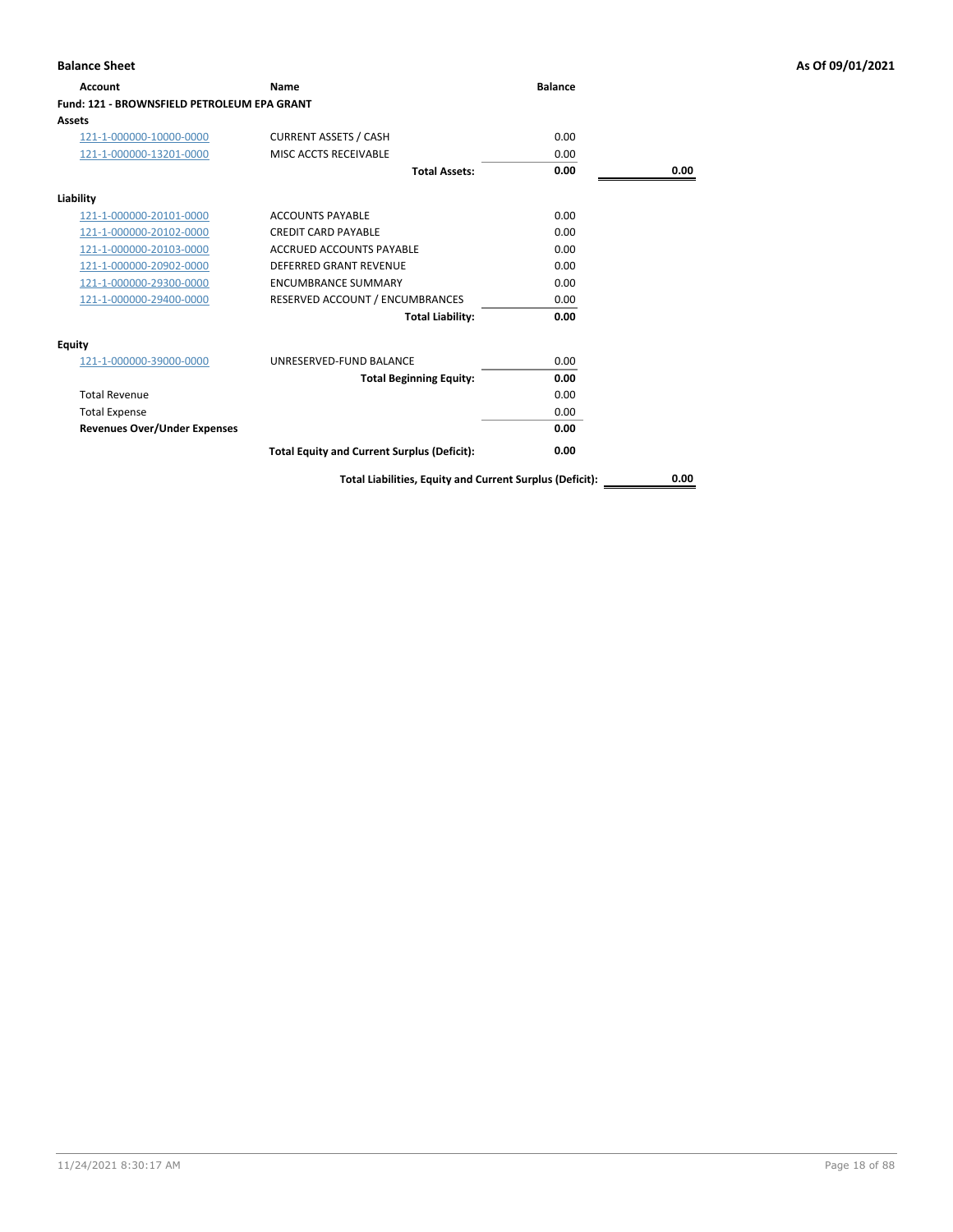| <b>Account</b>                                     | Name                                               | <b>Balance</b> |      |
|----------------------------------------------------|----------------------------------------------------|----------------|------|
| <b>Fund: 121 - BROWNSFIELD PETROLEUM EPA GRANT</b> |                                                    |                |      |
| Assets                                             |                                                    |                |      |
| 121-1-000000-10000-0000                            | <b>CURRENT ASSETS / CASH</b>                       | 0.00           |      |
| 121-1-000000-13201-0000                            | MISC ACCTS RECEIVABLE                              | 0.00           |      |
|                                                    | <b>Total Assets:</b>                               | 0.00           | 0.00 |
| Liability                                          |                                                    |                |      |
| 121-1-000000-20101-0000                            | <b>ACCOUNTS PAYABLE</b>                            | 0.00           |      |
| 121-1-000000-20102-0000                            | <b>CREDIT CARD PAYABLE</b>                         | 0.00           |      |
| 121-1-000000-20103-0000                            | <b>ACCRUED ACCOUNTS PAYABLE</b>                    | 0.00           |      |
| 121-1-000000-20902-0000                            | <b>DEFERRED GRANT REVENUE</b>                      | 0.00           |      |
| 121-1-000000-29300-0000                            | <b>ENCUMBRANCE SUMMARY</b>                         | 0.00           |      |
| 121-1-000000-29400-0000                            | RESERVED ACCOUNT / ENCUMBRANCES                    | 0.00           |      |
|                                                    | <b>Total Liability:</b>                            | 0.00           |      |
| <b>Equity</b>                                      |                                                    |                |      |
| 121-1-000000-39000-0000                            | UNRESERVED-FUND BALANCE                            | 0.00           |      |
|                                                    | <b>Total Beginning Equity:</b>                     | 0.00           |      |
| <b>Total Revenue</b>                               |                                                    | 0.00           |      |
| <b>Total Expense</b>                               |                                                    | 0.00           |      |
| <b>Revenues Over/Under Expenses</b>                |                                                    | 0.00           |      |
|                                                    | <b>Total Equity and Current Surplus (Deficit):</b> | 0.00           |      |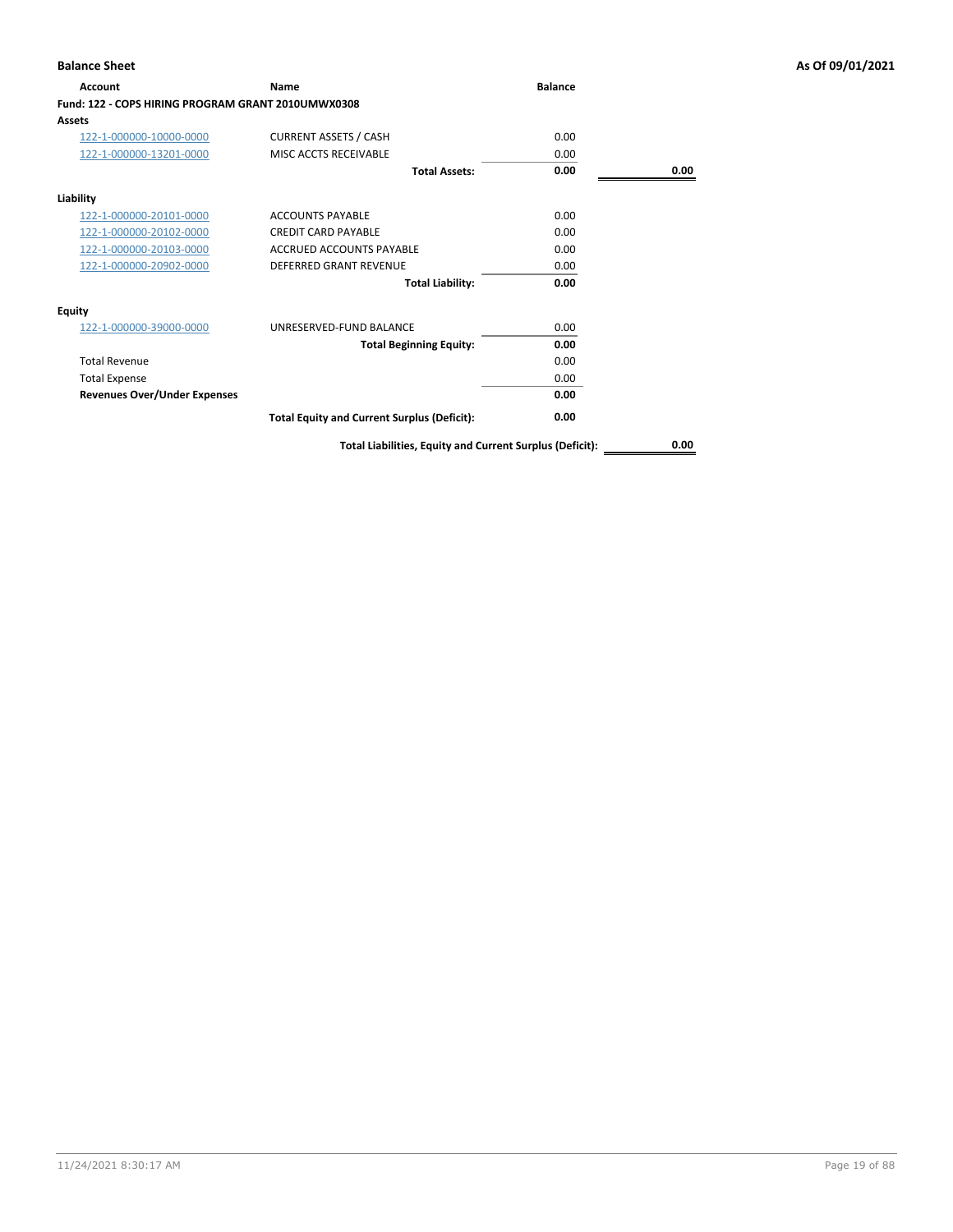| Account                                            | <b>Name</b>                                              | <b>Balance</b> |      |
|----------------------------------------------------|----------------------------------------------------------|----------------|------|
| Fund: 122 - COPS HIRING PROGRAM GRANT 2010UMWX0308 |                                                          |                |      |
| Assets                                             |                                                          |                |      |
| 122-1-000000-10000-0000                            | <b>CURRENT ASSETS / CASH</b>                             | 0.00           |      |
| 122-1-000000-13201-0000                            | MISC ACCTS RECEIVABLE                                    | 0.00           |      |
|                                                    | <b>Total Assets:</b>                                     | 0.00           | 0.00 |
| Liability                                          |                                                          |                |      |
| 122-1-000000-20101-0000                            | <b>ACCOUNTS PAYABLE</b>                                  | 0.00           |      |
| 122-1-000000-20102-0000                            | <b>CREDIT CARD PAYABLE</b>                               | 0.00           |      |
| 122-1-000000-20103-0000                            | <b>ACCRUED ACCOUNTS PAYABLE</b>                          | 0.00           |      |
| 122-1-000000-20902-0000                            | <b>DEFERRED GRANT REVENUE</b>                            | 0.00           |      |
|                                                    | <b>Total Liability:</b>                                  | 0.00           |      |
| Equity                                             |                                                          |                |      |
| 122-1-000000-39000-0000                            | UNRESERVED-FUND BALANCE                                  | 0.00           |      |
|                                                    | <b>Total Beginning Equity:</b>                           | 0.00           |      |
| <b>Total Revenue</b>                               |                                                          | 0.00           |      |
| <b>Total Expense</b>                               |                                                          | 0.00           |      |
| <b>Revenues Over/Under Expenses</b>                |                                                          | 0.00           |      |
|                                                    | <b>Total Equity and Current Surplus (Deficit):</b>       | 0.00           |      |
|                                                    | Total Liabilities, Equity and Current Surplus (Deficit): |                | 0.00 |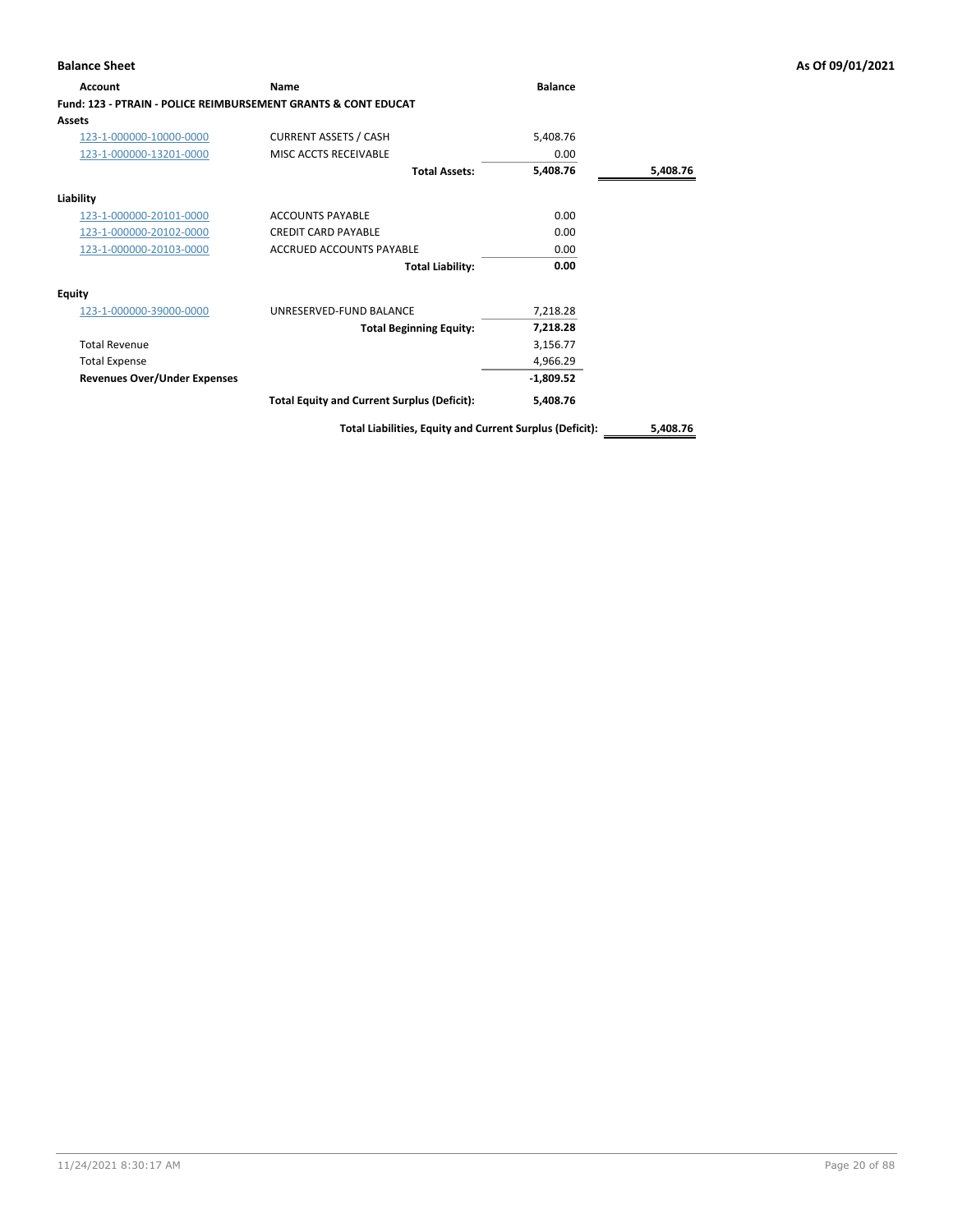| <b>Account</b>                                                            | Name                                               | <b>Balance</b> |          |
|---------------------------------------------------------------------------|----------------------------------------------------|----------------|----------|
| <b>Fund: 123 - PTRAIN - POLICE REIMBURSEMENT GRANTS &amp; CONT EDUCAT</b> |                                                    |                |          |
| Assets                                                                    |                                                    |                |          |
| 123-1-000000-10000-0000                                                   | <b>CURRENT ASSETS / CASH</b>                       | 5,408.76       |          |
| 123-1-000000-13201-0000                                                   | MISC ACCTS RECEIVABLE                              | 0.00           |          |
|                                                                           | <b>Total Assets:</b>                               | 5,408.76       | 5,408.76 |
| Liability                                                                 |                                                    |                |          |
| 123-1-000000-20101-0000                                                   | <b>ACCOUNTS PAYABLE</b>                            | 0.00           |          |
| 123-1-000000-20102-0000                                                   | <b>CREDIT CARD PAYABLE</b>                         | 0.00           |          |
| 123-1-000000-20103-0000                                                   | <b>ACCRUED ACCOUNTS PAYABLE</b>                    | 0.00           |          |
|                                                                           | <b>Total Liability:</b>                            | 0.00           |          |
| <b>Equity</b>                                                             |                                                    |                |          |
| 123-1-000000-39000-0000                                                   | UNRESERVED-FUND BALANCE                            | 7,218.28       |          |
|                                                                           | <b>Total Beginning Equity:</b>                     | 7,218.28       |          |
| <b>Total Revenue</b>                                                      |                                                    | 3,156.77       |          |
| <b>Total Expense</b>                                                      |                                                    | 4,966.29       |          |
| <b>Revenues Over/Under Expenses</b>                                       |                                                    | $-1,809.52$    |          |
|                                                                           | <b>Total Equity and Current Surplus (Deficit):</b> | 5,408.76       |          |
|                                                                           |                                                    |                |          |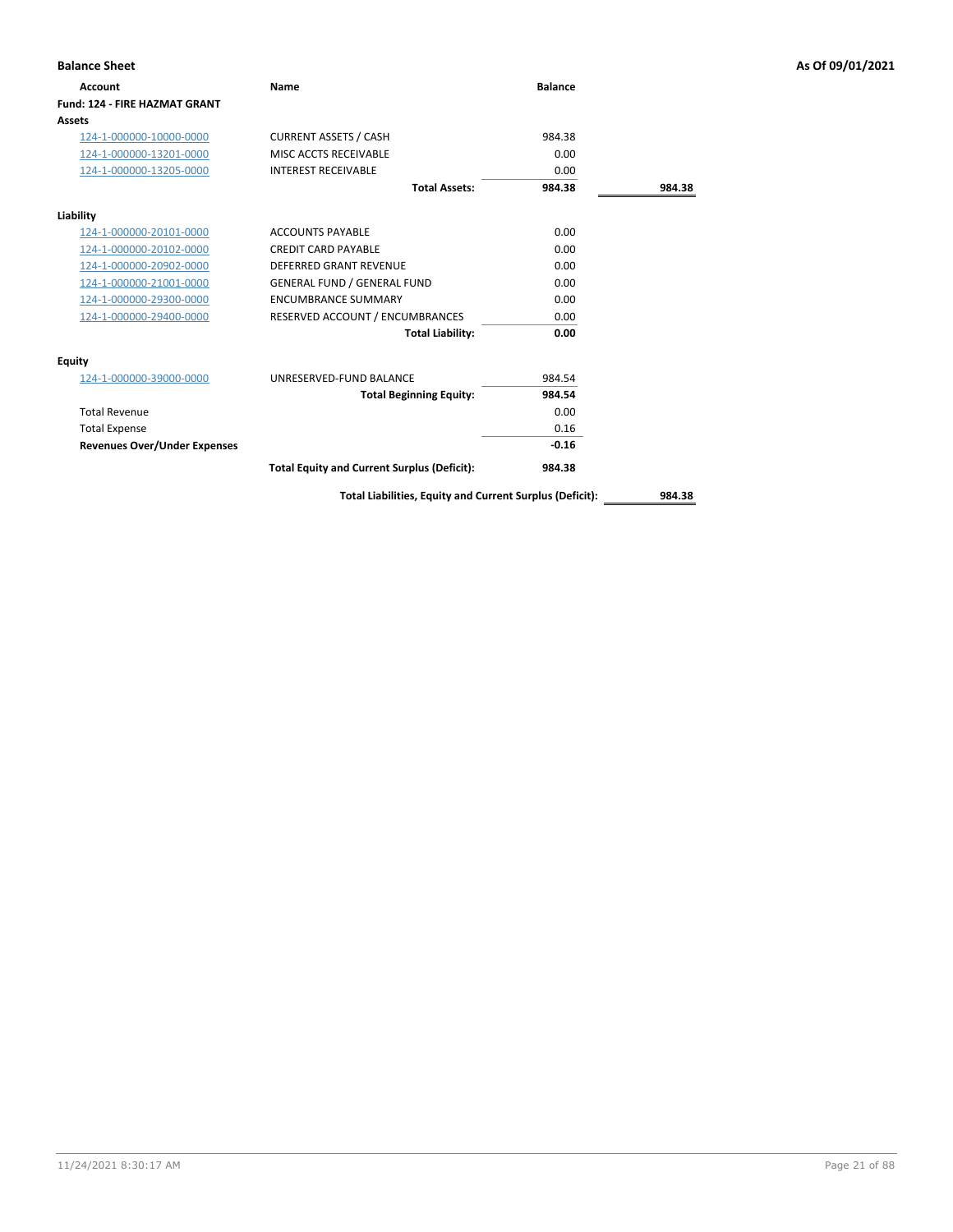| <b>Balance Sheet</b>                 |                                                    |                |        | As Of 09/01/2021 |
|--------------------------------------|----------------------------------------------------|----------------|--------|------------------|
| <b>Account</b>                       | Name                                               | <b>Balance</b> |        |                  |
| <b>Fund: 124 - FIRE HAZMAT GRANT</b> |                                                    |                |        |                  |
| Assets                               |                                                    |                |        |                  |
| 124-1-000000-10000-0000              | <b>CURRENT ASSETS / CASH</b>                       | 984.38         |        |                  |
| 124-1-000000-13201-0000              | MISC ACCTS RECEIVABLE                              | 0.00           |        |                  |
| 124-1-000000-13205-0000              | <b>INTEREST RECEIVABLE</b>                         | 0.00           |        |                  |
|                                      | <b>Total Assets:</b>                               | 984.38         | 984.38 |                  |
| Liability                            |                                                    |                |        |                  |
| 124-1-000000-20101-0000              | <b>ACCOUNTS PAYABLE</b>                            | 0.00           |        |                  |
| 124-1-000000-20102-0000              | <b>CREDIT CARD PAYABLE</b>                         | 0.00           |        |                  |
| 124-1-000000-20902-0000              | <b>DEFERRED GRANT REVENUE</b>                      | 0.00           |        |                  |
| 124-1-000000-21001-0000              | <b>GENERAL FUND / GENERAL FUND</b>                 | 0.00           |        |                  |
| 124-1-000000-29300-0000              | <b>ENCUMBRANCE SUMMARY</b>                         | 0.00           |        |                  |
| 124-1-000000-29400-0000              | RESERVED ACCOUNT / ENCUMBRANCES                    | 0.00           |        |                  |
|                                      | <b>Total Liability:</b>                            | 0.00           |        |                  |
| <b>Equity</b>                        |                                                    |                |        |                  |
| 124-1-000000-39000-0000              | UNRESERVED-FUND BALANCE                            | 984.54         |        |                  |
|                                      | <b>Total Beginning Equity:</b>                     | 984.54         |        |                  |
| <b>Total Revenue</b>                 |                                                    | 0.00           |        |                  |
| <b>Total Expense</b>                 |                                                    | 0.16           |        |                  |
| <b>Revenues Over/Under Expenses</b>  |                                                    | $-0.16$        |        |                  |
|                                      | <b>Total Equity and Current Surplus (Deficit):</b> | 984.38         |        |                  |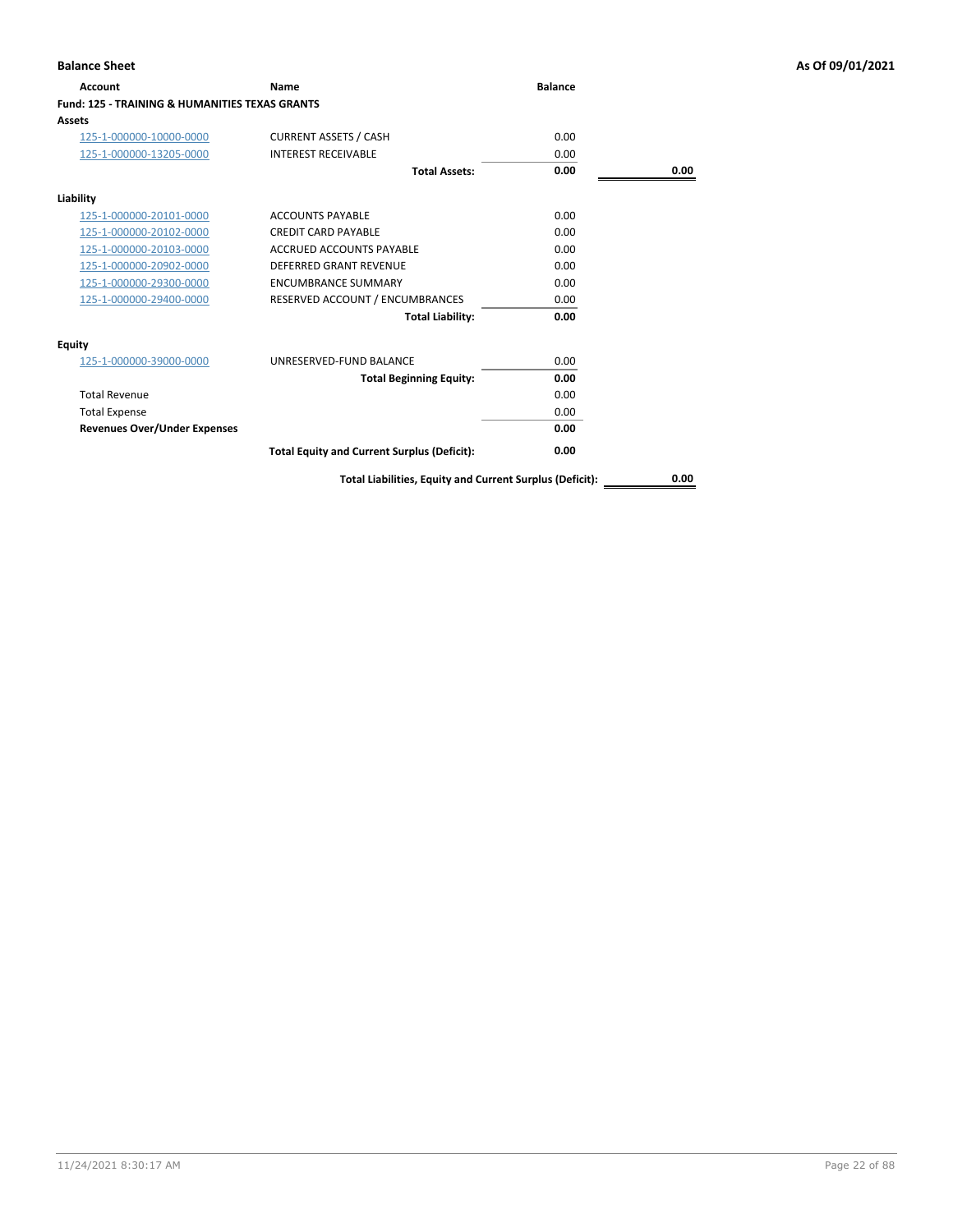| Account                                                   | Name                                               | <b>Balance</b> |      |
|-----------------------------------------------------------|----------------------------------------------------|----------------|------|
| <b>Fund: 125 - TRAINING &amp; HUMANITIES TEXAS GRANTS</b> |                                                    |                |      |
| Assets                                                    |                                                    |                |      |
| 125-1-000000-10000-0000                                   | <b>CURRENT ASSETS / CASH</b>                       | 0.00           |      |
| 125-1-000000-13205-0000                                   | <b>INTEREST RECEIVABLE</b>                         | 0.00           |      |
|                                                           | <b>Total Assets:</b>                               | 0.00           | 0.00 |
| Liability                                                 |                                                    |                |      |
| 125-1-000000-20101-0000                                   | <b>ACCOUNTS PAYABLE</b>                            | 0.00           |      |
| 125-1-000000-20102-0000                                   | <b>CREDIT CARD PAYABLE</b>                         | 0.00           |      |
| 125-1-000000-20103-0000                                   | <b>ACCRUED ACCOUNTS PAYABLE</b>                    | 0.00           |      |
| 125-1-000000-20902-0000                                   | <b>DEFERRED GRANT REVENUE</b>                      | 0.00           |      |
| 125-1-000000-29300-0000                                   | <b>ENCUMBRANCE SUMMARY</b>                         | 0.00           |      |
| 125-1-000000-29400-0000                                   | RESERVED ACCOUNT / ENCUMBRANCES                    | 0.00           |      |
|                                                           | <b>Total Liability:</b>                            | 0.00           |      |
| Equity                                                    |                                                    |                |      |
| 125-1-000000-39000-0000                                   | UNRESERVED-FUND BALANCE                            | 0.00           |      |
|                                                           | <b>Total Beginning Equity:</b>                     | 0.00           |      |
| <b>Total Revenue</b>                                      |                                                    | 0.00           |      |
| <b>Total Expense</b>                                      |                                                    | 0.00           |      |
| <b>Revenues Over/Under Expenses</b>                       |                                                    | 0.00           |      |
|                                                           | <b>Total Equity and Current Surplus (Deficit):</b> | 0.00           |      |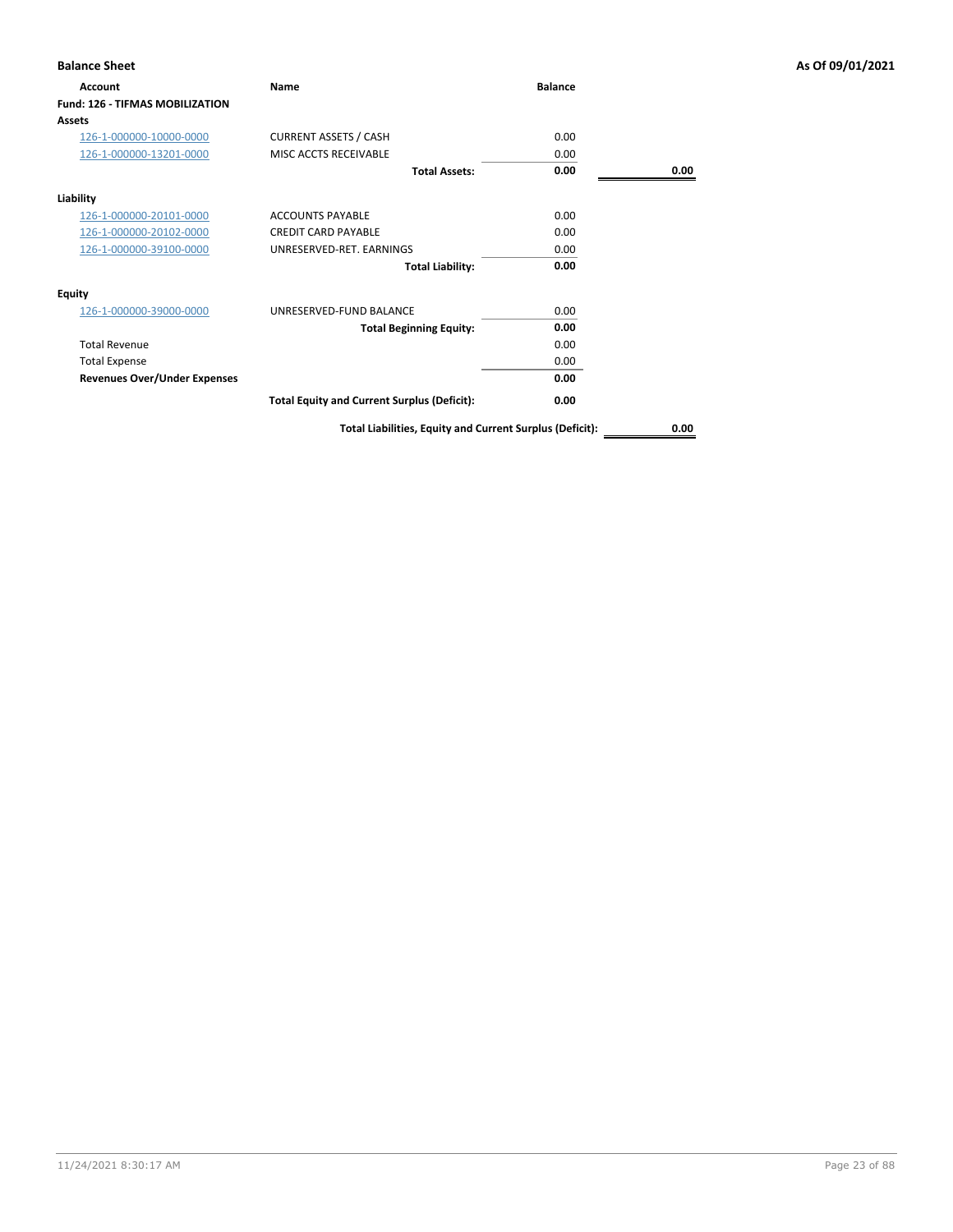| <b>Balance Sheet</b>                   |                                                          |                |      | As Of 09/01/2021 |
|----------------------------------------|----------------------------------------------------------|----------------|------|------------------|
| <b>Account</b>                         | Name                                                     | <b>Balance</b> |      |                  |
| <b>Fund: 126 - TIFMAS MOBILIZATION</b> |                                                          |                |      |                  |
| <b>Assets</b>                          |                                                          |                |      |                  |
| 126-1-000000-10000-0000                | <b>CURRENT ASSETS / CASH</b>                             | 0.00           |      |                  |
| 126-1-000000-13201-0000                | MISC ACCTS RECEIVABLE                                    | 0.00           |      |                  |
|                                        | <b>Total Assets:</b>                                     | 0.00           | 0.00 |                  |
| Liability                              |                                                          |                |      |                  |
| 126-1-000000-20101-0000                | <b>ACCOUNTS PAYABLE</b>                                  | 0.00           |      |                  |
| 126-1-000000-20102-0000                | <b>CREDIT CARD PAYABLE</b>                               | 0.00           |      |                  |
| 126-1-000000-39100-0000                | UNRESERVED-RET. EARNINGS                                 | 0.00           |      |                  |
|                                        | <b>Total Liability:</b>                                  | 0.00           |      |                  |
| Equity                                 |                                                          |                |      |                  |
| 126-1-000000-39000-0000                | UNRESERVED-FUND BALANCE                                  | 0.00           |      |                  |
|                                        | <b>Total Beginning Equity:</b>                           | 0.00           |      |                  |
| <b>Total Revenue</b>                   |                                                          | 0.00           |      |                  |
| <b>Total Expense</b>                   |                                                          | 0.00           |      |                  |
| <b>Revenues Over/Under Expenses</b>    |                                                          | 0.00           |      |                  |
|                                        | <b>Total Equity and Current Surplus (Deficit):</b>       | 0.00           |      |                  |
|                                        | Total Liabilities, Equity and Current Surplus (Deficit): |                | 0.00 |                  |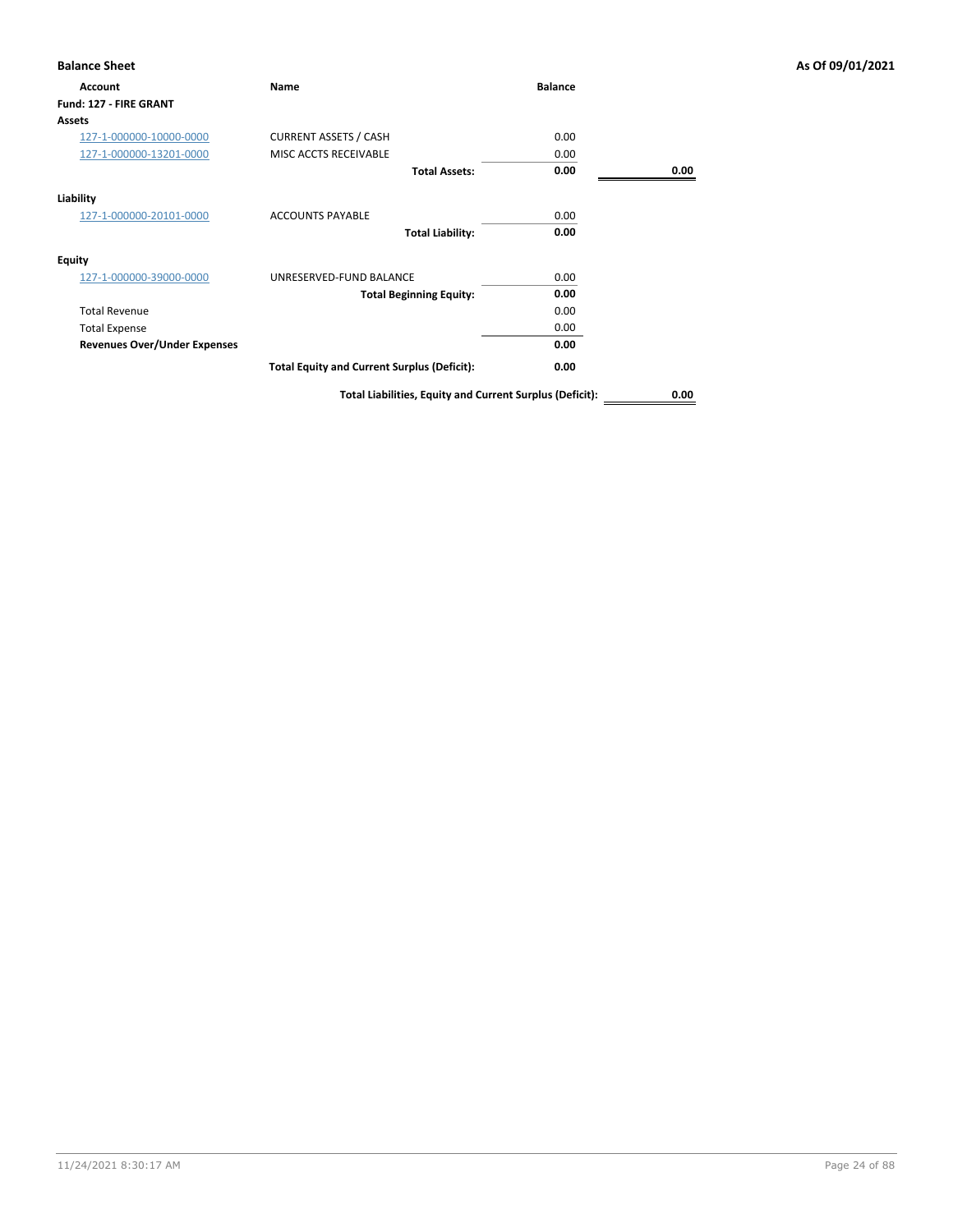| <b>Account</b>                      | Name                                               | <b>Balance</b> |      |
|-------------------------------------|----------------------------------------------------|----------------|------|
| Fund: 127 - FIRE GRANT              |                                                    |                |      |
| <b>Assets</b>                       |                                                    |                |      |
| 127-1-000000-10000-0000             | <b>CURRENT ASSETS / CASH</b>                       | 0.00           |      |
| 127-1-000000-13201-0000             | MISC ACCTS RECEIVABLE                              | 0.00           |      |
|                                     | <b>Total Assets:</b>                               | 0.00           | 0.00 |
| Liability                           |                                                    |                |      |
| 127-1-000000-20101-0000             | <b>ACCOUNTS PAYABLE</b>                            | 0.00           |      |
|                                     | <b>Total Liability:</b>                            | 0.00           |      |
| <b>Equity</b>                       |                                                    |                |      |
| 127-1-000000-39000-0000             | UNRESERVED-FUND BALANCE                            | 0.00           |      |
|                                     | <b>Total Beginning Equity:</b>                     | 0.00           |      |
| <b>Total Revenue</b>                |                                                    | 0.00           |      |
| <b>Total Expense</b>                |                                                    | 0.00           |      |
| <b>Revenues Over/Under Expenses</b> |                                                    | 0.00           |      |
|                                     | <b>Total Equity and Current Surplus (Deficit):</b> | 0.00           |      |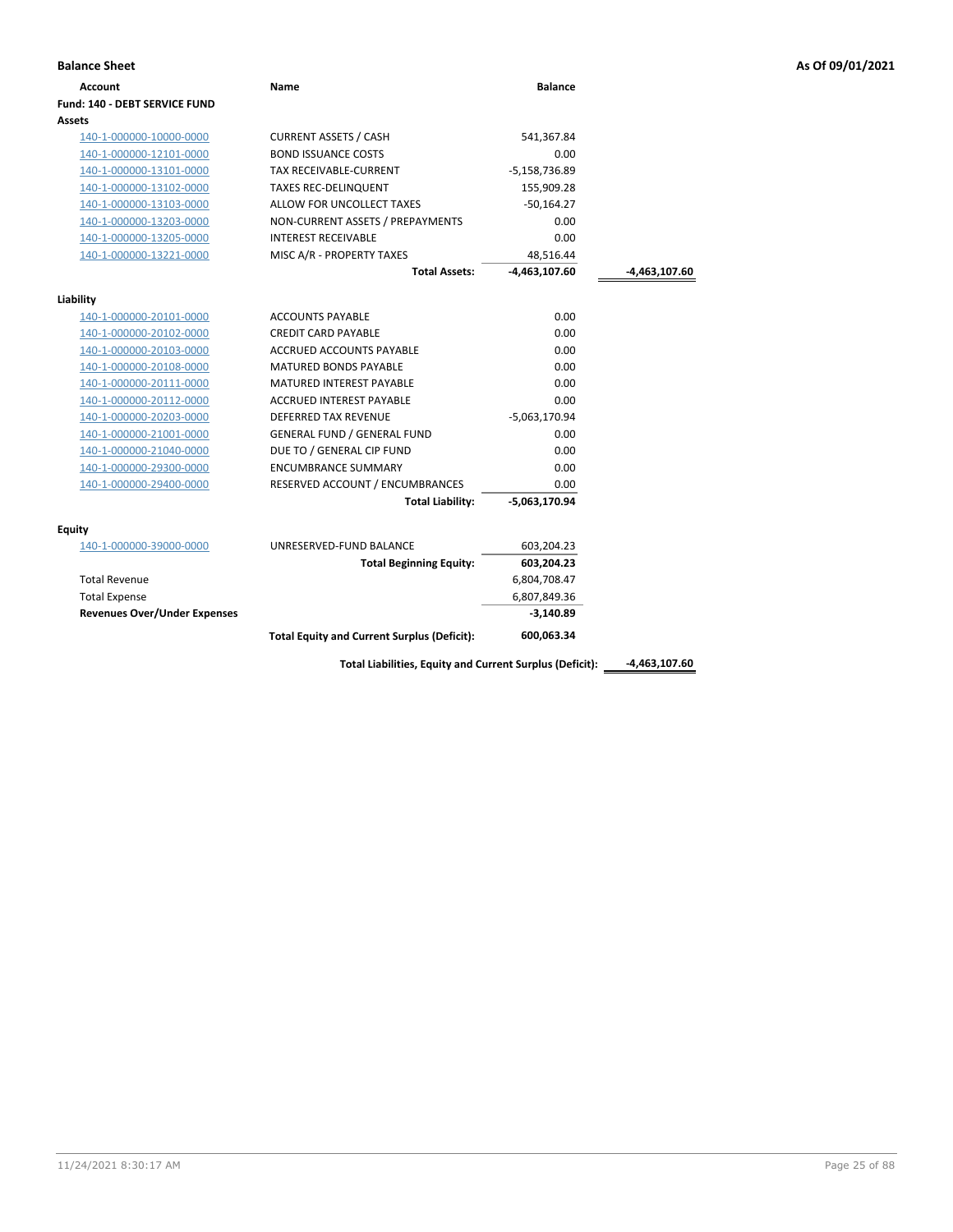| <b>Balance Sheet</b>                |                                                    |                 |                 | As Of 09/01/2021 |
|-------------------------------------|----------------------------------------------------|-----------------|-----------------|------------------|
| Account                             | Name                                               | <b>Balance</b>  |                 |                  |
| Fund: 140 - DEBT SERVICE FUND       |                                                    |                 |                 |                  |
| Assets                              |                                                    |                 |                 |                  |
| 140-1-000000-10000-0000             | <b>CURRENT ASSETS / CASH</b>                       | 541,367.84      |                 |                  |
| 140-1-000000-12101-0000             | <b>BOND ISSUANCE COSTS</b>                         | 0.00            |                 |                  |
| 140-1-000000-13101-0000             | TAX RECEIVABLE-CURRENT                             | $-5,158,736.89$ |                 |                  |
| 140-1-000000-13102-0000             | <b>TAXES REC-DELINQUENT</b>                        | 155,909.28      |                 |                  |
| 140-1-000000-13103-0000             | ALLOW FOR UNCOLLECT TAXES                          | $-50,164.27$    |                 |                  |
| 140-1-000000-13203-0000             | NON-CURRENT ASSETS / PREPAYMENTS                   | 0.00            |                 |                  |
| 140-1-000000-13205-0000             | <b>INTEREST RECEIVABLE</b>                         | 0.00            |                 |                  |
| 140-1-000000-13221-0000             | MISC A/R - PROPERTY TAXES                          | 48,516.44       |                 |                  |
|                                     | <b>Total Assets:</b>                               | $-4,463,107.60$ | $-4,463,107.60$ |                  |
| Liability                           |                                                    |                 |                 |                  |
| 140-1-000000-20101-0000             | <b>ACCOUNTS PAYABLE</b>                            | 0.00            |                 |                  |
| 140-1-000000-20102-0000             | <b>CREDIT CARD PAYABLE</b>                         | 0.00            |                 |                  |
| 140-1-000000-20103-0000             | ACCRUED ACCOUNTS PAYABLE                           | 0.00            |                 |                  |
| 140-1-000000-20108-0000             | <b>MATURED BONDS PAYABLE</b>                       | 0.00            |                 |                  |
| 140-1-000000-20111-0000             | MATURED INTEREST PAYABLE                           | 0.00            |                 |                  |
| 140-1-000000-20112-0000             | <b>ACCRUED INTEREST PAYABLE</b>                    | 0.00            |                 |                  |
| 140-1-000000-20203-0000             | DEFERRED TAX REVENUE                               | $-5,063,170.94$ |                 |                  |
| 140-1-000000-21001-0000             | <b>GENERAL FUND / GENERAL FUND</b>                 | 0.00            |                 |                  |
| 140-1-000000-21040-0000             | DUE TO / GENERAL CIP FUND                          | 0.00            |                 |                  |
| 140-1-000000-29300-0000             | <b>ENCUMBRANCE SUMMARY</b>                         | 0.00            |                 |                  |
| 140-1-000000-29400-0000             | RESERVED ACCOUNT / ENCUMBRANCES                    | 0.00            |                 |                  |
|                                     | <b>Total Liability:</b>                            | $-5,063,170.94$ |                 |                  |
| <b>Equity</b>                       |                                                    |                 |                 |                  |
| 140-1-000000-39000-0000             | UNRESERVED-FUND BALANCE                            | 603,204.23      |                 |                  |
|                                     | <b>Total Beginning Equity:</b>                     | 603,204.23      |                 |                  |
| <b>Total Revenue</b>                |                                                    | 6,804,708.47    |                 |                  |
| <b>Total Expense</b>                |                                                    | 6,807,849.36    |                 |                  |
| <b>Revenues Over/Under Expenses</b> |                                                    | $-3,140.89$     |                 |                  |
|                                     | <b>Total Equity and Current Surplus (Deficit):</b> | 600,063.34      |                 |                  |

Total Liabilities, Equity and Current Surplus (Deficit): \_\_\_\_\_-4,463,107.60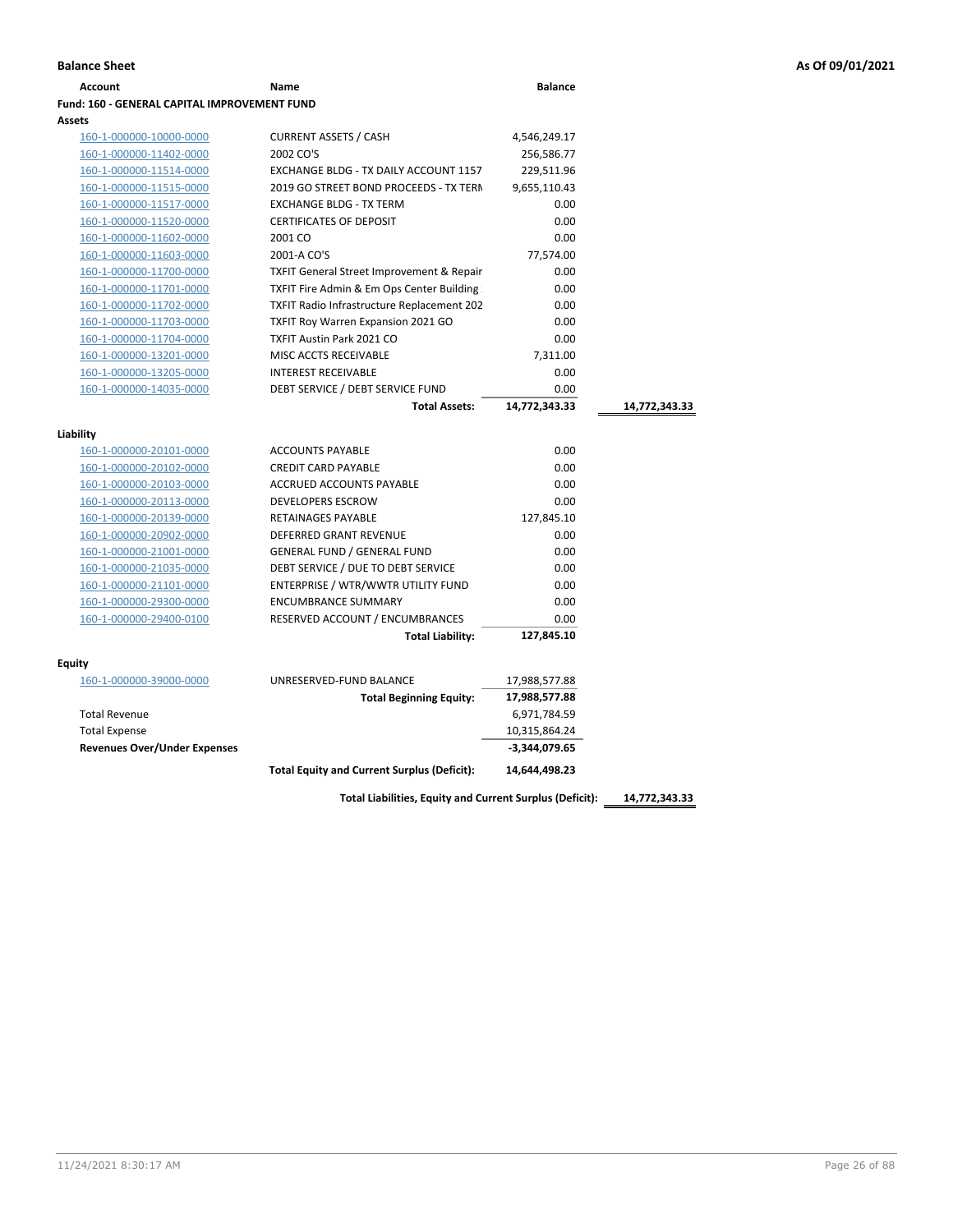| <b>Account</b>                                      | Name                                                             | <b>Balance</b>     |               |
|-----------------------------------------------------|------------------------------------------------------------------|--------------------|---------------|
| <b>Fund: 160 - GENERAL CAPITAL IMPROVEMENT FUND</b> |                                                                  |                    |               |
| Assets                                              |                                                                  |                    |               |
| 160-1-000000-10000-0000                             | <b>CURRENT ASSETS / CASH</b>                                     | 4,546,249.17       |               |
| 160-1-000000-11402-0000                             | 2002 CO'S                                                        | 256,586.77         |               |
| 160-1-000000-11514-0000                             | EXCHANGE BLDG - TX DAILY ACCOUNT 1157                            | 229,511.96         |               |
| 160-1-000000-11515-0000                             | 2019 GO STREET BOND PROCEEDS - TX TERN                           | 9,655,110.43       |               |
| 160-1-000000-11517-0000                             | <b>EXCHANGE BLDG - TX TERM</b>                                   | 0.00               |               |
| 160-1-000000-11520-0000                             | <b>CERTIFICATES OF DEPOSIT</b>                                   | 0.00               |               |
| 160-1-000000-11602-0000                             | 2001 CO                                                          | 0.00               |               |
| 160-1-000000-11603-0000                             | 2001-A CO'S                                                      | 77,574.00          |               |
| 160-1-000000-11700-0000                             | <b>TXFIT General Street Improvement &amp; Repair</b>             | 0.00               |               |
| 160-1-000000-11701-0000                             | TXFIT Fire Admin & Em Ops Center Building                        | 0.00               |               |
| 160-1-000000-11702-0000                             | <b>TXFIT Radio Infrastructure Replacement 202</b>                | 0.00               |               |
| 160-1-000000-11703-0000                             | TXFIT Roy Warren Expansion 2021 GO                               | 0.00               |               |
| 160-1-000000-11704-0000                             | <b>TXFIT Austin Park 2021 CO</b>                                 | 0.00               |               |
| 160-1-000000-13201-0000                             | MISC ACCTS RECEIVABLE                                            | 7,311.00           |               |
| 160-1-000000-13205-0000                             | <b>INTEREST RECEIVABLE</b>                                       | 0.00               |               |
| 160-1-000000-14035-0000                             | DEBT SERVICE / DEBT SERVICE FUND                                 | 0.00               |               |
|                                                     | <b>Total Assets:</b>                                             | 14,772,343.33      | 14,772,343.33 |
|                                                     |                                                                  |                    |               |
| Liability                                           | <b>ACCOUNTS PAYABLE</b>                                          |                    |               |
| 160-1-000000-20101-0000                             |                                                                  | 0.00               |               |
| 160-1-000000-20102-0000                             | <b>CREDIT CARD PAYABLE</b>                                       | 0.00               |               |
| 160-1-000000-20103-0000                             | <b>ACCRUED ACCOUNTS PAYABLE</b><br><b>DEVELOPERS ESCROW</b>      | 0.00<br>0.00       |               |
| 160-1-000000-20113-0000                             | RETAINAGES PAYABLE                                               |                    |               |
| 160-1-000000-20139-0000                             | DEFERRED GRANT REVENUE                                           | 127,845.10<br>0.00 |               |
| 160-1-000000-20902-0000                             | <b>GENERAL FUND / GENERAL FUND</b>                               | 0.00               |               |
| 160-1-000000-21001-0000                             |                                                                  | 0.00               |               |
| 160-1-000000-21035-0000                             | DEBT SERVICE / DUE TO DEBT SERVICE                               | 0.00               |               |
| 160-1-000000-21101-0000                             | ENTERPRISE / WTR/WWTR UTILITY FUND<br><b>ENCUMBRANCE SUMMARY</b> | 0.00               |               |
| 160-1-000000-29300-0000                             |                                                                  |                    |               |
| 160-1-000000-29400-0100                             | RESERVED ACCOUNT / ENCUMBRANCES                                  | 0.00               |               |
|                                                     | <b>Total Liability:</b>                                          | 127,845.10         |               |
| <b>Equity</b>                                       |                                                                  |                    |               |
| 160-1-000000-39000-0000                             | UNRESERVED-FUND BALANCE                                          | 17,988,577.88      |               |
|                                                     | <b>Total Beginning Equity:</b>                                   | 17,988,577.88      |               |
| <b>Total Revenue</b>                                |                                                                  | 6,971,784.59       |               |
| <b>Total Expense</b>                                |                                                                  | 10,315,864.24      |               |
| <b>Revenues Over/Under Expenses</b>                 |                                                                  | -3,344,079.65      |               |
|                                                     | <b>Total Equity and Current Surplus (Deficit):</b>               | 14,644,498.23      |               |
|                                                     |                                                                  |                    |               |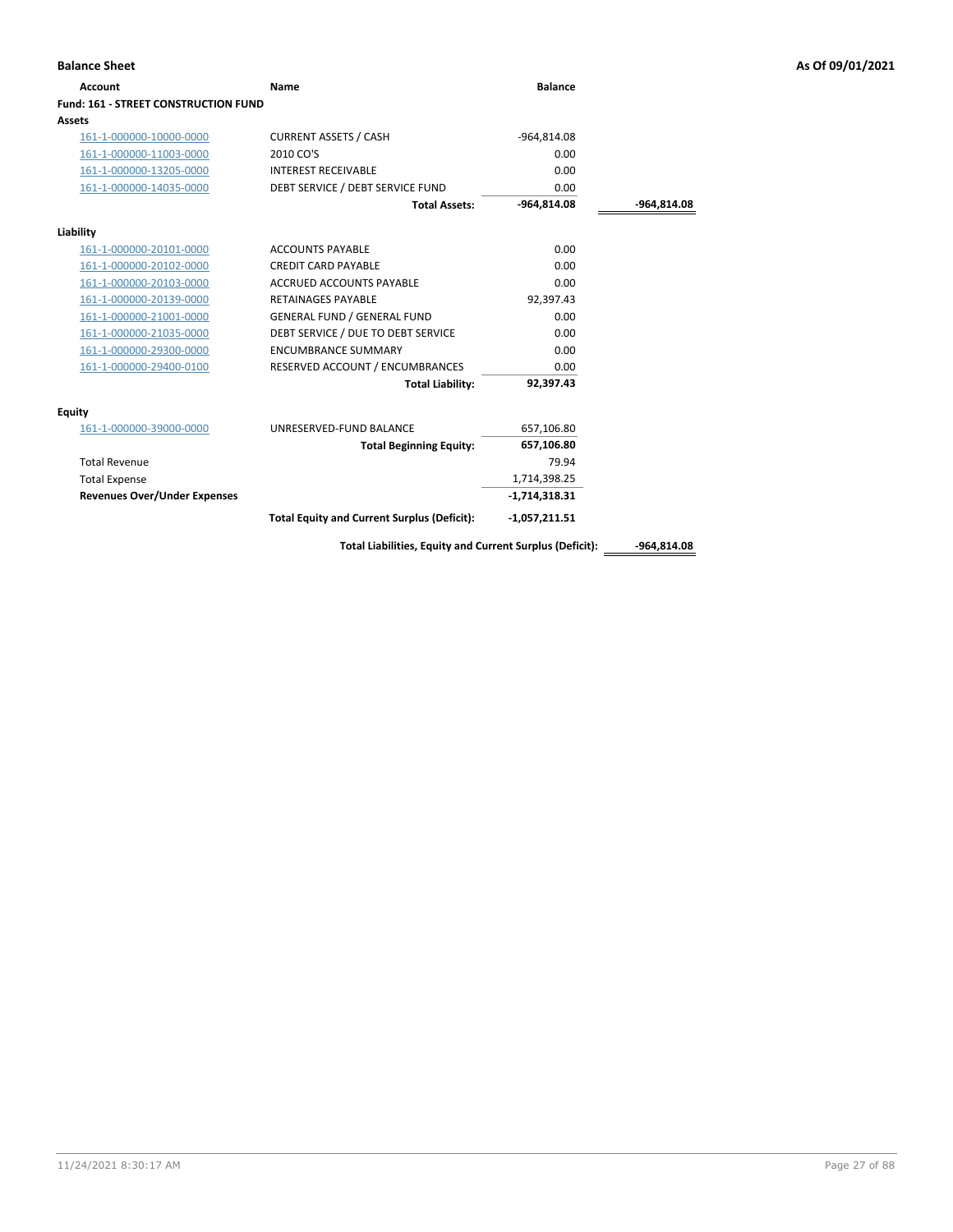| Account                                     | Name                                                     | <b>Balance</b>  |               |
|---------------------------------------------|----------------------------------------------------------|-----------------|---------------|
| <b>Fund: 161 - STREET CONSTRUCTION FUND</b> |                                                          |                 |               |
| <b>Assets</b>                               |                                                          |                 |               |
| 161-1-000000-10000-0000                     | <b>CURRENT ASSETS / CASH</b>                             | -964,814.08     |               |
| 161-1-000000-11003-0000                     | 2010 CO'S                                                | 0.00            |               |
| 161-1-000000-13205-0000                     | <b>INTEREST RECEIVABLE</b>                               | 0.00            |               |
| 161-1-000000-14035-0000                     | DEBT SERVICE / DEBT SERVICE FUND                         | 0.00            |               |
|                                             | <b>Total Assets:</b>                                     | $-964,814.08$   | -964,814.08   |
| Liability                                   |                                                          |                 |               |
| 161-1-000000-20101-0000                     | <b>ACCOUNTS PAYABLE</b>                                  | 0.00            |               |
| 161-1-000000-20102-0000                     | <b>CREDIT CARD PAYABLE</b>                               | 0.00            |               |
| 161-1-000000-20103-0000                     | <b>ACCRUED ACCOUNTS PAYABLE</b>                          | 0.00            |               |
| 161-1-000000-20139-0000                     | <b>RETAINAGES PAYABLE</b>                                | 92,397.43       |               |
| 161-1-000000-21001-0000                     | <b>GENERAL FUND / GENERAL FUND</b>                       | 0.00            |               |
| 161-1-000000-21035-0000                     | DEBT SERVICE / DUE TO DEBT SERVICE                       | 0.00            |               |
| 161-1-000000-29300-0000                     | <b>ENCUMBRANCE SUMMARY</b>                               | 0.00            |               |
| 161-1-000000-29400-0100                     | RESERVED ACCOUNT / ENCUMBRANCES                          | 0.00            |               |
|                                             | <b>Total Liability:</b>                                  | 92,397.43       |               |
| Equity                                      |                                                          |                 |               |
| 161-1-000000-39000-0000                     | UNRESERVED-FUND BALANCE                                  | 657,106.80      |               |
|                                             | <b>Total Beginning Equity:</b>                           | 657,106.80      |               |
| <b>Total Revenue</b>                        |                                                          | 79.94           |               |
| <b>Total Expense</b>                        |                                                          | 1,714,398.25    |               |
| <b>Revenues Over/Under Expenses</b>         |                                                          | $-1,714,318.31$ |               |
|                                             | <b>Total Equity and Current Surplus (Deficit):</b>       | $-1,057,211.51$ |               |
|                                             | Total Liabilities, Equity and Current Surplus (Deficit): |                 | $-964,814.08$ |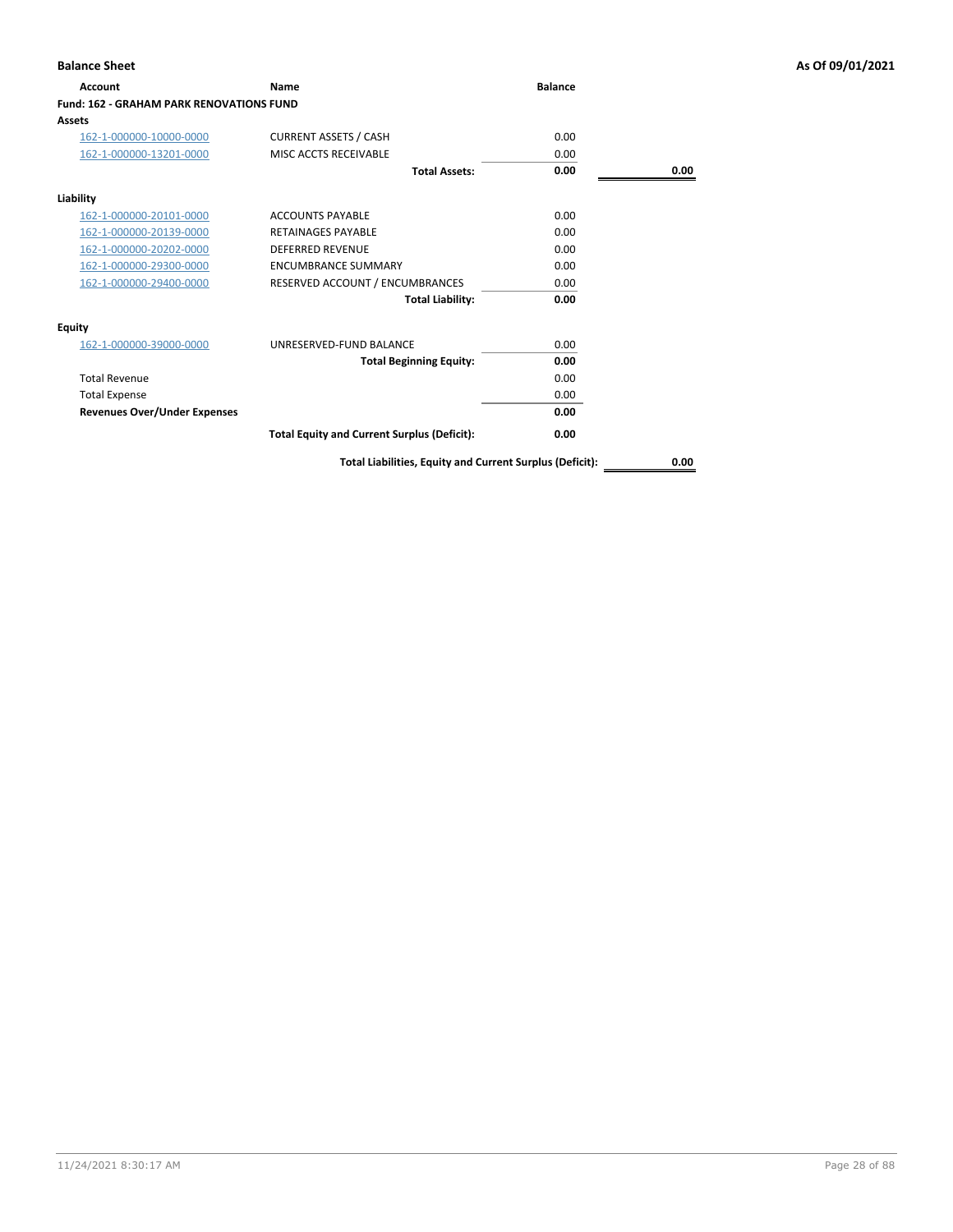| <b>Account</b>                           | Name                                               | <b>Balance</b> |      |
|------------------------------------------|----------------------------------------------------|----------------|------|
| Fund: 162 - GRAHAM PARK RENOVATIONS FUND |                                                    |                |      |
| Assets                                   |                                                    |                |      |
| 162-1-000000-10000-0000                  | <b>CURRENT ASSETS / CASH</b>                       | 0.00           |      |
| 162-1-000000-13201-0000                  | MISC ACCTS RECEIVABLE                              | 0.00           |      |
|                                          | <b>Total Assets:</b>                               | 0.00           | 0.00 |
| Liability                                |                                                    |                |      |
| 162-1-000000-20101-0000                  | <b>ACCOUNTS PAYABLE</b>                            | 0.00           |      |
| 162-1-000000-20139-0000                  | <b>RETAINAGES PAYABLE</b>                          | 0.00           |      |
| 162-1-000000-20202-0000                  | <b>DEFERRED REVENUE</b>                            | 0.00           |      |
| 162-1-000000-29300-0000                  | <b>ENCUMBRANCE SUMMARY</b>                         | 0.00           |      |
| 162-1-000000-29400-0000                  | RESERVED ACCOUNT / ENCUMBRANCES                    | 0.00           |      |
|                                          | <b>Total Liability:</b>                            | 0.00           |      |
| Equity                                   |                                                    |                |      |
| 162-1-000000-39000-0000                  | UNRESERVED-FUND BALANCE                            | 0.00           |      |
|                                          | <b>Total Beginning Equity:</b>                     | 0.00           |      |
| <b>Total Revenue</b>                     |                                                    | 0.00           |      |
| <b>Total Expense</b>                     |                                                    | 0.00           |      |
| <b>Revenues Over/Under Expenses</b>      |                                                    | 0.00           |      |
|                                          | <b>Total Equity and Current Surplus (Deficit):</b> | 0.00           |      |
|                                          |                                                    |                |      |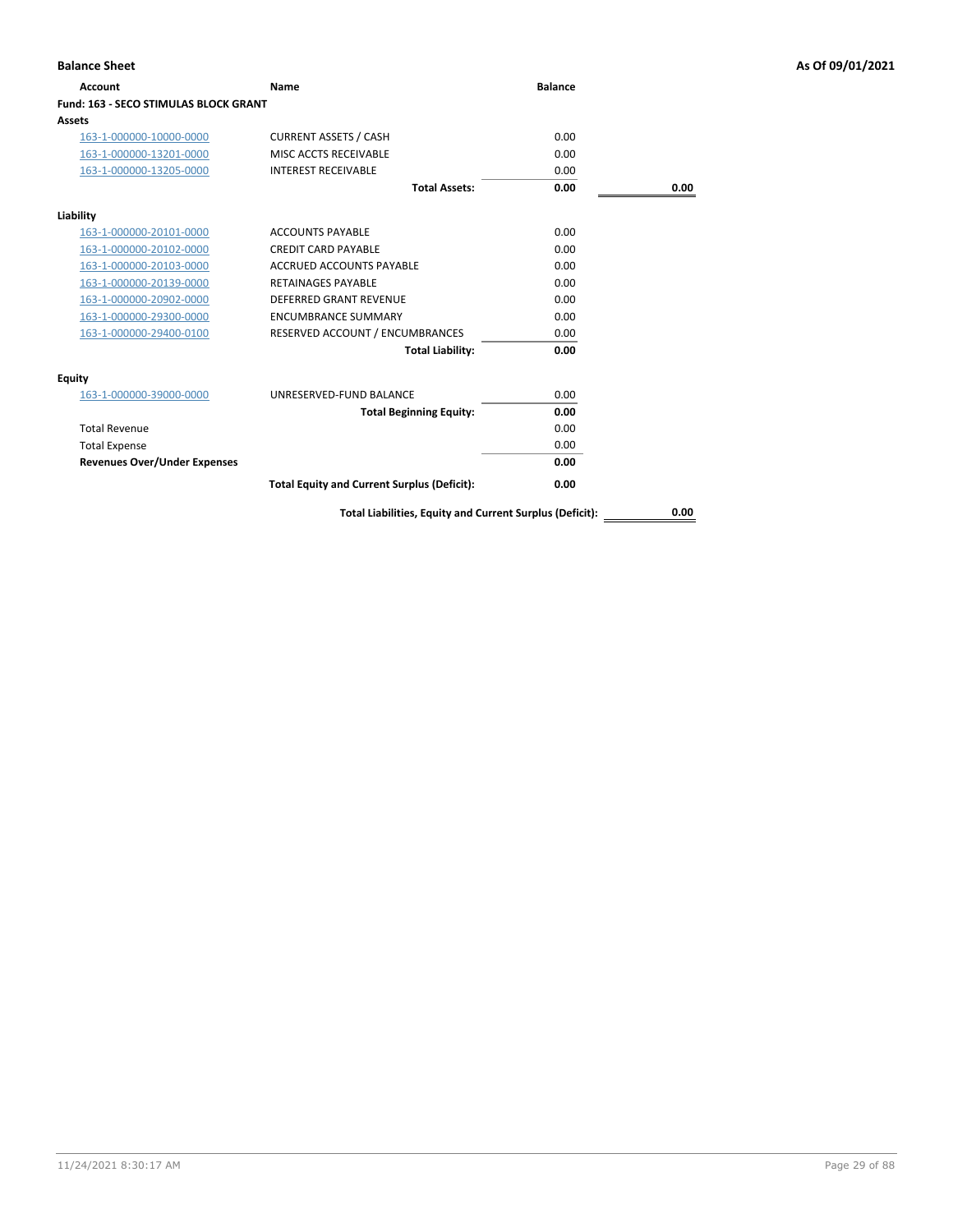| Account                                      | Name                                                     | <b>Balance</b> |      |
|----------------------------------------------|----------------------------------------------------------|----------------|------|
| <b>Fund: 163 - SECO STIMULAS BLOCK GRANT</b> |                                                          |                |      |
| Assets                                       |                                                          |                |      |
| 163-1-000000-10000-0000                      | <b>CURRENT ASSETS / CASH</b>                             | 0.00           |      |
| 163-1-000000-13201-0000                      | MISC ACCTS RECEIVABLE                                    | 0.00           |      |
| 163-1-000000-13205-0000                      | <b>INTEREST RECEIVABLE</b>                               | 0.00           |      |
|                                              | <b>Total Assets:</b>                                     | 0.00           | 0.00 |
| Liability                                    |                                                          |                |      |
| 163-1-000000-20101-0000                      | <b>ACCOUNTS PAYABLE</b>                                  | 0.00           |      |
| 163-1-000000-20102-0000                      | <b>CREDIT CARD PAYABLE</b>                               | 0.00           |      |
| 163-1-000000-20103-0000                      | <b>ACCRUED ACCOUNTS PAYABLE</b>                          | 0.00           |      |
| 163-1-000000-20139-0000                      | <b>RETAINAGES PAYABLE</b>                                | 0.00           |      |
| 163-1-000000-20902-0000                      | <b>DEFERRED GRANT REVENUE</b>                            | 0.00           |      |
| 163-1-000000-29300-0000                      | <b>ENCUMBRANCE SUMMARY</b>                               | 0.00           |      |
| 163-1-000000-29400-0100                      | RESERVED ACCOUNT / ENCUMBRANCES                          | 0.00           |      |
|                                              | <b>Total Liability:</b>                                  | 0.00           |      |
| <b>Equity</b>                                |                                                          |                |      |
| 163-1-000000-39000-0000                      | UNRESERVED-FUND BALANCE                                  | 0.00           |      |
|                                              | <b>Total Beginning Equity:</b>                           | 0.00           |      |
| <b>Total Revenue</b>                         |                                                          | 0.00           |      |
| <b>Total Expense</b>                         |                                                          | 0.00           |      |
| <b>Revenues Over/Under Expenses</b>          |                                                          | 0.00           |      |
|                                              | <b>Total Equity and Current Surplus (Deficit):</b>       | 0.00           |      |
|                                              | Total Liabilities, Equity and Current Surplus (Deficit): |                | 0.00 |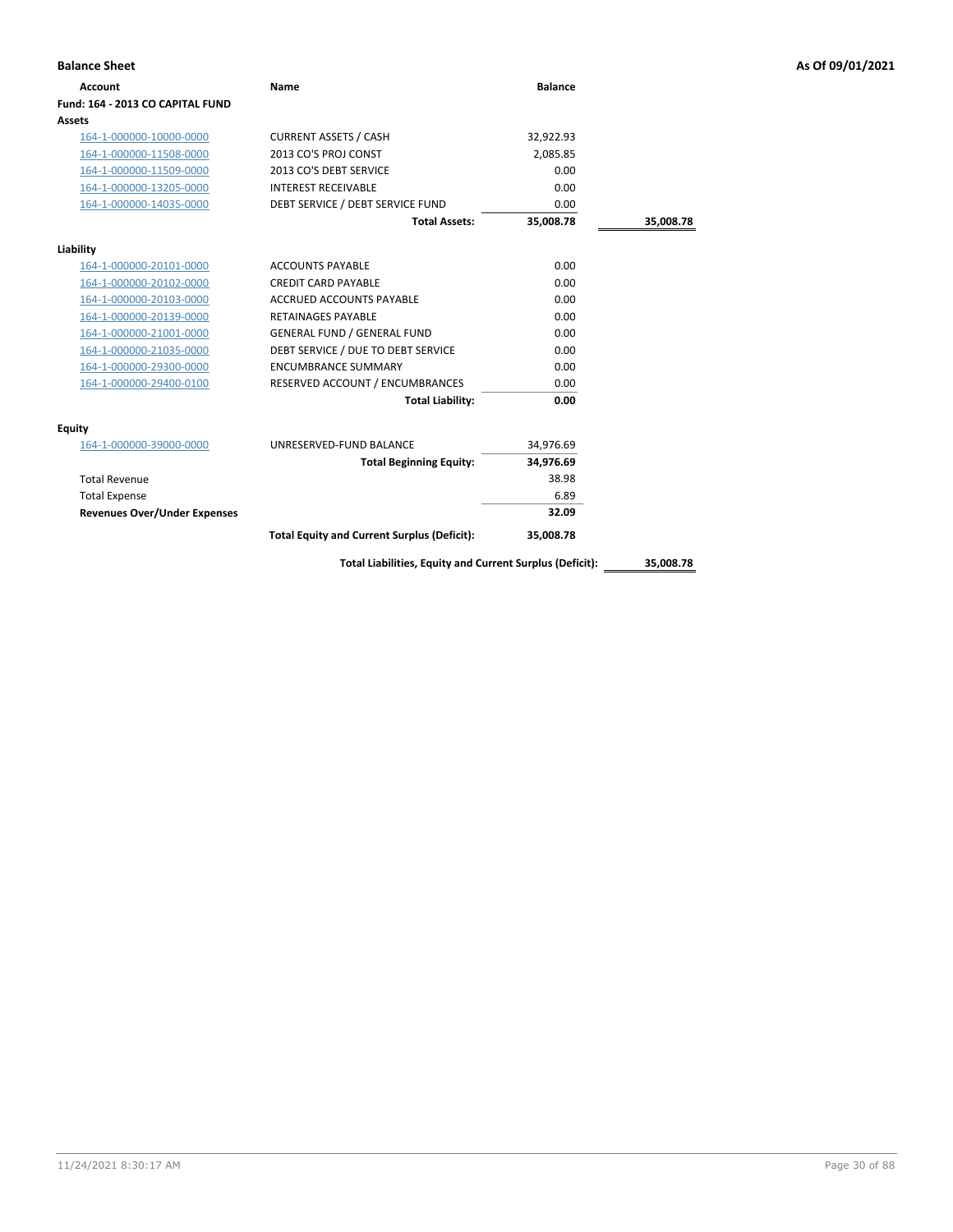| <b>Balance Sheet</b>                |                                                          |                |           | As Of 09/01/2021 |
|-------------------------------------|----------------------------------------------------------|----------------|-----------|------------------|
| <b>Account</b>                      | Name                                                     | <b>Balance</b> |           |                  |
| Fund: 164 - 2013 CO CAPITAL FUND    |                                                          |                |           |                  |
| Assets                              |                                                          |                |           |                  |
| 164-1-000000-10000-0000             | <b>CURRENT ASSETS / CASH</b>                             | 32,922.93      |           |                  |
| 164-1-000000-11508-0000             | 2013 CO'S PROJ CONST                                     | 2,085.85       |           |                  |
| 164-1-000000-11509-0000             | 2013 CO'S DEBT SERVICE                                   | 0.00           |           |                  |
| 164-1-000000-13205-0000             | <b>INTEREST RECEIVABLE</b>                               | 0.00           |           |                  |
| 164-1-000000-14035-0000             | DEBT SERVICE / DEBT SERVICE FUND                         | 0.00           |           |                  |
|                                     | <b>Total Assets:</b>                                     | 35,008.78      | 35,008.78 |                  |
| Liability                           |                                                          |                |           |                  |
| 164-1-000000-20101-0000             | <b>ACCOUNTS PAYABLE</b>                                  | 0.00           |           |                  |
| 164-1-000000-20102-0000             | <b>CREDIT CARD PAYABLE</b>                               | 0.00           |           |                  |
| 164-1-000000-20103-0000             | ACCRUED ACCOUNTS PAYABLE                                 | 0.00           |           |                  |
| 164-1-000000-20139-0000             | RETAINAGES PAYABLE                                       | 0.00           |           |                  |
| 164-1-000000-21001-0000             | <b>GENERAL FUND / GENERAL FUND</b>                       | 0.00           |           |                  |
| 164-1-000000-21035-0000             | DEBT SERVICE / DUE TO DEBT SERVICE                       | 0.00           |           |                  |
| 164-1-000000-29300-0000             | <b>ENCUMBRANCE SUMMARY</b>                               | 0.00           |           |                  |
| 164-1-000000-29400-0100             | RESERVED ACCOUNT / ENCUMBRANCES                          | 0.00           |           |                  |
|                                     | <b>Total Liability:</b>                                  | 0.00           |           |                  |
| <b>Equity</b>                       |                                                          |                |           |                  |
| 164-1-000000-39000-0000             | UNRESERVED-FUND BALANCE                                  | 34,976.69      |           |                  |
|                                     | <b>Total Beginning Equity:</b>                           | 34,976.69      |           |                  |
| <b>Total Revenue</b>                |                                                          | 38.98          |           |                  |
| <b>Total Expense</b>                |                                                          | 6.89           |           |                  |
| <b>Revenues Over/Under Expenses</b> |                                                          | 32.09          |           |                  |
|                                     | <b>Total Equity and Current Surplus (Deficit):</b>       | 35,008.78      |           |                  |
|                                     | Total Liabilities, Equity and Current Surplus (Deficit): |                | 35,008.78 |                  |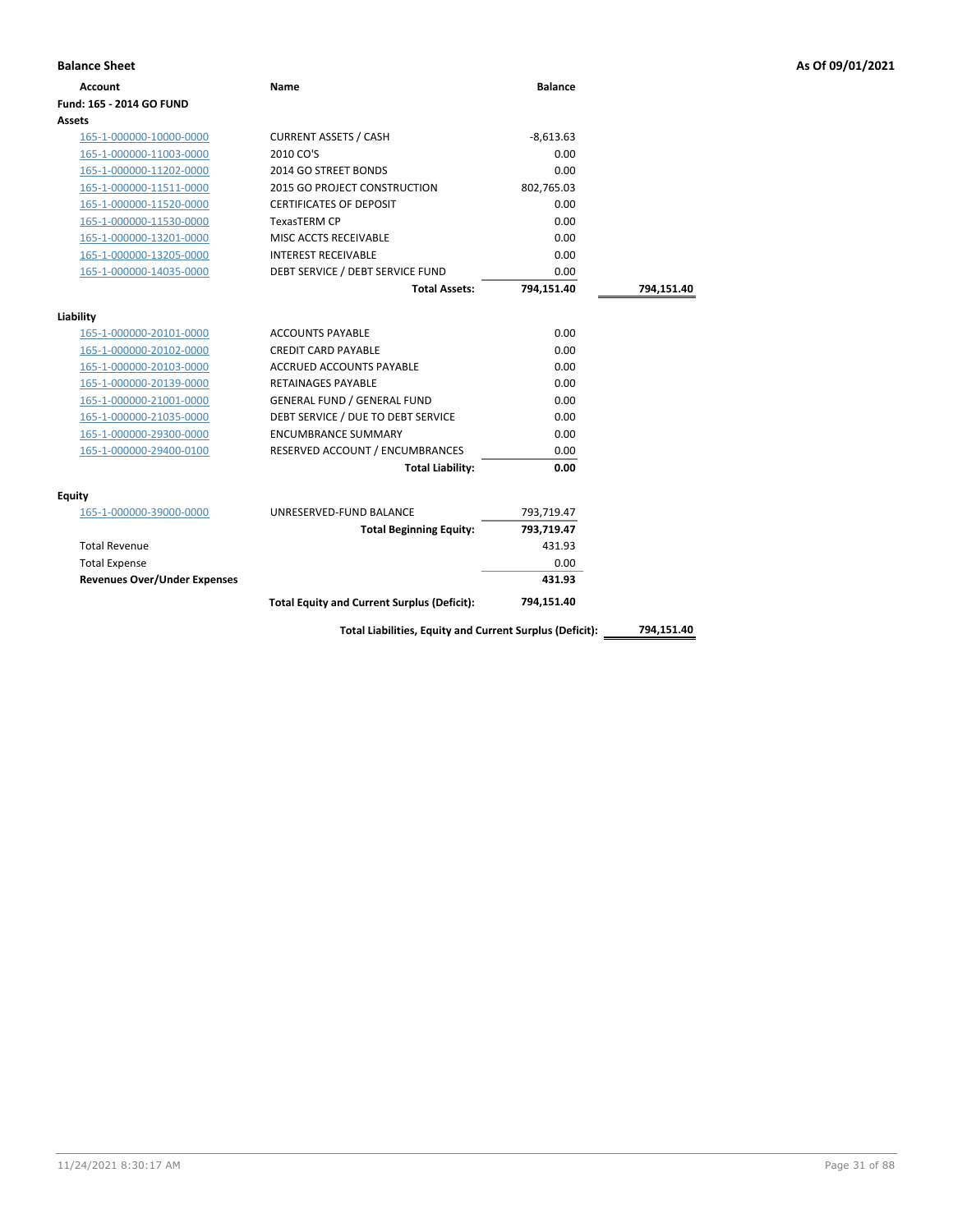| <b>Account</b>                      | Name                                               | <b>Balance</b> |            |
|-------------------------------------|----------------------------------------------------|----------------|------------|
| Fund: 165 - 2014 GO FUND            |                                                    |                |            |
| Assets                              |                                                    |                |            |
| 165-1-000000-10000-0000             | <b>CURRENT ASSETS / CASH</b>                       | $-8,613.63$    |            |
| 165-1-000000-11003-0000             | 2010 CO'S                                          | 0.00           |            |
| 165-1-000000-11202-0000             | 2014 GO STREET BONDS                               | 0.00           |            |
| 165-1-000000-11511-0000             | 2015 GO PROJECT CONSTRUCTION                       | 802,765.03     |            |
| 165-1-000000-11520-0000             | <b>CERTIFICATES OF DEPOSIT</b>                     | 0.00           |            |
| 165-1-000000-11530-0000             | <b>TexasTERM CP</b>                                | 0.00           |            |
| 165-1-000000-13201-0000             | MISC ACCTS RECEIVABLE                              | 0.00           |            |
| 165-1-000000-13205-0000             | <b>INTEREST RECEIVABLE</b>                         | 0.00           |            |
| 165-1-000000-14035-0000             | DEBT SERVICE / DEBT SERVICE FUND                   | 0.00           |            |
|                                     | <b>Total Assets:</b>                               | 794,151.40     | 794,151.40 |
|                                     |                                                    |                |            |
| Liability                           |                                                    |                |            |
| 165-1-000000-20101-0000             | <b>ACCOUNTS PAYABLE</b>                            | 0.00           |            |
| 165-1-000000-20102-0000             | <b>CREDIT CARD PAYABLE</b>                         | 0.00           |            |
| 165-1-000000-20103-0000             | ACCRUED ACCOUNTS PAYABLE                           | 0.00           |            |
| 165-1-000000-20139-0000             | RETAINAGES PAYABLE                                 | 0.00           |            |
| 165-1-000000-21001-0000             | <b>GENERAL FUND / GENERAL FUND</b>                 | 0.00           |            |
| 165-1-000000-21035-0000             | DEBT SERVICE / DUE TO DEBT SERVICE                 | 0.00           |            |
| 165-1-000000-29300-0000             | <b>ENCUMBRANCE SUMMARY</b>                         | 0.00           |            |
| 165-1-000000-29400-0100             | RESERVED ACCOUNT / ENCUMBRANCES                    | 0.00           |            |
|                                     | <b>Total Liability:</b>                            | 0.00           |            |
| Equity                              |                                                    |                |            |
| 165-1-000000-39000-0000             | UNRESERVED-FUND BALANCE                            | 793,719.47     |            |
|                                     | <b>Total Beginning Equity:</b>                     | 793,719.47     |            |
| <b>Total Revenue</b>                |                                                    | 431.93         |            |
| <b>Total Expense</b>                |                                                    | 0.00           |            |
| <b>Revenues Over/Under Expenses</b> |                                                    | 431.93         |            |
|                                     |                                                    |                |            |
|                                     | <b>Total Equity and Current Surplus (Deficit):</b> | 794,151.40     |            |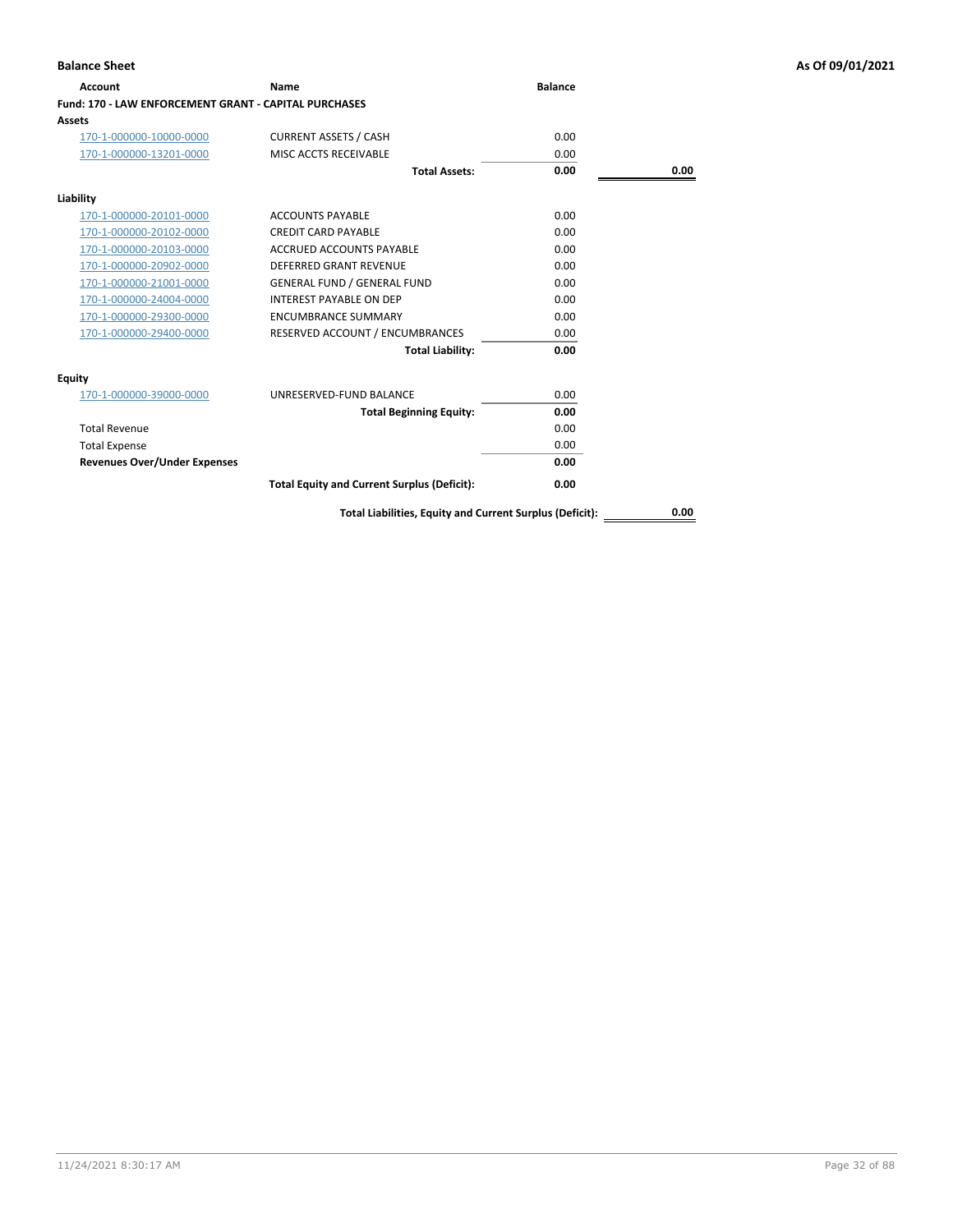| Name                                               | <b>Balance</b>                                        |      |
|----------------------------------------------------|-------------------------------------------------------|------|
|                                                    |                                                       |      |
|                                                    |                                                       |      |
| <b>CURRENT ASSETS / CASH</b>                       | 0.00                                                  |      |
| MISC ACCTS RECEIVABLE                              | 0.00                                                  |      |
| <b>Total Assets:</b>                               | 0.00                                                  | 0.00 |
|                                                    |                                                       |      |
| <b>ACCOUNTS PAYABLE</b>                            | 0.00                                                  |      |
| <b>CREDIT CARD PAYABLE</b>                         | 0.00                                                  |      |
| ACCRUED ACCOUNTS PAYABLE                           | 0.00                                                  |      |
| DEFERRED GRANT REVENUE                             | 0.00                                                  |      |
| <b>GENERAL FUND / GENERAL FUND</b>                 | 0.00                                                  |      |
| <b>INTEREST PAYABLE ON DEP</b>                     | 0.00                                                  |      |
| <b>ENCUMBRANCE SUMMARY</b>                         | 0.00                                                  |      |
| RESERVED ACCOUNT / ENCUMBRANCES                    | 0.00                                                  |      |
| <b>Total Liability:</b>                            | 0.00                                                  |      |
|                                                    |                                                       |      |
| UNRESERVED-FUND BALANCE                            | 0.00                                                  |      |
| <b>Total Beginning Equity:</b>                     | 0.00                                                  |      |
|                                                    | 0.00                                                  |      |
|                                                    | 0.00                                                  |      |
|                                                    | 0.00                                                  |      |
| <b>Total Equity and Current Surplus (Deficit):</b> | 0.00                                                  |      |
|                                                    | Fund: 170 - LAW ENFORCEMENT GRANT - CAPITAL PURCHASES |      |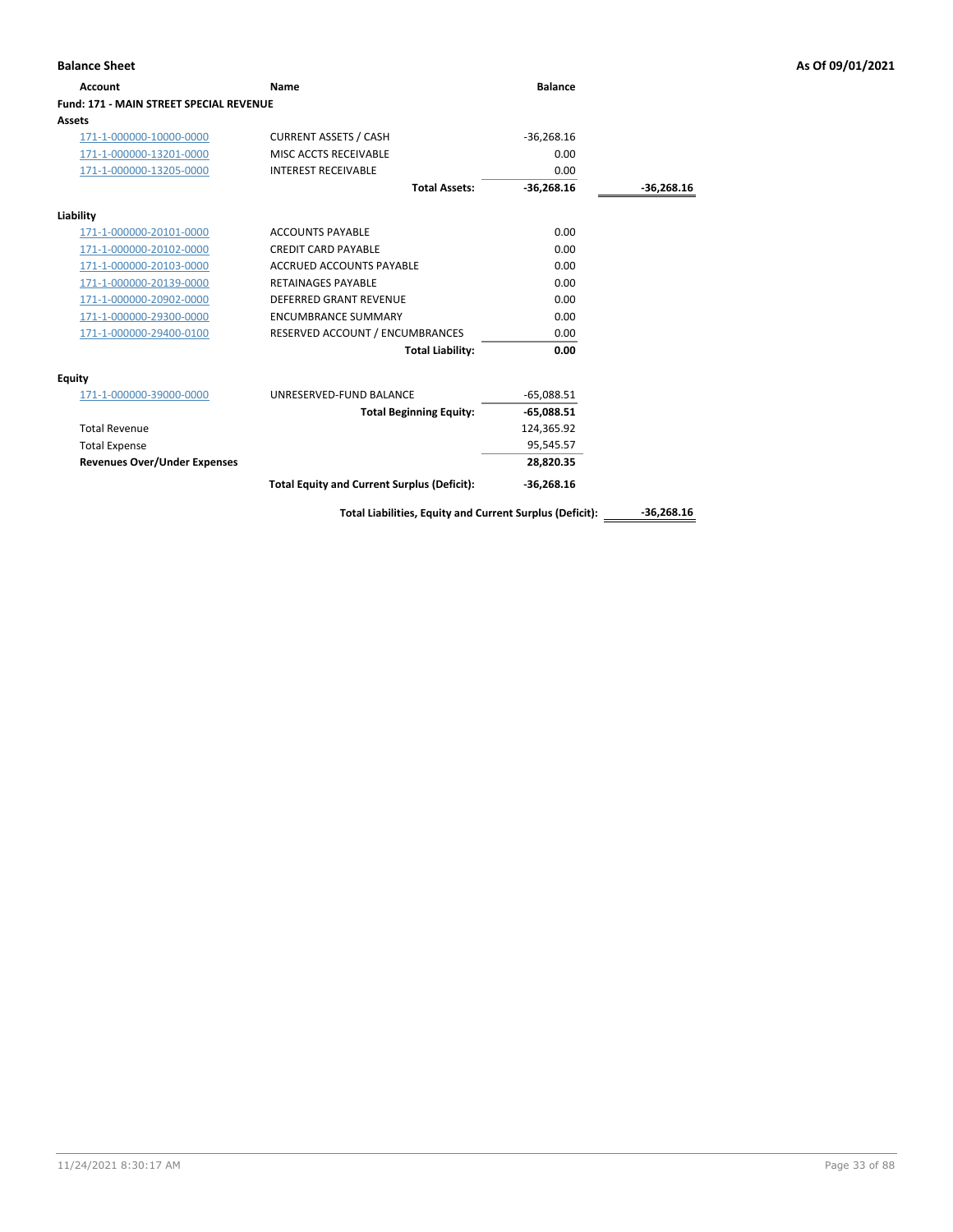| <b>Balance Sheet</b>                    |                                                          |                |              | As Of 09/01/2021 |
|-----------------------------------------|----------------------------------------------------------|----------------|--------------|------------------|
| <b>Account</b>                          | Name                                                     | <b>Balance</b> |              |                  |
| Fund: 171 - MAIN STREET SPECIAL REVENUE |                                                          |                |              |                  |
| <b>Assets</b>                           |                                                          |                |              |                  |
| 171-1-000000-10000-0000                 | <b>CURRENT ASSETS / CASH</b>                             | $-36,268.16$   |              |                  |
| 171-1-000000-13201-0000                 | MISC ACCTS RECEIVABLE                                    | 0.00           |              |                  |
| 171-1-000000-13205-0000                 | <b>INTEREST RECEIVABLE</b>                               | 0.00           |              |                  |
|                                         | <b>Total Assets:</b>                                     | $-36,268.16$   | $-36,268.16$ |                  |
| Liability                               |                                                          |                |              |                  |
| 171-1-000000-20101-0000                 | <b>ACCOUNTS PAYABLE</b>                                  | 0.00           |              |                  |
| 171-1-000000-20102-0000                 | <b>CREDIT CARD PAYABLE</b>                               | 0.00           |              |                  |
| 171-1-000000-20103-0000                 | ACCRUED ACCOUNTS PAYABLE                                 | 0.00           |              |                  |
| 171-1-000000-20139-0000                 | <b>RETAINAGES PAYABLE</b>                                | 0.00           |              |                  |
| 171-1-000000-20902-0000                 | DEFERRED GRANT REVENUE                                   | 0.00           |              |                  |
| 171-1-000000-29300-0000                 | <b>ENCUMBRANCE SUMMARY</b>                               | 0.00           |              |                  |
| 171-1-000000-29400-0100                 | RESERVED ACCOUNT / ENCUMBRANCES                          | 0.00           |              |                  |
|                                         | <b>Total Liability:</b>                                  | 0.00           |              |                  |
| <b>Equity</b>                           |                                                          |                |              |                  |
| 171-1-000000-39000-0000                 | UNRESERVED-FUND BALANCE                                  | $-65,088.51$   |              |                  |
|                                         | <b>Total Beginning Equity:</b>                           | $-65,088.51$   |              |                  |
| <b>Total Revenue</b>                    |                                                          | 124,365.92     |              |                  |
| <b>Total Expense</b>                    |                                                          | 95,545.57      |              |                  |
| <b>Revenues Over/Under Expenses</b>     |                                                          | 28,820.35      |              |                  |
|                                         | <b>Total Equity and Current Surplus (Deficit):</b>       | $-36,268.16$   |              |                  |
|                                         | Total Liabilities, Equity and Current Surplus (Deficit): |                | $-36,268.16$ |                  |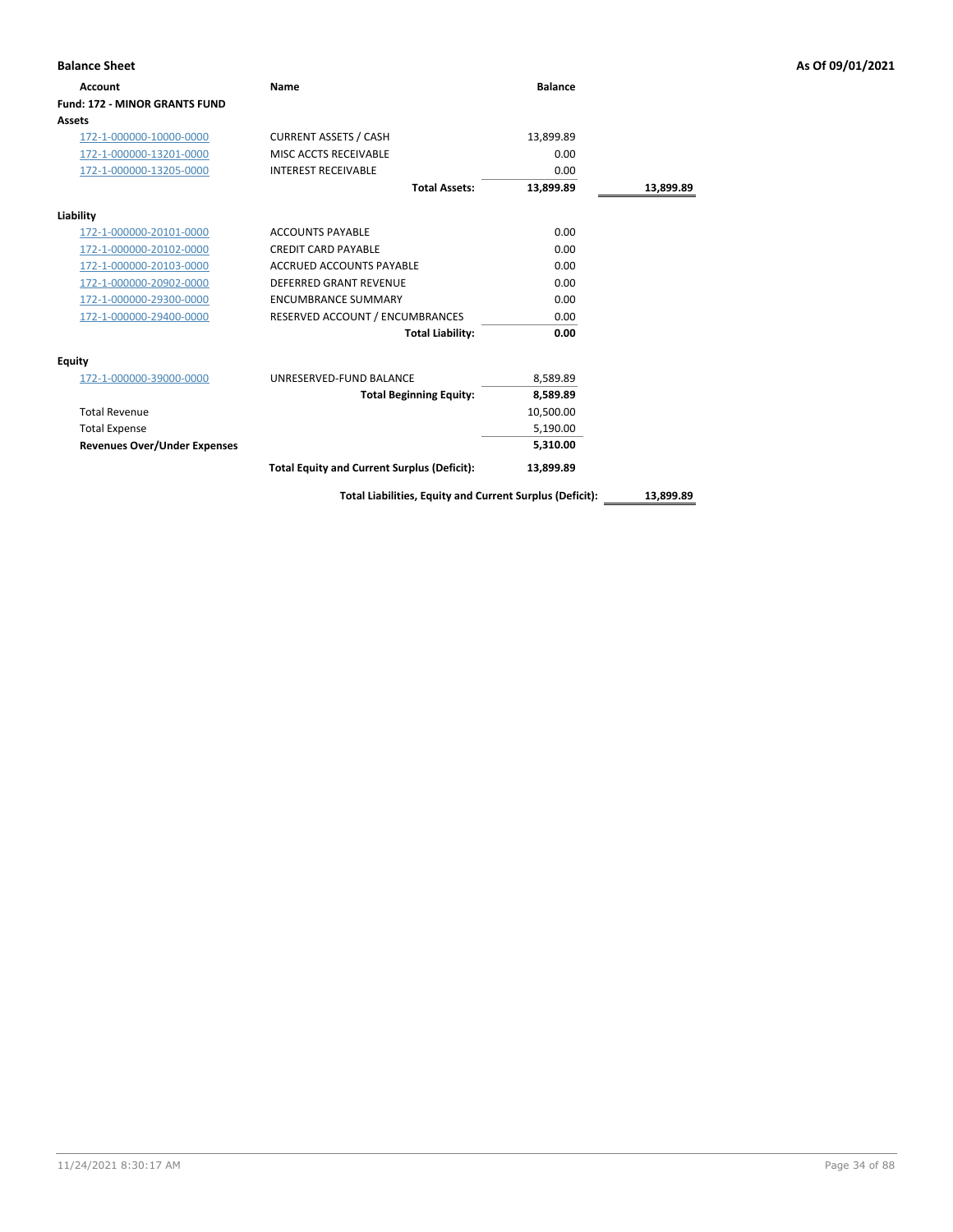| <b>Balance Sheet</b>                 |                                                    |                |           | As Of 09/01/2021 |
|--------------------------------------|----------------------------------------------------|----------------|-----------|------------------|
| <b>Account</b>                       | Name                                               | <b>Balance</b> |           |                  |
| <b>Fund: 172 - MINOR GRANTS FUND</b> |                                                    |                |           |                  |
| Assets                               |                                                    |                |           |                  |
| 172-1-000000-10000-0000              | <b>CURRENT ASSETS / CASH</b>                       | 13,899.89      |           |                  |
| 172-1-000000-13201-0000              | MISC ACCTS RECEIVABLE                              | 0.00           |           |                  |
| 172-1-000000-13205-0000              | <b>INTEREST RECEIVABLE</b>                         | 0.00           |           |                  |
|                                      | <b>Total Assets:</b>                               | 13,899.89      | 13,899.89 |                  |
| Liability                            |                                                    |                |           |                  |
| 172-1-000000-20101-0000              | <b>ACCOUNTS PAYABLE</b>                            | 0.00           |           |                  |
| 172-1-000000-20102-0000              | <b>CREDIT CARD PAYABLE</b>                         | 0.00           |           |                  |
| 172-1-000000-20103-0000              | <b>ACCRUED ACCOUNTS PAYABLE</b>                    | 0.00           |           |                  |
| 172-1-000000-20902-0000              | <b>DEFERRED GRANT REVENUE</b>                      | 0.00           |           |                  |
| 172-1-000000-29300-0000              | <b>ENCUMBRANCE SUMMARY</b>                         | 0.00           |           |                  |
| 172-1-000000-29400-0000              | RESERVED ACCOUNT / ENCUMBRANCES                    | 0.00           |           |                  |
|                                      | <b>Total Liability:</b>                            | 0.00           |           |                  |
| <b>Equity</b>                        |                                                    |                |           |                  |
| 172-1-000000-39000-0000              | UNRESERVED-FUND BALANCE                            | 8,589.89       |           |                  |
|                                      | <b>Total Beginning Equity:</b>                     | 8,589.89       |           |                  |
| <b>Total Revenue</b>                 |                                                    | 10,500.00      |           |                  |
| <b>Total Expense</b>                 |                                                    | 5,190.00       |           |                  |
| <b>Revenues Over/Under Expenses</b>  |                                                    | 5,310.00       |           |                  |
|                                      | <b>Total Equity and Current Surplus (Deficit):</b> | 13,899.89      |           |                  |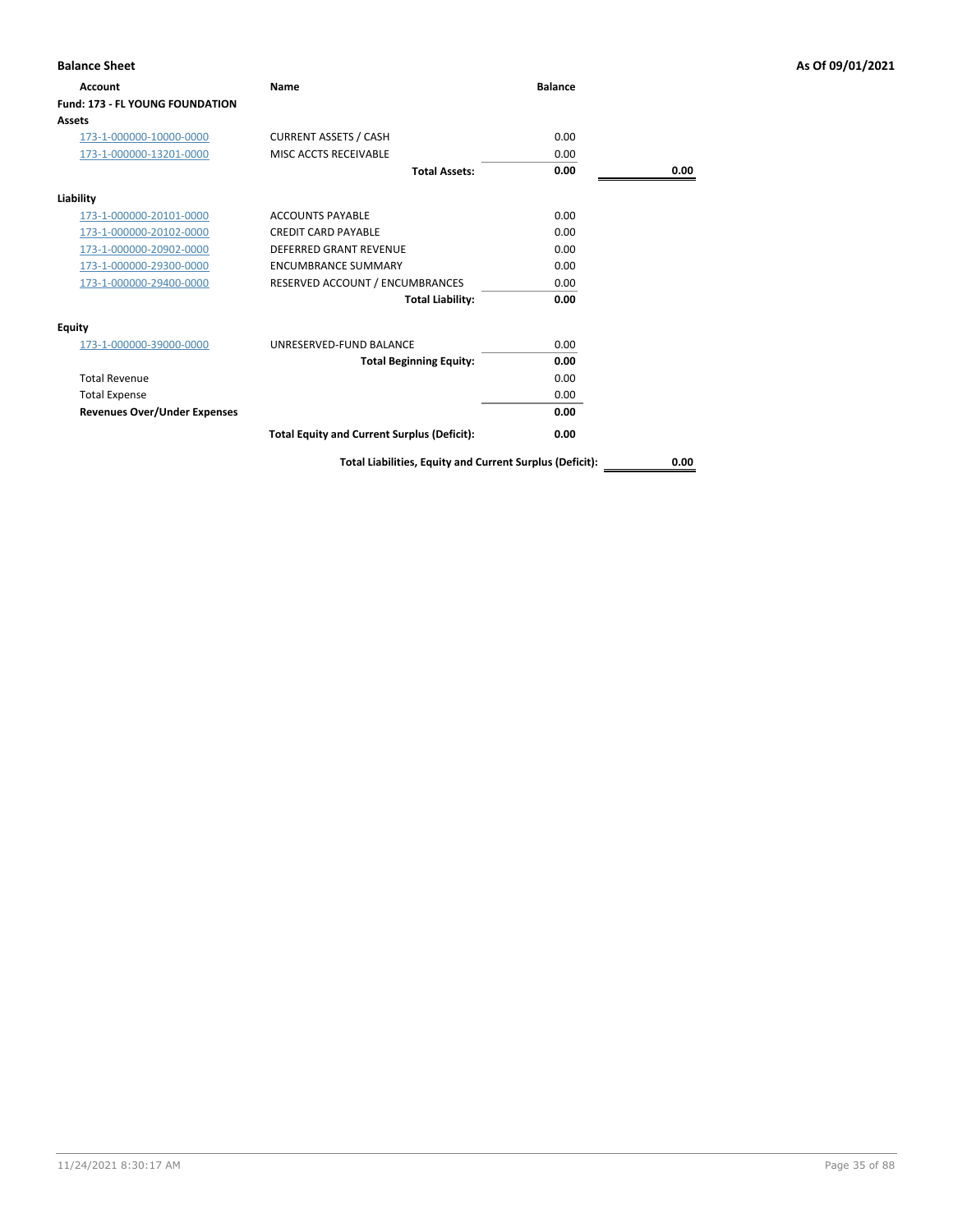| <b>Balance Sheet</b>                |                                                          |                |      | As Of 09/01/2021 |
|-------------------------------------|----------------------------------------------------------|----------------|------|------------------|
| Account                             | Name                                                     | <b>Balance</b> |      |                  |
| Fund: 173 - FL YOUNG FOUNDATION     |                                                          |                |      |                  |
| Assets                              |                                                          |                |      |                  |
| 173-1-000000-10000-0000             | <b>CURRENT ASSETS / CASH</b>                             | 0.00           |      |                  |
| 173-1-000000-13201-0000             | MISC ACCTS RECEIVABLE                                    | 0.00           |      |                  |
|                                     | <b>Total Assets:</b>                                     | 0.00           | 0.00 |                  |
| Liability                           |                                                          |                |      |                  |
| 173-1-000000-20101-0000             | <b>ACCOUNTS PAYABLE</b>                                  | 0.00           |      |                  |
| 173-1-000000-20102-0000             | <b>CREDIT CARD PAYABLE</b>                               | 0.00           |      |                  |
| 173-1-000000-20902-0000             | <b>DEFERRED GRANT REVENUE</b>                            | 0.00           |      |                  |
| 173-1-000000-29300-0000             | <b>ENCUMBRANCE SUMMARY</b>                               | 0.00           |      |                  |
| 173-1-000000-29400-0000             | RESERVED ACCOUNT / ENCUMBRANCES                          | 0.00           |      |                  |
|                                     | <b>Total Liability:</b>                                  | 0.00           |      |                  |
| <b>Equity</b>                       |                                                          |                |      |                  |
| 173-1-000000-39000-0000             | UNRESERVED-FUND BALANCE                                  | 0.00           |      |                  |
|                                     | <b>Total Beginning Equity:</b>                           | 0.00           |      |                  |
| <b>Total Revenue</b>                |                                                          | 0.00           |      |                  |
| <b>Total Expense</b>                |                                                          | 0.00           |      |                  |
| <b>Revenues Over/Under Expenses</b> |                                                          | 0.00           |      |                  |
|                                     | <b>Total Equity and Current Surplus (Deficit):</b>       | 0.00           |      |                  |
|                                     | Total Liabilities, Equity and Current Surplus (Deficit): |                | 0.00 |                  |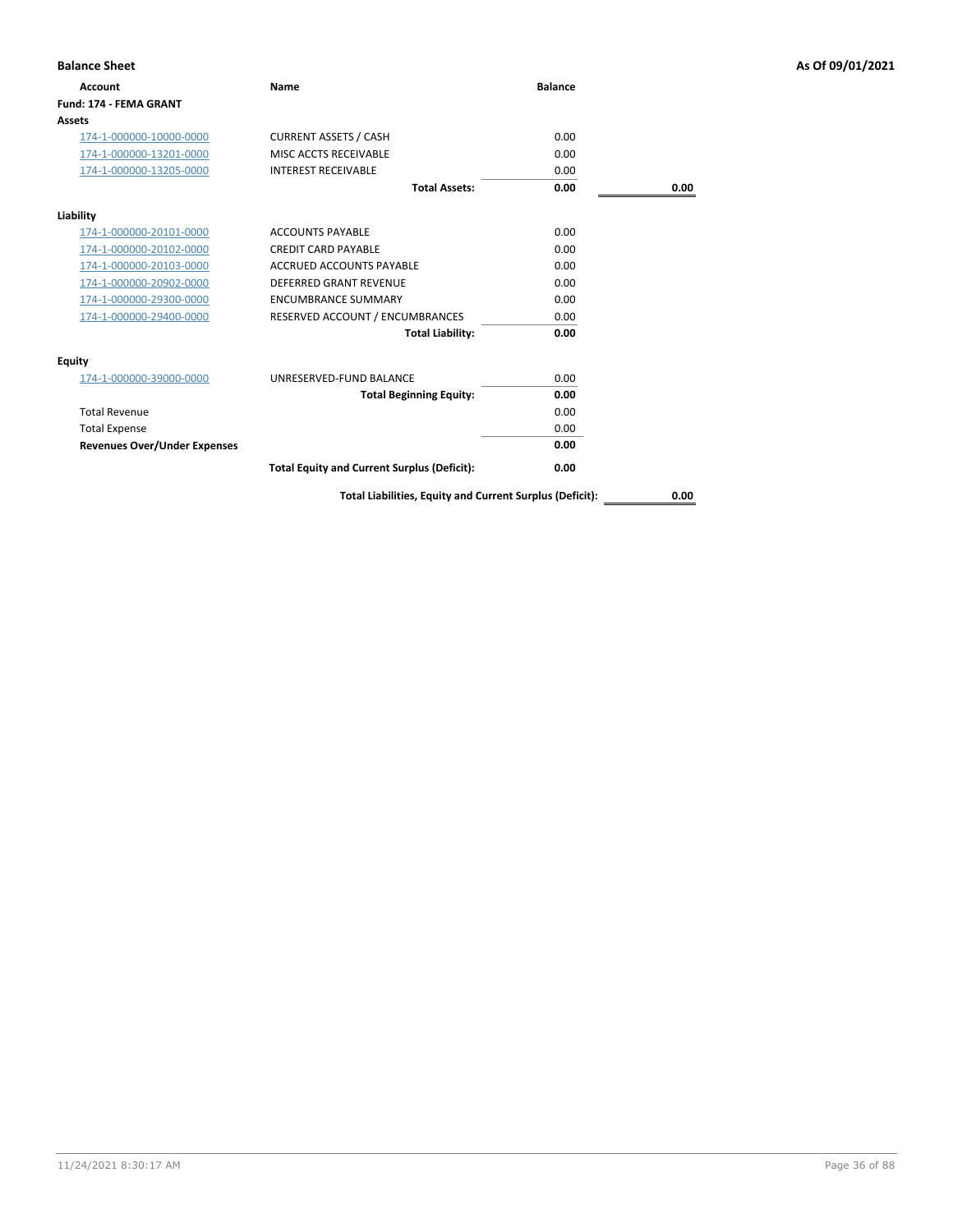| <b>Balance Sheet</b>                |                                                    |                |      | As Of 09/01/2021 |
|-------------------------------------|----------------------------------------------------|----------------|------|------------------|
| <b>Account</b>                      | Name                                               | <b>Balance</b> |      |                  |
| Fund: 174 - FEMA GRANT              |                                                    |                |      |                  |
| <b>Assets</b>                       |                                                    |                |      |                  |
| 174-1-000000-10000-0000             | <b>CURRENT ASSETS / CASH</b>                       | 0.00           |      |                  |
| 174-1-000000-13201-0000             | MISC ACCTS RECEIVABLE                              | 0.00           |      |                  |
| 174-1-000000-13205-0000             | <b>INTEREST RECEIVABLE</b>                         | 0.00           |      |                  |
|                                     | <b>Total Assets:</b>                               | 0.00           | 0.00 |                  |
| Liability                           |                                                    |                |      |                  |
| 174-1-000000-20101-0000             | <b>ACCOUNTS PAYABLE</b>                            | 0.00           |      |                  |
| 174-1-000000-20102-0000             | <b>CREDIT CARD PAYABLE</b>                         | 0.00           |      |                  |
| 174-1-000000-20103-0000             | <b>ACCRUED ACCOUNTS PAYABLE</b>                    | 0.00           |      |                  |
| 174-1-000000-20902-0000             | DEFERRED GRANT REVENUE                             | 0.00           |      |                  |
| 174-1-000000-29300-0000             | <b>ENCUMBRANCE SUMMARY</b>                         | 0.00           |      |                  |
| 174-1-000000-29400-0000             | RESERVED ACCOUNT / ENCUMBRANCES                    | 0.00           |      |                  |
|                                     | <b>Total Liability:</b>                            | 0.00           |      |                  |
| <b>Equity</b>                       |                                                    |                |      |                  |
| 174-1-000000-39000-0000             | UNRESERVED-FUND BALANCE                            | 0.00           |      |                  |
|                                     | <b>Total Beginning Equity:</b>                     | 0.00           |      |                  |
| <b>Total Revenue</b>                |                                                    | 0.00           |      |                  |
| <b>Total Expense</b>                |                                                    | 0.00           |      |                  |
| <b>Revenues Over/Under Expenses</b> |                                                    | 0.00           |      |                  |
|                                     | <b>Total Equity and Current Surplus (Deficit):</b> | 0.00           |      |                  |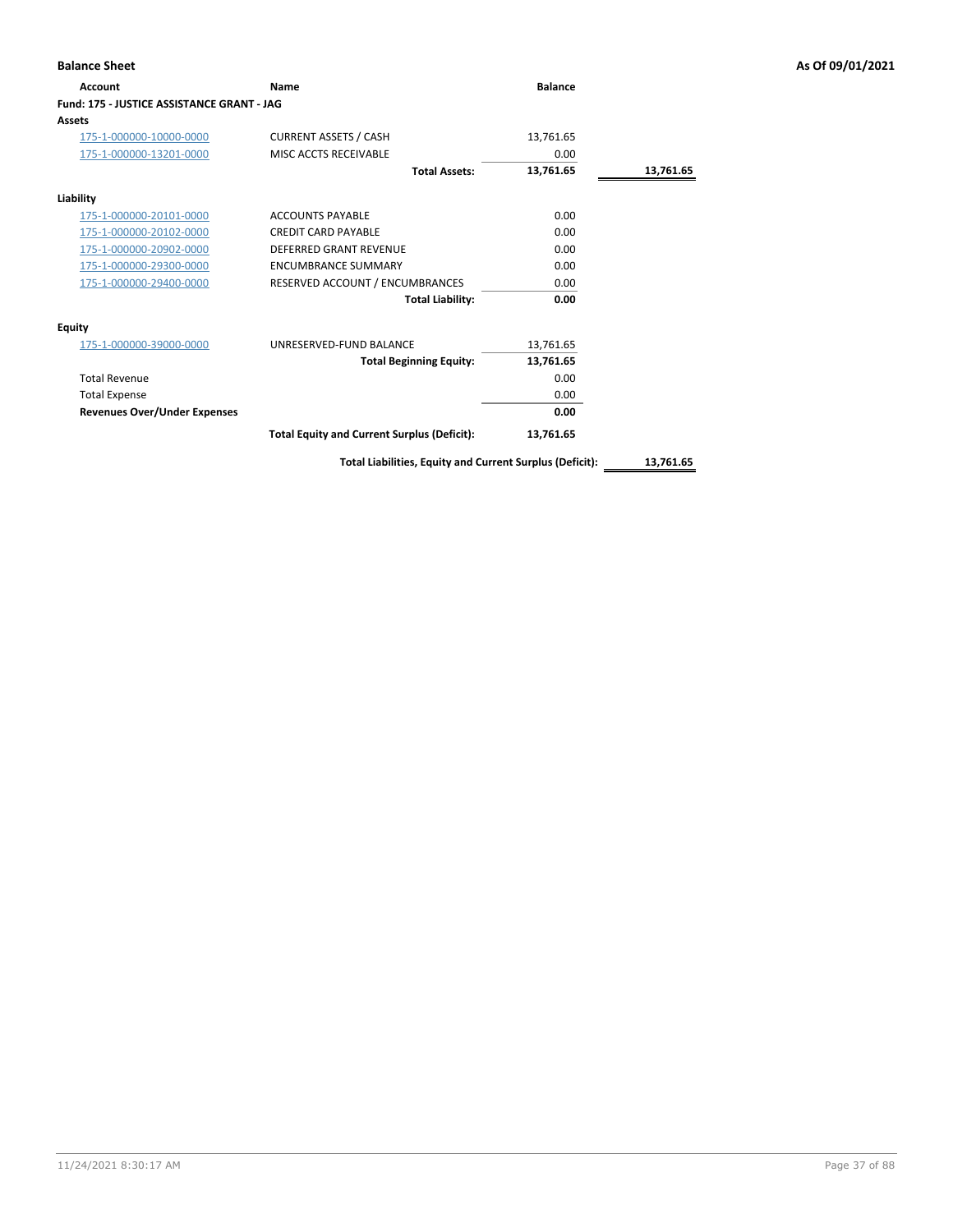|                                                    |                |           | As Of 09/01/2021 |
|----------------------------------------------------|----------------|-----------|------------------|
| Name                                               | <b>Balance</b> |           |                  |
| Fund: 175 - JUSTICE ASSISTANCE GRANT - JAG         |                |           |                  |
|                                                    |                |           |                  |
| <b>CURRENT ASSETS / CASH</b>                       | 13,761.65      |           |                  |
| MISC ACCTS RECEIVABLE                              | 0.00           |           |                  |
| <b>Total Assets:</b>                               | 13,761.65      | 13,761.65 |                  |
|                                                    |                |           |                  |
| <b>ACCOUNTS PAYABLE</b>                            | 0.00           |           |                  |
| <b>CREDIT CARD PAYABLE</b>                         | 0.00           |           |                  |
| <b>DEFERRED GRANT REVENUE</b>                      | 0.00           |           |                  |
| <b>ENCUMBRANCE SUMMARY</b>                         | 0.00           |           |                  |
| RESERVED ACCOUNT / ENCUMBRANCES                    | 0.00           |           |                  |
| <b>Total Liability:</b>                            | 0.00           |           |                  |
|                                                    |                |           |                  |
| UNRESERVED-FUND BALANCE                            | 13,761.65      |           |                  |
| <b>Total Beginning Equity:</b>                     | 13,761.65      |           |                  |
|                                                    | 0.00           |           |                  |
|                                                    | 0.00           |           |                  |
|                                                    | 0.00           |           |                  |
| <b>Total Equity and Current Surplus (Deficit):</b> | 13,761.65      |           |                  |
|                                                    |                |           |                  |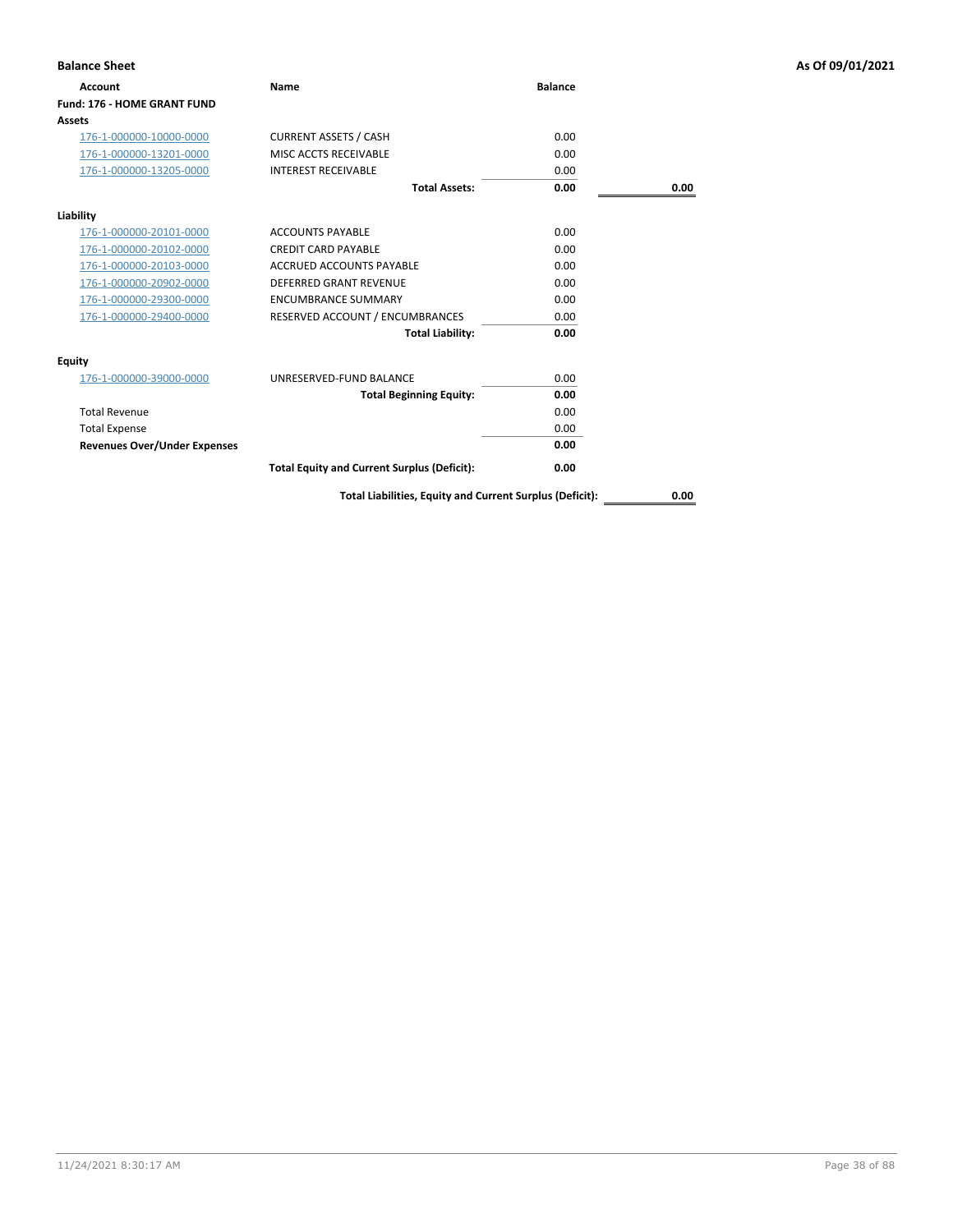| <b>Balance Sheet</b>                |                                                    |                |      | As Of 09/01/2021 |
|-------------------------------------|----------------------------------------------------|----------------|------|------------------|
| <b>Account</b>                      | Name                                               | <b>Balance</b> |      |                  |
| <b>Fund: 176 - HOME GRANT FUND</b>  |                                                    |                |      |                  |
| <b>Assets</b>                       |                                                    |                |      |                  |
| 176-1-000000-10000-0000             | <b>CURRENT ASSETS / CASH</b>                       | 0.00           |      |                  |
| 176-1-000000-13201-0000             | MISC ACCTS RECEIVABLE                              | 0.00           |      |                  |
| 176-1-000000-13205-0000             | <b>INTEREST RECEIVABLE</b>                         | 0.00           |      |                  |
|                                     | <b>Total Assets:</b>                               | 0.00           | 0.00 |                  |
| Liability                           |                                                    |                |      |                  |
| 176-1-000000-20101-0000             | <b>ACCOUNTS PAYABLE</b>                            | 0.00           |      |                  |
| 176-1-000000-20102-0000             | <b>CREDIT CARD PAYABLE</b>                         | 0.00           |      |                  |
| 176-1-000000-20103-0000             | ACCRUED ACCOUNTS PAYABLE                           | 0.00           |      |                  |
| 176-1-000000-20902-0000             | <b>DEFERRED GRANT REVENUE</b>                      | 0.00           |      |                  |
| 176-1-000000-29300-0000             | <b>ENCUMBRANCE SUMMARY</b>                         | 0.00           |      |                  |
| 176-1-000000-29400-0000             | RESERVED ACCOUNT / ENCUMBRANCES                    | 0.00           |      |                  |
|                                     | <b>Total Liability:</b>                            | 0.00           |      |                  |
| Equity                              |                                                    |                |      |                  |
| 176-1-000000-39000-0000             | UNRESERVED-FUND BALANCE                            | 0.00           |      |                  |
|                                     | <b>Total Beginning Equity:</b>                     | 0.00           |      |                  |
| <b>Total Revenue</b>                |                                                    | 0.00           |      |                  |
| <b>Total Expense</b>                |                                                    | 0.00           |      |                  |
| <b>Revenues Over/Under Expenses</b> |                                                    | 0.00           |      |                  |
|                                     | <b>Total Equity and Current Surplus (Deficit):</b> | 0.00           |      |                  |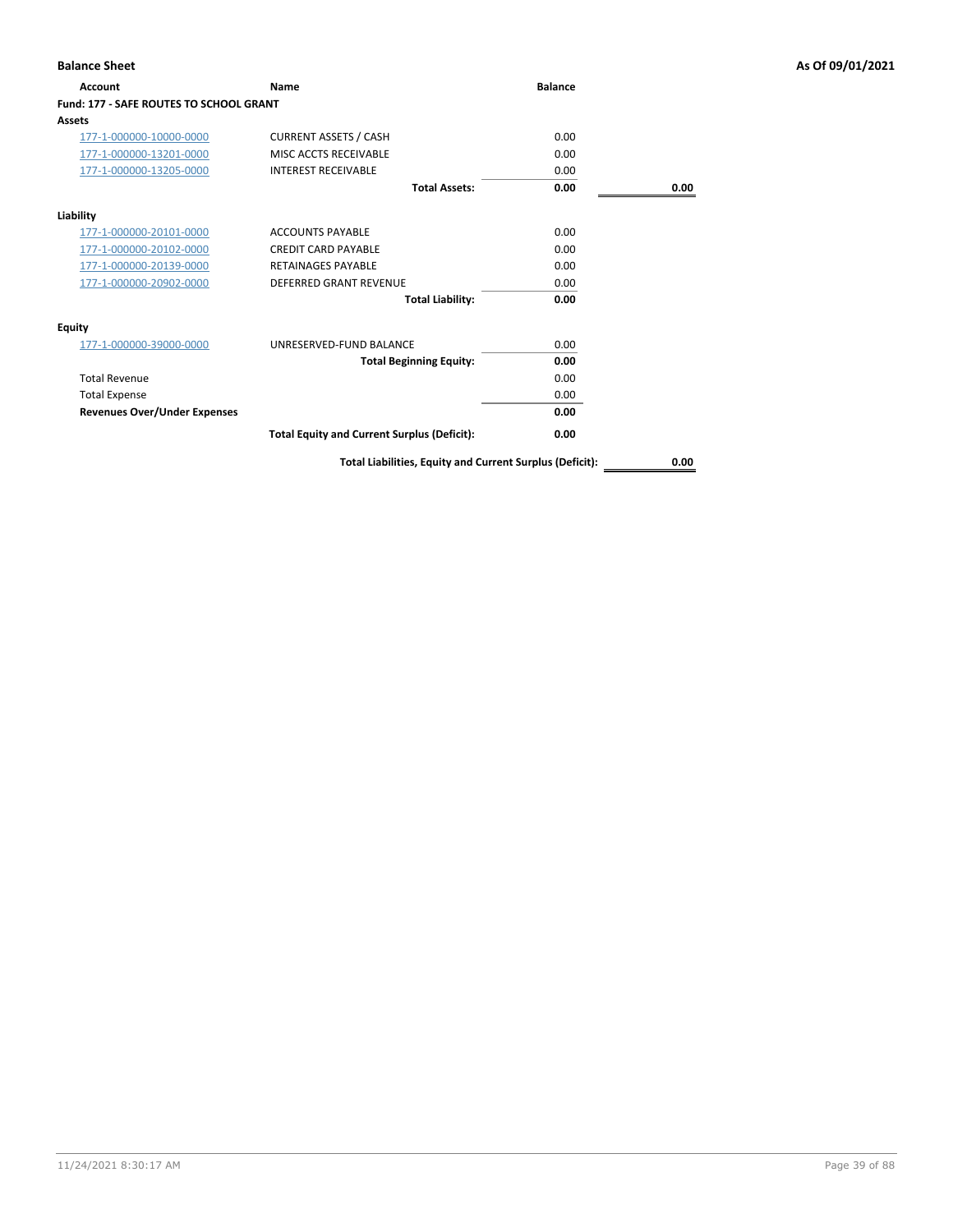| Account                                        | <b>Name</b>                                        | <b>Balance</b> |      |
|------------------------------------------------|----------------------------------------------------|----------------|------|
| <b>Fund: 177 - SAFE ROUTES TO SCHOOL GRANT</b> |                                                    |                |      |
| Assets                                         |                                                    |                |      |
| 177-1-000000-10000-0000                        | <b>CURRENT ASSETS / CASH</b>                       | 0.00           |      |
| 177-1-000000-13201-0000                        | MISC ACCTS RECEIVABLE                              | 0.00           |      |
| 177-1-000000-13205-0000                        | <b>INTEREST RECEIVABLE</b>                         | 0.00           |      |
|                                                | <b>Total Assets:</b>                               | 0.00           | 0.00 |
| Liability                                      |                                                    |                |      |
| 177-1-000000-20101-0000                        | <b>ACCOUNTS PAYABLE</b>                            | 0.00           |      |
| 177-1-000000-20102-0000                        | <b>CREDIT CARD PAYABLE</b>                         | 0.00           |      |
| 177-1-000000-20139-0000                        | <b>RETAINAGES PAYABLE</b>                          | 0.00           |      |
| 177-1-000000-20902-0000                        | <b>DEFERRED GRANT REVENUE</b>                      | 0.00           |      |
|                                                | <b>Total Liability:</b>                            | 0.00           |      |
| Equity                                         |                                                    |                |      |
| 177-1-000000-39000-0000                        | UNRESERVED-FUND BALANCE                            | 0.00           |      |
|                                                | <b>Total Beginning Equity:</b>                     | 0.00           |      |
| <b>Total Revenue</b>                           |                                                    | 0.00           |      |
| <b>Total Expense</b>                           |                                                    | 0.00           |      |
| <b>Revenues Over/Under Expenses</b>            |                                                    | 0.00           |      |
|                                                | <b>Total Equity and Current Surplus (Deficit):</b> | 0.00           |      |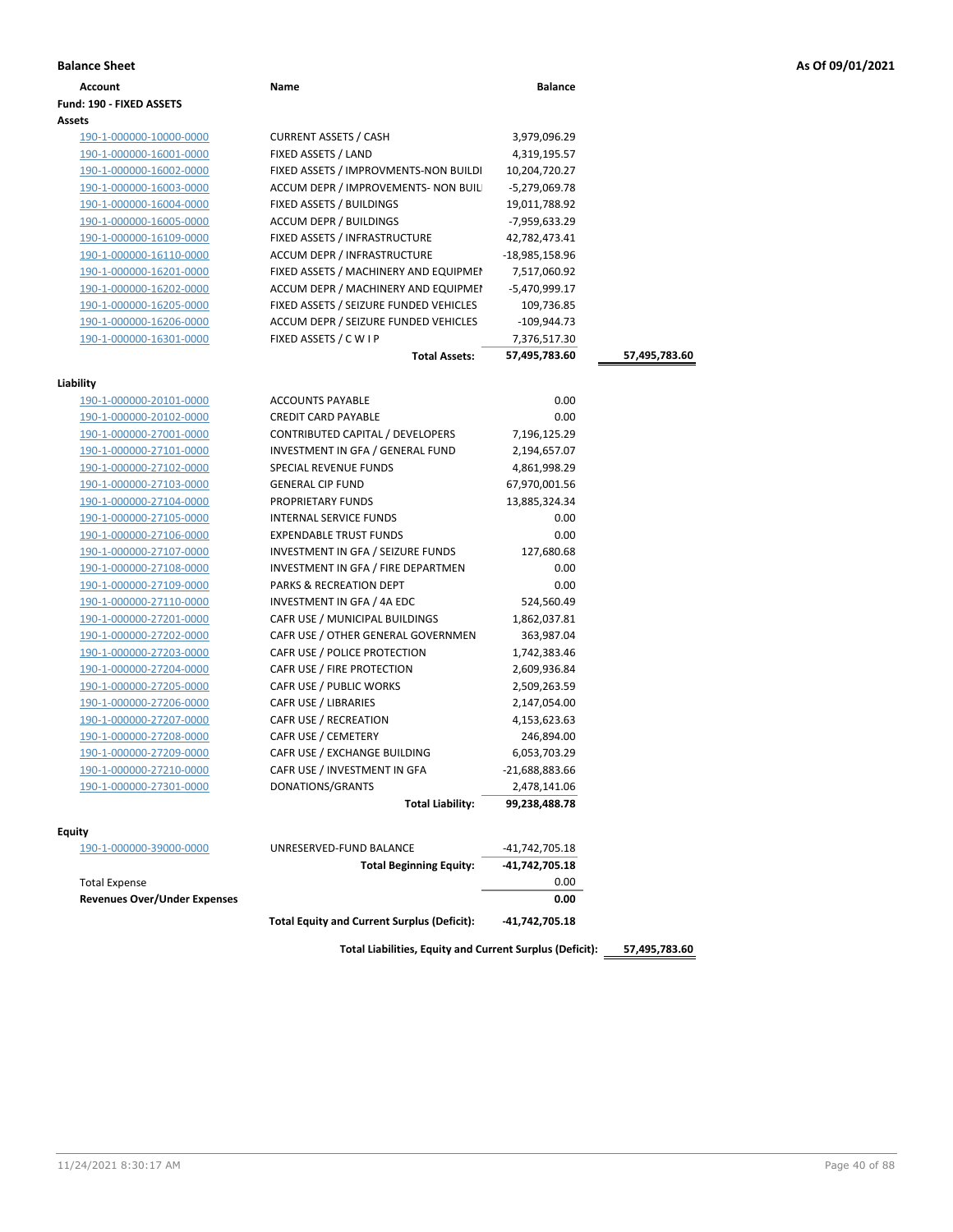| As Of 09/01/2021 |  |  |  |  |
|------------------|--|--|--|--|
|------------------|--|--|--|--|

| <b>Balance Sheet</b>                |                                                    |                        |               | As Of 09/01/2021 |
|-------------------------------------|----------------------------------------------------|------------------------|---------------|------------------|
| Account                             | Name                                               | <b>Balance</b>         |               |                  |
| Fund: 190 - FIXED ASSETS            |                                                    |                        |               |                  |
| Assets                              |                                                    |                        |               |                  |
| 190-1-000000-10000-0000             | <b>CURRENT ASSETS / CASH</b>                       | 3,979,096.29           |               |                  |
| 190-1-000000-16001-0000             | FIXED ASSETS / LAND                                | 4,319,195.57           |               |                  |
| 190-1-000000-16002-0000             | FIXED ASSETS / IMPROVMENTS-NON BUILDI              | 10,204,720.27          |               |                  |
| 190-1-000000-16003-0000             | ACCUM DEPR / IMPROVEMENTS- NON BUIL                | -5,279,069.78          |               |                  |
| 190-1-000000-16004-0000             | FIXED ASSETS / BUILDINGS                           | 19,011,788.92          |               |                  |
| 190-1-000000-16005-0000             | ACCUM DEPR / BUILDINGS                             | -7,959,633.29          |               |                  |
| 190-1-000000-16109-0000             | FIXED ASSETS / INFRASTRUCTURE                      | 42,782,473.41          |               |                  |
| 190-1-000000-16110-0000             | ACCUM DEPR / INFRASTRUCTURE                        | -18,985,158.96         |               |                  |
| 190-1-000000-16201-0000             | FIXED ASSETS / MACHINERY AND EQUIPMEN              | 7,517,060.92           |               |                  |
| 190-1-000000-16202-0000             | ACCUM DEPR / MACHINERY AND EQUIPMEI                | -5,470,999.17          |               |                  |
| 190-1-000000-16205-0000             | FIXED ASSETS / SEIZURE FUNDED VEHICLES             | 109,736.85             |               |                  |
| 190-1-000000-16206-0000             | ACCUM DEPR / SEIZURE FUNDED VEHICLES               | $-109,944.73$          |               |                  |
| 190-1-000000-16301-0000             | FIXED ASSETS / C W I P                             | 7,376,517.30           |               |                  |
|                                     | <b>Total Assets:</b>                               | 57,495,783.60          | 57,495,783.60 |                  |
|                                     |                                                    |                        |               |                  |
| Liability                           |                                                    |                        |               |                  |
| 190-1-000000-20101-0000             | <b>ACCOUNTS PAYABLE</b>                            | 0.00                   |               |                  |
| 190-1-000000-20102-0000             | <b>CREDIT CARD PAYABLE</b>                         | 0.00                   |               |                  |
| 190-1-000000-27001-0000             | CONTRIBUTED CAPITAL / DEVELOPERS                   | 7,196,125.29           |               |                  |
| 190-1-000000-27101-0000             | INVESTMENT IN GFA / GENERAL FUND                   | 2,194,657.07           |               |                  |
| 190-1-000000-27102-0000             | SPECIAL REVENUE FUNDS                              | 4,861,998.29           |               |                  |
| 190-1-000000-27103-0000             | <b>GENERAL CIP FUND</b>                            | 67,970,001.56          |               |                  |
| 190-1-000000-27104-0000             | PROPRIETARY FUNDS                                  | 13,885,324.34          |               |                  |
| 190-1-000000-27105-0000             | INTERNAL SERVICE FUNDS                             | 0.00                   |               |                  |
| 190-1-000000-27106-0000             | <b>EXPENDABLE TRUST FUNDS</b>                      | 0.00                   |               |                  |
| 190-1-000000-27107-0000             | INVESTMENT IN GFA / SEIZURE FUNDS                  | 127,680.68             |               |                  |
| 190-1-000000-27108-0000             | INVESTMENT IN GFA / FIRE DEPARTMEN                 | 0.00                   |               |                  |
| 190-1-000000-27109-0000             | PARKS & RECREATION DEPT                            | 0.00                   |               |                  |
| 190-1-000000-27110-0000             | INVESTMENT IN GFA / 4A EDC                         | 524,560.49             |               |                  |
| 190-1-000000-27201-0000             | CAFR USE / MUNICIPAL BUILDINGS                     | 1,862,037.81           |               |                  |
| 190-1-000000-27202-0000             | CAFR USE / OTHER GENERAL GOVERNMEN                 | 363,987.04             |               |                  |
| 190-1-000000-27203-0000             | CAFR USE / POLICE PROTECTION                       | 1,742,383.46           |               |                  |
| 190-1-000000-27204-0000             | CAFR USE / FIRE PROTECTION                         | 2,609,936.84           |               |                  |
| 190-1-000000-27205-0000             | CAFR USE / PUBLIC WORKS                            | 2,509,263.59           |               |                  |
| 190-1-000000-27206-0000             | <b>CAFR USE / LIBRARIES</b>                        | 2,147,054.00           |               |                  |
| 190-1-000000-27207-0000             | CAFR USE / RECREATION                              | 4,153,623.63           |               |                  |
| 190-1-000000-27208-0000             | CAFR USE / CEMETERY                                | 246,894.00             |               |                  |
| 190-1-000000-27209-0000             | CAFR USE / EXCHANGE BUILDING                       | 6,053,703.29           |               |                  |
| 190-1-000000-27210-0000             | CAFR USE / INVESTMENT IN GFA                       | -21,688,883.66         |               |                  |
| 190-1-000000-27301-0000             | DONATIONS/GRANTS                                   | 2,478,141.06           |               |                  |
|                                     | <b>Total Liability:</b>                            | 99,238,488.78          |               |                  |
|                                     |                                                    |                        |               |                  |
| Equity                              | UNRESERVED-FUND BALANCE                            |                        |               |                  |
| 190-1-000000-39000-0000             | <b>Total Beginning Equity:</b>                     | -41,742,705.18         |               |                  |
| <b>Total Expense</b>                |                                                    | -41,742,705.18<br>0.00 |               |                  |
| <b>Revenues Over/Under Expenses</b> |                                                    | 0.00                   |               |                  |
|                                     |                                                    |                        |               |                  |
|                                     | <b>Total Equity and Current Surplus (Deficit):</b> | -41,742,705.18         |               |                  |
|                                     |                                                    |                        |               |                  |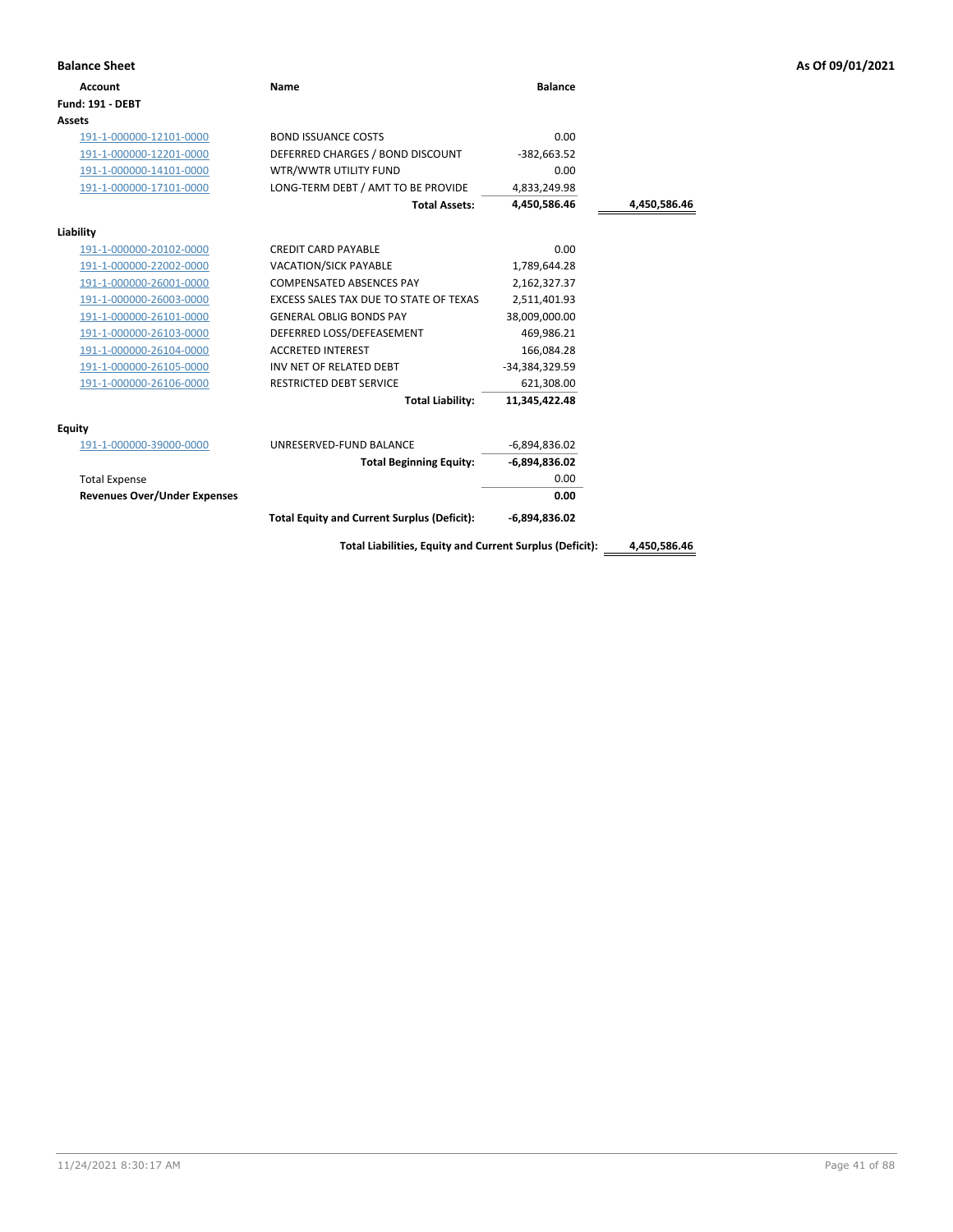| <b>Balance Sheet</b>                |                                                          |                 |              | As Of 09/01/2021 |
|-------------------------------------|----------------------------------------------------------|-----------------|--------------|------------------|
| <b>Account</b>                      | <b>Name</b>                                              | <b>Balance</b>  |              |                  |
| <b>Fund: 191 - DEBT</b>             |                                                          |                 |              |                  |
| Assets                              |                                                          |                 |              |                  |
| 191-1-000000-12101-0000             | <b>BOND ISSUANCE COSTS</b>                               | 0.00            |              |                  |
| 191-1-000000-12201-0000             | DEFERRED CHARGES / BOND DISCOUNT                         | $-382,663.52$   |              |                  |
| 191-1-000000-14101-0000             | WTR/WWTR UTILITY FUND                                    | 0.00            |              |                  |
| 191-1-000000-17101-0000             | LONG-TERM DEBT / AMT TO BE PROVIDE                       | 4,833,249.98    |              |                  |
|                                     | <b>Total Assets:</b>                                     | 4,450,586.46    | 4,450,586.46 |                  |
| Liability                           |                                                          |                 |              |                  |
| 191-1-000000-20102-0000             | <b>CREDIT CARD PAYABLE</b>                               | 0.00            |              |                  |
| 191-1-000000-22002-0000             | VACATION/SICK PAYABLE                                    | 1,789,644.28    |              |                  |
| 191-1-000000-26001-0000             | COMPENSATED ABSENCES PAY                                 | 2,162,327.37    |              |                  |
| 191-1-000000-26003-0000             | EXCESS SALES TAX DUE TO STATE OF TEXAS                   | 2,511,401.93    |              |                  |
| 191-1-000000-26101-0000             | <b>GENERAL OBLIG BONDS PAY</b>                           | 38,009,000.00   |              |                  |
| 191-1-000000-26103-0000             | DEFERRED LOSS/DEFEASEMENT                                | 469,986.21      |              |                  |
| 191-1-000000-26104-0000             | <b>ACCRETED INTEREST</b>                                 | 166,084.28      |              |                  |
| 191-1-000000-26105-0000             | INV NET OF RELATED DEBT                                  | -34,384,329.59  |              |                  |
| 191-1-000000-26106-0000             | <b>RESTRICTED DEBT SERVICE</b>                           | 621,308.00      |              |                  |
|                                     | <b>Total Liability:</b>                                  | 11,345,422.48   |              |                  |
| <b>Equity</b>                       |                                                          |                 |              |                  |
| 191-1-000000-39000-0000             | UNRESERVED-FUND BALANCE                                  | $-6,894,836.02$ |              |                  |
|                                     | <b>Total Beginning Equity:</b>                           | $-6,894,836.02$ |              |                  |
| <b>Total Expense</b>                |                                                          | 0.00            |              |                  |
| <b>Revenues Over/Under Expenses</b> |                                                          | 0.00            |              |                  |
|                                     | <b>Total Equity and Current Surplus (Deficit):</b>       | $-6,894,836.02$ |              |                  |
|                                     | Total Liabilities, Equity and Current Surplus (Deficit): |                 | 4,450,586.46 |                  |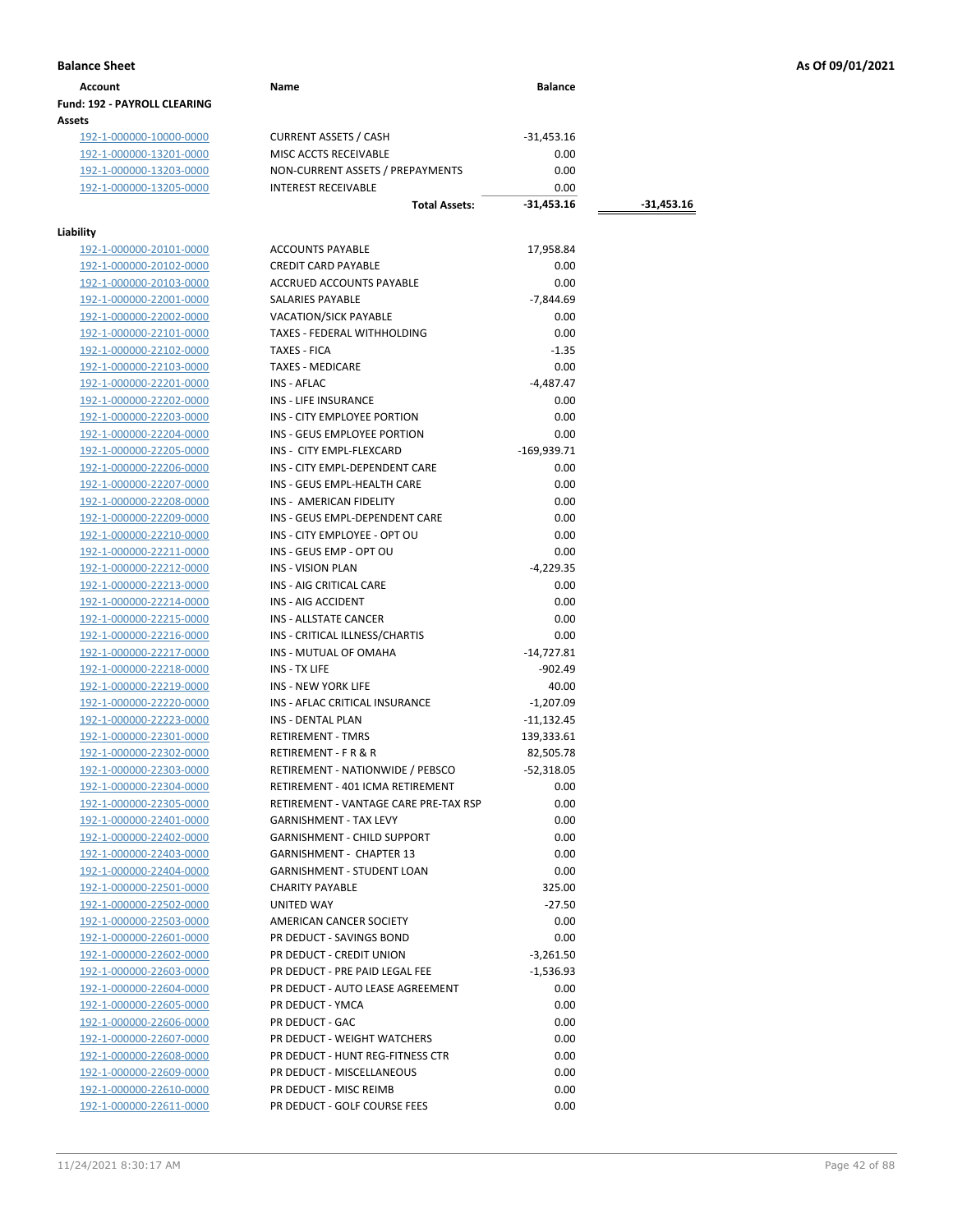| Account                             | Name | <b>Balance</b> |
|-------------------------------------|------|----------------|
| <b>Fund: 192 - PAYROLL CLEARING</b> |      |                |
| Assets                              |      |                |

192-1-000000-10000-0000 CURRENT ASSETS / CASH -31,453.16<br>192-1-000000-13201-0000 MISC ACCTS RECEIVABLE 0.00 192-1-000000-13201-0000 192-1-000000-13203-0000 NON-CURRENT ASSETS / PREPAYMENTS 0.00<br>192-1-000000-13205-0000 INTEREST RECEIVABLE 0.00 192-1-000000-13205-0000 INTEREST RECEIVABLE 0.00

## **Liability**

| lity                    |                                                      |               |
|-------------------------|------------------------------------------------------|---------------|
| 192-1-000000-20101-0000 | <b>ACCOUNTS PAYABLE</b>                              | 17,958.84     |
| 192-1-000000-20102-0000 | <b>CREDIT CARD PAYABLE</b>                           | 0.00          |
| 192-1-000000-20103-0000 | <b>ACCRUED ACCOUNTS PAYABLE</b>                      | 0.00          |
| 192-1-000000-22001-0000 | <b>SALARIES PAYABLE</b>                              | $-7,844.69$   |
| 192-1-000000-22002-0000 | <b>VACATION/SICK PAYABLE</b>                         | 0.00          |
| 192-1-000000-22101-0000 | TAXES - FEDERAL WITHHOLDING                          | 0.00          |
| 192-1-000000-22102-0000 | <b>TAXES - FICA</b>                                  | $-1.35$       |
| 192-1-000000-22103-0000 | <b>TAXES - MEDICARE</b>                              | 0.00          |
| 192-1-000000-22201-0000 | INS - AFLAC                                          | $-4.487.47$   |
| 192-1-000000-22202-0000 | <b>INS - LIFE INSURANCE</b>                          | 0.00          |
| 192-1-000000-22203-0000 | INS - CITY EMPLOYEE PORTION                          | 0.00          |
| 192-1-000000-22204-0000 | INS - GEUS EMPLOYEE PORTION                          | 0.00          |
| 192-1-000000-22205-0000 | INS - CITY EMPL-FLEXCARD                             | $-169,939.71$ |
| 192-1-000000-22206-0000 | INS - CITY EMPL-DEPENDENT CARE                       | 0.00          |
| 192-1-000000-22207-0000 | INS - GEUS EMPL-HEALTH CARE                          | 0.00          |
| 192-1-000000-22208-0000 | INS - AMERICAN FIDELITY                              | 0.00          |
| 192-1-000000-22209-0000 | INS - GEUS EMPL-DEPENDENT CARE                       | 0.00          |
| 192-1-000000-22210-0000 | INS - CITY EMPLOYEE - OPT OU                         | 0.00          |
| 192-1-000000-22211-0000 | INS - GEUS EMP - OPT OU                              | 0.00          |
| 192-1-000000-22212-0000 | <b>INS - VISION PLAN</b>                             | $-4,229.35$   |
| 192-1-000000-22213-0000 | INS - AIG CRITICAL CARE                              | 0.00          |
| 192-1-000000-22214-0000 | INS - AIG ACCIDENT                                   | 0.00          |
| 192-1-000000-22215-0000 | INS - ALLSTATE CANCER                                | 0.00          |
| 192-1-000000-22216-0000 | INS - CRITICAL ILLNESS/CHARTIS                       | 0.00          |
| 192-1-000000-22217-0000 | INS - MUTUAL OF OMAHA                                | $-14,727.81$  |
| 192-1-000000-22218-0000 | INS - TX LIFE                                        | $-902.49$     |
| 192-1-000000-22219-0000 | <b>INS - NEW YORK LIFE</b>                           | 40.00         |
| 192-1-000000-22220-0000 | INS - AFLAC CRITICAL INSURANCE                       | $-1,207.09$   |
| 192-1-000000-22223-0000 | <b>INS - DENTAL PLAN</b>                             | $-11,132.45$  |
| 192-1-000000-22301-0000 | <b>RETIREMENT - TMRS</b>                             | 139,333.61    |
| 192-1-000000-22302-0000 | <b>RETIREMENT - F R &amp; R</b>                      | 82,505.78     |
| 192-1-000000-22303-0000 | RETIREMENT - NATIONWIDE / PEBSCO                     | $-52,318.05$  |
| 192-1-000000-22304-0000 | RETIREMENT - 401 ICMA RETIREMENT                     | 0.00          |
| 192-1-000000-22305-0000 | RETIREMENT - VANTAGE CARE PRE-TAX RSP                | 0.00          |
| 192-1-000000-22401-0000 | <b>GARNISHMENT - TAX LEVY</b>                        | 0.00          |
| 192-1-000000-22402-0000 | <b>GARNISHMENT - CHILD SUPPORT</b>                   | 0.00          |
| 192-1-000000-22403-0000 | <b>GARNISHMENT - CHAPTER 13</b>                      | 0.00          |
| 192-1-000000-22404-0000 | <b>GARNISHMENT - STUDENT LOAN</b>                    | 0.00          |
| 192-1-000000-22501-0000 | <b>CHARITY PAYABLE</b>                               | 325.00        |
| 192-1-000000-22502-0000 | <b>UNITED WAY</b>                                    | $-27.50$      |
| 192-1-000000-22503-0000 | AMERICAN CANCER SOCIETY                              | 0.00          |
|                         | PR DEDUCT - SAVINGS BOND                             | 0.00          |
| 192-1-000000-22601-0000 | PR DEDUCT - CREDIT UNION                             |               |
| 192-1-000000-22602-0000 |                                                      | $-3,261.50$   |
| 192-1-000000-22603-0000 | PR DEDUCT - PRE PAID LEGAL FEE                       | $-1,536.93$   |
| 192-1-000000-22604-0000 | PR DEDUCT - AUTO LEASE AGREEMENT<br>PR DEDUCT - YMCA | 0.00          |
| 192-1-000000-22605-0000 |                                                      | 0.00          |
| 192-1-000000-22606-0000 | PR DEDUCT - GAC                                      | 0.00          |
| 192-1-000000-22607-0000 | PR DEDUCT - WEIGHT WATCHERS                          | 0.00          |
| 192-1-000000-22608-0000 | PR DEDUCT - HUNT REG-FITNESS CTR                     | 0.00          |
| 192-1-000000-22609-0000 | PR DEDUCT - MISCELLANEOUS                            | 0.00          |
| 192-1-000000-22610-0000 | PR DEDUCT - MISC REIMB                               | 0.00          |
| 192-1-000000-22611-0000 | PR DEDUCT - GOLF COURSE FEES                         | 0.00          |

**Total Assets: -31,453.16 -31,453.16**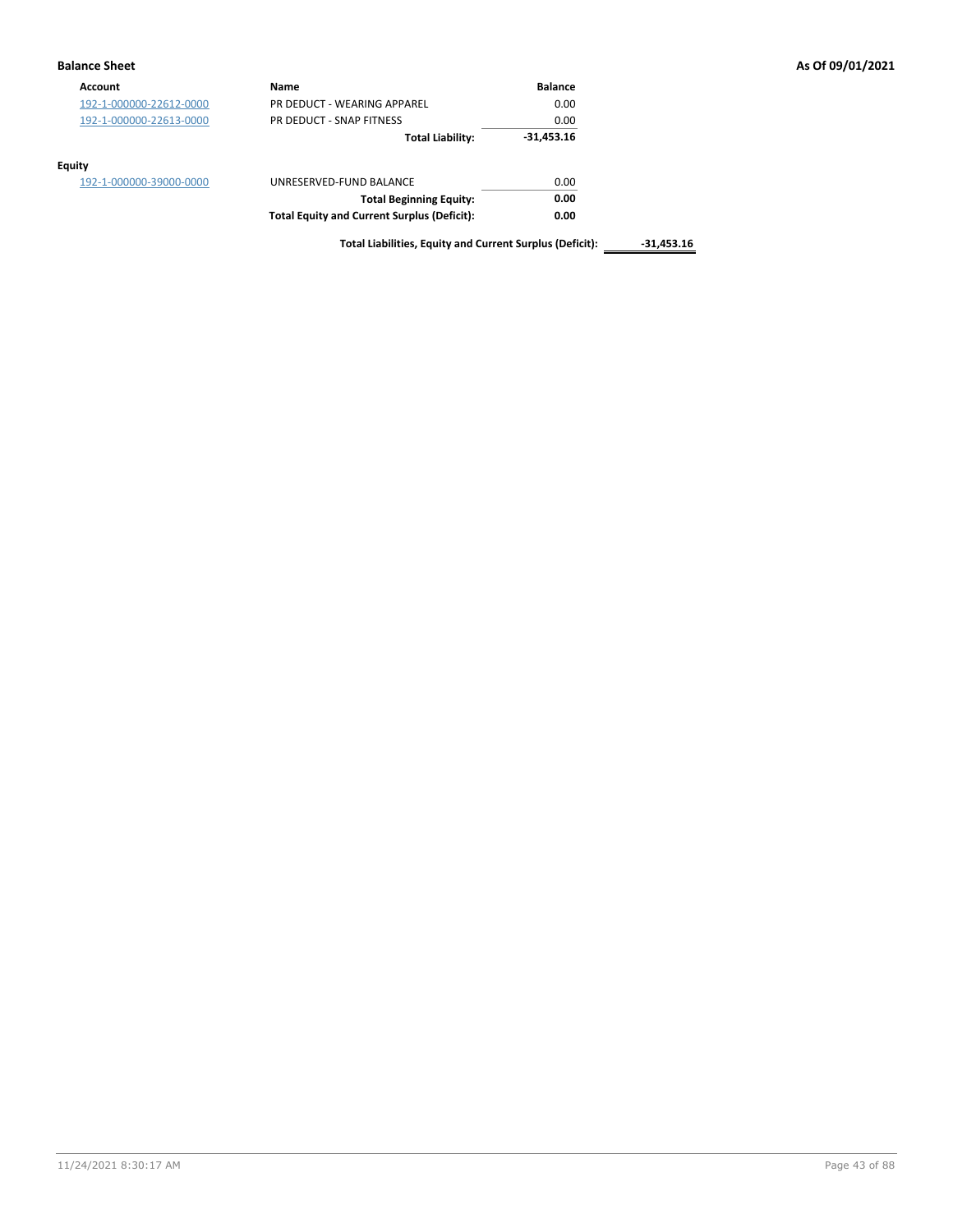### **Balance Sheet As Of 09/01/2021**

| Account                 | Name                                               | <b>Balance</b> |
|-------------------------|----------------------------------------------------|----------------|
| 192-1-000000-22612-0000 | PR DEDUCT - WEARING APPAREL                        | 0.00           |
| 192-1-000000-22613-0000 | PR DEDUCT - SNAP FITNESS                           | 0.00           |
|                         | <b>Total Liability:</b>                            | $-31,453.16$   |
| <b>Equity</b>           |                                                    |                |
| 192-1-000000-39000-0000 | UNRESERVED-FUND BALANCE                            | 0.00           |
|                         | <b>Total Beginning Equity:</b>                     | 0.00           |
|                         | <b>Total Equity and Current Surplus (Deficit):</b> | 0.00           |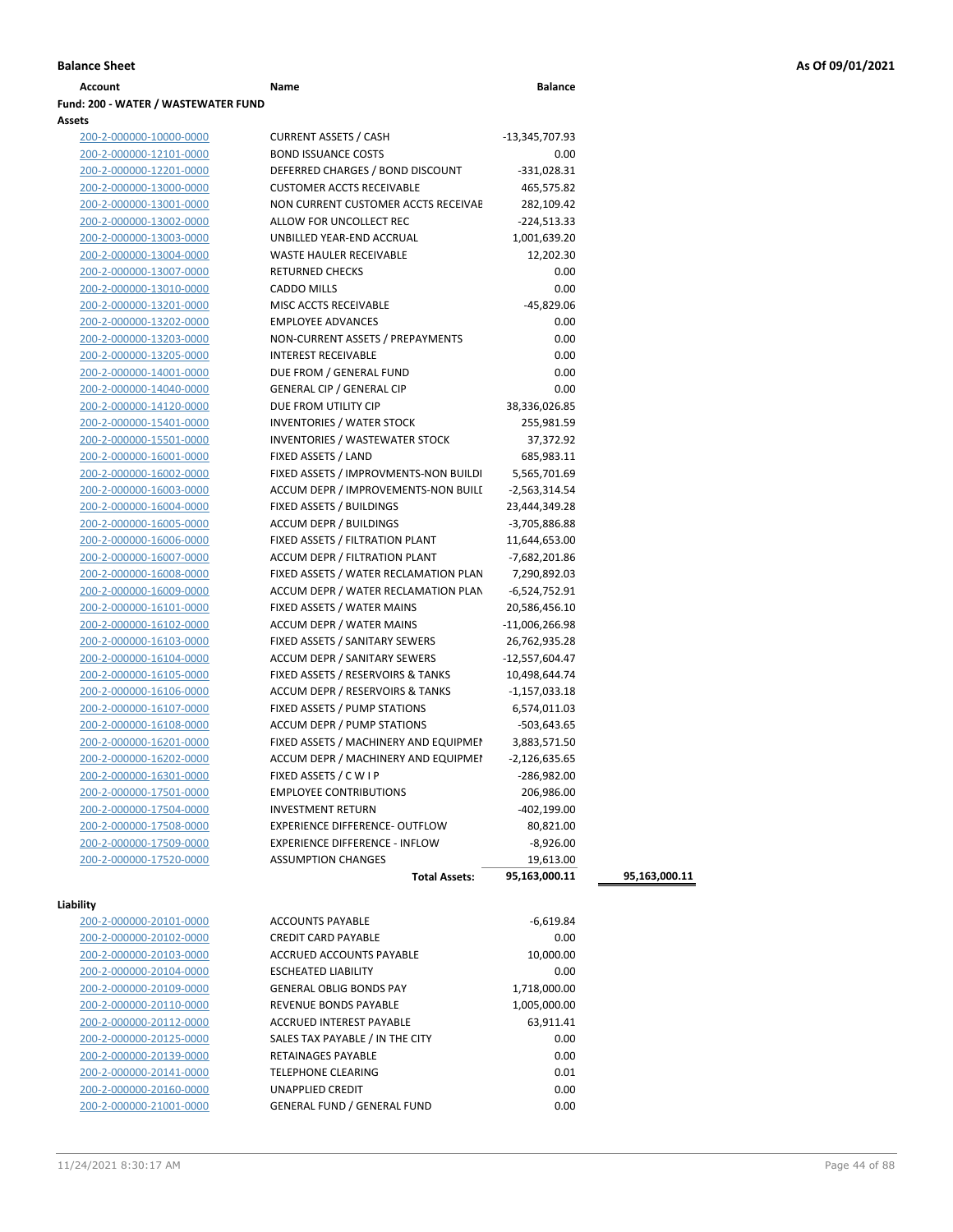| Account                             | Name | <b>Balance</b> |
|-------------------------------------|------|----------------|
| Fund: 200 - WATER / WASTEWATER FUND |      |                |
| <b>Assets</b>                       |      |                |

| 200-2-000000-10000-0000 | <b>CURRENT ASSETS / CASH</b>          | -13,345,707.93   |
|-------------------------|---------------------------------------|------------------|
| 200-2-000000-12101-0000 | <b>BOND ISSUANCE COSTS</b>            | 0.00             |
| 200-2-000000-12201-0000 | DEFERRED CHARGES / BOND DISCOUNT      | $-331,028.31$    |
| 200-2-000000-13000-0000 | <b>CUSTOMER ACCTS RECEIVABLE</b>      | 465,575.82       |
| 200-2-000000-13001-0000 | NON CURRENT CUSTOMER ACCTS RECEIVAE   | 282,109.42       |
| 200-2-000000-13002-0000 | ALLOW FOR UNCOLLECT REC               | $-224,513.33$    |
| 200-2-000000-13003-0000 | UNBILLED YEAR-END ACCRUAL             | 1,001,639.20     |
| 200-2-000000-13004-0000 | <b>WASTE HAULER RECEIVABLE</b>        | 12,202.30        |
| 200-2-000000-13007-0000 | <b>RETURNED CHECKS</b>                | 0.00             |
| 200-2-000000-13010-0000 | <b>CADDO MILLS</b>                    | 0.00             |
| 200-2-000000-13201-0000 | MISC ACCTS RECEIVABLE                 | -45,829.06       |
| 200-2-000000-13202-0000 | <b>EMPLOYEE ADVANCES</b>              | 0.00             |
| 200-2-000000-13203-0000 | NON-CURRENT ASSETS / PREPAYMENTS      | 0.00             |
| 200-2-000000-13205-0000 | <b>INTEREST RECEIVABLE</b>            | 0.00             |
| 200-2-000000-14001-0000 | DUE FROM / GENERAL FUND               | 0.00             |
| 200-2-000000-14040-0000 | <b>GENERAL CIP / GENERAL CIP</b>      | 0.00             |
| 200-2-000000-14120-0000 | DUE FROM UTILITY CIP                  | 38,336,026.85    |
| 200-2-000000-15401-0000 | <b>INVENTORIES / WATER STOCK</b>      | 255,981.59       |
| 200-2-000000-15501-0000 | <b>INVENTORIES / WASTEWATER STOCK</b> | 37,372.92        |
| 200-2-000000-16001-0000 | FIXED ASSETS / LAND                   | 685,983.11       |
| 200-2-000000-16002-0000 | FIXED ASSETS / IMPROVMENTS-NON BUILDI | 5,565,701.69     |
| 200-2-000000-16003-0000 | ACCUM DEPR / IMPROVEMENTS-NON BUILI   | $-2,563,314.54$  |
| 200-2-000000-16004-0000 | FIXED ASSETS / BUILDINGS              | 23,444,349.28    |
| 200-2-000000-16005-0000 | <b>ACCUM DEPR / BUILDINGS</b>         | $-3,705,886.88$  |
| 200-2-000000-16006-0000 | FIXED ASSETS / FILTRATION PLANT       | 11,644,653.00    |
| 200-2-000000-16007-0000 | ACCUM DEPR / FILTRATION PLANT         | -7,682,201.86    |
| 200-2-000000-16008-0000 | FIXED ASSETS / WATER RECLAMATION PLAN | 7,290,892.03     |
| 200-2-000000-16009-0000 | ACCUM DEPR / WATER RECLAMATION PLAN   | $-6,524,752.91$  |
| 200-2-000000-16101-0000 | FIXED ASSETS / WATER MAINS            | 20,586,456.10    |
| 200-2-000000-16102-0000 | <b>ACCUM DEPR / WATER MAINS</b>       | $-11,006,266.98$ |
| 200-2-000000-16103-0000 | FIXED ASSETS / SANITARY SEWERS        | 26,762,935.28    |
| 200-2-000000-16104-0000 | <b>ACCUM DEPR / SANITARY SEWERS</b>   | $-12,557,604.47$ |
| 200-2-000000-16105-0000 | FIXED ASSETS / RESERVOIRS & TANKS     | 10,498,644.74    |
| 200-2-000000-16106-0000 | ACCUM DEPR / RESERVOIRS & TANKS       | $-1,157,033.18$  |
| 200-2-000000-16107-0000 | FIXED ASSETS / PUMP STATIONS          | 6,574,011.03     |
| 200-2-000000-16108-0000 | <b>ACCUM DEPR / PUMP STATIONS</b>     | -503,643.65      |
| 200-2-000000-16201-0000 | FIXED ASSETS / MACHINERY AND EQUIPMEN | 3,883,571.50     |
| 200-2-000000-16202-0000 | ACCUM DEPR / MACHINERY AND EQUIPMEI   | $-2,126,635.65$  |
| 200-2-000000-16301-0000 | FIXED ASSETS / C W I P                | $-286,982.00$    |
| 200-2-000000-17501-0000 | <b>EMPLOYEE CONTRIBUTIONS</b>         | 206,986.00       |
| 200-2-000000-17504-0000 | <b>INVESTMENT RETURN</b>              | -402,199.00      |
| 200-2-000000-17508-0000 | <b>EXPERIENCE DIFFERENCE- OUTFLOW</b> | 80,821.00        |
| 200-2-000000-17509-0000 | <b>EXPERIENCE DIFFERENCE - INFLOW</b> | $-8,926.00$      |
| 200-2-000000-17520-0000 | <b>ASSUMPTION CHANGES</b>             | 19,613.00        |
|                         | Total Accotc:                         | 95 163 000 11    |

| Liability |  |  |
|-----------|--|--|
|-----------|--|--|

| ZUU-Z-UUUUUU-ZUIUI-UUUU |
|-------------------------|
| 200-2-000000-20102-0000 |
| 200-2-000000-20103-0000 |
| 200-2-000000-20104-0000 |
| 200-2-000000-20109-0000 |
| 200-2-000000-20110-0000 |
| 200-2-000000-20112-0000 |
| 200-2-000000-20125-0000 |
| 200-2-000000-20139-0000 |
| 200-2-000000-20141-0000 |
| 200-2-000000-20160-0000 |
| 200-2-000000-21001-0000 |

| ZUU-Z-UUUUUU-I / JZU-UUUU | ASSUIVIPTIUIN UNRINGES             | 19,013.00     |               |
|---------------------------|------------------------------------|---------------|---------------|
|                           | <b>Total Assets:</b>               | 95,163,000.11 | 95,163,000.11 |
| lity                      |                                    |               |               |
| 200-2-000000-20101-0000   | <b>ACCOUNTS PAYABLE</b>            | $-6,619.84$   |               |
| 200-2-000000-20102-0000   | <b>CREDIT CARD PAYABLE</b>         | 0.00          |               |
| 200-2-000000-20103-0000   | <b>ACCRUED ACCOUNTS PAYABLE</b>    | 10,000.00     |               |
| 200-2-000000-20104-0000   | <b>ESCHEATED LIABILITY</b>         | 0.00          |               |
| 200-2-000000-20109-0000   | <b>GENERAL OBLIG BONDS PAY</b>     | 1,718,000.00  |               |
| 200-2-000000-20110-0000   | <b>REVENUE BONDS PAYABLE</b>       | 1,005,000.00  |               |
| 200-2-000000-20112-0000   | <b>ACCRUED INTEREST PAYABLE</b>    | 63,911.41     |               |
| 200-2-000000-20125-0000   | SALES TAX PAYABLE / IN THE CITY    | 0.00          |               |
| 200-2-000000-20139-0000   | <b>RETAINAGES PAYABLE</b>          | 0.00          |               |
| 200-2-000000-20141-0000   | TELEPHONE CLEARING                 | 0.01          |               |
| 200-2-000000-20160-0000   | <b>UNAPPLIED CREDIT</b>            | 0.00          |               |
| 200-2-000000-21001-0000   | <b>GENERAL FUND / GENERAL FUND</b> | 0.00          |               |
|                           |                                    |               |               |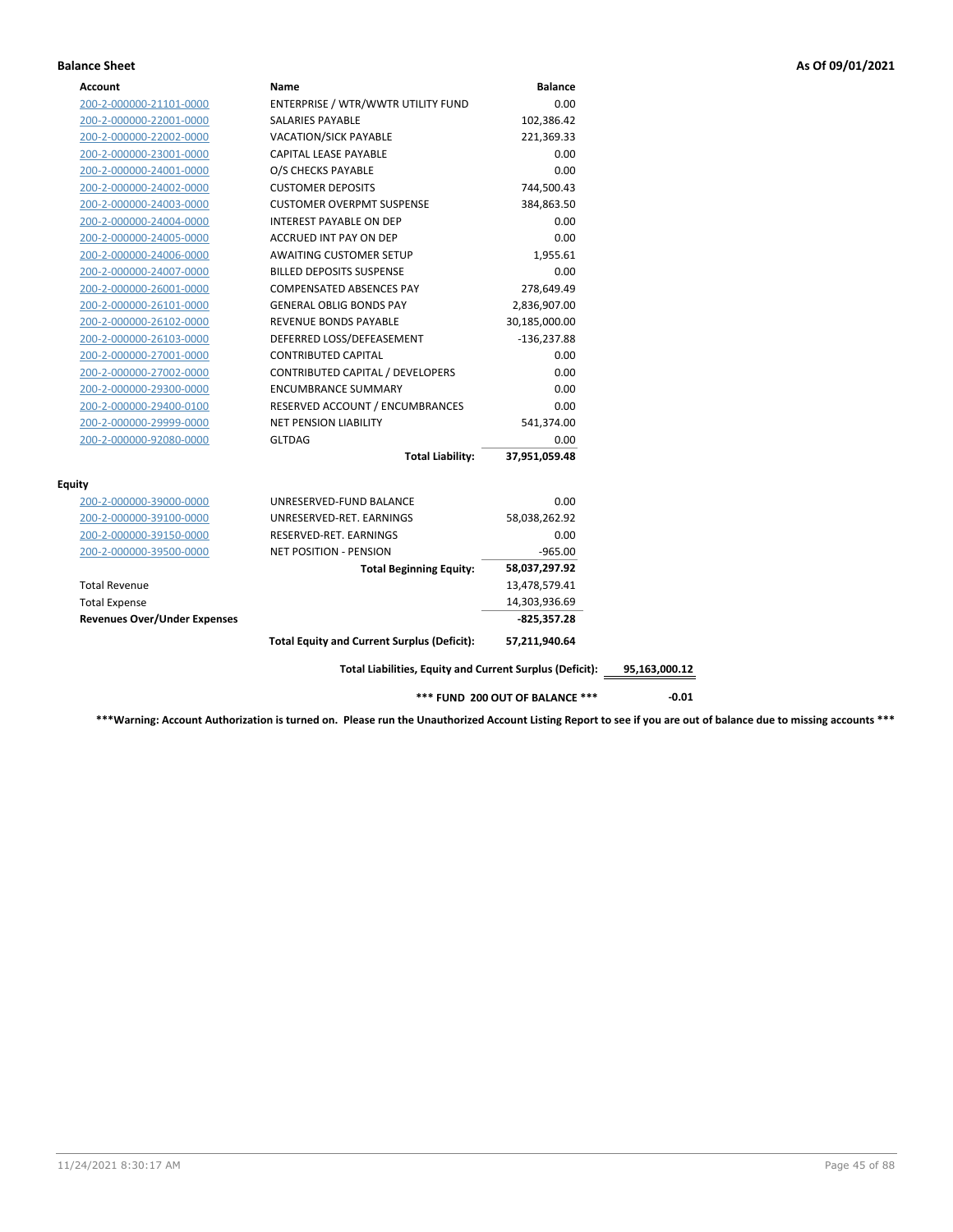### **Balance Sheet As Of 09/01/2021**

| Account                             | Name                                                     | <b>Balance</b> |               |
|-------------------------------------|----------------------------------------------------------|----------------|---------------|
| 200-2-000000-21101-0000             | ENTERPRISE / WTR/WWTR UTILITY FUND                       | 0.00           |               |
| 200-2-000000-22001-0000             | SALARIES PAYABLE                                         | 102,386.42     |               |
| 200-2-000000-22002-0000             | <b>VACATION/SICK PAYABLE</b>                             | 221,369.33     |               |
| 200-2-000000-23001-0000             | CAPITAL LEASE PAYABLE                                    | 0.00           |               |
| 200-2-000000-24001-0000             | O/S CHECKS PAYABLE                                       | 0.00           |               |
| 200-2-000000-24002-0000             | <b>CUSTOMER DEPOSITS</b>                                 | 744,500.43     |               |
| 200-2-000000-24003-0000             | <b>CUSTOMER OVERPMT SUSPENSE</b>                         | 384,863.50     |               |
| 200-2-000000-24004-0000             | <b>INTEREST PAYABLE ON DEP</b>                           | 0.00           |               |
| 200-2-000000-24005-0000             | ACCRUED INT PAY ON DEP                                   | 0.00           |               |
| 200-2-000000-24006-0000             | AWAITING CUSTOMER SETUP                                  | 1,955.61       |               |
| 200-2-000000-24007-0000             | <b>BILLED DEPOSITS SUSPENSE</b>                          | 0.00           |               |
| 200-2-000000-26001-0000             | COMPENSATED ABSENCES PAY                                 | 278,649.49     |               |
| 200-2-000000-26101-0000             | <b>GENERAL OBLIG BONDS PAY</b>                           | 2,836,907.00   |               |
| 200-2-000000-26102-0000             | REVENUE BONDS PAYABLE                                    | 30,185,000.00  |               |
| 200-2-000000-26103-0000             | DEFERRED LOSS/DEFEASEMENT                                | $-136,237.88$  |               |
| 200-2-000000-27001-0000             | <b>CONTRIBUTED CAPITAL</b>                               | 0.00           |               |
| 200-2-000000-27002-0000             | CONTRIBUTED CAPITAL / DEVELOPERS                         | 0.00           |               |
| 200-2-000000-29300-0000             | <b>ENCUMBRANCE SUMMARY</b>                               | 0.00           |               |
| 200-2-000000-29400-0100             | RESERVED ACCOUNT / ENCUMBRANCES                          | 0.00           |               |
| 200-2-000000-29999-0000             | <b>NET PENSION LIABILITY</b>                             | 541,374.00     |               |
| 200-2-000000-92080-0000             | <b>GLTDAG</b>                                            | 0.00           |               |
|                                     | <b>Total Liability:</b>                                  | 37,951,059.48  |               |
| Equity                              |                                                          |                |               |
| 200-2-000000-39000-0000             | UNRESERVED-FUND BALANCE                                  | 0.00           |               |
| 200-2-000000-39100-0000             | UNRESERVED-RET. EARNINGS                                 | 58,038,262.92  |               |
| 200-2-000000-39150-0000             | RESERVED-RET. EARNINGS                                   | 0.00           |               |
| 200-2-000000-39500-0000             | <b>NET POSITION - PENSION</b>                            | $-965.00$      |               |
|                                     | <b>Total Beginning Equity:</b>                           | 58,037,297.92  |               |
| <b>Total Revenue</b>                |                                                          | 13,478,579.41  |               |
| <b>Total Expense</b>                |                                                          | 14,303,936.69  |               |
| <b>Revenues Over/Under Expenses</b> |                                                          | $-825,357.28$  |               |
|                                     | <b>Total Equity and Current Surplus (Deficit):</b>       | 57,211,940.64  |               |
|                                     |                                                          |                | 95,163,000.12 |
|                                     | Total Liabilities, Equity and Current Surplus (Deficit): |                |               |

**\*\*\*Warning: Account Authorization is turned on. Please run the Unauthorized Account Listing Report to see if you are out of balance due to missing accounts \*\*\***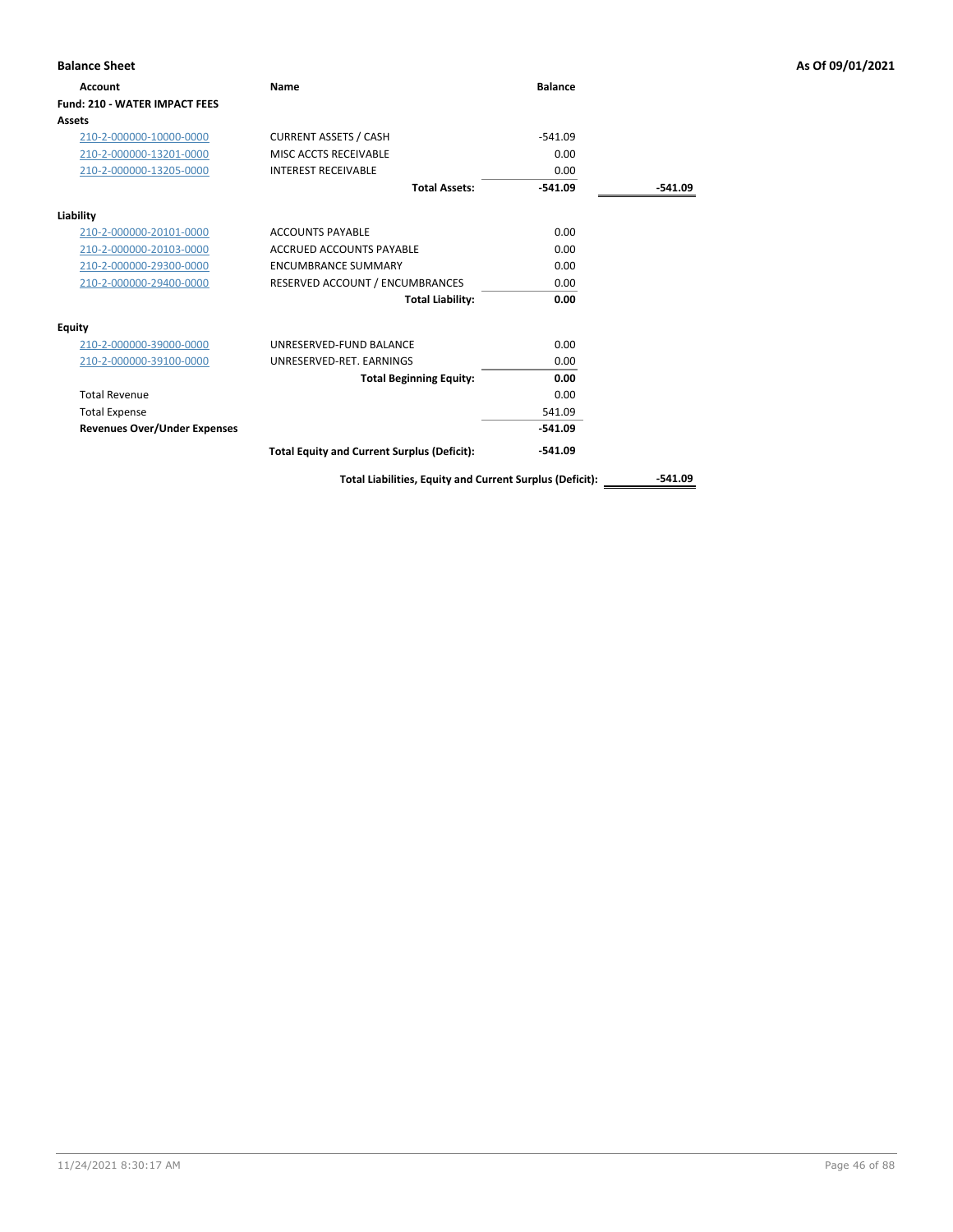| <b>Balance Sheet</b>                 |                                                    |                |           | As Of 09/01/2021 |
|--------------------------------------|----------------------------------------------------|----------------|-----------|------------------|
| <b>Account</b>                       | Name                                               | <b>Balance</b> |           |                  |
| <b>Fund: 210 - WATER IMPACT FEES</b> |                                                    |                |           |                  |
| Assets                               |                                                    |                |           |                  |
| 210-2-000000-10000-0000              | <b>CURRENT ASSETS / CASH</b>                       | $-541.09$      |           |                  |
| 210-2-000000-13201-0000              | MISC ACCTS RECEIVABLE                              | 0.00           |           |                  |
| 210-2-000000-13205-0000              | <b>INTEREST RECEIVABLE</b>                         | 0.00           |           |                  |
|                                      | <b>Total Assets:</b>                               | $-541.09$      | $-541.09$ |                  |
| Liability                            |                                                    |                |           |                  |
| 210-2-000000-20101-0000              | <b>ACCOUNTS PAYABLE</b>                            | 0.00           |           |                  |
| 210-2-000000-20103-0000              | <b>ACCRUED ACCOUNTS PAYABLE</b>                    | 0.00           |           |                  |
| 210-2-000000-29300-0000              | <b>ENCUMBRANCE SUMMARY</b>                         | 0.00           |           |                  |
| 210-2-000000-29400-0000              | RESERVED ACCOUNT / ENCUMBRANCES                    | 0.00           |           |                  |
|                                      | <b>Total Liability:</b>                            | 0.00           |           |                  |
| <b>Equity</b>                        |                                                    |                |           |                  |
| 210-2-000000-39000-0000              | UNRESERVED-FUND BALANCE                            | 0.00           |           |                  |
| 210-2-000000-39100-0000              | UNRESERVED-RET. EARNINGS                           | 0.00           |           |                  |
|                                      | <b>Total Beginning Equity:</b>                     | 0.00           |           |                  |
| <b>Total Revenue</b>                 |                                                    | 0.00           |           |                  |
| <b>Total Expense</b>                 |                                                    | 541.09         |           |                  |
| <b>Revenues Over/Under Expenses</b>  |                                                    | $-541.09$      |           |                  |
|                                      | <b>Total Equity and Current Surplus (Deficit):</b> | $-541.09$      |           |                  |

Total Liabilities, Equity and Current Surplus (Deficit): \_\_\_\_\_\_\_\_\_\_\_-541.09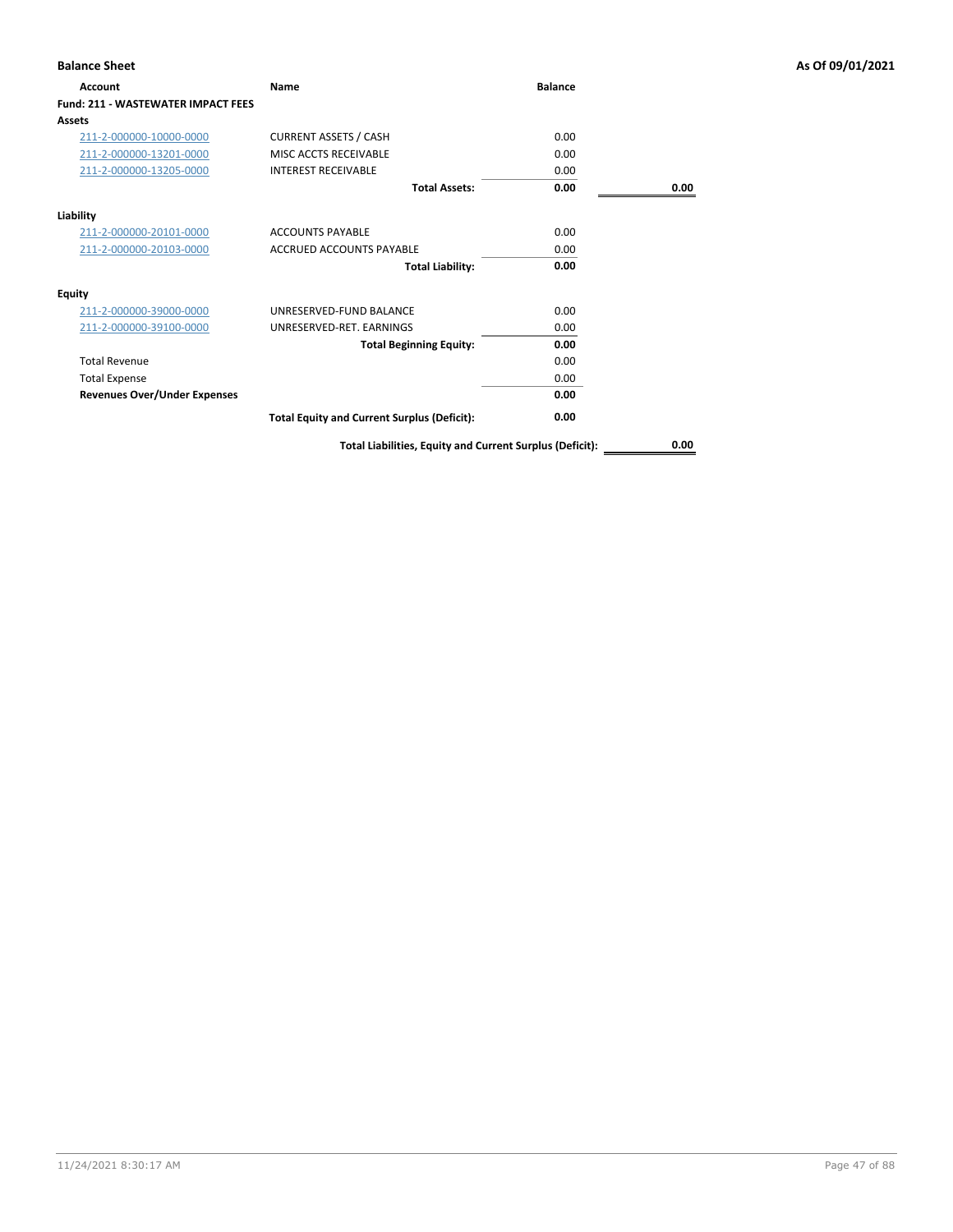| <b>Balance Sheet</b>                      |                                                          |                |      | As Of 09/01/2021 |
|-------------------------------------------|----------------------------------------------------------|----------------|------|------------------|
| Account                                   | Name                                                     | <b>Balance</b> |      |                  |
| <b>Fund: 211 - WASTEWATER IMPACT FEES</b> |                                                          |                |      |                  |
| Assets                                    |                                                          |                |      |                  |
| 211-2-000000-10000-0000                   | <b>CURRENT ASSETS / CASH</b>                             | 0.00           |      |                  |
| 211-2-000000-13201-0000                   | MISC ACCTS RECEIVABLE                                    | 0.00           |      |                  |
| 211-2-000000-13205-0000                   | <b>INTEREST RECEIVABLE</b>                               | 0.00           |      |                  |
|                                           | <b>Total Assets:</b>                                     | 0.00           | 0.00 |                  |
| Liability                                 |                                                          |                |      |                  |
| 211-2-000000-20101-0000                   | <b>ACCOUNTS PAYABLE</b>                                  | 0.00           |      |                  |
| 211-2-000000-20103-0000                   | <b>ACCRUED ACCOUNTS PAYABLE</b>                          | 0.00           |      |                  |
|                                           | <b>Total Liability:</b>                                  | 0.00           |      |                  |
| <b>Equity</b>                             |                                                          |                |      |                  |
| 211-2-000000-39000-0000                   | UNRESERVED-FUND BALANCE                                  | 0.00           |      |                  |
| 211-2-000000-39100-0000                   | UNRESERVED-RET. EARNINGS                                 | 0.00           |      |                  |
|                                           | <b>Total Beginning Equity:</b>                           | 0.00           |      |                  |
| <b>Total Revenue</b>                      |                                                          | 0.00           |      |                  |
| <b>Total Expense</b>                      |                                                          | 0.00           |      |                  |
| <b>Revenues Over/Under Expenses</b>       |                                                          | 0.00           |      |                  |
|                                           | <b>Total Equity and Current Surplus (Deficit):</b>       | 0.00           |      |                  |
|                                           | Total Liabilities, Equity and Current Surplus (Deficit): |                | 0.00 |                  |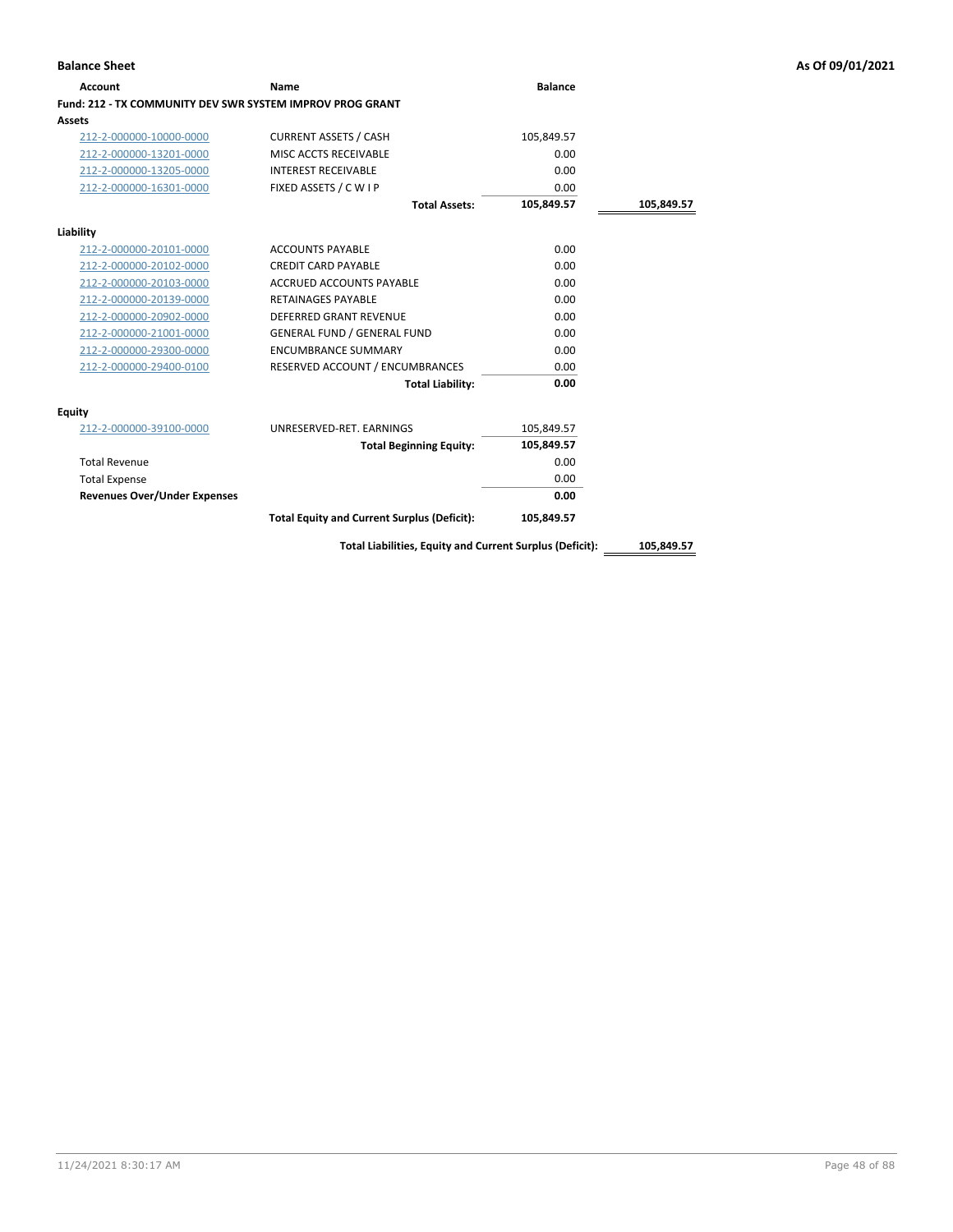| Account                                                   | Name                                                     | <b>Balance</b> |            |
|-----------------------------------------------------------|----------------------------------------------------------|----------------|------------|
| Fund: 212 - TX COMMUNITY DEV SWR SYSTEM IMPROV PROG GRANT |                                                          |                |            |
| Assets                                                    |                                                          |                |            |
| 212-2-000000-10000-0000                                   | <b>CURRENT ASSETS / CASH</b>                             | 105,849.57     |            |
| 212-2-000000-13201-0000                                   | MISC ACCTS RECEIVABLE                                    | 0.00           |            |
| 212-2-000000-13205-0000                                   | <b>INTEREST RECEIVABLE</b>                               | 0.00           |            |
| 212-2-000000-16301-0000                                   | FIXED ASSETS / C W I P                                   | 0.00           |            |
|                                                           | <b>Total Assets:</b>                                     | 105,849.57     | 105,849.57 |
| Liability                                                 |                                                          |                |            |
| 212-2-000000-20101-0000                                   | <b>ACCOUNTS PAYABLE</b>                                  | 0.00           |            |
| 212-2-000000-20102-0000                                   | <b>CREDIT CARD PAYABLE</b>                               | 0.00           |            |
| 212-2-000000-20103-0000                                   | <b>ACCRUED ACCOUNTS PAYABLE</b>                          | 0.00           |            |
| 212-2-000000-20139-0000                                   | <b>RETAINAGES PAYABLE</b>                                | 0.00           |            |
| 212-2-000000-20902-0000                                   | <b>DEFERRED GRANT REVENUE</b>                            | 0.00           |            |
| 212-2-000000-21001-0000                                   | <b>GENERAL FUND / GENERAL FUND</b>                       | 0.00           |            |
| 212-2-000000-29300-0000                                   | <b>ENCUMBRANCE SUMMARY</b>                               | 0.00           |            |
| 212-2-000000-29400-0100                                   | RESERVED ACCOUNT / ENCUMBRANCES                          | 0.00           |            |
|                                                           | <b>Total Liability:</b>                                  | 0.00           |            |
| Equity                                                    |                                                          |                |            |
| 212-2-000000-39100-0000                                   | UNRESERVED-RET. EARNINGS                                 | 105,849.57     |            |
|                                                           | <b>Total Beginning Equity:</b>                           | 105,849.57     |            |
| <b>Total Revenue</b>                                      |                                                          | 0.00           |            |
| <b>Total Expense</b>                                      |                                                          | 0.00           |            |
| <b>Revenues Over/Under Expenses</b>                       |                                                          | 0.00           |            |
|                                                           | <b>Total Equity and Current Surplus (Deficit):</b>       | 105,849.57     |            |
|                                                           | Total Liabilities, Equity and Current Surplus (Deficit): |                | 105,849.57 |

**Balance Sheet As Of 09/01/2021**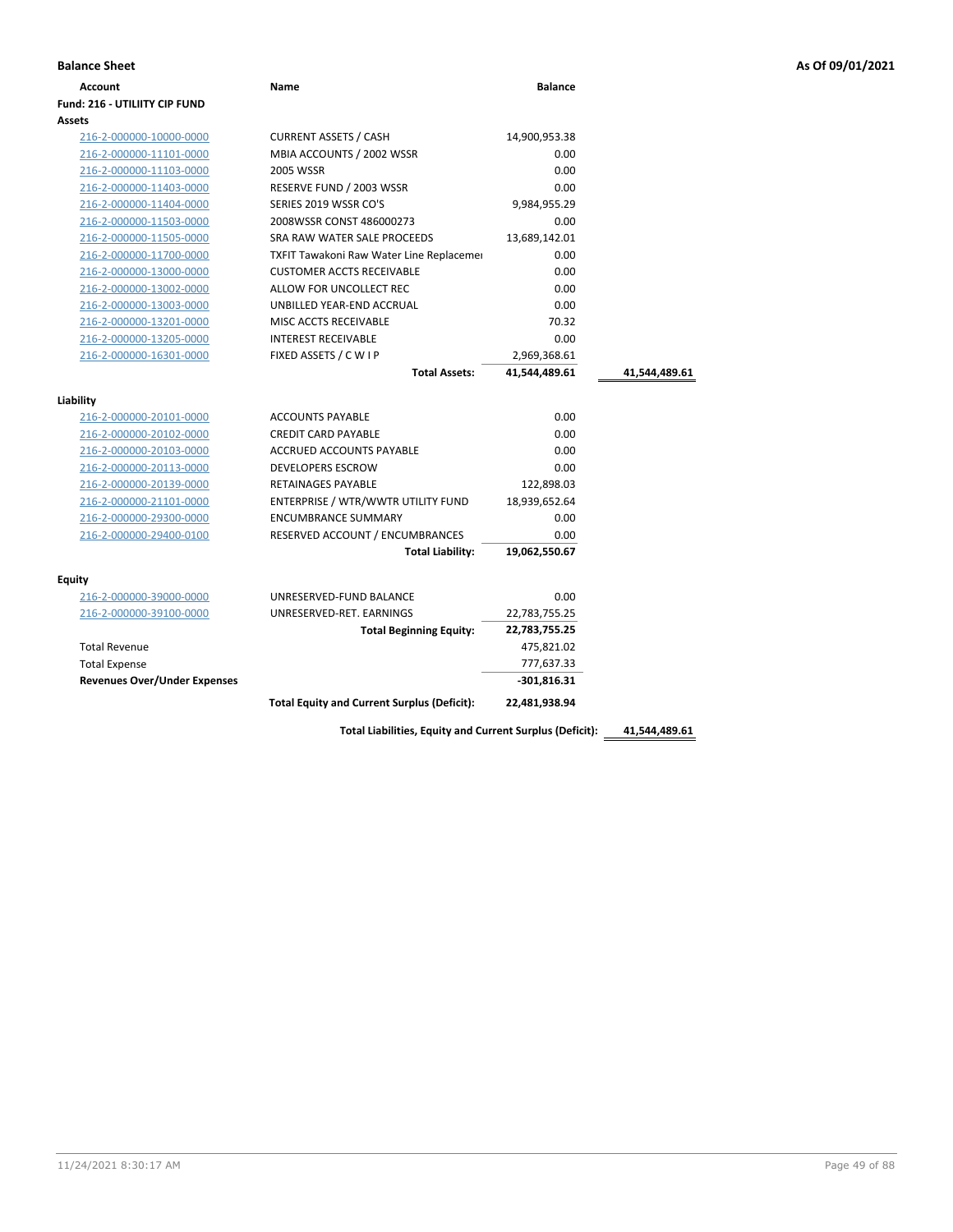| <b>Balance Sheet</b>          |      |                |  |  |
|-------------------------------|------|----------------|--|--|
| Account                       | Name | <b>Balance</b> |  |  |
| Fund: 216 - UTILIITY CIP FUND |      |                |  |  |

| <b>Account</b>                       | Name                                               | <b>Balance</b> |               |
|--------------------------------------|----------------------------------------------------|----------------|---------------|
| <b>Fund: 216 - UTILIITY CIP FUND</b> |                                                    |                |               |
| Assets                               |                                                    |                |               |
| 216-2-000000-10000-0000              | <b>CURRENT ASSETS / CASH</b>                       | 14,900,953.38  |               |
| 216-2-000000-11101-0000              | MBIA ACCOUNTS / 2002 WSSR                          | 0.00           |               |
| 216-2-000000-11103-0000              | 2005 WSSR                                          | 0.00           |               |
| 216-2-000000-11403-0000              | RESERVE FUND / 2003 WSSR                           | 0.00           |               |
| 216-2-000000-11404-0000              | SERIES 2019 WSSR CO'S                              | 9,984,955.29   |               |
| 216-2-000000-11503-0000              | 2008WSSR CONST 486000273                           | 0.00           |               |
| 216-2-000000-11505-0000              | SRA RAW WATER SALE PROCEEDS                        | 13,689,142.01  |               |
| 216-2-000000-11700-0000              | TXFIT Tawakoni Raw Water Line Replacemer           | 0.00           |               |
| 216-2-000000-13000-0000              | <b>CUSTOMER ACCTS RECEIVABLE</b>                   | 0.00           |               |
| 216-2-000000-13002-0000              | ALLOW FOR UNCOLLECT REC                            | 0.00           |               |
| 216-2-000000-13003-0000              | UNBILLED YEAR-END ACCRUAL                          | 0.00           |               |
| 216-2-000000-13201-0000              | MISC ACCTS RECEIVABLE                              | 70.32          |               |
| 216-2-000000-13205-0000              | <b>INTEREST RECEIVABLE</b>                         | 0.00           |               |
| 216-2-000000-16301-0000              | FIXED ASSETS / C W I P                             | 2,969,368.61   |               |
|                                      | <b>Total Assets:</b>                               | 41,544,489.61  | 41,544,489.61 |
| Liability                            |                                                    |                |               |
| 216-2-000000-20101-0000              | <b>ACCOUNTS PAYABLE</b>                            | 0.00           |               |
| 216-2-000000-20102-0000              | <b>CREDIT CARD PAYABLE</b>                         | 0.00           |               |
| 216-2-000000-20103-0000              | ACCRUED ACCOUNTS PAYABLE                           | 0.00           |               |
| 216-2-000000-20113-0000              | <b>DEVELOPERS ESCROW</b>                           | 0.00           |               |
| 216-2-000000-20139-0000              | RETAINAGES PAYABLE                                 | 122,898.03     |               |
| 216-2-000000-21101-0000              | ENTERPRISE / WTR/WWTR UTILITY FUND                 | 18,939,652.64  |               |
| 216-2-000000-29300-0000              | <b>ENCUMBRANCE SUMMARY</b>                         | 0.00           |               |
| 216-2-000000-29400-0100              | RESERVED ACCOUNT / ENCUMBRANCES                    | 0.00           |               |
|                                      | <b>Total Liability:</b>                            | 19,062,550.67  |               |
|                                      |                                                    |                |               |
| Equity                               |                                                    |                |               |
| 216-2-000000-39000-0000              | UNRESERVED-FUND BALANCE                            | 0.00           |               |
| 216-2-000000-39100-0000              | UNRESERVED-RET. EARNINGS                           | 22,783,755.25  |               |
|                                      | <b>Total Beginning Equity:</b>                     | 22,783,755.25  |               |
| <b>Total Revenue</b>                 |                                                    | 475,821.02     |               |
| <b>Total Expense</b>                 |                                                    | 777,637.33     |               |
| <b>Revenues Over/Under Expenses</b>  |                                                    | $-301,816.31$  |               |
|                                      | <b>Total Equity and Current Surplus (Deficit):</b> | 22,481,938.94  |               |
|                                      |                                                    |                |               |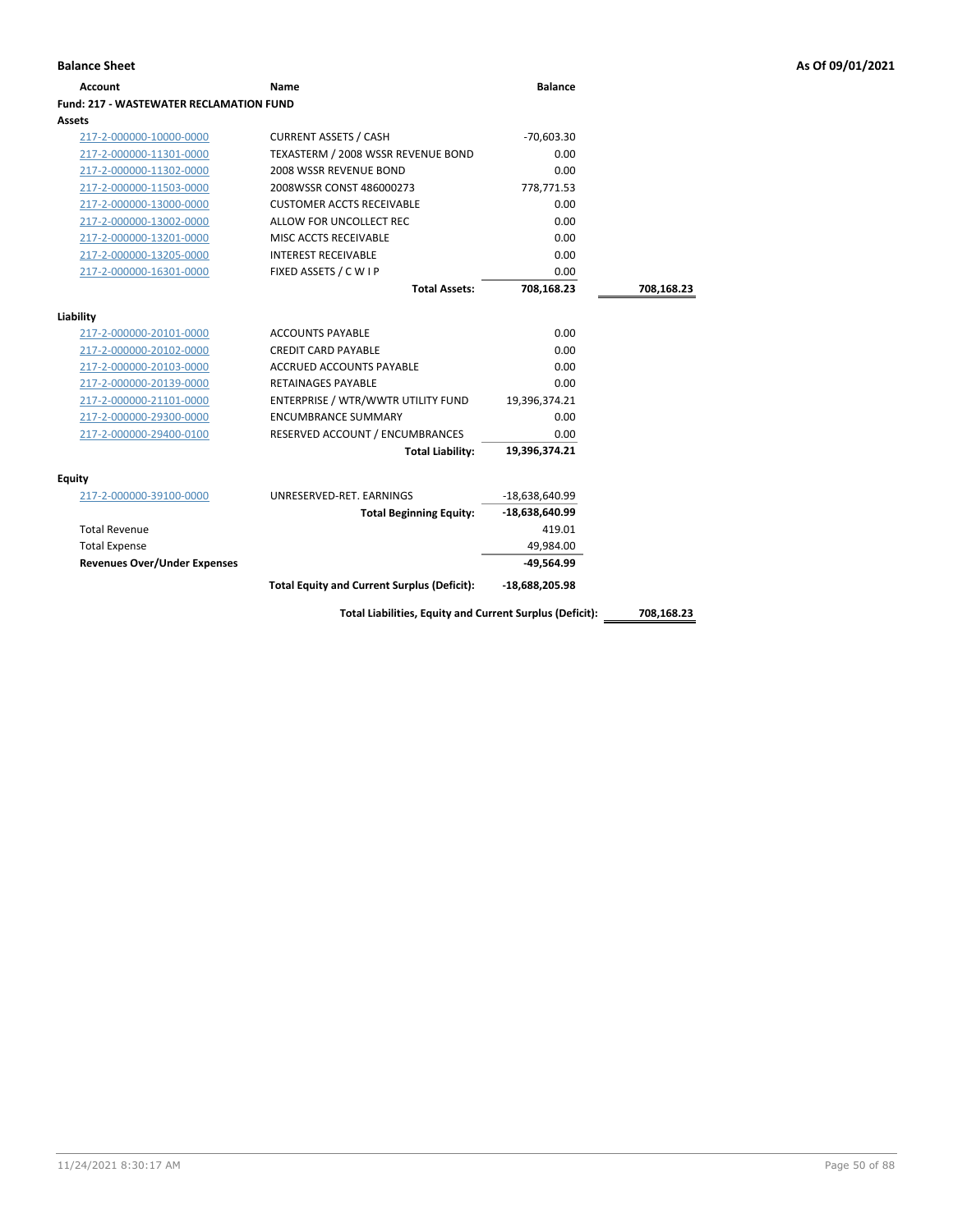| Account                                 | Name                                                     | <b>Balance</b>   |            |
|-----------------------------------------|----------------------------------------------------------|------------------|------------|
| Fund: 217 - WASTEWATER RECLAMATION FUND |                                                          |                  |            |
| Assets                                  |                                                          |                  |            |
| 217-2-000000-10000-0000                 | <b>CURRENT ASSETS / CASH</b>                             | $-70,603.30$     |            |
| 217-2-000000-11301-0000                 | TEXASTERM / 2008 WSSR REVENUE BOND                       | 0.00             |            |
| 217-2-000000-11302-0000                 | 2008 WSSR REVENUE BOND                                   | 0.00             |            |
| 217-2-000000-11503-0000                 | 2008WSSR CONST 486000273                                 | 778,771.53       |            |
| 217-2-000000-13000-0000                 | <b>CUSTOMER ACCTS RECEIVABLE</b>                         | 0.00             |            |
| 217-2-000000-13002-0000                 | ALLOW FOR UNCOLLECT REC                                  | 0.00             |            |
| 217-2-000000-13201-0000                 | MISC ACCTS RECEIVABLE                                    | 0.00             |            |
| 217-2-000000-13205-0000                 | <b>INTEREST RECEIVABLE</b>                               | 0.00             |            |
| 217-2-000000-16301-0000                 | FIXED ASSETS / C W I P                                   | 0.00             |            |
|                                         | <b>Total Assets:</b>                                     | 708,168.23       | 708,168.23 |
| Liability                               |                                                          |                  |            |
| 217-2-000000-20101-0000                 | <b>ACCOUNTS PAYABLE</b>                                  | 0.00             |            |
| 217-2-000000-20102-0000                 | <b>CREDIT CARD PAYABLE</b>                               | 0.00             |            |
| 217-2-000000-20103-0000                 | ACCRUED ACCOUNTS PAYABLE                                 | 0.00             |            |
| 217-2-000000-20139-0000                 | <b>RETAINAGES PAYABLE</b>                                | 0.00             |            |
| 217-2-000000-21101-0000                 | ENTERPRISE / WTR/WWTR UTILITY FUND                       | 19,396,374.21    |            |
| 217-2-000000-29300-0000                 | <b>ENCUMBRANCE SUMMARY</b>                               | 0.00             |            |
| 217-2-000000-29400-0100                 | RESERVED ACCOUNT / ENCUMBRANCES                          | 0.00             |            |
|                                         | <b>Total Liability:</b>                                  | 19,396,374.21    |            |
| Equity                                  |                                                          |                  |            |
| 217-2-000000-39100-0000                 | UNRESERVED-RET. EARNINGS                                 | -18,638,640.99   |            |
|                                         | <b>Total Beginning Equity:</b>                           | $-18,638,640.99$ |            |
| <b>Total Revenue</b>                    |                                                          | 419.01           |            |
| <b>Total Expense</b>                    |                                                          | 49,984.00        |            |
| <b>Revenues Over/Under Expenses</b>     |                                                          | $-49,564.99$     |            |
|                                         | <b>Total Equity and Current Surplus (Deficit):</b>       | $-18,688,205.98$ |            |
|                                         | Total Liabilities, Equity and Current Surplus (Deficit): |                  | 708,168.23 |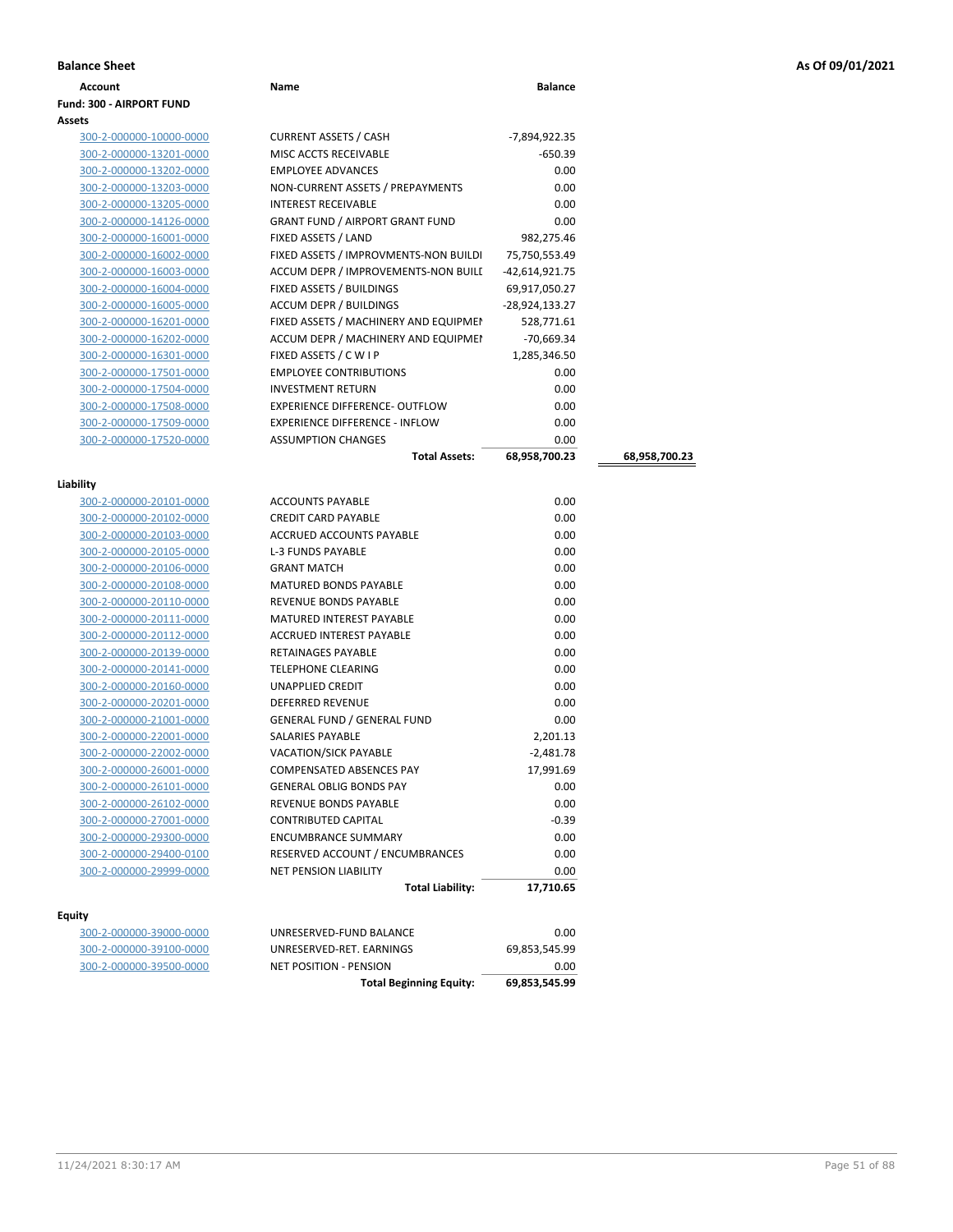| As Of 09/01/2021 |  |  |
|------------------|--|--|
|------------------|--|--|

| <b>Balance Sheet</b>     |                                        |                |               | As Of 09/01/2021 |
|--------------------------|----------------------------------------|----------------|---------------|------------------|
| Account                  | Name                                   | <b>Balance</b> |               |                  |
| Fund: 300 - AIRPORT FUND |                                        |                |               |                  |
| Assets                   |                                        |                |               |                  |
| 300-2-000000-10000-0000  | <b>CURRENT ASSETS / CASH</b>           | -7,894,922.35  |               |                  |
| 300-2-000000-13201-0000  | MISC ACCTS RECEIVABLE                  | $-650.39$      |               |                  |
| 300-2-000000-13202-0000  | <b>EMPLOYEE ADVANCES</b>               | 0.00           |               |                  |
| 300-2-000000-13203-0000  | NON-CURRENT ASSETS / PREPAYMENTS       | 0.00           |               |                  |
| 300-2-000000-13205-0000  | <b>INTEREST RECEIVABLE</b>             | 0.00           |               |                  |
| 300-2-000000-14126-0000  | <b>GRANT FUND / AIRPORT GRANT FUND</b> | 0.00           |               |                  |
| 300-2-000000-16001-0000  | FIXED ASSETS / LAND                    | 982,275.46     |               |                  |
| 300-2-000000-16002-0000  | FIXED ASSETS / IMPROVMENTS-NON BUILDI  | 75,750,553.49  |               |                  |
| 300-2-000000-16003-0000  | ACCUM DEPR / IMPROVEMENTS-NON BUILI    | -42,614,921.75 |               |                  |
| 300-2-000000-16004-0000  | FIXED ASSETS / BUILDINGS               | 69,917,050.27  |               |                  |
| 300-2-000000-16005-0000  | ACCUM DEPR / BUILDINGS                 | -28,924,133.27 |               |                  |
| 300-2-000000-16201-0000  | FIXED ASSETS / MACHINERY AND EQUIPMEN  | 528,771.61     |               |                  |
| 300-2-000000-16202-0000  | ACCUM DEPR / MACHINERY AND EQUIPMEI    | -70,669.34     |               |                  |
| 300-2-000000-16301-0000  | FIXED ASSETS / C W I P                 | 1,285,346.50   |               |                  |
| 300-2-000000-17501-0000  | <b>EMPLOYEE CONTRIBUTIONS</b>          | 0.00           |               |                  |
| 300-2-000000-17504-0000  | <b>INVESTMENT RETURN</b>               | 0.00           |               |                  |
| 300-2-000000-17508-0000  | EXPERIENCE DIFFERENCE- OUTFLOW         | 0.00           |               |                  |
| 300-2-000000-17509-0000  | <b>EXPERIENCE DIFFERENCE - INFLOW</b>  | 0.00           |               |                  |
| 300-2-000000-17520-0000  | <b>ASSUMPTION CHANGES</b>              | 0.00           |               |                  |
|                          | <b>Total Assets:</b>                   | 68,958,700.23  | 68,958,700.23 |                  |
| Liability                |                                        |                |               |                  |
| 300-2-000000-20101-0000  | <b>ACCOUNTS PAYABLE</b>                | 0.00           |               |                  |
| 300-2-000000-20102-0000  | <b>CREDIT CARD PAYABLE</b>             | 0.00           |               |                  |
| 300-2-000000-20103-0000  | ACCRUED ACCOUNTS PAYABLE               | 0.00           |               |                  |
| 300-2-000000-20105-0000  | <b>L-3 FUNDS PAYABLE</b>               | 0.00           |               |                  |
| 300-2-000000-20106-0000  | <b>GRANT MATCH</b>                     | 0.00           |               |                  |
| 300-2-000000-20108-0000  | MATURED BONDS PAYABLE                  | 0.00           |               |                  |
| 300-2-000000-20110-0000  | REVENUE BONDS PAYABLE                  | 0.00           |               |                  |
| 300-2-000000-20111-0000  | MATURED INTEREST PAYABLE               | 0.00           |               |                  |
| 300-2-000000-20112-0000  | ACCRUED INTEREST PAYABLE               | 0.00           |               |                  |
| 300-2-000000-20139-0000  | RETAINAGES PAYABLE                     | 0.00           |               |                  |
| 300-2-000000-20141-0000  | <b>TELEPHONE CLEARING</b>              | 0.00           |               |                  |
| 300-2-000000-20160-0000  | UNAPPLIED CREDIT                       | 0.00           |               |                  |
| 300-2-000000-20201-0000  | DEFERRED REVENUE                       | 0.00           |               |                  |
| 300-2-000000-21001-0000  | <b>GENERAL FUND / GENERAL FUND</b>     | 0.00           |               |                  |
| 300-2-000000-22001-0000  | SALARIES PAYABLE                       | 2,201.13       |               |                  |
| 300-2-000000-22002-0000  | <b>VACATION/SICK PAYABLE</b>           | $-2,481.78$    |               |                  |
| 300-2-000000-26001-0000  | COMPENSATED ABSENCES PAY               | 17,991.69      |               |                  |
| 300-2-000000-26101-0000  | <b>GENERAL OBLIG BONDS PAY</b>         | 0.00           |               |                  |
| 300-2-000000-26102-0000  | REVENUE BONDS PAYABLE                  | 0.00           |               |                  |
| 300-2-000000-27001-0000  | CONTRIBUTED CAPITAL                    | -0.39          |               |                  |
| 300-2-000000-29300-0000  | <b>ENCUMBRANCE SUMMARY</b>             | 0.00           |               |                  |
| 300-2-000000-29400-0100  | RESERVED ACCOUNT / ENCUMBRANCES        | 0.00           |               |                  |
| 300-2-000000-29999-0000  | <b>NET PENSION LIABILITY</b>           | 0.00           |               |                  |
|                          | <b>Total Liability:</b>                | 17,710.65      |               |                  |

### **Equity**

300-2-000000-39000-0000 U 300-2-000000-39100-0000 U 300-2-000000-39500-0000 N

| <b>Total Beginning Equity:</b> | 69.853.545.99 |
|--------------------------------|---------------|
| NET POSITION - PENSION         | 0.00          |
| UNRESERVED-RET. EARNINGS       | 69.853.545.99 |
| UNRESERVED-FUND BALANCE        | 0.00          |
|                                |               |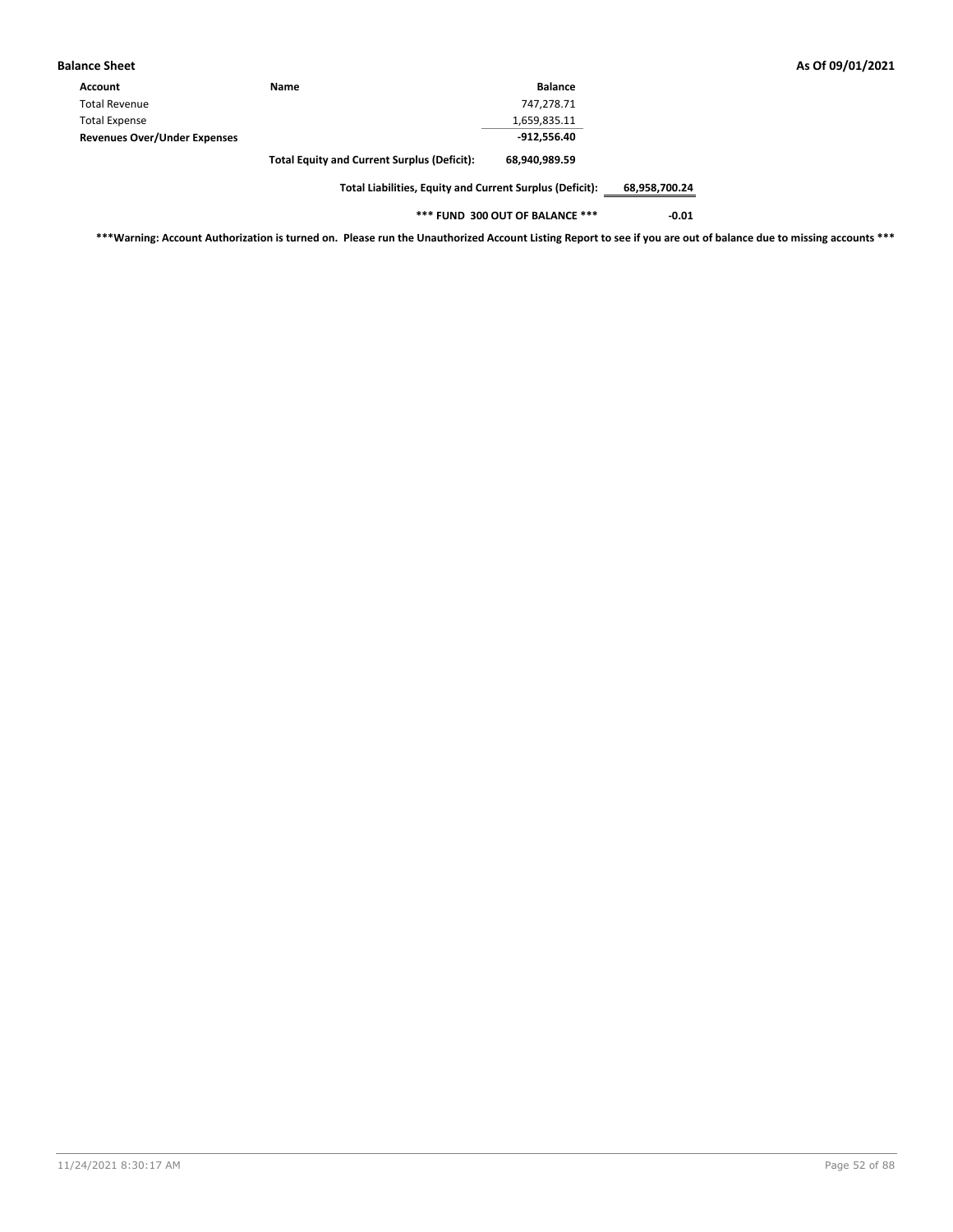| Balance Sheet                       |                                                    |                |
|-------------------------------------|----------------------------------------------------|----------------|
| Account                             | Name                                               | <b>Balance</b> |
| <b>Total Revenue</b>                |                                                    | 747,278.71     |
| <b>Total Expense</b>                |                                                    | 1,659,835.11   |
| <b>Revenues Over/Under Expenses</b> |                                                    | -912.556.40    |
|                                     | <b>Total Equity and Current Surplus (Deficit):</b> | 68,940,989.59  |

**Total Liabilities, Equity and Current Surplus (Deficit): 68,958,700.24**

**\*\*\* FUND 300 OUT OF BALANCE \*\*\* -0.01**

**\*\*\*Warning: Account Authorization is turned on. Please run the Unauthorized Account Listing Report to see if you are out of balance due to missing accounts \*\*\***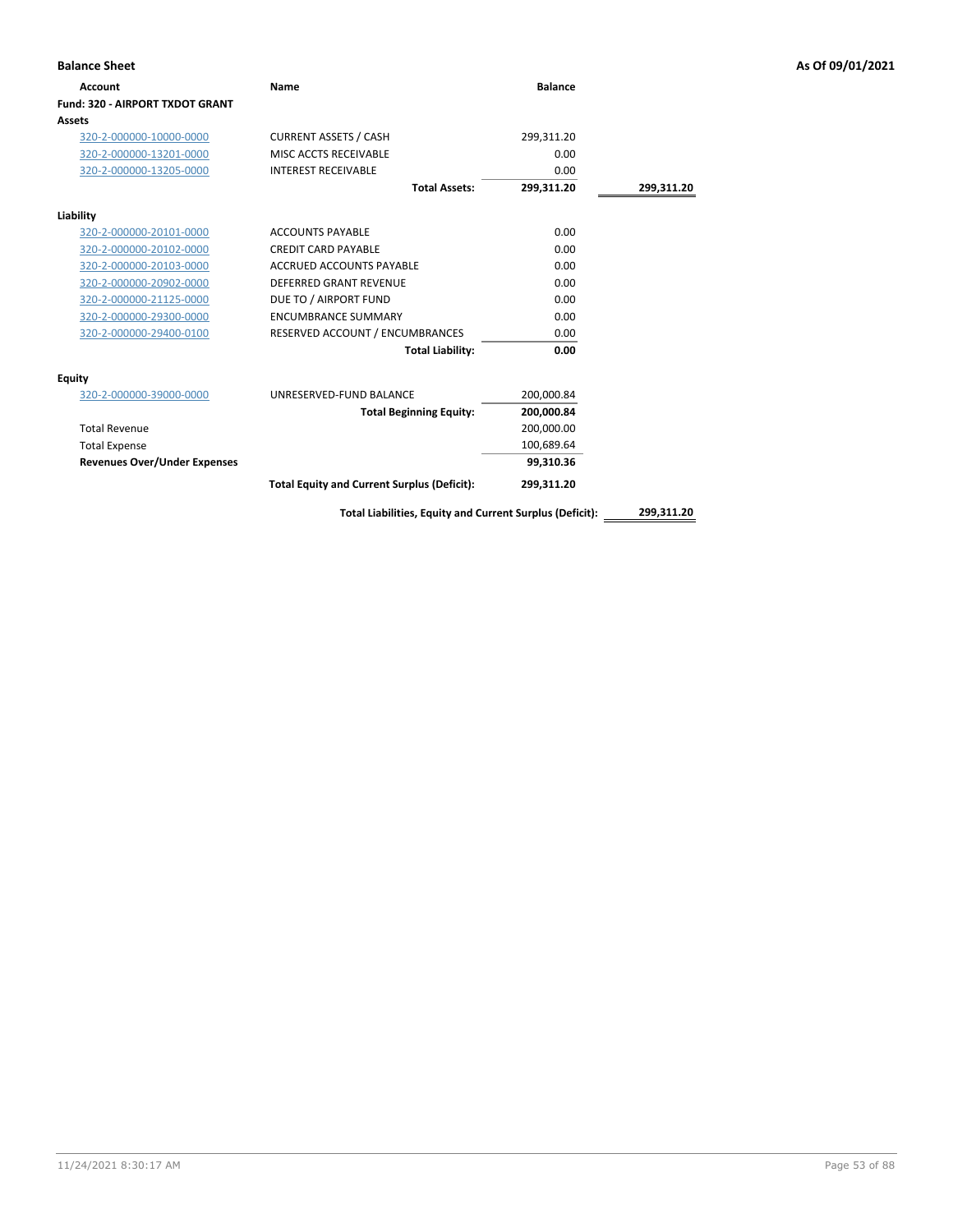| <b>Balance Sheet</b>                |                                                          |                |            | As Of 09/01/2021 |
|-------------------------------------|----------------------------------------------------------|----------------|------------|------------------|
| <b>Account</b>                      | <b>Name</b>                                              | <b>Balance</b> |            |                  |
| Fund: 320 - AIRPORT TXDOT GRANT     |                                                          |                |            |                  |
| Assets                              |                                                          |                |            |                  |
| 320-2-000000-10000-0000             | <b>CURRENT ASSETS / CASH</b>                             | 299,311.20     |            |                  |
| 320-2-000000-13201-0000             | MISC ACCTS RECEIVABLE                                    | 0.00           |            |                  |
| 320-2-000000-13205-0000             | <b>INTEREST RECEIVABLE</b>                               | 0.00           |            |                  |
|                                     | <b>Total Assets:</b>                                     | 299,311.20     | 299,311.20 |                  |
| Liability                           |                                                          |                |            |                  |
| 320-2-000000-20101-0000             | <b>ACCOUNTS PAYABLE</b>                                  | 0.00           |            |                  |
| 320-2-000000-20102-0000             | <b>CREDIT CARD PAYABLE</b>                               | 0.00           |            |                  |
| 320-2-000000-20103-0000             | <b>ACCRUED ACCOUNTS PAYABLE</b>                          | 0.00           |            |                  |
| 320-2-000000-20902-0000             | <b>DEFERRED GRANT REVENUE</b>                            | 0.00           |            |                  |
| 320-2-000000-21125-0000             | DUE TO / AIRPORT FUND                                    | 0.00           |            |                  |
| 320-2-000000-29300-0000             | <b>ENCUMBRANCE SUMMARY</b>                               | 0.00           |            |                  |
| 320-2-000000-29400-0100             | RESERVED ACCOUNT / ENCUMBRANCES                          | 0.00           |            |                  |
|                                     | <b>Total Liability:</b>                                  | 0.00           |            |                  |
| <b>Equity</b>                       |                                                          |                |            |                  |
| 320-2-000000-39000-0000             | UNRESERVED-FUND BALANCE                                  | 200,000.84     |            |                  |
|                                     | <b>Total Beginning Equity:</b>                           | 200,000.84     |            |                  |
| <b>Total Revenue</b>                |                                                          | 200,000.00     |            |                  |
| <b>Total Expense</b>                |                                                          | 100,689.64     |            |                  |
| <b>Revenues Over/Under Expenses</b> |                                                          | 99,310.36      |            |                  |
|                                     | <b>Total Equity and Current Surplus (Deficit):</b>       | 299,311.20     |            |                  |
|                                     | Total Liabilities, Equity and Current Surplus (Deficit): |                | 299,311.20 |                  |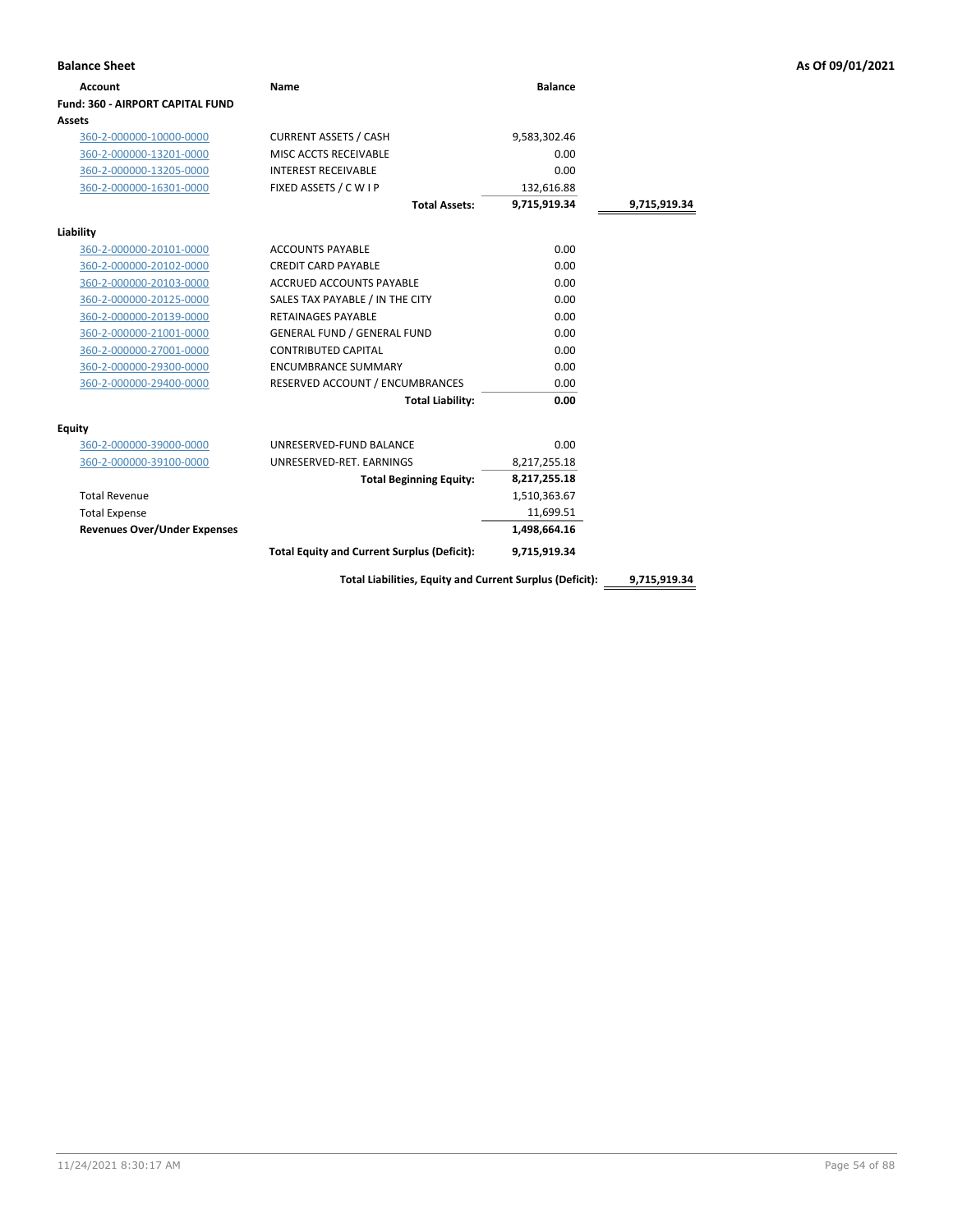| <b>Account</b>                          | Name                                                     | <b>Balance</b> |              |
|-----------------------------------------|----------------------------------------------------------|----------------|--------------|
| <b>Fund: 360 - AIRPORT CAPITAL FUND</b> |                                                          |                |              |
| Assets                                  |                                                          |                |              |
| 360-2-000000-10000-0000                 | <b>CURRENT ASSETS / CASH</b>                             | 9,583,302.46   |              |
| 360-2-000000-13201-0000                 | MISC ACCTS RECEIVABLE                                    | 0.00           |              |
| 360-2-000000-13205-0000                 | <b>INTEREST RECEIVABLE</b>                               | 0.00           |              |
| 360-2-000000-16301-0000                 | FIXED ASSETS / C W I P                                   | 132,616.88     |              |
|                                         | <b>Total Assets:</b>                                     | 9,715,919.34   | 9,715,919.34 |
| Liability                               |                                                          |                |              |
| 360-2-000000-20101-0000                 | <b>ACCOUNTS PAYABLE</b>                                  | 0.00           |              |
| 360-2-000000-20102-0000                 | <b>CREDIT CARD PAYABLE</b>                               | 0.00           |              |
| 360-2-000000-20103-0000                 | <b>ACCRUED ACCOUNTS PAYABLE</b>                          | 0.00           |              |
| 360-2-000000-20125-0000                 | SALES TAX PAYABLE / IN THE CITY                          | 0.00           |              |
| 360-2-000000-20139-0000                 | <b>RETAINAGES PAYABLE</b>                                | 0.00           |              |
| 360-2-000000-21001-0000                 | <b>GENERAL FUND / GENERAL FUND</b>                       | 0.00           |              |
| 360-2-000000-27001-0000                 | <b>CONTRIBUTED CAPITAL</b>                               | 0.00           |              |
| 360-2-000000-29300-0000                 | <b>ENCUMBRANCE SUMMARY</b>                               | 0.00           |              |
| 360-2-000000-29400-0000                 | RESERVED ACCOUNT / ENCUMBRANCES                          | 0.00           |              |
|                                         | <b>Total Liability:</b>                                  | 0.00           |              |
| Equity                                  |                                                          |                |              |
| 360-2-000000-39000-0000                 | UNRESERVED-FUND BALANCE                                  | 0.00           |              |
| 360-2-000000-39100-0000                 | UNRESERVED-RET. EARNINGS                                 | 8,217,255.18   |              |
|                                         | <b>Total Beginning Equity:</b>                           | 8,217,255.18   |              |
| <b>Total Revenue</b>                    |                                                          | 1,510,363.67   |              |
| <b>Total Expense</b>                    |                                                          | 11,699.51      |              |
| <b>Revenues Over/Under Expenses</b>     |                                                          | 1,498,664.16   |              |
|                                         | <b>Total Equity and Current Surplus (Deficit):</b>       | 9,715,919.34   |              |
|                                         | Total Liabilities, Equity and Current Surplus (Deficit): |                | 9,715,919.34 |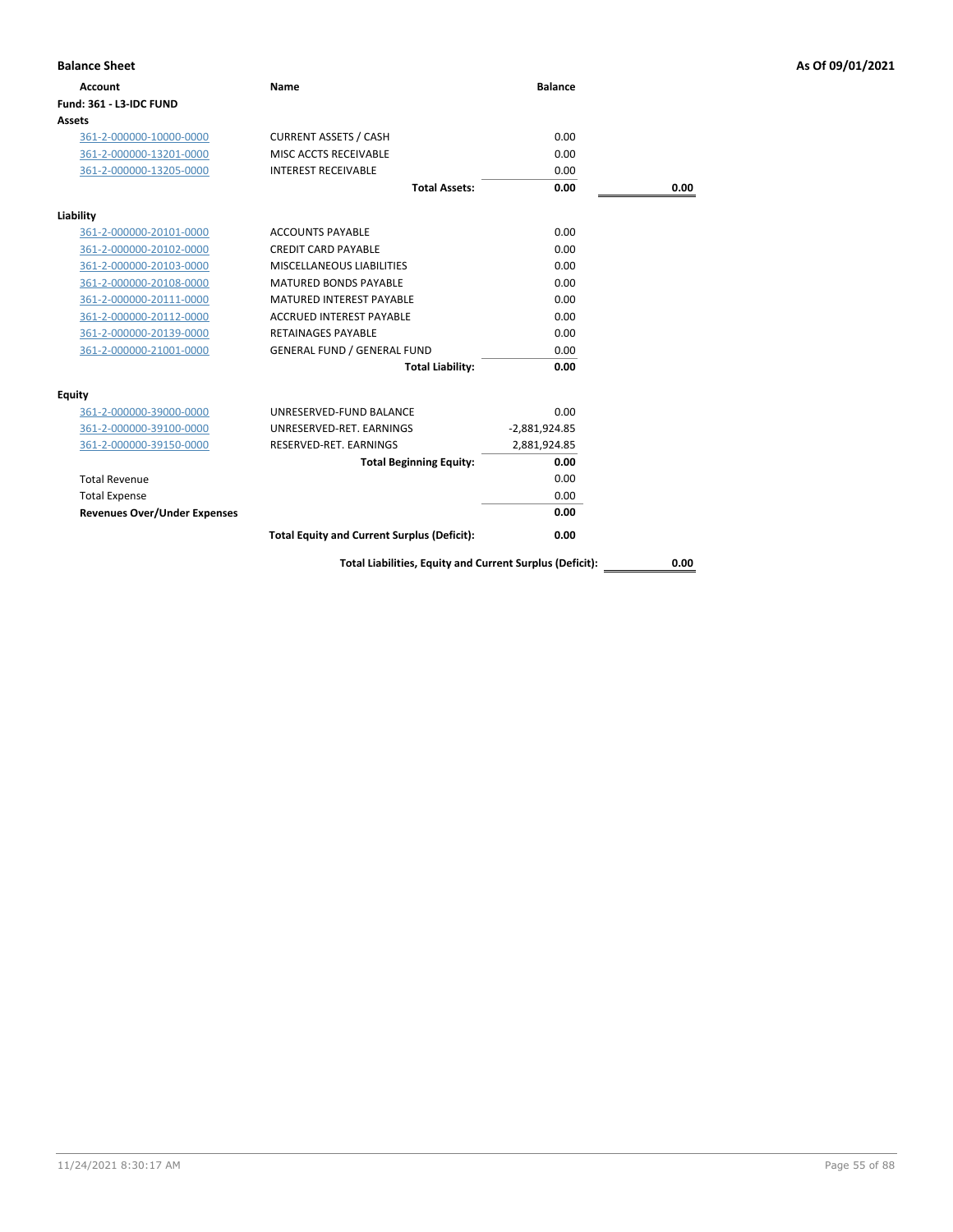| <b>Balance Sheet</b>                |                                                          |                 |      | As Of 09/01/2021 |
|-------------------------------------|----------------------------------------------------------|-----------------|------|------------------|
| <b>Account</b>                      | <b>Name</b>                                              | <b>Balance</b>  |      |                  |
| <b>Fund: 361 - L3-IDC FUND</b>      |                                                          |                 |      |                  |
| Assets                              |                                                          |                 |      |                  |
| 361-2-000000-10000-0000             | <b>CURRENT ASSETS / CASH</b>                             | 0.00            |      |                  |
| 361-2-000000-13201-0000             | MISC ACCTS RECEIVABLE                                    | 0.00            |      |                  |
| 361-2-000000-13205-0000             | <b>INTEREST RECEIVABLE</b>                               | 0.00            |      |                  |
|                                     | <b>Total Assets:</b>                                     | 0.00            | 0.00 |                  |
| Liability                           |                                                          |                 |      |                  |
| 361-2-000000-20101-0000             | <b>ACCOUNTS PAYABLE</b>                                  | 0.00            |      |                  |
| 361-2-000000-20102-0000             | <b>CREDIT CARD PAYABLE</b>                               | 0.00            |      |                  |
| 361-2-000000-20103-0000             | MISCELLANEOUS LIABILITIES                                | 0.00            |      |                  |
| 361-2-000000-20108-0000             | <b>MATURED BONDS PAYABLE</b>                             | 0.00            |      |                  |
| 361-2-000000-20111-0000             | <b>MATURED INTEREST PAYABLE</b>                          | 0.00            |      |                  |
| 361-2-000000-20112-0000             | <b>ACCRUED INTEREST PAYABLE</b>                          | 0.00            |      |                  |
| 361-2-000000-20139-0000             | <b>RETAINAGES PAYABLE</b>                                | 0.00            |      |                  |
| 361-2-000000-21001-0000             | <b>GENERAL FUND / GENERAL FUND</b>                       | 0.00            |      |                  |
|                                     | <b>Total Liability:</b>                                  | 0.00            |      |                  |
| <b>Equity</b>                       |                                                          |                 |      |                  |
| 361-2-000000-39000-0000             | UNRESERVED-FUND BALANCE                                  | 0.00            |      |                  |
| 361-2-000000-39100-0000             | UNRESERVED-RET. EARNINGS                                 | $-2,881,924.85$ |      |                  |
| 361-2-000000-39150-0000             | RESERVED-RET. EARNINGS                                   | 2,881,924.85    |      |                  |
|                                     | <b>Total Beginning Equity:</b>                           | 0.00            |      |                  |
| <b>Total Revenue</b>                |                                                          | 0.00            |      |                  |
| <b>Total Expense</b>                |                                                          | 0.00            |      |                  |
| <b>Revenues Over/Under Expenses</b> |                                                          | 0.00            |      |                  |
|                                     | <b>Total Equity and Current Surplus (Deficit):</b>       | 0.00            |      |                  |
|                                     | Total Liabilities, Equity and Current Surplus (Deficit): |                 | 0.00 |                  |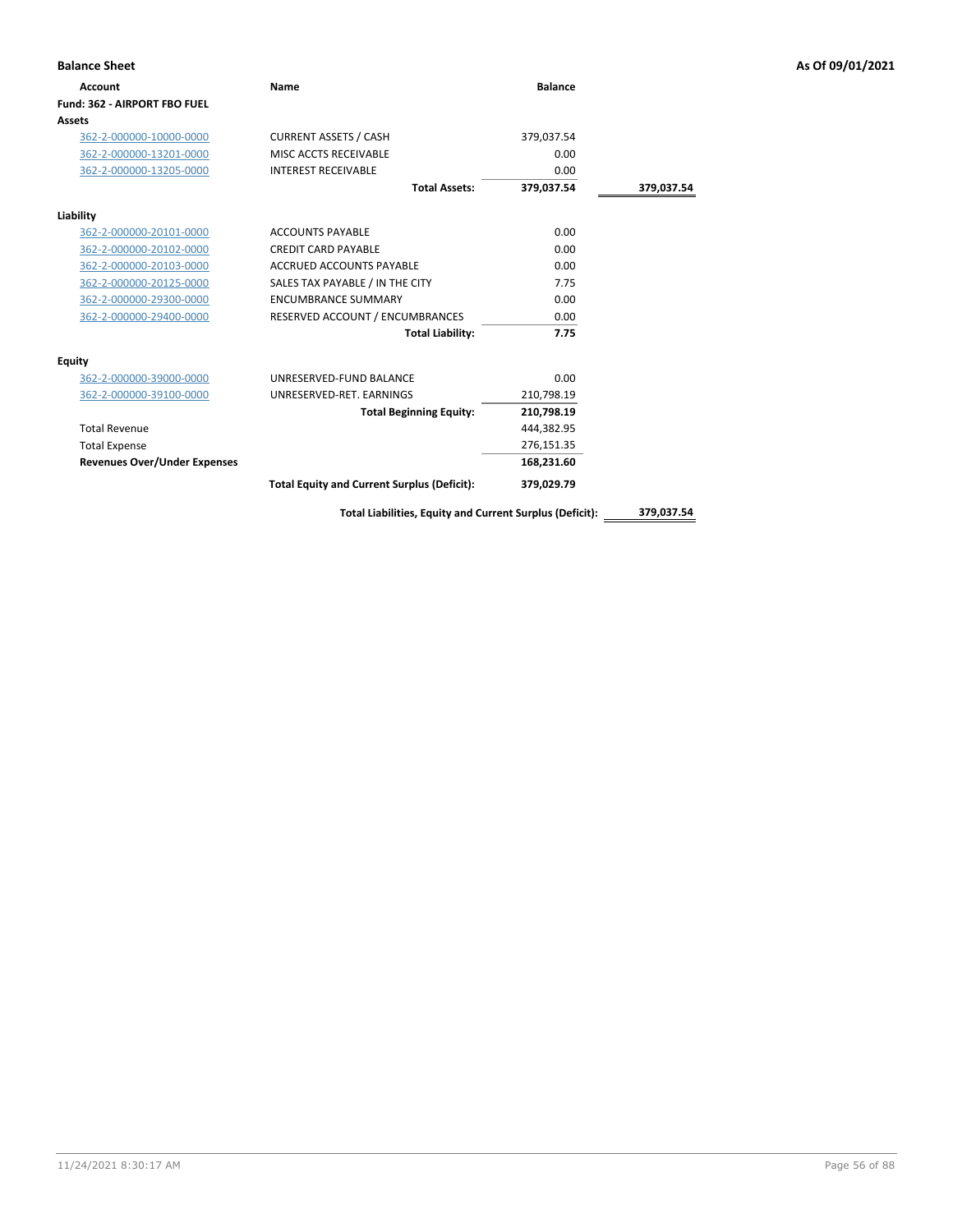| <b>Balance Sheet</b>                |                                                          |                |            | As Of 09/01/2021 |
|-------------------------------------|----------------------------------------------------------|----------------|------------|------------------|
| <b>Account</b>                      | <b>Name</b>                                              | <b>Balance</b> |            |                  |
| Fund: 362 - AIRPORT FBO FUEL        |                                                          |                |            |                  |
| Assets                              |                                                          |                |            |                  |
| 362-2-000000-10000-0000             | <b>CURRENT ASSETS / CASH</b>                             | 379,037.54     |            |                  |
| 362-2-000000-13201-0000             | MISC ACCTS RECEIVABLE                                    | 0.00           |            |                  |
| 362-2-000000-13205-0000             | <b>INTEREST RECEIVABLE</b>                               | 0.00           |            |                  |
|                                     | <b>Total Assets:</b>                                     | 379,037.54     | 379,037.54 |                  |
| Liability                           |                                                          |                |            |                  |
| 362-2-000000-20101-0000             | <b>ACCOUNTS PAYABLE</b>                                  | 0.00           |            |                  |
| 362-2-000000-20102-0000             | <b>CREDIT CARD PAYABLE</b>                               | 0.00           |            |                  |
| 362-2-000000-20103-0000             | ACCRUED ACCOUNTS PAYABLE                                 | 0.00           |            |                  |
| 362-2-000000-20125-0000             | SALES TAX PAYABLE / IN THE CITY                          | 7.75           |            |                  |
| 362-2-000000-29300-0000             | <b>ENCUMBRANCE SUMMARY</b>                               | 0.00           |            |                  |
| 362-2-000000-29400-0000             | RESERVED ACCOUNT / ENCUMBRANCES                          | 0.00           |            |                  |
|                                     | <b>Total Liability:</b>                                  | 7.75           |            |                  |
| Equity                              |                                                          |                |            |                  |
| 362-2-000000-39000-0000             | UNRESERVED-FUND BALANCE                                  | 0.00           |            |                  |
| 362-2-000000-39100-0000             | UNRESERVED-RET. EARNINGS                                 | 210,798.19     |            |                  |
|                                     | <b>Total Beginning Equity:</b>                           | 210,798.19     |            |                  |
| <b>Total Revenue</b>                |                                                          | 444,382.95     |            |                  |
| <b>Total Expense</b>                |                                                          | 276,151.35     |            |                  |
| <b>Revenues Over/Under Expenses</b> |                                                          | 168,231.60     |            |                  |
|                                     | <b>Total Equity and Current Surplus (Deficit):</b>       | 379,029.79     |            |                  |
|                                     | Total Liabilities, Equity and Current Surplus (Deficit): |                | 379,037.54 |                  |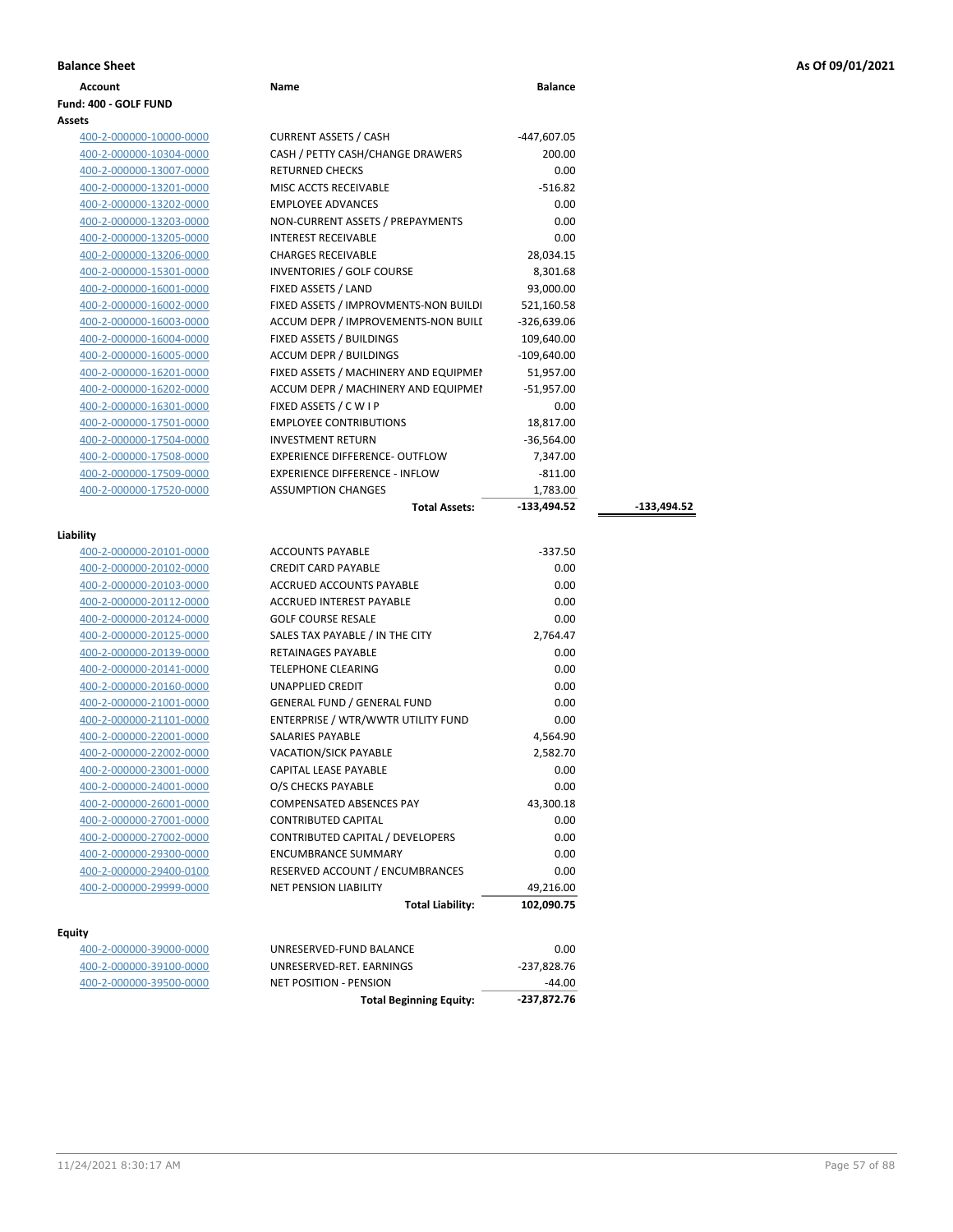| <b>Balance Sheet</b> | As Of 09/01/2021<br>. |
|----------------------|-----------------------|
|----------------------|-----------------------|

|  | <b>Balance Sheet</b> |  |
|--|----------------------|--|
|  |                      |  |

### **Account Name Balance Fund: 400 - GOLF FUND Assets**

| 400-2-000000-10000-0000 | <b>CURRENT ASSETS / CASH</b>          | -447,607.05   |               |
|-------------------------|---------------------------------------|---------------|---------------|
| 400-2-000000-10304-0000 | CASH / PETTY CASH/CHANGE DRAWERS      | 200.00        |               |
| 400-2-000000-13007-0000 | <b>RETURNED CHECKS</b>                | 0.00          |               |
| 400-2-000000-13201-0000 | MISC ACCTS RECEIVABLE                 | $-516.82$     |               |
| 400-2-000000-13202-0000 | <b>EMPLOYEE ADVANCES</b>              | 0.00          |               |
| 400-2-000000-13203-0000 | NON-CURRENT ASSETS / PREPAYMENTS      | 0.00          |               |
| 400-2-000000-13205-0000 | <b>INTEREST RECEIVABLE</b>            | 0.00          |               |
| 400-2-000000-13206-0000 | <b>CHARGES RECEIVABLE</b>             | 28,034.15     |               |
| 400-2-000000-15301-0000 | <b>INVENTORIES / GOLF COURSE</b>      | 8,301.68      |               |
| 400-2-000000-16001-0000 | FIXED ASSETS / LAND                   | 93,000.00     |               |
| 400-2-000000-16002-0000 | FIXED ASSETS / IMPROVMENTS-NON BUILDI | 521,160.58    |               |
| 400-2-000000-16003-0000 | ACCUM DEPR / IMPROVEMENTS-NON BUILI   | $-326,639.06$ |               |
| 400-2-000000-16004-0000 | FIXED ASSETS / BUILDINGS              | 109,640.00    |               |
| 400-2-000000-16005-0000 | <b>ACCUM DEPR / BUILDINGS</b>         | $-109,640.00$ |               |
| 400-2-000000-16201-0000 | FIXED ASSETS / MACHINERY AND EQUIPMEN | 51,957.00     |               |
| 400-2-000000-16202-0000 | ACCUM DEPR / MACHINERY AND EQUIPMEI   | $-51,957.00$  |               |
| 400-2-000000-16301-0000 | FIXED ASSETS / C W I P                | 0.00          |               |
| 400-2-000000-17501-0000 | <b>EMPLOYEE CONTRIBUTIONS</b>         | 18,817.00     |               |
| 400-2-000000-17504-0000 | <b>INVESTMENT RETURN</b>              | $-36,564.00$  |               |
| 400-2-000000-17508-0000 | <b>EXPERIENCE DIFFERENCE- OUTFLOW</b> | 7,347.00      |               |
| 400-2-000000-17509-0000 | <b>EXPERIENCE DIFFERENCE - INFLOW</b> | $-811.00$     |               |
| 400-2-000000-17520-0000 | <b>ASSUMPTION CHANGES</b>             | 1,783.00      |               |
|                         | <b>Total Assets:</b>                  | $-133,494.52$ | $-133,494.52$ |
| ility                   |                                       |               |               |
| 400-2-000000-20101-0000 | <b>ACCOUNTS PAYABLE</b>               | $-337.50$     |               |
| 400-2-000000-20102-0000 | <b>CREDIT CARD PAYABLE</b>            | 0.00          |               |
| 400-2-000000-20103-0000 | <b>ACCRUED ACCOUNTS PAYABLE</b>       | 0.00          |               |
| 400-2-000000-20112-0000 | <b>ACCRUED INTEREST PAYABLE</b>       | 0.00          |               |
| 400-2-000000-20124-0000 | <b>GOLF COURSE RESALE</b>             | 0.00          |               |
| 400-2-000000-20125-0000 | SALES TAX PAYABLE / IN THE CITY       | 2,764.47      |               |
| 400-2-000000-20139-0000 | <b>RETAINAGES PAYABLE</b>             | 0.00          |               |
| 400-2-000000-20141-0000 | <b>TELEPHONE CLEARING</b>             | 0.00          |               |

# **Liability**

|                         | <b>Total Liability:</b>            | 102,090.75 |
|-------------------------|------------------------------------|------------|
| 400-2-000000-29999-0000 | <b>NET PENSION LIABILITY</b>       | 49,216.00  |
| 400-2-000000-29400-0100 | RESERVED ACCOUNT / ENCUMBRANCES    | 0.00       |
| 400-2-000000-29300-0000 | <b>ENCUMBRANCE SUMMARY</b>         | 0.00       |
| 400-2-000000-27002-0000 | CONTRIBUTED CAPITAL / DEVELOPERS   | 0.00       |
| 400-2-000000-27001-0000 | <b>CONTRIBUTED CAPITAL</b>         | 0.00       |
| 400-2-000000-26001-0000 | <b>COMPENSATED ABSENCES PAY</b>    | 43,300.18  |
| 400-2-000000-24001-0000 | O/S CHECKS PAYABLE                 | 0.00       |
| 400-2-000000-23001-0000 | <b>CAPITAL LEASE PAYABLE</b>       | 0.00       |
| 400-2-000000-22002-0000 | <b>VACATION/SICK PAYABLE</b>       | 2,582.70   |
| 400-2-000000-22001-0000 | <b>SALARIES PAYABLE</b>            | 4,564.90   |
| 400-2-000000-21101-0000 | ENTERPRISE / WTR/WWTR UTILITY FUND | 0.00       |
| 400-2-000000-21001-0000 | <b>GENERAL FUND / GENERAL FUND</b> | 0.00       |
| 400-2-000000-20160-0000 | <b>UNAPPLIED CREDIT</b>            | 0.00       |
| 400-2-000000-20141-0000 | <b>TELEPHONE CLEARING</b>          | 0.00       |
| 400-2-000000-20139-0000 | <b>RETAINAGES PAYABLE</b>          | 0.00       |
| 400-2-000000-20125-0000 | SALES TAX PAYABLE / IN THE CITY    | 2,764.47   |
| 400-2-000000-20124-0000 | <b>GOLF COURSE RESALE</b>          | 0.00       |
| 400-2-000000-20112-0000 | <b>ACCRUED INTEREST PAYABLE</b>    | 0.00       |
| 400-2-000000-20103-0000 | <b>ACCRUED ACCOUNTS PAYABLE</b>    | 0.00       |
| 400-2-000000-20102-0000 | <b>CREDIT CARD PAYABLE</b>         | 0.00       |
| 400-2-000000-20101-0000 | ACCOUNTS PAYABLE                   | -337.50    |

## **Equity**

|                         | <b>Total Beginning Equity:</b> | -237.872.76 |
|-------------------------|--------------------------------|-------------|
| 400-2-000000-39500-0000 | NET POSITION - PENSION         | -44.00      |
| 400-2-000000-39100-0000 | UNRESERVED-RET. EARNINGS       | -237.828.76 |
| 400-2-000000-39000-0000 | UNRESERVED-FUND BALANCE        | 0.00        |
|                         |                                |             |

| <b>ACCOUNTS PAYABLE</b>            | $-337.50$      |  |
|------------------------------------|----------------|--|
| CREDIT CARD PAYABLE                | 0.00           |  |
| <b>ACCRUED ACCOUNTS PAYABLE</b>    | 0.00           |  |
| <b>ACCRUED INTEREST PAYABLE</b>    | 0.00           |  |
| <b>GOLF COURSE RESALE</b>          | 0.00           |  |
| SALES TAX PAYABLE / IN THE CITY    | 2,764.47       |  |
| <b>RETAINAGES PAYABLE</b>          | 0.00           |  |
| <b>FELEPHONE CLEARING</b>          | 0.00           |  |
| <b>JNAPPLIED CREDIT</b>            | 0.00           |  |
| GENERAL FUND / GENERAL FUND        | 0.00           |  |
| ENTERPRISE / WTR/WWTR UTILITY FUND | 0.00           |  |
| <b>SALARIES PAYABLE</b>            | 4,564.90       |  |
| <b>/ACATION/SICK PAYABLE</b>       | 2,582.70       |  |
| CAPITAL LEASE PAYABLE              | 0.00           |  |
| <b>D/S CHECKS PAYABLE</b>          | 0.00           |  |
| COMPENSATED ABSENCES PAY           | 43,300.18      |  |
| CONTRIBUTED CAPITAL                | 0.00           |  |
| CONTRIBUTED CAPITAL / DEVELOPERS   | 0.00           |  |
| <b>ENCUMBRANCE SUMMARY</b>         | 0.00           |  |
| RESERVED ACCOUNT / ENCUMBRANCES    | 0.00           |  |
| <b>NET PENSION LIABILITY</b>       | 49,216.00      |  |
| <b>Total Liability:</b>            | 102,090.75     |  |
| JNRESERVED-FUND BALANCE            | 0.00           |  |
| JNRESERVED-RET. EARNINGS           | $-237,828.76$  |  |
| <b>NET DOCITION DEMCION</b>        | $\overline{A}$ |  |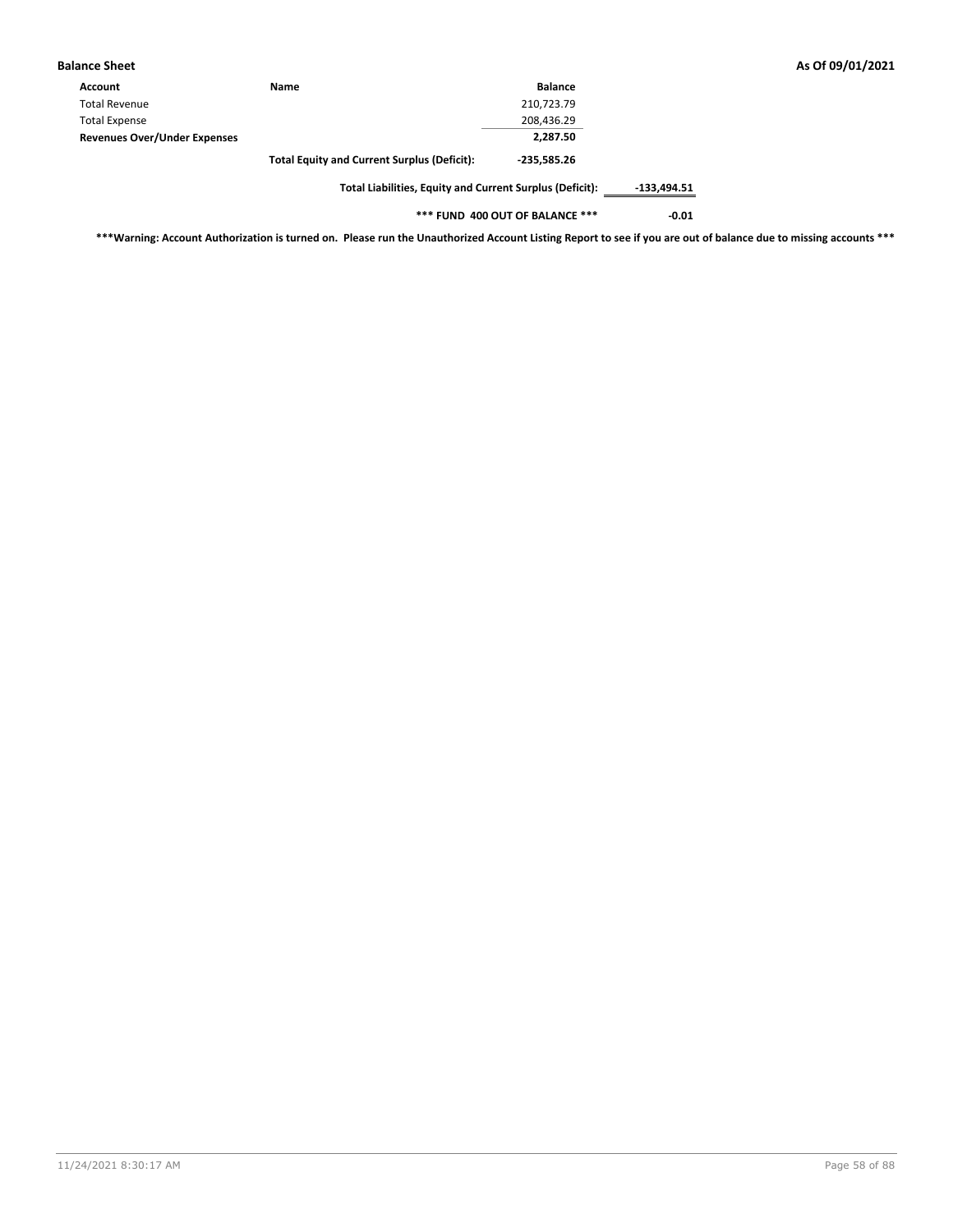| <b>Balance Sheet</b>                |                                                          |                |               |
|-------------------------------------|----------------------------------------------------------|----------------|---------------|
| Account                             | <b>Name</b>                                              | <b>Balance</b> |               |
| <b>Total Revenue</b>                |                                                          | 210,723.79     |               |
| <b>Total Expense</b>                |                                                          | 208,436.29     |               |
| <b>Revenues Over/Under Expenses</b> |                                                          | 2,287.50       |               |
|                                     | <b>Total Equity and Current Surplus (Deficit):</b>       | $-235.585.26$  |               |
|                                     | Total Liabilities, Equity and Current Surplus (Deficit): |                | $-133.494.51$ |

**\*\*\* FUND 400 OUT OF BALANCE \*\*\* -0.01**

**\*\*\*Warning: Account Authorization is turned on. Please run the Unauthorized Account Listing Report to see if you are out of balance due to missing accounts \*\*\***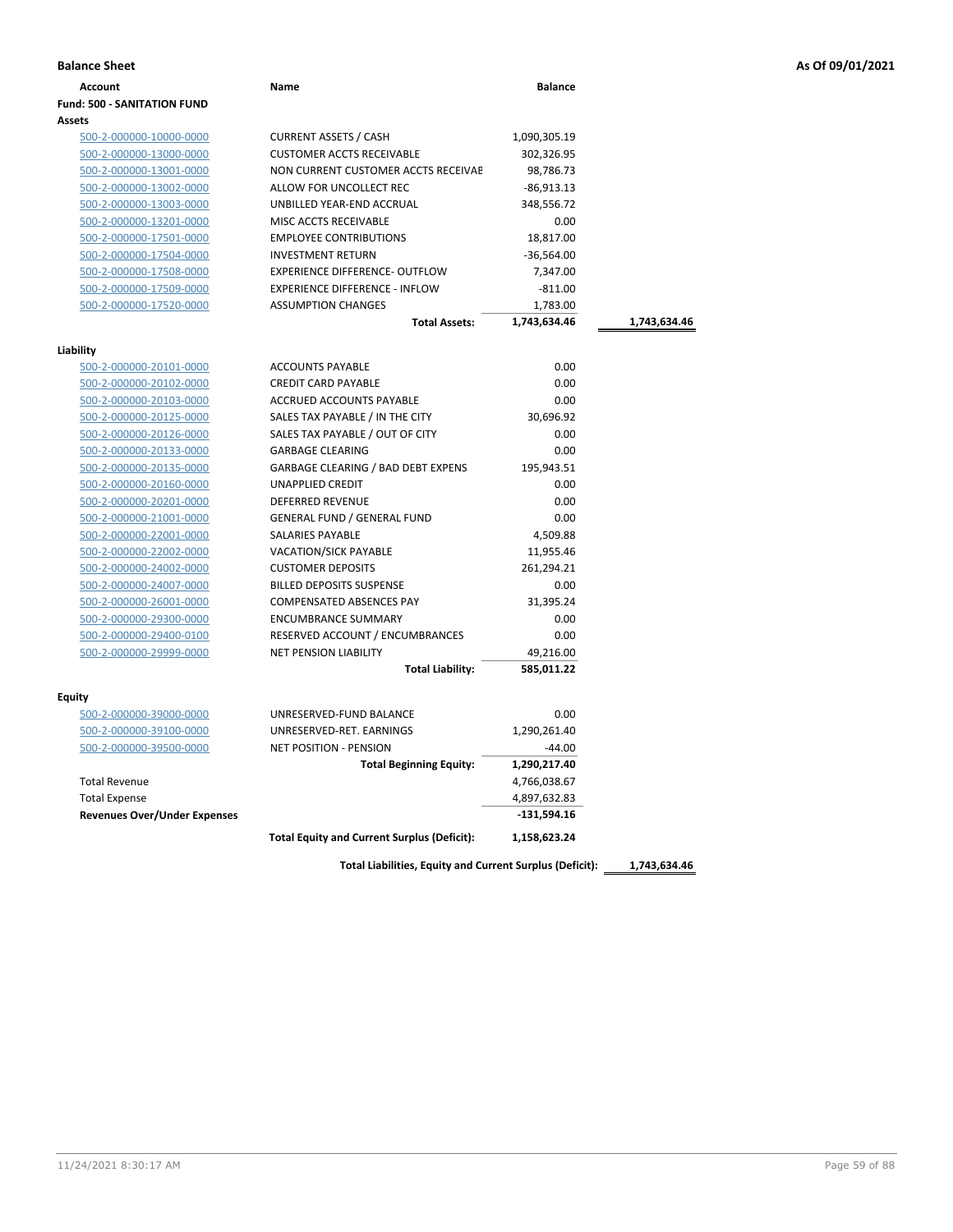|  |  |  | As Of 09/01/2021 |  |  |
|--|--|--|------------------|--|--|
|--|--|--|------------------|--|--|

| <b>Balance Sheet</b>                               |                                                          |                         |              | As Of 09/01/2021 |
|----------------------------------------------------|----------------------------------------------------------|-------------------------|--------------|------------------|
| <b>Account</b>                                     | Name                                                     | <b>Balance</b>          |              |                  |
| <b>Fund: 500 - SANITATION FUND</b>                 |                                                          |                         |              |                  |
| <b>Assets</b>                                      |                                                          |                         |              |                  |
| 500-2-000000-10000-0000                            | <b>CURRENT ASSETS / CASH</b>                             | 1,090,305.19            |              |                  |
| 500-2-000000-13000-0000                            | <b>CUSTOMER ACCTS RECEIVABLE</b>                         | 302,326.95              |              |                  |
| 500-2-000000-13001-0000                            | NON CURRENT CUSTOMER ACCTS RECEIVAE                      | 98,786.73               |              |                  |
| 500-2-000000-13002-0000                            | ALLOW FOR UNCOLLECT REC                                  | $-86,913.13$            |              |                  |
| 500-2-000000-13003-0000                            | UNBILLED YEAR-END ACCRUAL                                | 348,556.72              |              |                  |
| 500-2-000000-13201-0000                            | MISC ACCTS RECEIVABLE                                    | 0.00                    |              |                  |
| 500-2-000000-17501-0000                            | <b>EMPLOYEE CONTRIBUTIONS</b>                            | 18,817.00               |              |                  |
| 500-2-000000-17504-0000                            | <b>INVESTMENT RETURN</b>                                 | $-36,564.00$            |              |                  |
| 500-2-000000-17508-0000                            | <b>EXPERIENCE DIFFERENCE- OUTFLOW</b>                    | 7,347.00                |              |                  |
| 500-2-000000-17509-0000                            | <b>EXPERIENCE DIFFERENCE - INFLOW</b>                    | $-811.00$               |              |                  |
| 500-2-000000-17520-0000                            | <b>ASSUMPTION CHANGES</b>                                | 1,783.00                |              |                  |
|                                                    | <b>Total Assets:</b>                                     | 1,743,634.46            | 1,743,634.46 |                  |
|                                                    |                                                          |                         |              |                  |
| Liability                                          | <b>ACCOUNTS PAYABLE</b>                                  | 0.00                    |              |                  |
| 500-2-000000-20101-0000                            | <b>CREDIT CARD PAYABLE</b>                               |                         |              |                  |
| 500-2-000000-20102-0000<br>500-2-000000-20103-0000 | ACCRUED ACCOUNTS PAYABLE                                 | 0.00<br>0.00            |              |                  |
| 500-2-000000-20125-0000                            | SALES TAX PAYABLE / IN THE CITY                          | 30,696.92               |              |                  |
| 500-2-000000-20126-0000                            | SALES TAX PAYABLE / OUT OF CITY                          | 0.00                    |              |                  |
| 500-2-000000-20133-0000                            | <b>GARBAGE CLEARING</b>                                  | 0.00                    |              |                  |
| 500-2-000000-20135-0000                            | <b>GARBAGE CLEARING / BAD DEBT EXPENS</b>                | 195,943.51              |              |                  |
| 500-2-000000-20160-0000                            | UNAPPLIED CREDIT                                         | 0.00                    |              |                  |
|                                                    |                                                          | 0.00                    |              |                  |
| 500-2-000000-20201-0000<br>500-2-000000-21001-0000 | DEFERRED REVENUE<br><b>GENERAL FUND / GENERAL FUND</b>   | 0.00                    |              |                  |
| 500-2-000000-22001-0000                            | SALARIES PAYABLE                                         | 4,509.88                |              |                  |
|                                                    |                                                          |                         |              |                  |
| 500-2-000000-22002-0000                            | <b>VACATION/SICK PAYABLE</b><br><b>CUSTOMER DEPOSITS</b> | 11,955.46<br>261,294.21 |              |                  |
| 500-2-000000-24002-0000<br>500-2-000000-24007-0000 | <b>BILLED DEPOSITS SUSPENSE</b>                          | 0.00                    |              |                  |
|                                                    | <b>COMPENSATED ABSENCES PAY</b>                          | 31,395.24               |              |                  |
| 500-2-000000-26001-0000                            | <b>ENCUMBRANCE SUMMARY</b>                               |                         |              |                  |
| 500-2-000000-29300-0000<br>500-2-000000-29400-0100 | RESERVED ACCOUNT / ENCUMBRANCES                          | 0.00<br>0.00            |              |                  |
| 500-2-000000-29999-0000                            | <b>NET PENSION LIABILITY</b>                             |                         |              |                  |
|                                                    | <b>Total Liability:</b>                                  | 49,216.00<br>585,011.22 |              |                  |
|                                                    |                                                          |                         |              |                  |
| <b>Equity</b>                                      |                                                          |                         |              |                  |
| 500-2-000000-39000-0000                            | UNRESERVED-FUND BALANCE                                  | 0.00                    |              |                  |
| 500-2-000000-39100-0000                            | UNRESERVED-RET. EARNINGS                                 | 1,290,261.40            |              |                  |
| 500-2-000000-39500-0000                            | <b>NET POSITION - PENSION</b>                            | $-44.00$                |              |                  |
|                                                    | <b>Total Beginning Equity:</b>                           | 1,290,217.40            |              |                  |
| <b>Total Revenue</b>                               |                                                          | 4,766,038.67            |              |                  |
| <b>Total Expense</b>                               |                                                          | 4,897,632.83            |              |                  |
| <b>Revenues Over/Under Expenses</b>                |                                                          | $-131,594.16$           |              |                  |
|                                                    | <b>Total Equity and Current Surplus (Deficit):</b>       | 1,158,623.24            |              |                  |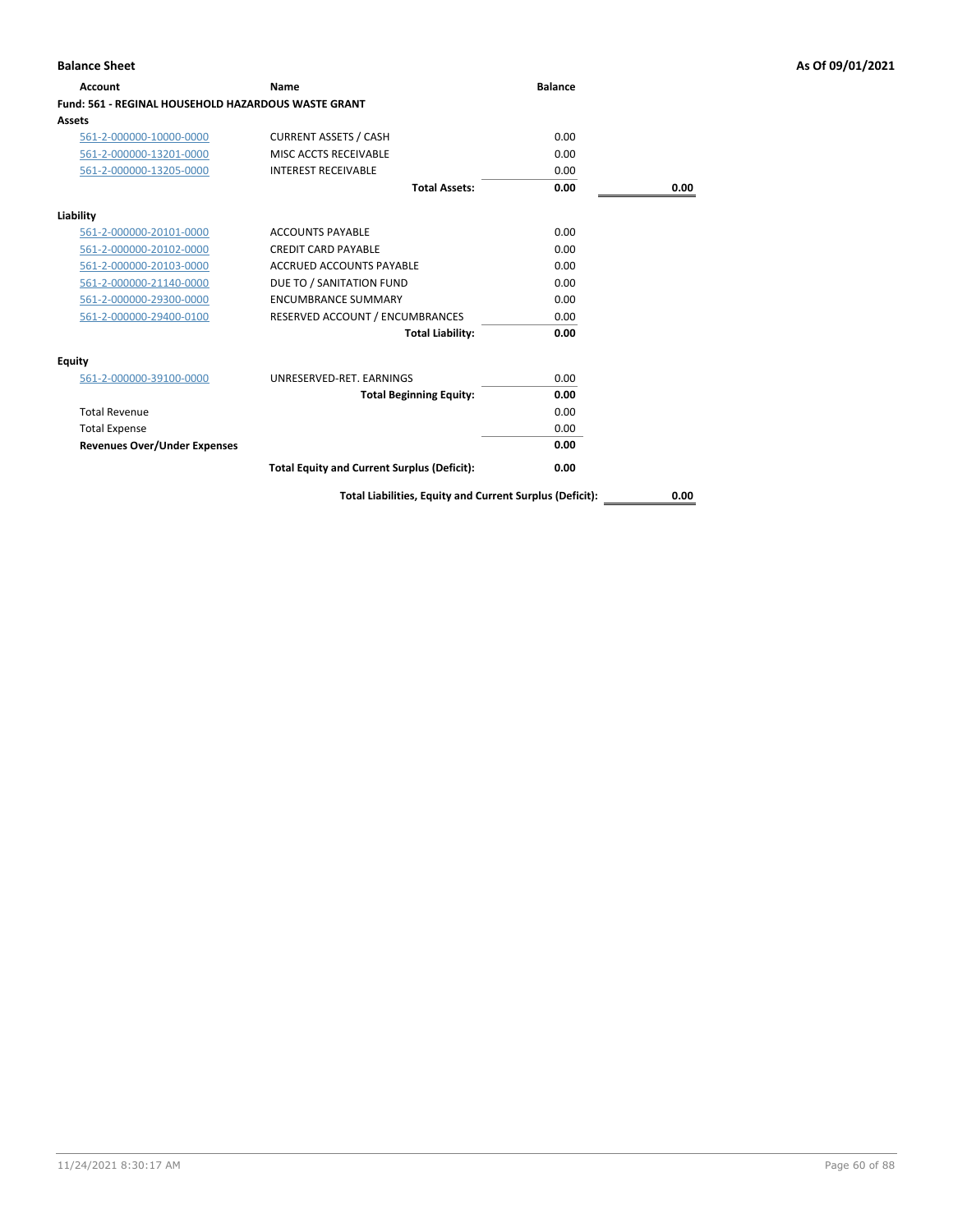| <b>Account</b>                                      | Name                                               | <b>Balance</b> |      |
|-----------------------------------------------------|----------------------------------------------------|----------------|------|
| Fund: 561 - REGINAL HOUSEHOLD HAZARDOUS WASTE GRANT |                                                    |                |      |
| Assets                                              |                                                    |                |      |
| 561-2-000000-10000-0000                             | <b>CURRENT ASSETS / CASH</b>                       | 0.00           |      |
| 561-2-000000-13201-0000                             | MISC ACCTS RECEIVABLE                              | 0.00           |      |
| 561-2-000000-13205-0000                             | <b>INTEREST RECEIVABLE</b>                         | 0.00           |      |
|                                                     | <b>Total Assets:</b>                               | 0.00           | 0.00 |
| Liability                                           |                                                    |                |      |
| 561-2-000000-20101-0000                             | <b>ACCOUNTS PAYABLE</b>                            | 0.00           |      |
| 561-2-000000-20102-0000                             | <b>CREDIT CARD PAYABLE</b>                         | 0.00           |      |
| 561-2-000000-20103-0000                             | ACCRUED ACCOUNTS PAYABLE                           | 0.00           |      |
| 561-2-000000-21140-0000                             | DUE TO / SANITATION FUND                           | 0.00           |      |
| 561-2-000000-29300-0000                             | <b>ENCUMBRANCE SUMMARY</b>                         | 0.00           |      |
| 561-2-000000-29400-0100                             | RESERVED ACCOUNT / ENCUMBRANCES                    | 0.00           |      |
|                                                     | <b>Total Liability:</b>                            | 0.00           |      |
| Equity                                              |                                                    |                |      |
| 561-2-000000-39100-0000                             | UNRESERVED-RET, EARNINGS                           | 0.00           |      |
|                                                     | <b>Total Beginning Equity:</b>                     | 0.00           |      |
| <b>Total Revenue</b>                                |                                                    | 0.00           |      |
| <b>Total Expense</b>                                |                                                    | 0.00           |      |
| <b>Revenues Over/Under Expenses</b>                 |                                                    | 0.00           |      |
|                                                     | <b>Total Equity and Current Surplus (Deficit):</b> | 0.00           |      |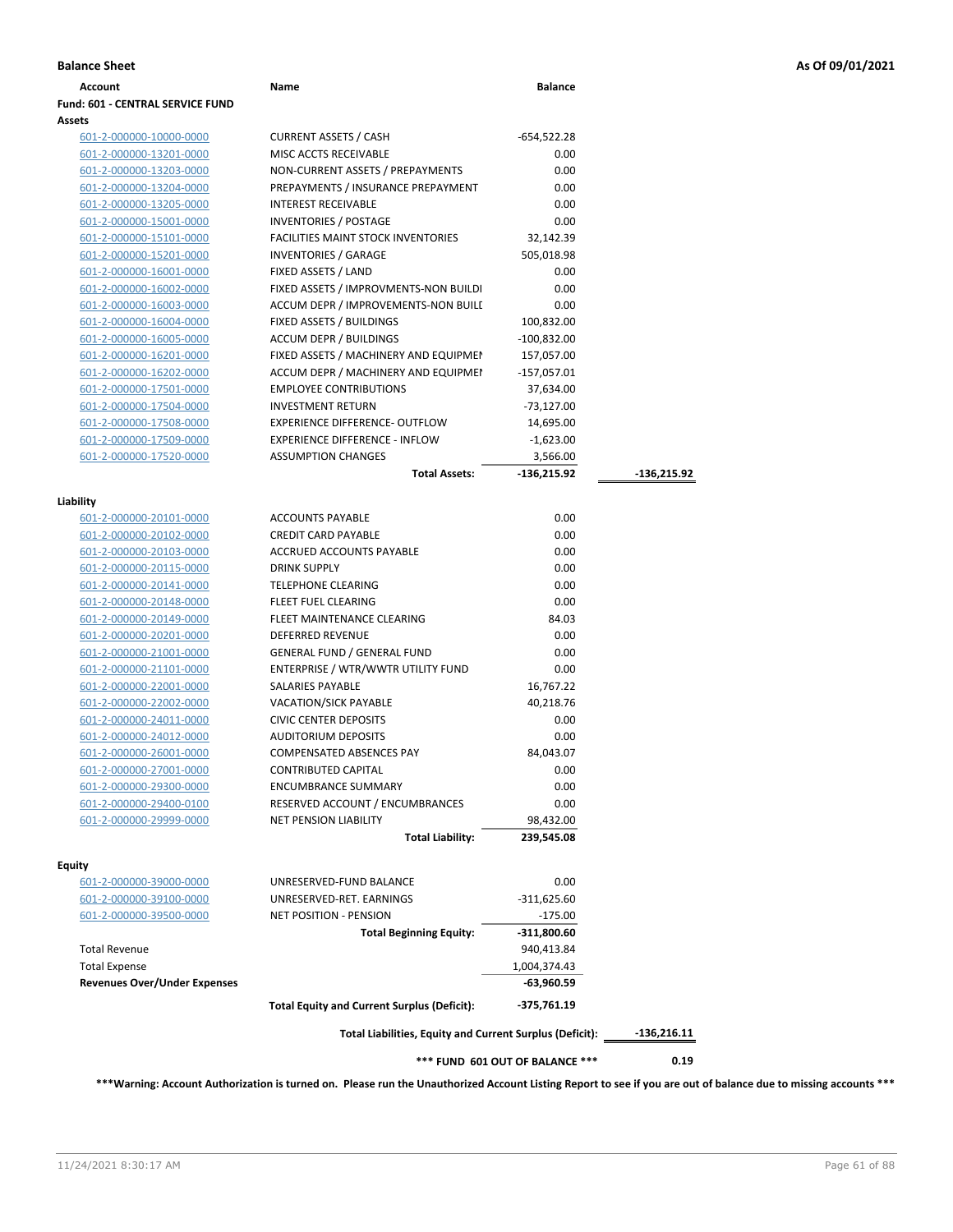| <b>Account</b>                                     | Name                                                     | <b>Balance</b>                  |               |
|----------------------------------------------------|----------------------------------------------------------|---------------------------------|---------------|
| Fund: 601 - CENTRAL SERVICE FUND                   |                                                          |                                 |               |
| Assets                                             |                                                          |                                 |               |
| 601-2-000000-10000-0000                            | <b>CURRENT ASSETS / CASH</b>                             | $-654,522.28$                   |               |
| 601-2-000000-13201-0000                            | MISC ACCTS RECEIVABLE                                    | 0.00                            |               |
| 601-2-000000-13203-0000                            | NON-CURRENT ASSETS / PREPAYMENTS                         | 0.00                            |               |
| 601-2-000000-13204-0000                            | PREPAYMENTS / INSURANCE PREPAYMENT                       | 0.00                            |               |
| 601-2-000000-13205-0000                            | <b>INTEREST RECEIVABLE</b>                               | 0.00                            |               |
| 601-2-000000-15001-0000                            | <b>INVENTORIES / POSTAGE</b>                             | 0.00                            |               |
| 601-2-000000-15101-0000                            | <b>FACILITIES MAINT STOCK INVENTORIES</b>                | 32,142.39                       |               |
| 601-2-000000-15201-0000                            | <b>INVENTORIES / GARAGE</b>                              | 505,018.98                      |               |
| 601-2-000000-16001-0000                            | FIXED ASSETS / LAND                                      | 0.00                            |               |
| 601-2-000000-16002-0000                            | FIXED ASSETS / IMPROVMENTS-NON BUILDI                    | 0.00                            |               |
| 601-2-000000-16003-0000                            | ACCUM DEPR / IMPROVEMENTS-NON BUILI                      | 0.00                            |               |
| 601-2-000000-16004-0000                            | FIXED ASSETS / BUILDINGS                                 | 100,832.00                      |               |
| 601-2-000000-16005-0000                            | <b>ACCUM DEPR / BUILDINGS</b>                            | -100,832.00                     |               |
| 601-2-000000-16201-0000                            | FIXED ASSETS / MACHINERY AND EQUIPMEN                    | 157,057.00                      |               |
| 601-2-000000-16202-0000                            | ACCUM DEPR / MACHINERY AND EQUIPMEI                      | $-157,057.01$                   |               |
| 601-2-000000-17501-0000                            | <b>EMPLOYEE CONTRIBUTIONS</b>                            | 37,634.00                       |               |
| 601-2-000000-17504-0000                            | <b>INVESTMENT RETURN</b>                                 | -73,127.00                      |               |
| 601-2-000000-17508-0000                            | EXPERIENCE DIFFERENCE- OUTFLOW                           | 14,695.00                       |               |
| 601-2-000000-17509-0000                            | <b>EXPERIENCE DIFFERENCE - INFLOW</b>                    | $-1,623.00$                     |               |
| 601-2-000000-17520-0000                            | <b>ASSUMPTION CHANGES</b>                                | 3,566.00                        |               |
|                                                    | <b>Total Assets:</b>                                     | -136,215.92                     | -136,215.92   |
|                                                    |                                                          |                                 |               |
| Liability                                          |                                                          | 0.00                            |               |
| <u>601-2-000000-20101-0000</u>                     | <b>ACCOUNTS PAYABLE</b><br><b>CREDIT CARD PAYABLE</b>    | 0.00                            |               |
| 601-2-000000-20102-0000<br>601-2-000000-20103-0000 | ACCRUED ACCOUNTS PAYABLE                                 | 0.00                            |               |
| 601-2-000000-20115-0000                            | <b>DRINK SUPPLY</b>                                      | 0.00                            |               |
| 601-2-000000-20141-0000                            | <b>TELEPHONE CLEARING</b>                                | 0.00                            |               |
| 601-2-000000-20148-0000                            | FLEET FUEL CLEARING                                      | 0.00                            |               |
| 601-2-000000-20149-0000                            | FLEET MAINTENANCE CLEARING                               | 84.03                           |               |
| 601-2-000000-20201-0000                            | DEFERRED REVENUE                                         | 0.00                            |               |
| 601-2-000000-21001-0000                            | <b>GENERAL FUND / GENERAL FUND</b>                       | 0.00                            |               |
| 601-2-000000-21101-0000                            | ENTERPRISE / WTR/WWTR UTILITY FUND                       | 0.00                            |               |
| 601-2-000000-22001-0000                            | SALARIES PAYABLE                                         | 16,767.22                       |               |
| 601-2-000000-22002-0000                            | <b>VACATION/SICK PAYABLE</b>                             | 40,218.76                       |               |
| 601-2-000000-24011-0000                            | <b>CIVIC CENTER DEPOSITS</b>                             | 0.00                            |               |
| 601-2-000000-24012-0000                            | <b>AUDITORIUM DEPOSITS</b>                               | 0.00                            |               |
| 601-2-000000-26001-0000                            | <b>COMPENSATED ABSENCES PAY</b>                          | 84.043.07                       |               |
| 601-2-000000-27001-0000                            | <b>CONTRIBUTED CAPITAL</b>                               | 0.00                            |               |
| 601-2-000000-29300-0000                            | <b>ENCUMBRANCE SUMMARY</b>                               | 0.00                            |               |
| 601-2-000000-29400-0100                            | RESERVED ACCOUNT / ENCUMBRANCES                          | 0.00                            |               |
| 601-2-000000-29999-0000                            | <b>NET PENSION LIABILITY</b>                             | 98,432.00                       |               |
|                                                    | <b>Total Liability:</b>                                  | 239,545.08                      |               |
|                                                    |                                                          |                                 |               |
| Equity                                             |                                                          |                                 |               |
| 601-2-000000-39000-0000                            | UNRESERVED-FUND BALANCE                                  | 0.00                            |               |
| 601-2-000000-39100-0000                            | UNRESERVED-RET. EARNINGS                                 | $-311,625.60$                   |               |
| 601-2-000000-39500-0000                            | <b>NET POSITION - PENSION</b>                            | $-175.00$                       |               |
|                                                    | <b>Total Beginning Equity:</b>                           | $-311,800.60$                   |               |
| <b>Total Revenue</b>                               |                                                          | 940,413.84                      |               |
| <b>Total Expense</b>                               |                                                          | 1,004,374.43                    |               |
| <b>Revenues Over/Under Expenses</b>                |                                                          | -63,960.59                      |               |
|                                                    | <b>Total Equity and Current Surplus (Deficit):</b>       | -375,761.19                     |               |
|                                                    | Total Liabilities, Equity and Current Surplus (Deficit): |                                 | $-136,216.11$ |
|                                                    |                                                          | *** FUND 601 OUT OF BALANCE *** | 0.19          |

**\*\*\*Warning: Account Authorization is turned on. Please run the Unauthorized Account Listing Report to see if you are out of balance due to missing accounts \*\*\***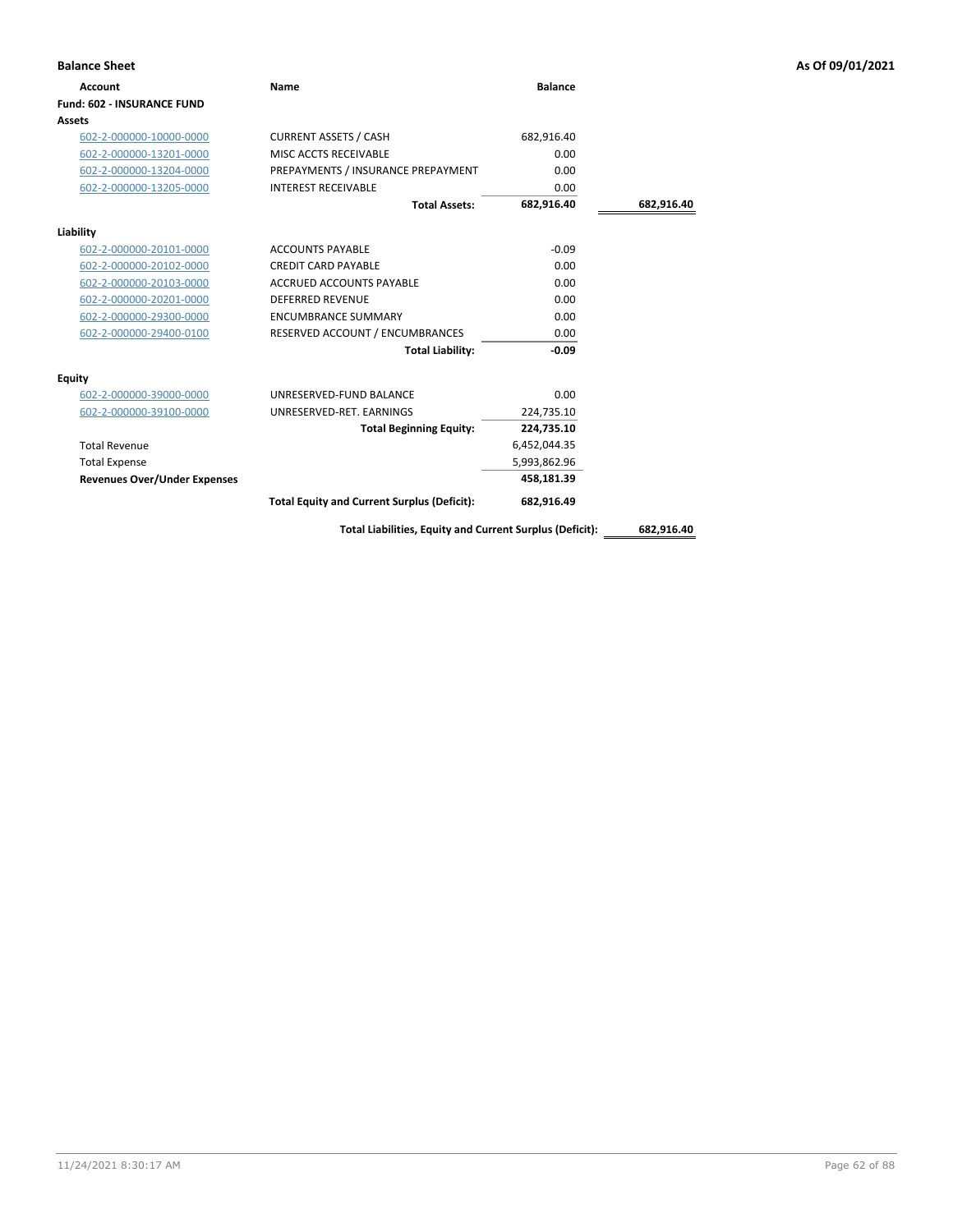| <b>Balance Sheet</b>                |                                                    |                |            | As Of 09/01/2021 |
|-------------------------------------|----------------------------------------------------|----------------|------------|------------------|
| Account                             | Name                                               | <b>Balance</b> |            |                  |
| <b>Fund: 602 - INSURANCE FUND</b>   |                                                    |                |            |                  |
| Assets                              |                                                    |                |            |                  |
| 602-2-000000-10000-0000             | <b>CURRENT ASSETS / CASH</b>                       | 682,916.40     |            |                  |
| 602-2-000000-13201-0000             | MISC ACCTS RECEIVABLE                              | 0.00           |            |                  |
| 602-2-000000-13204-0000             | PREPAYMENTS / INSURANCE PREPAYMENT                 | 0.00           |            |                  |
| 602-2-000000-13205-0000             | <b>INTEREST RECEIVABLE</b>                         | 0.00           |            |                  |
|                                     | <b>Total Assets:</b>                               | 682,916.40     | 682,916.40 |                  |
| Liability                           |                                                    |                |            |                  |
| 602-2-000000-20101-0000             | <b>ACCOUNTS PAYABLE</b>                            | $-0.09$        |            |                  |
| 602-2-000000-20102-0000             | <b>CREDIT CARD PAYABLE</b>                         | 0.00           |            |                  |
| 602-2-000000-20103-0000             | <b>ACCRUED ACCOUNTS PAYABLE</b>                    | 0.00           |            |                  |
| 602-2-000000-20201-0000             | <b>DEFERRED REVENUE</b>                            | 0.00           |            |                  |
| 602-2-000000-29300-0000             | <b>ENCUMBRANCE SUMMARY</b>                         | 0.00           |            |                  |
| 602-2-000000-29400-0100             | RESERVED ACCOUNT / ENCUMBRANCES                    | 0.00           |            |                  |
|                                     | <b>Total Liability:</b>                            | $-0.09$        |            |                  |
| <b>Equity</b>                       |                                                    |                |            |                  |
| 602-2-000000-39000-0000             | UNRESERVED-FUND BALANCE                            | 0.00           |            |                  |
| 602-2-000000-39100-0000             | UNRESERVED-RET. EARNINGS                           | 224,735.10     |            |                  |
|                                     | <b>Total Beginning Equity:</b>                     | 224,735.10     |            |                  |
| <b>Total Revenue</b>                |                                                    | 6,452,044.35   |            |                  |
| <b>Total Expense</b>                |                                                    | 5,993,862.96   |            |                  |
| <b>Revenues Over/Under Expenses</b> |                                                    | 458,181.39     |            |                  |
|                                     | <b>Total Equity and Current Surplus (Deficit):</b> | 682,916.49     |            |                  |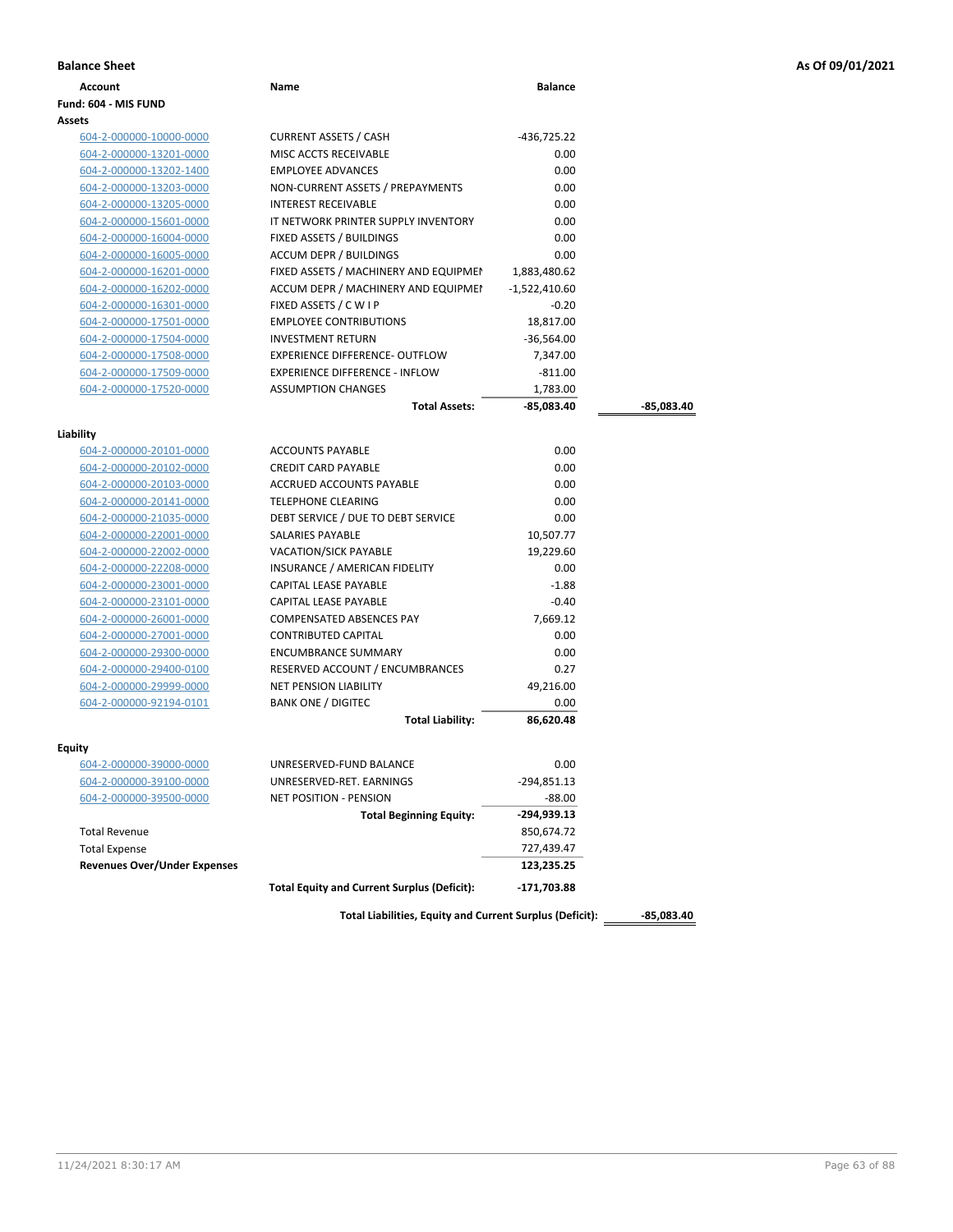|  |  |  | As Of 09/01/2021 |  |  |
|--|--|--|------------------|--|--|
|--|--|--|------------------|--|--|

| <b>Balance Sheet</b>                |                                                          |                 |              | As Of 09/01/2021 |
|-------------------------------------|----------------------------------------------------------|-----------------|--------------|------------------|
| <b>Account</b>                      | Name                                                     | <b>Balance</b>  |              |                  |
| Fund: 604 - MIS FUND                |                                                          |                 |              |                  |
| Assets                              |                                                          |                 |              |                  |
| 604-2-000000-10000-0000             | <b>CURRENT ASSETS / CASH</b>                             | -436,725.22     |              |                  |
| 604-2-000000-13201-0000             | MISC ACCTS RECEIVABLE                                    | 0.00            |              |                  |
| 604-2-000000-13202-1400             | <b>EMPLOYEE ADVANCES</b>                                 | 0.00            |              |                  |
| 604-2-000000-13203-0000             | NON-CURRENT ASSETS / PREPAYMENTS                         | 0.00            |              |                  |
| 604-2-000000-13205-0000             | INTEREST RECEIVABLE                                      | 0.00            |              |                  |
| 604-2-000000-15601-0000             | IT NETWORK PRINTER SUPPLY INVENTORY                      | 0.00            |              |                  |
| 604-2-000000-16004-0000             | FIXED ASSETS / BUILDINGS                                 | 0.00            |              |                  |
| 604-2-000000-16005-0000             | <b>ACCUM DEPR / BUILDINGS</b>                            | 0.00            |              |                  |
| 604-2-000000-16201-0000             | FIXED ASSETS / MACHINERY AND EQUIPMEN                    | 1,883,480.62    |              |                  |
| 604-2-000000-16202-0000             | ACCUM DEPR / MACHINERY AND EQUIPMEI                      | $-1,522,410.60$ |              |                  |
| 604-2-000000-16301-0000             | FIXED ASSETS / C W I P                                   | $-0.20$         |              |                  |
| 604-2-000000-17501-0000             | <b>EMPLOYEE CONTRIBUTIONS</b>                            | 18,817.00       |              |                  |
| 604-2-000000-17504-0000             | <b>INVESTMENT RETURN</b>                                 | $-36,564.00$    |              |                  |
| 604-2-000000-17508-0000             | EXPERIENCE DIFFERENCE- OUTFLOW                           | 7,347.00        |              |                  |
| 604-2-000000-17509-0000             | <b>EXPERIENCE DIFFERENCE - INFLOW</b>                    | $-811.00$       |              |                  |
| 604-2-000000-17520-0000             | <b>ASSUMPTION CHANGES</b>                                | 1,783.00        |              |                  |
|                                     | <b>Total Assets:</b>                                     | -85,083.40      | -85,083.40   |                  |
| Liability                           |                                                          |                 |              |                  |
| 604-2-000000-20101-0000             | <b>ACCOUNTS PAYABLE</b>                                  | 0.00            |              |                  |
| 604-2-000000-20102-0000             | <b>CREDIT CARD PAYABLE</b>                               | 0.00            |              |                  |
| 604-2-000000-20103-0000             | <b>ACCRUED ACCOUNTS PAYABLE</b>                          | 0.00            |              |                  |
| 604-2-000000-20141-0000             | <b>TELEPHONE CLEARING</b>                                | 0.00            |              |                  |
| 604-2-000000-21035-0000             | DEBT SERVICE / DUE TO DEBT SERVICE                       | 0.00            |              |                  |
| 604-2-000000-22001-0000             | SALARIES PAYABLE                                         | 10,507.77       |              |                  |
| 604-2-000000-22002-0000             | VACATION/SICK PAYABLE                                    | 19,229.60       |              |                  |
| 604-2-000000-22208-0000             | INSURANCE / AMERICAN FIDELITY                            | 0.00            |              |                  |
| 604-2-000000-23001-0000             | CAPITAL LEASE PAYABLE                                    | $-1.88$         |              |                  |
| 604-2-000000-23101-0000             | CAPITAL LEASE PAYABLE                                    | $-0.40$         |              |                  |
| 604-2-000000-26001-0000             | <b>COMPENSATED ABSENCES PAY</b>                          | 7,669.12        |              |                  |
| 604-2-000000-27001-0000             | <b>CONTRIBUTED CAPITAL</b>                               | 0.00            |              |                  |
| 604-2-000000-29300-0000             | <b>ENCUMBRANCE SUMMARY</b>                               | 0.00            |              |                  |
| 604-2-000000-29400-0100             | RESERVED ACCOUNT / ENCUMBRANCES                          | 0.27            |              |                  |
| 604-2-000000-29999-0000             | <b>NET PENSION LIABILITY</b>                             | 49,216.00       |              |                  |
| 604-2-000000-92194-0101             | <b>BANK ONE / DIGITEC</b>                                | 0.00            |              |                  |
|                                     | <b>Total Liability:</b>                                  | 86,620.48       |              |                  |
| Equity                              |                                                          |                 |              |                  |
| 604-2-000000-39000-0000             | UNRESERVED-FUND BALANCE                                  | 0.00            |              |                  |
| 604-2-000000-39100-0000             | UNRESERVED-RET. EARNINGS                                 | $-294,851.13$   |              |                  |
| 604-2-000000-39500-0000             | <b>NET POSITION - PENSION</b>                            | $-88.00$        |              |                  |
|                                     | <b>Total Beginning Equity:</b>                           | -294,939.13     |              |                  |
| <b>Total Revenue</b>                |                                                          | 850,674.72      |              |                  |
| <b>Total Expense</b>                |                                                          | 727,439.47      |              |                  |
| <b>Revenues Over/Under Expenses</b> |                                                          | 123,235.25      |              |                  |
|                                     |                                                          |                 |              |                  |
|                                     | <b>Total Equity and Current Surplus (Deficit):</b>       | -171,703.88     |              |                  |
|                                     | Total Liabilities, Equity and Current Surplus (Deficit): |                 | $-85,083.40$ |                  |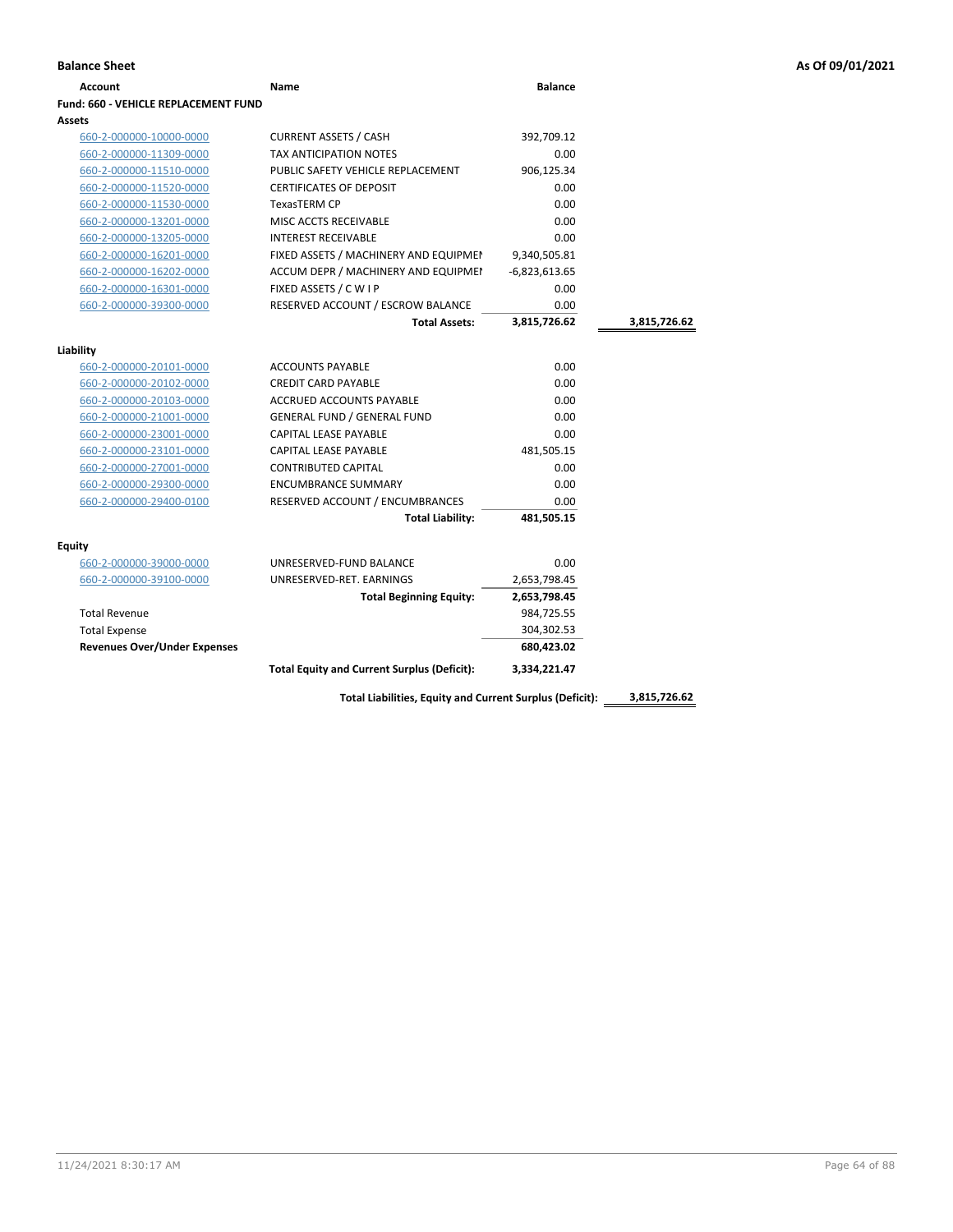| Account                              | Name                                               | <b>Balance</b>  |              |
|--------------------------------------|----------------------------------------------------|-----------------|--------------|
| Fund: 660 - VEHICLE REPLACEMENT FUND |                                                    |                 |              |
| Assets                               |                                                    |                 |              |
| 660-2-000000-10000-0000              | <b>CURRENT ASSETS / CASH</b>                       | 392,709.12      |              |
| 660-2-000000-11309-0000              | <b>TAX ANTICIPATION NOTES</b>                      | 0.00            |              |
| 660-2-000000-11510-0000              | PUBLIC SAFETY VEHICLE REPLACEMENT                  | 906,125.34      |              |
| 660-2-000000-11520-0000              | <b>CERTIFICATES OF DEPOSIT</b>                     | 0.00            |              |
| 660-2-000000-11530-0000              | <b>TexasTERM CP</b>                                | 0.00            |              |
| 660-2-000000-13201-0000              | MISC ACCTS RECEIVABLE                              | 0.00            |              |
| 660-2-000000-13205-0000              | <b>INTEREST RECEIVABLE</b>                         | 0.00            |              |
| 660-2-000000-16201-0000              | FIXED ASSETS / MACHINERY AND EQUIPMEN              | 9,340,505.81    |              |
| 660-2-000000-16202-0000              | ACCUM DEPR / MACHINERY AND EQUIPMEI                | $-6,823,613.65$ |              |
| 660-2-000000-16301-0000              | FIXED ASSETS / C W I P                             | 0.00            |              |
| 660-2-000000-39300-0000              | RESERVED ACCOUNT / ESCROW BALANCE                  | 0.00            |              |
|                                      | <b>Total Assets:</b>                               | 3,815,726.62    | 3,815,726.62 |
|                                      |                                                    |                 |              |
| Liability                            |                                                    |                 |              |
| 660-2-000000-20101-0000              | <b>ACCOUNTS PAYABLE</b>                            | 0.00            |              |
| 660-2-000000-20102-0000              | <b>CREDIT CARD PAYABLE</b>                         | 0.00            |              |
| 660-2-000000-20103-0000              | <b>ACCRUED ACCOUNTS PAYABLE</b>                    | 0.00            |              |
| 660-2-000000-21001-0000              | GENERAL FUND / GENERAL FUND                        | 0.00            |              |
| 660-2-000000-23001-0000              | <b>CAPITAL LEASE PAYABLE</b>                       | 0.00            |              |
| 660-2-000000-23101-0000              | CAPITAL LEASE PAYABLE                              | 481,505.15      |              |
| 660-2-000000-27001-0000              | <b>CONTRIBUTED CAPITAL</b>                         | 0.00            |              |
| 660-2-000000-29300-0000              | <b>ENCUMBRANCE SUMMARY</b>                         | 0.00            |              |
| 660-2-000000-29400-0100              | RESERVED ACCOUNT / ENCUMBRANCES                    | 0.00            |              |
|                                      | <b>Total Liability:</b>                            | 481,505.15      |              |
| Equity                               |                                                    |                 |              |
| 660-2-000000-39000-0000              | UNRESERVED-FUND BALANCE                            | 0.00            |              |
| 660-2-000000-39100-0000              | UNRESERVED-RET. EARNINGS                           | 2,653,798.45    |              |
|                                      | <b>Total Beginning Equity:</b>                     | 2,653,798.45    |              |
| <b>Total Revenue</b>                 |                                                    | 984,725.55      |              |
| <b>Total Expense</b>                 |                                                    | 304,302.53      |              |
| <b>Revenues Over/Under Expenses</b>  |                                                    | 680,423.02      |              |
|                                      | <b>Total Equity and Current Surplus (Deficit):</b> | 3.334.221.47    |              |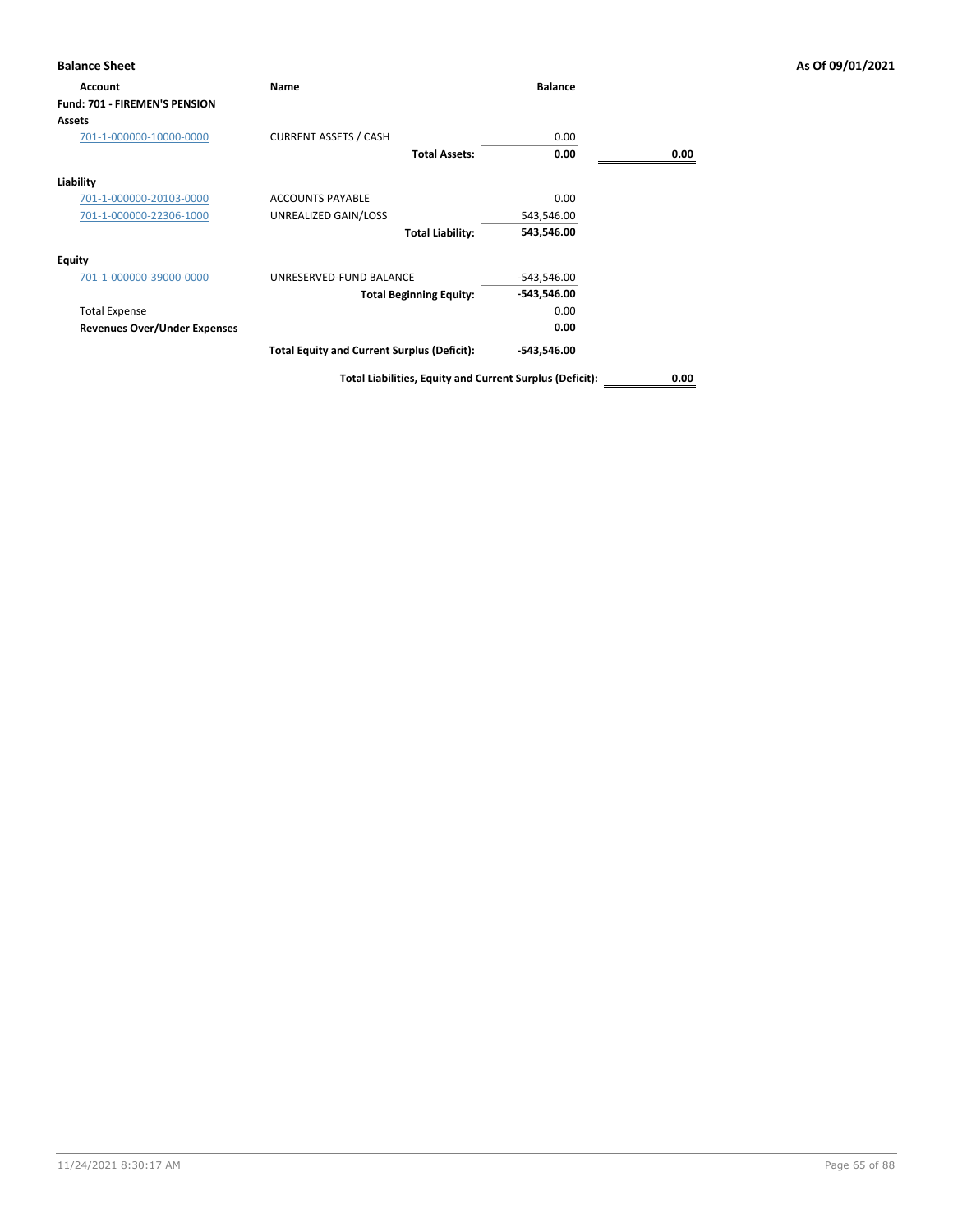| <b>Balance Sheet</b>                 |                                                    |                |      | As Of 09/01/2021 |
|--------------------------------------|----------------------------------------------------|----------------|------|------------------|
| Account                              | Name                                               | <b>Balance</b> |      |                  |
| <b>Fund: 701 - FIREMEN'S PENSION</b> |                                                    |                |      |                  |
| Assets                               |                                                    |                |      |                  |
| 701-1-000000-10000-0000              | <b>CURRENT ASSETS / CASH</b>                       | 0.00           |      |                  |
|                                      | <b>Total Assets:</b>                               | 0.00           | 0.00 |                  |
| Liability                            |                                                    |                |      |                  |
| 701-1-000000-20103-0000              | <b>ACCOUNTS PAYABLE</b>                            | 0.00           |      |                  |
| 701-1-000000-22306-1000              | UNREALIZED GAIN/LOSS                               | 543,546.00     |      |                  |
|                                      | <b>Total Liability:</b>                            | 543,546.00     |      |                  |
| Equity                               |                                                    |                |      |                  |
| 701-1-000000-39000-0000              | UNRESERVED-FUND BALANCE                            | $-543,546.00$  |      |                  |
|                                      | <b>Total Beginning Equity:</b>                     | -543,546.00    |      |                  |
| <b>Total Expense</b>                 |                                                    | 0.00           |      |                  |
| <b>Revenues Over/Under Expenses</b>  |                                                    | 0.00           |      |                  |
|                                      | <b>Total Equity and Current Surplus (Deficit):</b> | -543,546.00    |      |                  |
|                                      |                                                    |                |      |                  |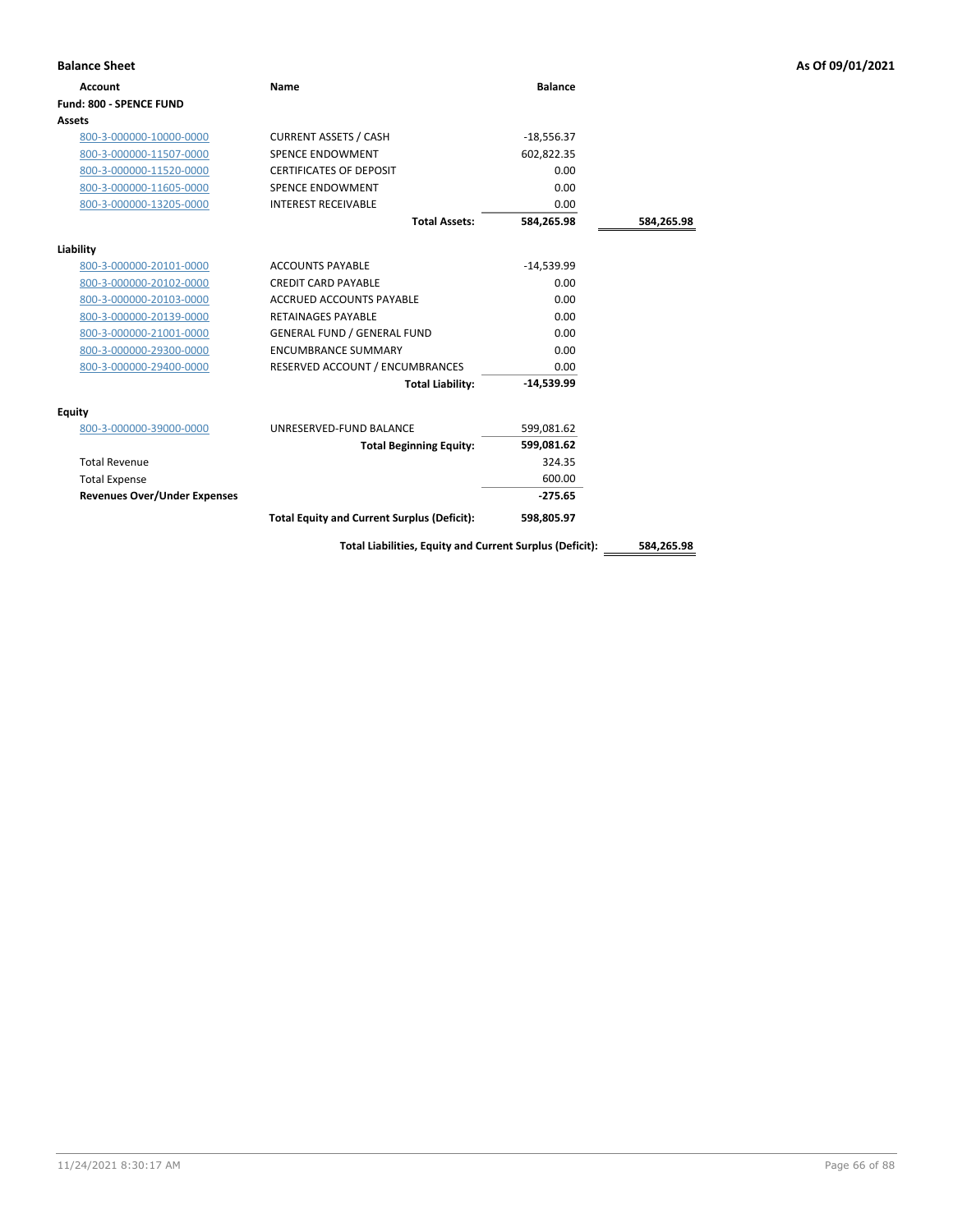| <b>Balance Sheet</b>                |                                                          |                |            | As Of 09/01/2021 |
|-------------------------------------|----------------------------------------------------------|----------------|------------|------------------|
| <b>Account</b>                      | <b>Name</b>                                              | <b>Balance</b> |            |                  |
| Fund: 800 - SPENCE FUND             |                                                          |                |            |                  |
| Assets                              |                                                          |                |            |                  |
| 800-3-000000-10000-0000             | <b>CURRENT ASSETS / CASH</b>                             | $-18,556.37$   |            |                  |
| 800-3-000000-11507-0000             | <b>SPENCE ENDOWMENT</b>                                  | 602,822.35     |            |                  |
| 800-3-000000-11520-0000             | <b>CERTIFICATES OF DEPOSIT</b>                           | 0.00           |            |                  |
| 800-3-000000-11605-0000             | SPENCE ENDOWMENT                                         | 0.00           |            |                  |
| 800-3-000000-13205-0000             | <b>INTEREST RECEIVABLE</b>                               | 0.00           |            |                  |
|                                     | <b>Total Assets:</b>                                     | 584,265.98     | 584,265.98 |                  |
| Liability                           |                                                          |                |            |                  |
| 800-3-000000-20101-0000             | <b>ACCOUNTS PAYABLE</b>                                  | $-14,539.99$   |            |                  |
| 800-3-000000-20102-0000             | <b>CREDIT CARD PAYABLE</b>                               | 0.00           |            |                  |
| 800-3-000000-20103-0000             | <b>ACCRUED ACCOUNTS PAYABLE</b>                          | 0.00           |            |                  |
| 800-3-000000-20139-0000             | <b>RETAINAGES PAYABLE</b>                                | 0.00           |            |                  |
| 800-3-000000-21001-0000             | <b>GENERAL FUND / GENERAL FUND</b>                       | 0.00           |            |                  |
| 800-3-000000-29300-0000             | <b>ENCUMBRANCE SUMMARY</b>                               | 0.00           |            |                  |
| 800-3-000000-29400-0000             | RESERVED ACCOUNT / ENCUMBRANCES                          | 0.00           |            |                  |
|                                     | <b>Total Liability:</b>                                  | $-14,539.99$   |            |                  |
| <b>Equity</b>                       |                                                          |                |            |                  |
| 800-3-000000-39000-0000             | UNRESERVED-FUND BALANCE                                  | 599,081.62     |            |                  |
|                                     | <b>Total Beginning Equity:</b>                           | 599,081.62     |            |                  |
| <b>Total Revenue</b>                |                                                          | 324.35         |            |                  |
| <b>Total Expense</b>                |                                                          | 600.00         |            |                  |
| <b>Revenues Over/Under Expenses</b> |                                                          | $-275.65$      |            |                  |
|                                     | <b>Total Equity and Current Surplus (Deficit):</b>       | 598,805.97     |            |                  |
|                                     | Total Liabilities, Equity and Current Surplus (Deficit): |                | 584,265.98 |                  |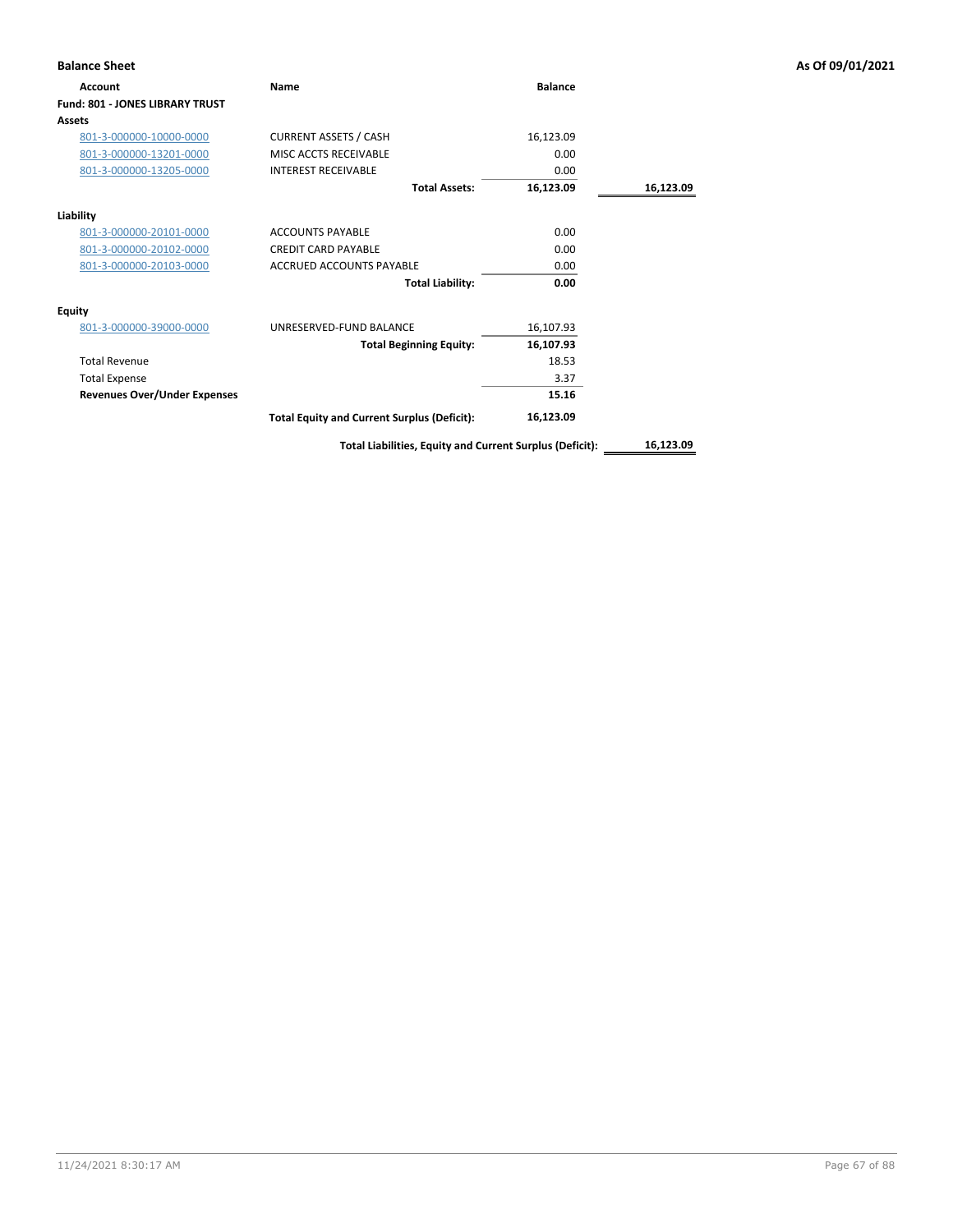| <b>Balance Sheet</b>                |                                                          |                |           | As Of 09/01/2021 |
|-------------------------------------|----------------------------------------------------------|----------------|-----------|------------------|
| Account                             | Name                                                     | <b>Balance</b> |           |                  |
| Fund: 801 - JONES LIBRARY TRUST     |                                                          |                |           |                  |
| <b>Assets</b>                       |                                                          |                |           |                  |
| 801-3-000000-10000-0000             | <b>CURRENT ASSETS / CASH</b>                             | 16,123.09      |           |                  |
| 801-3-000000-13201-0000             | MISC ACCTS RECEIVABLE                                    | 0.00           |           |                  |
| 801-3-000000-13205-0000             | <b>INTEREST RECEIVABLE</b>                               | 0.00           |           |                  |
|                                     | <b>Total Assets:</b>                                     | 16,123.09      | 16,123.09 |                  |
| Liability                           |                                                          |                |           |                  |
| 801-3-000000-20101-0000             | <b>ACCOUNTS PAYABLE</b>                                  | 0.00           |           |                  |
| 801-3-000000-20102-0000             | <b>CREDIT CARD PAYABLE</b>                               | 0.00           |           |                  |
| 801-3-000000-20103-0000             | <b>ACCRUED ACCOUNTS PAYABLE</b>                          | 0.00           |           |                  |
|                                     | <b>Total Liability:</b>                                  | 0.00           |           |                  |
| <b>Equity</b>                       |                                                          |                |           |                  |
| 801-3-000000-39000-0000             | UNRESERVED-FUND BALANCE                                  | 16,107.93      |           |                  |
|                                     | <b>Total Beginning Equity:</b>                           | 16,107.93      |           |                  |
| <b>Total Revenue</b>                |                                                          | 18.53          |           |                  |
| <b>Total Expense</b>                |                                                          | 3.37           |           |                  |
| <b>Revenues Over/Under Expenses</b> |                                                          | 15.16          |           |                  |
|                                     | <b>Total Equity and Current Surplus (Deficit):</b>       | 16,123.09      |           |                  |
|                                     | Total Liabilities, Equity and Current Surplus (Deficit): |                | 16,123.09 |                  |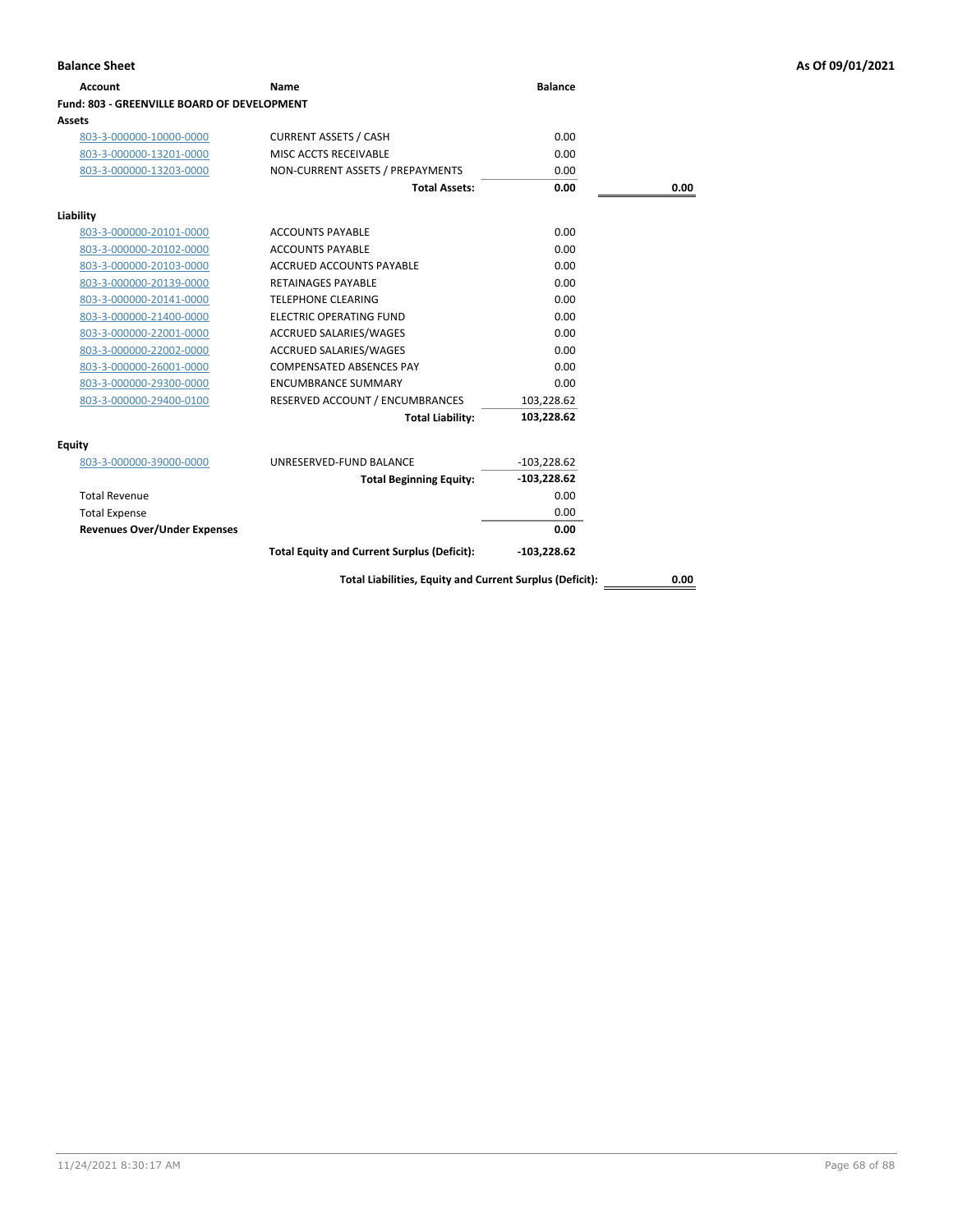| <b>Account</b>                                     | Name                             | <b>Balance</b> |      |
|----------------------------------------------------|----------------------------------|----------------|------|
| <b>Fund: 803 - GREENVILLE BOARD OF DEVELOPMENT</b> |                                  |                |      |
| Assets                                             |                                  |                |      |
| 803-3-000000-10000-0000                            | <b>CURRENT ASSETS / CASH</b>     | 0.00           |      |
| 803-3-000000-13201-0000                            | MISC ACCTS RECEIVABLE            | 0.00           |      |
| 803-3-000000-13203-0000                            | NON-CURRENT ASSETS / PREPAYMENTS | 0.00           |      |
|                                                    | <b>Total Assets:</b>             | 0.00           | 0.00 |
| Liability                                          |                                  |                |      |
| 803-3-000000-20101-0000                            | <b>ACCOUNTS PAYABLE</b>          | 0.00           |      |
| 803-3-000000-20102-0000                            | <b>ACCOUNTS PAYABLE</b>          | 0.00           |      |
| 803-3-000000-20103-0000                            | ACCRUED ACCOUNTS PAYABLE         | 0.00           |      |
| 803-3-000000-20139-0000                            | <b>RETAINAGES PAYABLE</b>        | 0.00           |      |
| 803-3-000000-20141-0000                            | <b>TELEPHONE CLEARING</b>        | 0.00           |      |
| 803-3-000000-21400-0000                            | <b>ELECTRIC OPERATING FUND</b>   | 0.00           |      |
| 803-3-000000-22001-0000                            | ACCRUED SALARIES/WAGES           | 0.00           |      |
| 803-3-000000-22002-0000                            | <b>ACCRUED SALARIES/WAGES</b>    | 0.00           |      |
| 803-3-000000-26001-0000                            | <b>COMPENSATED ABSENCES PAY</b>  | 0.00           |      |
| 803-3-000000-29300-0000                            | <b>ENCUMBRANCE SUMMARY</b>       | 0.00           |      |
| 803-3-000000-29400-0100                            | RESERVED ACCOUNT / ENCUMBRANCES  | 103,228.62     |      |
|                                                    | <b>Total Liability:</b>          | 103,228.62     |      |
| Equity                                             |                                  |                |      |
| 803-3-000000-39000-0000                            | UNRESERVED-FUND BALANCE          | $-103,228.62$  |      |
|                                                    | <b>Total Beginning Equity:</b>   | $-103,228.62$  |      |
| <b>Total Revenue</b>                               |                                  | 0.00           |      |
| <b>Total Expense</b>                               |                                  | 0.00           |      |
| <b>Revenues Over/Under Expenses</b>                |                                  | 0.00           |      |

**Total Equity and Current Surplus (Deficit): -103,228.62**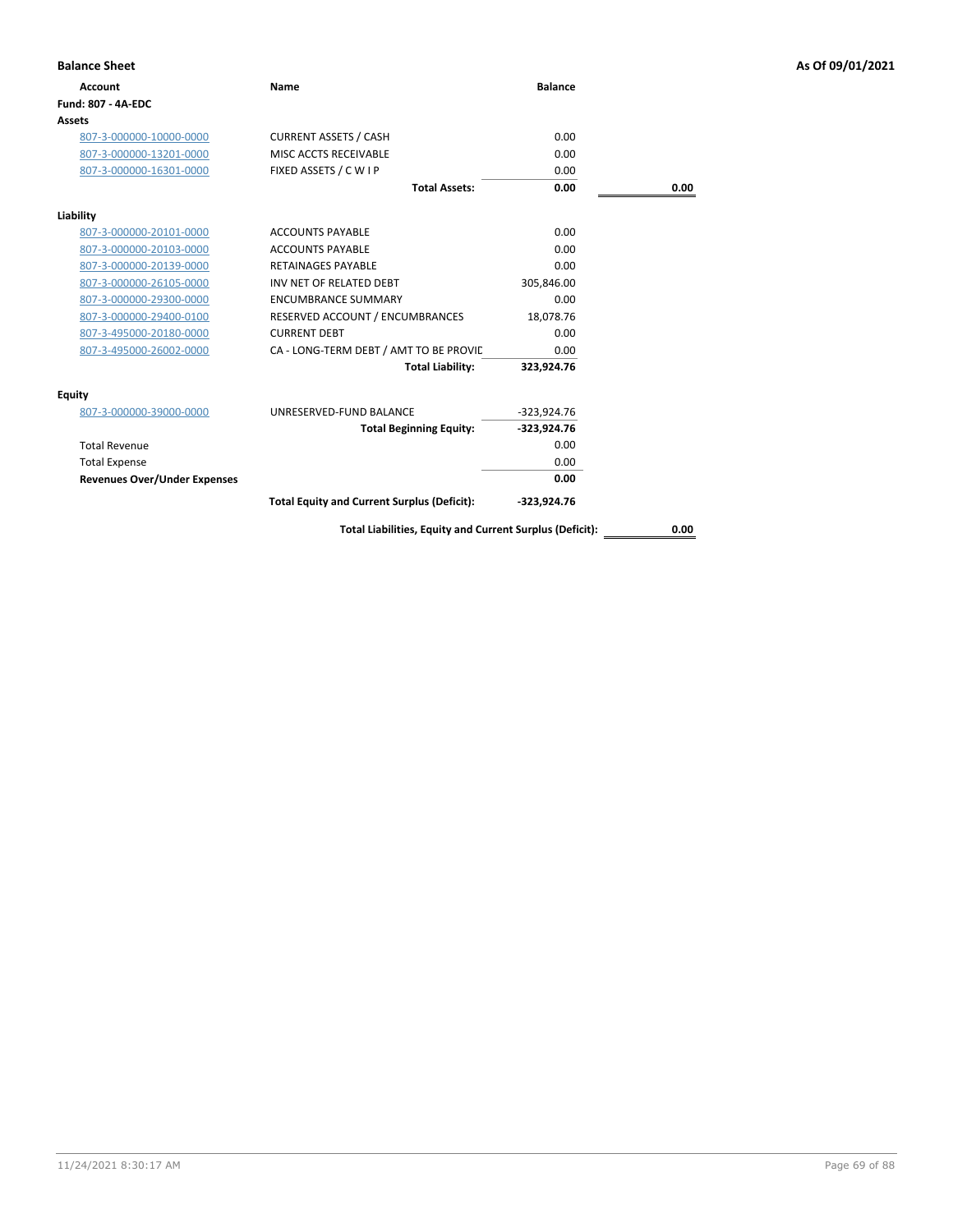| <b>Balance Sheet</b>                |                                                          |                |      | As Of 09/01/2021 |
|-------------------------------------|----------------------------------------------------------|----------------|------|------------------|
| <b>Account</b>                      | Name                                                     | <b>Balance</b> |      |                  |
| Fund: 807 - 4A-EDC                  |                                                          |                |      |                  |
| Assets                              |                                                          |                |      |                  |
| 807-3-000000-10000-0000             | <b>CURRENT ASSETS / CASH</b>                             | 0.00           |      |                  |
| 807-3-000000-13201-0000             | MISC ACCTS RECEIVABLE                                    | 0.00           |      |                  |
| 807-3-000000-16301-0000             | FIXED ASSETS / C W I P                                   | 0.00           |      |                  |
|                                     | <b>Total Assets:</b>                                     | 0.00           | 0.00 |                  |
| Liability                           |                                                          |                |      |                  |
| 807-3-000000-20101-0000             | <b>ACCOUNTS PAYABLE</b>                                  | 0.00           |      |                  |
| 807-3-000000-20103-0000             | <b>ACCOUNTS PAYABLE</b>                                  | 0.00           |      |                  |
| 807-3-000000-20139-0000             | <b>RETAINAGES PAYABLE</b>                                | 0.00           |      |                  |
| 807-3-000000-26105-0000             | INV NET OF RELATED DEBT                                  | 305,846.00     |      |                  |
| 807-3-000000-29300-0000             | <b>ENCUMBRANCE SUMMARY</b>                               | 0.00           |      |                  |
| 807-3-000000-29400-0100             | RESERVED ACCOUNT / ENCUMBRANCES                          | 18,078.76      |      |                  |
| 807-3-495000-20180-0000             | <b>CURRENT DEBT</b>                                      | 0.00           |      |                  |
| 807-3-495000-26002-0000             | CA - LONG-TERM DEBT / AMT TO BE PROVIC                   | 0.00           |      |                  |
|                                     | <b>Total Liability:</b>                                  | 323,924.76     |      |                  |
| Equity                              |                                                          |                |      |                  |
| 807-3-000000-39000-0000             | UNRESERVED-FUND BALANCE                                  | $-323,924.76$  |      |                  |
|                                     | <b>Total Beginning Equity:</b>                           | $-323,924.76$  |      |                  |
| <b>Total Revenue</b>                |                                                          | 0.00           |      |                  |
| <b>Total Expense</b>                |                                                          | 0.00           |      |                  |
| <b>Revenues Over/Under Expenses</b> |                                                          | 0.00           |      |                  |
|                                     | <b>Total Equity and Current Surplus (Deficit):</b>       | -323,924.76    |      |                  |
|                                     | Total Liabilities, Equity and Current Surplus (Deficit): |                | 0.00 |                  |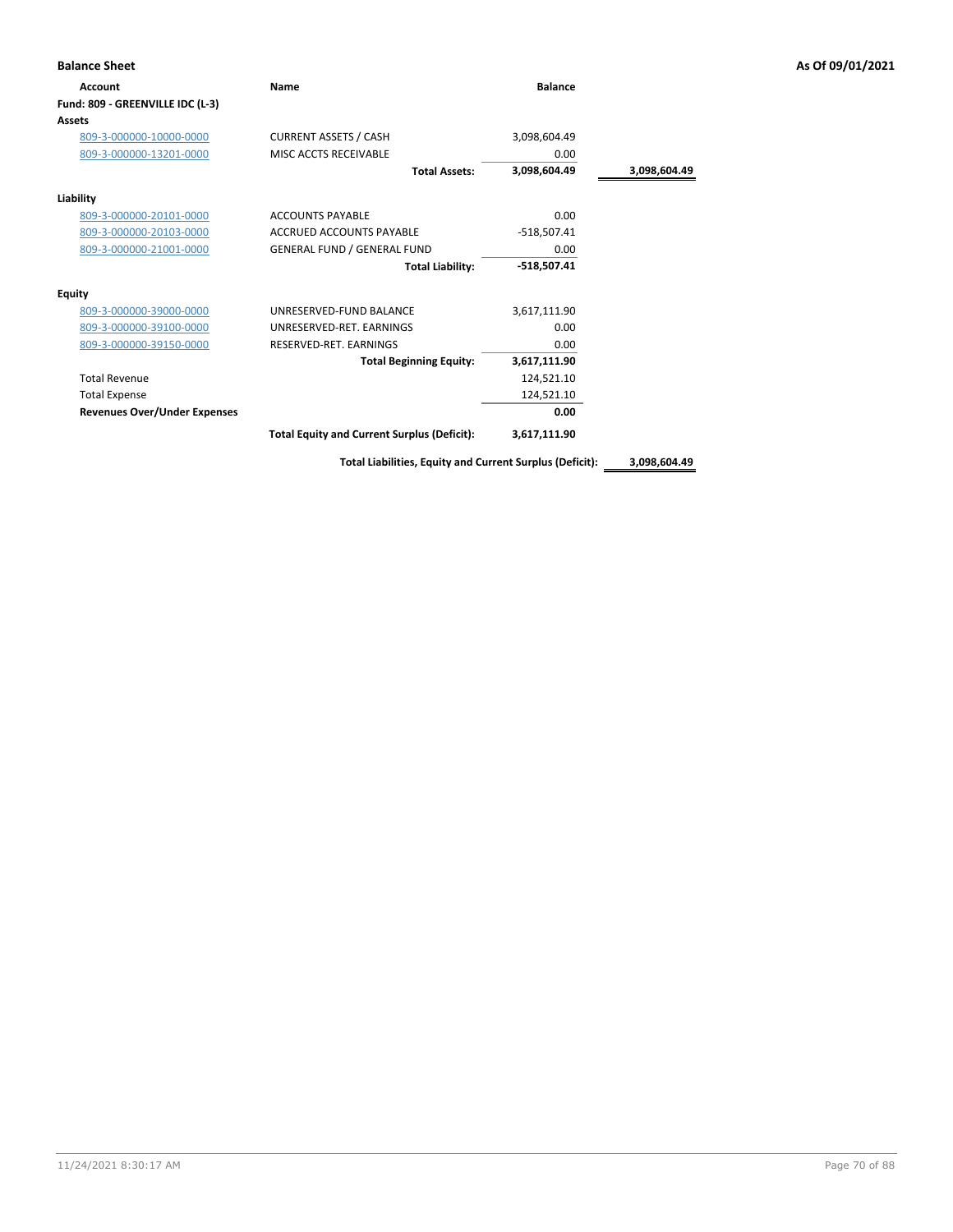| <b>Balance Sheet</b>                |                                                    |                |              | As Of 09/01/2021 |
|-------------------------------------|----------------------------------------------------|----------------|--------------|------------------|
| Account                             | Name                                               | <b>Balance</b> |              |                  |
| Fund: 809 - GREENVILLE IDC (L-3)    |                                                    |                |              |                  |
| <b>Assets</b>                       |                                                    |                |              |                  |
| 809-3-000000-10000-0000             | <b>CURRENT ASSETS / CASH</b>                       | 3,098,604.49   |              |                  |
| 809-3-000000-13201-0000             | MISC ACCTS RECEIVABLE                              | 0.00           |              |                  |
|                                     | <b>Total Assets:</b>                               | 3,098,604.49   | 3,098,604.49 |                  |
| Liability                           |                                                    |                |              |                  |
| 809-3-000000-20101-0000             | <b>ACCOUNTS PAYABLE</b>                            | 0.00           |              |                  |
| 809-3-000000-20103-0000             | ACCRUED ACCOUNTS PAYABLE                           | $-518,507.41$  |              |                  |
| 809-3-000000-21001-0000             | <b>GENERAL FUND / GENERAL FUND</b>                 | 0.00           |              |                  |
|                                     | <b>Total Liability:</b>                            | $-518,507.41$  |              |                  |
| <b>Equity</b>                       |                                                    |                |              |                  |
| 809-3-000000-39000-0000             | UNRESERVED-FUND BALANCE                            | 3,617,111.90   |              |                  |
| 809-3-000000-39100-0000             | UNRESERVED-RET. EARNINGS                           | 0.00           |              |                  |
| 809-3-000000-39150-0000             | RESERVED-RET. EARNINGS                             | 0.00           |              |                  |
|                                     | <b>Total Beginning Equity:</b>                     | 3,617,111.90   |              |                  |
| <b>Total Revenue</b>                |                                                    | 124,521.10     |              |                  |
| <b>Total Expense</b>                |                                                    | 124,521.10     |              |                  |
| <b>Revenues Over/Under Expenses</b> |                                                    | 0.00           |              |                  |
|                                     | <b>Total Equity and Current Surplus (Deficit):</b> | 3,617,111.90   |              |                  |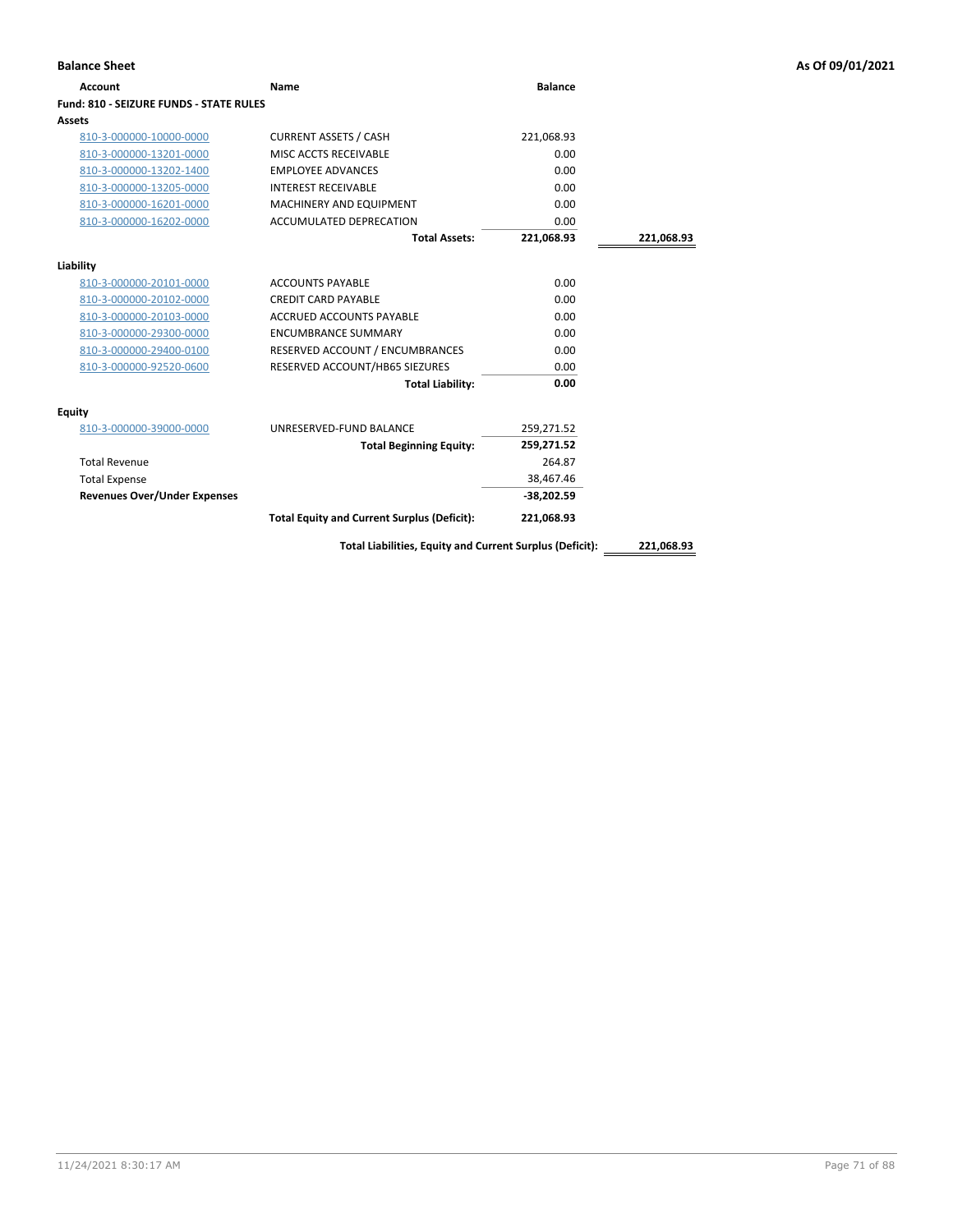| <b>Balance Sheet</b>                    |                                                          |                |            | As Of 09/01/2021 |
|-----------------------------------------|----------------------------------------------------------|----------------|------------|------------------|
| <b>Account</b>                          | <b>Name</b>                                              | <b>Balance</b> |            |                  |
| Fund: 810 - SEIZURE FUNDS - STATE RULES |                                                          |                |            |                  |
| Assets                                  |                                                          |                |            |                  |
| 810-3-000000-10000-0000                 | <b>CURRENT ASSETS / CASH</b>                             | 221,068.93     |            |                  |
| 810-3-000000-13201-0000                 | MISC ACCTS RECEIVABLE                                    | 0.00           |            |                  |
| 810-3-000000-13202-1400                 | <b>EMPLOYEE ADVANCES</b>                                 | 0.00           |            |                  |
| 810-3-000000-13205-0000                 | <b>INTEREST RECEIVABLE</b>                               | 0.00           |            |                  |
| 810-3-000000-16201-0000                 | MACHINERY AND EQUIPMENT                                  | 0.00           |            |                  |
| 810-3-000000-16202-0000                 | ACCUMULATED DEPRECATION                                  | 0.00           |            |                  |
|                                         | <b>Total Assets:</b>                                     | 221,068.93     | 221,068.93 |                  |
| Liability                               |                                                          |                |            |                  |
| 810-3-000000-20101-0000                 | <b>ACCOUNTS PAYABLE</b>                                  | 0.00           |            |                  |
| 810-3-000000-20102-0000                 | <b>CREDIT CARD PAYABLE</b>                               | 0.00           |            |                  |
| 810-3-000000-20103-0000                 | ACCRUED ACCOUNTS PAYABLE                                 | 0.00           |            |                  |
| 810-3-000000-29300-0000                 | <b>ENCUMBRANCE SUMMARY</b>                               | 0.00           |            |                  |
| 810-3-000000-29400-0100                 | RESERVED ACCOUNT / ENCUMBRANCES                          | 0.00           |            |                  |
| 810-3-000000-92520-0600                 | RESERVED ACCOUNT/HB65 SIEZURES                           | 0.00           |            |                  |
|                                         | <b>Total Liability:</b>                                  | 0.00           |            |                  |
| Equity                                  |                                                          |                |            |                  |
| 810-3-000000-39000-0000                 | UNRESERVED-FUND BALANCE                                  | 259,271.52     |            |                  |
|                                         | <b>Total Beginning Equity:</b>                           | 259,271.52     |            |                  |
| <b>Total Revenue</b>                    |                                                          | 264.87         |            |                  |
| <b>Total Expense</b>                    |                                                          | 38,467.46      |            |                  |
| <b>Revenues Over/Under Expenses</b>     |                                                          | $-38,202.59$   |            |                  |
|                                         | <b>Total Equity and Current Surplus (Deficit):</b>       | 221,068.93     |            |                  |
|                                         | Total Liabilities, Equity and Current Surplus (Deficit): |                | 221,068.93 |                  |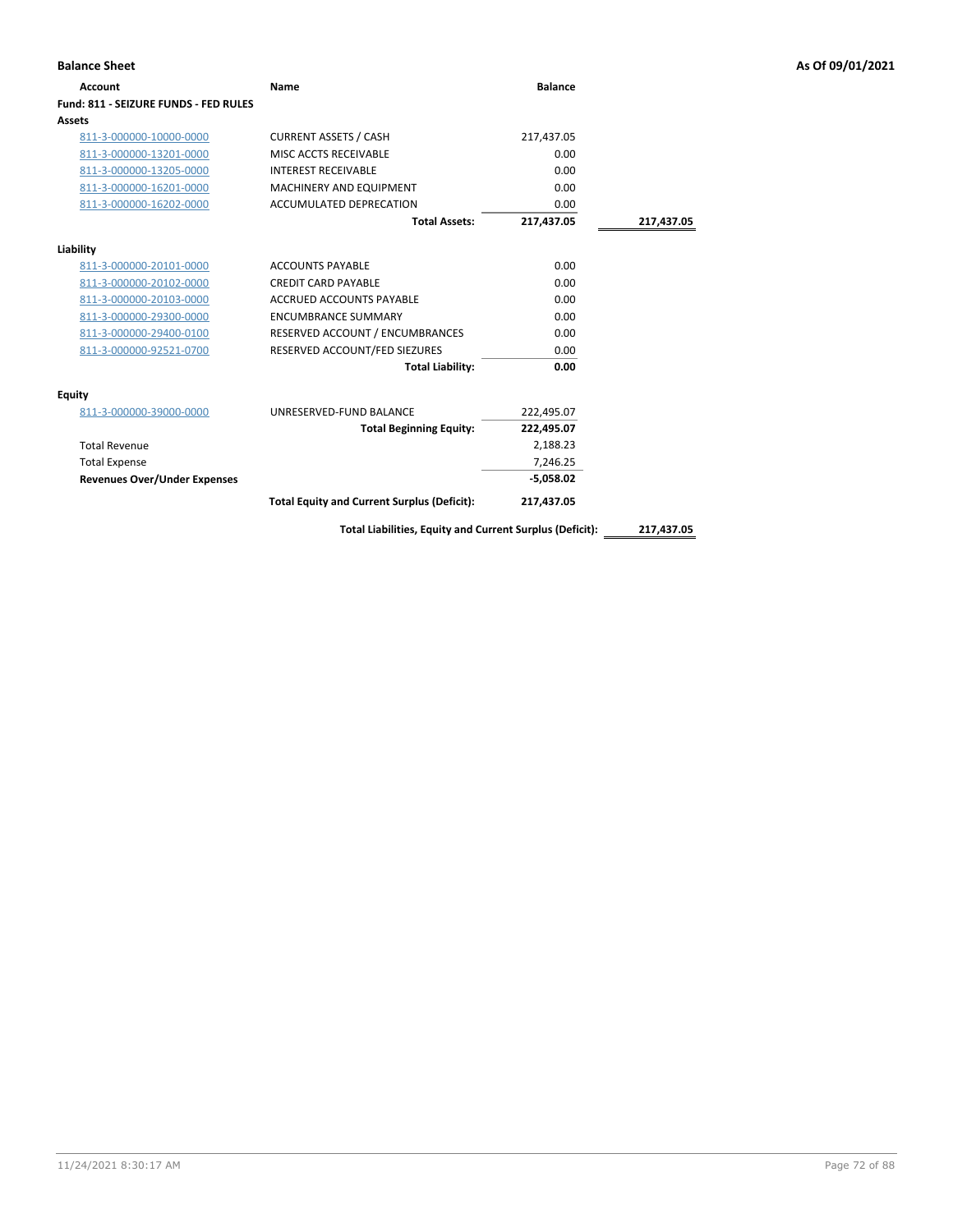| Account                               | Name                                                     | <b>Balance</b> |            |
|---------------------------------------|----------------------------------------------------------|----------------|------------|
| Fund: 811 - SEIZURE FUNDS - FED RULES |                                                          |                |            |
| <b>Assets</b>                         |                                                          |                |            |
| 811-3-000000-10000-0000               | <b>CURRENT ASSETS / CASH</b>                             | 217,437.05     |            |
| 811-3-000000-13201-0000               | MISC ACCTS RECEIVABLE                                    | 0.00           |            |
| 811-3-000000-13205-0000               | <b>INTEREST RECEIVABLE</b>                               | 0.00           |            |
| 811-3-000000-16201-0000               | <b>MACHINERY AND EQUIPMENT</b>                           | 0.00           |            |
| 811-3-000000-16202-0000               | ACCUMULATED DEPRECATION                                  | 0.00           |            |
|                                       | <b>Total Assets:</b>                                     | 217,437.05     | 217,437.05 |
| Liability                             |                                                          |                |            |
| 811-3-000000-20101-0000               | <b>ACCOUNTS PAYABLE</b>                                  | 0.00           |            |
| 811-3-000000-20102-0000               | <b>CREDIT CARD PAYABLE</b>                               | 0.00           |            |
| 811-3-000000-20103-0000               | <b>ACCRUED ACCOUNTS PAYABLE</b>                          | 0.00           |            |
| 811-3-000000-29300-0000               | <b>ENCUMBRANCE SUMMARY</b>                               | 0.00           |            |
| 811-3-000000-29400-0100               | RESERVED ACCOUNT / ENCUMBRANCES                          | 0.00           |            |
| 811-3-000000-92521-0700               | RESERVED ACCOUNT/FED SIEZURES                            | 0.00           |            |
|                                       | <b>Total Liability:</b>                                  | 0.00           |            |
| <b>Equity</b>                         |                                                          |                |            |
| 811-3-000000-39000-0000               | UNRESERVED-FUND BALANCE                                  | 222,495.07     |            |
|                                       | <b>Total Beginning Equity:</b>                           | 222,495.07     |            |
| <b>Total Revenue</b>                  |                                                          | 2,188.23       |            |
| <b>Total Expense</b>                  |                                                          | 7,246.25       |            |
| <b>Revenues Over/Under Expenses</b>   |                                                          | $-5,058.02$    |            |
|                                       | <b>Total Equity and Current Surplus (Deficit):</b>       | 217,437.05     |            |
|                                       | Total Liabilities, Equity and Current Surplus (Deficit): |                | 217,437.05 |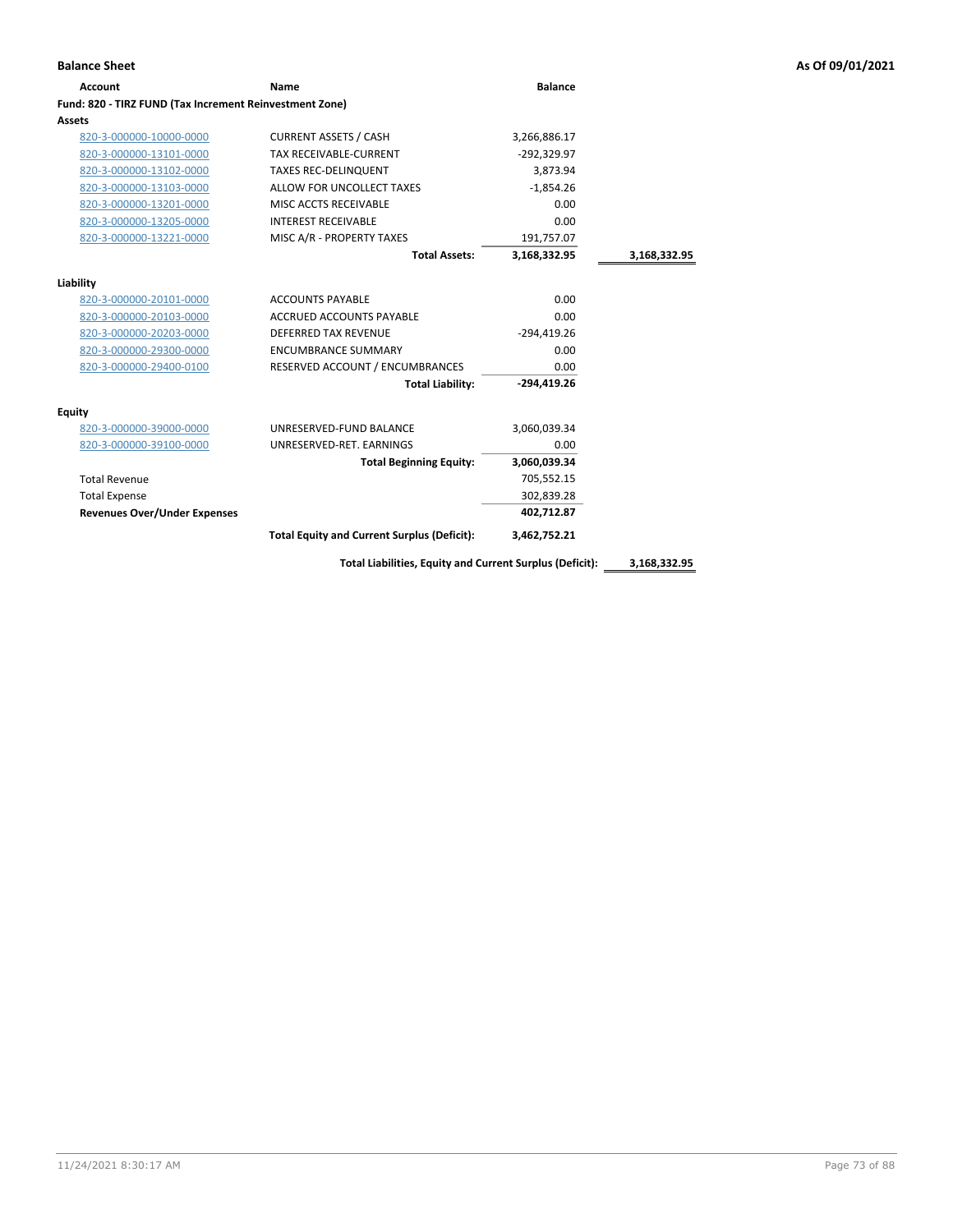| <b>Account</b>                                          | Name                                               | <b>Balance</b> |              |
|---------------------------------------------------------|----------------------------------------------------|----------------|--------------|
| Fund: 820 - TIRZ FUND (Tax Increment Reinvestment Zone) |                                                    |                |              |
| <b>Assets</b>                                           |                                                    |                |              |
| 820-3-000000-10000-0000                                 | <b>CURRENT ASSETS / CASH</b>                       | 3,266,886.17   |              |
| 820-3-000000-13101-0000                                 | <b>TAX RECEIVABLE-CURRENT</b>                      | $-292,329.97$  |              |
| 820-3-000000-13102-0000                                 | <b>TAXES REC-DELINQUENT</b>                        | 3,873.94       |              |
| 820-3-000000-13103-0000                                 | ALLOW FOR UNCOLLECT TAXES                          | $-1,854.26$    |              |
| 820-3-000000-13201-0000                                 | MISC ACCTS RECEIVABLE                              | 0.00           |              |
| 820-3-000000-13205-0000                                 | <b>INTEREST RECEIVABLE</b>                         | 0.00           |              |
| 820-3-000000-13221-0000                                 | MISC A/R - PROPERTY TAXES                          | 191,757.07     |              |
|                                                         | <b>Total Assets:</b>                               | 3,168,332.95   | 3,168,332.95 |
| Liability                                               |                                                    |                |              |
| 820-3-000000-20101-0000                                 | <b>ACCOUNTS PAYABLE</b>                            | 0.00           |              |
| 820-3-000000-20103-0000                                 | <b>ACCRUED ACCOUNTS PAYABLE</b>                    | 0.00           |              |
| 820-3-000000-20203-0000                                 | <b>DEFERRED TAX REVENUE</b>                        | $-294.419.26$  |              |
| 820-3-000000-29300-0000                                 | <b>ENCUMBRANCE SUMMARY</b>                         | 0.00           |              |
| 820-3-000000-29400-0100                                 | RESERVED ACCOUNT / ENCUMBRANCES                    | 0.00           |              |
|                                                         | <b>Total Liability:</b>                            | $-294,419.26$  |              |
| <b>Equity</b>                                           |                                                    |                |              |
| 820-3-000000-39000-0000                                 | UNRESERVED-FUND BALANCE                            | 3,060,039.34   |              |
| 820-3-000000-39100-0000                                 | UNRESERVED-RET. EARNINGS                           | 0.00           |              |
|                                                         | <b>Total Beginning Equity:</b>                     | 3,060,039.34   |              |
| <b>Total Revenue</b>                                    |                                                    | 705,552.15     |              |
| <b>Total Expense</b>                                    |                                                    | 302,839.28     |              |
| <b>Revenues Over/Under Expenses</b>                     |                                                    | 402,712.87     |              |
|                                                         | <b>Total Equity and Current Surplus (Deficit):</b> | 3,462,752.21   |              |
|                                                         |                                                    |                |              |

**Total Liabilities, Equity and Current Surplus (Deficit): 3,168,332.95**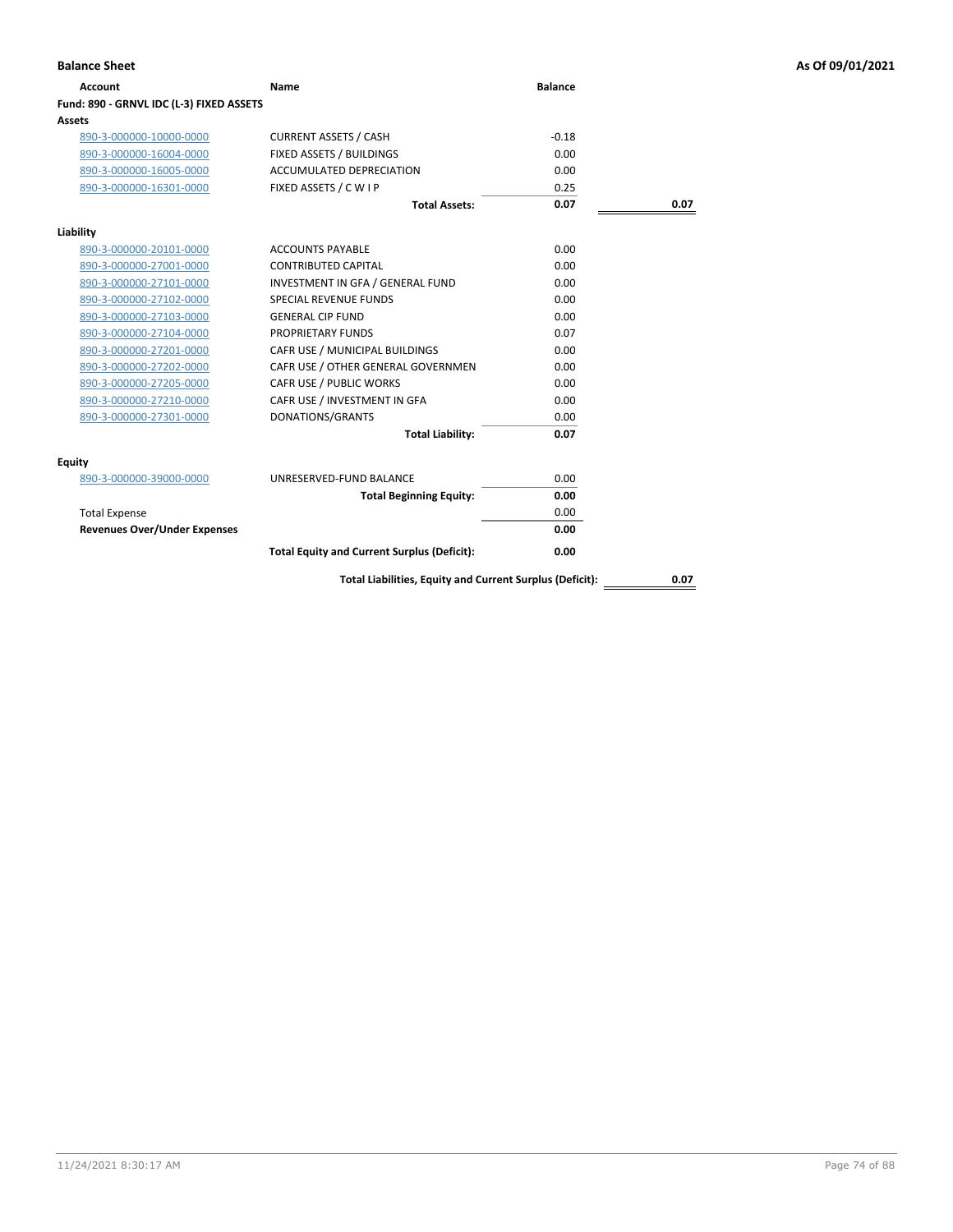| Account                                  | Name                                                     | <b>Balance</b> |      |
|------------------------------------------|----------------------------------------------------------|----------------|------|
| Fund: 890 - GRNVL IDC (L-3) FIXED ASSETS |                                                          |                |      |
| Assets                                   |                                                          |                |      |
| 890-3-000000-10000-0000                  | <b>CURRENT ASSETS / CASH</b>                             | $-0.18$        |      |
| 890-3-000000-16004-0000                  | FIXED ASSETS / BUILDINGS                                 | 0.00           |      |
| 890-3-000000-16005-0000                  | <b>ACCUMULATED DEPRECIATION</b>                          | 0.00           |      |
| 890-3-000000-16301-0000                  | FIXED ASSETS / C W I P                                   | 0.25           |      |
|                                          | <b>Total Assets:</b>                                     | 0.07           | 0.07 |
| Liability                                |                                                          |                |      |
| 890-3-000000-20101-0000                  | <b>ACCOUNTS PAYABLE</b>                                  | 0.00           |      |
| 890-3-000000-27001-0000                  | <b>CONTRIBUTED CAPITAL</b>                               | 0.00           |      |
| 890-3-000000-27101-0000                  | INVESTMENT IN GFA / GENERAL FUND                         | 0.00           |      |
| 890-3-000000-27102-0000                  | <b>SPECIAL REVENUE FUNDS</b>                             | 0.00           |      |
| 890-3-000000-27103-0000                  | <b>GENERAL CIP FUND</b>                                  | 0.00           |      |
| 890-3-000000-27104-0000                  | PROPRIETARY FUNDS                                        | 0.07           |      |
| 890-3-000000-27201-0000                  | CAFR USE / MUNICIPAL BUILDINGS                           | 0.00           |      |
| 890-3-000000-27202-0000                  | CAFR USE / OTHER GENERAL GOVERNMEN                       | 0.00           |      |
| 890-3-000000-27205-0000                  | CAFR USE / PUBLIC WORKS                                  | 0.00           |      |
| 890-3-000000-27210-0000                  | CAFR USE / INVESTMENT IN GFA                             | 0.00           |      |
| 890-3-000000-27301-0000                  | DONATIONS/GRANTS                                         | 0.00           |      |
|                                          | <b>Total Liability:</b>                                  | 0.07           |      |
| Equity                                   |                                                          |                |      |
| 890-3-000000-39000-0000                  | UNRESERVED-FUND BALANCE                                  | 0.00           |      |
|                                          | <b>Total Beginning Equity:</b>                           | 0.00           |      |
| <b>Total Expense</b>                     |                                                          | 0.00           |      |
| <b>Revenues Over/Under Expenses</b>      |                                                          | 0.00           |      |
|                                          | <b>Total Equity and Current Surplus (Deficit):</b>       | 0.00           |      |
|                                          | Total Liabilities, Equity and Current Surplus (Deficit): |                | 0.07 |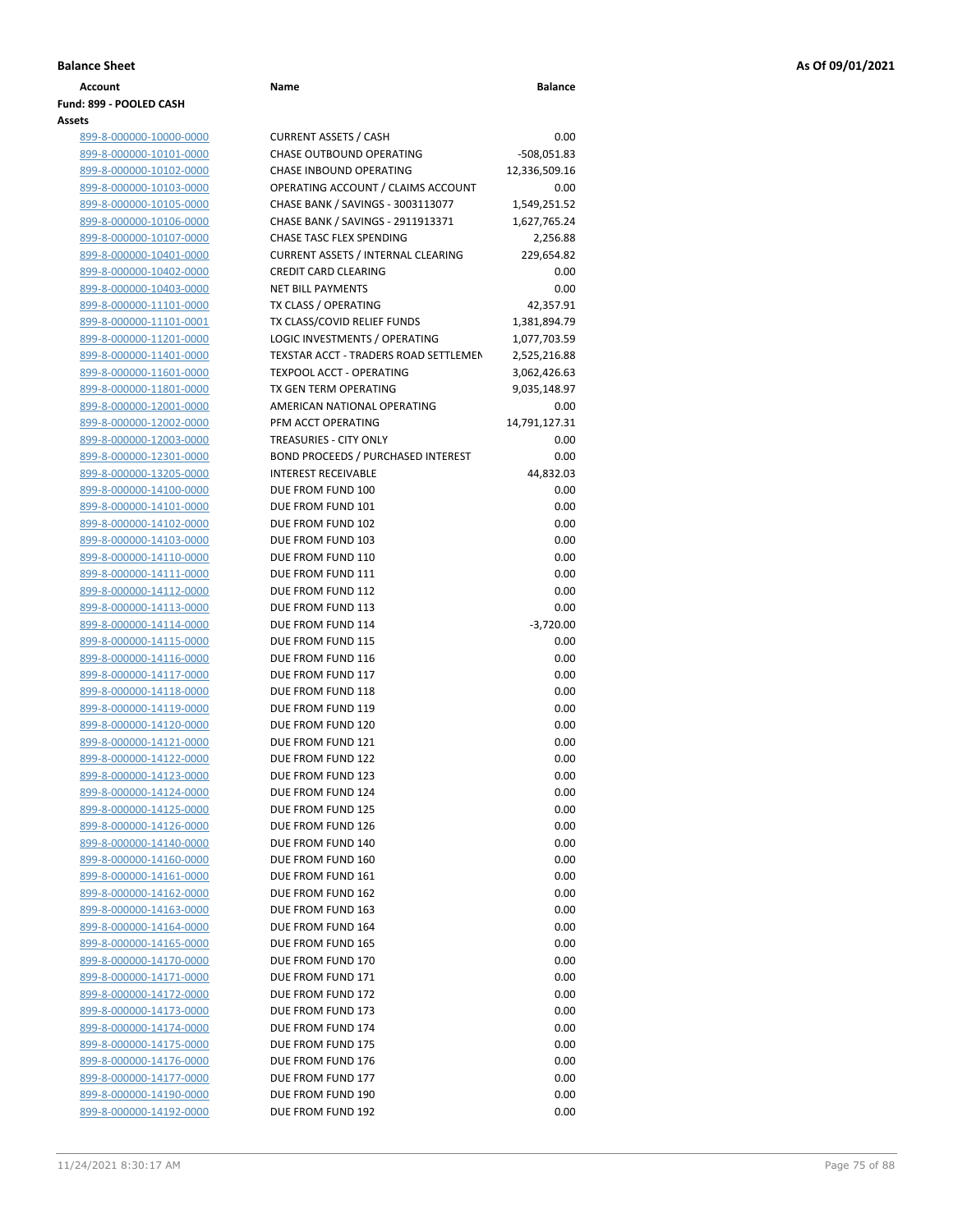| Fund: 899 - POOLED CASH<br>Assets |
|-----------------------------------|
| 899-8-000000-10000-0000           |
| 899-8-000000-10101-0000           |
| 899-8-000000-10102-0000           |
| 899-8-000000-10103-0000           |
| 899-8-000000-10105-0000           |
| 899-8-000000-10106-0000           |
| 899-8-000000-10107-0000           |
| 899-8-000000-10401-0000           |
| 899-8-000000-10402-0000           |

| 899-8-000000-10000-0000 | <b>CURRENT ASSETS / CASH</b>              |               |
|-------------------------|-------------------------------------------|---------------|
| 899-8-000000-10101-0000 | CHASE OUTBOUND OPERATING                  | $-508,051.83$ |
| 899-8-000000-10102-0000 | CHASE INBOUND OPERATING                   | 12,336,509.16 |
| 899-8-000000-10103-0000 | OPERATING ACCOUNT / CLAIMS ACCOUNT        |               |
| 899-8-000000-10105-0000 | CHASE BANK / SAVINGS - 3003113077         | 1,549,251.52  |
| 899-8-000000-10106-0000 | CHASE BANK / SAVINGS - 2911913371         | 1,627,765.24  |
| 899-8-000000-10107-0000 | CHASE TASC FLEX SPENDING                  |               |
|                         |                                           |               |
| 899-8-000000-10401-0000 | <b>CURRENT ASSETS / INTERNAL CLEARING</b> | 229,654.82    |
| 899-8-000000-10402-0000 | <b>CREDIT CARD CLEARING</b>               |               |
| 899-8-000000-10403-0000 | <b>NET BILL PAYMENTS</b>                  |               |
| 899-8-000000-11101-0000 | TX CLASS / OPERATING                      | 42,357.91     |
| 899-8-000000-11101-0001 | TX CLASS/COVID RELIEF FUNDS               | 1,381,894.79  |
| 899-8-000000-11201-0000 | LOGIC INVESTMENTS / OPERATING             | 1,077,703.59  |
| 899-8-000000-11401-0000 | TEXSTAR ACCT - TRADERS ROAD SETTLEMEN     | 2,525,216.88  |
| 899-8-000000-11601-0000 | <b>TEXPOOL ACCT - OPERATING</b>           | 3,062,426.63  |
| 899-8-000000-11801-0000 | TX GEN TERM OPERATING                     | 9,035,148.97  |
| 899-8-000000-12001-0000 | AMERICAN NATIONAL OPERATING               |               |
| 899-8-000000-12002-0000 | PFM ACCT OPERATING                        | 14,791,127.31 |
| 899-8-000000-12003-0000 | <b>TREASURIES - CITY ONLY</b>             |               |
| 899-8-000000-12301-0000 | <b>BOND PROCEEDS / PURCHASED INTEREST</b> |               |
| 899-8-000000-13205-0000 | <b>INTEREST RECEIVABLE</b>                | 44,832.03     |
| 899-8-000000-14100-0000 | DUE FROM FUND 100                         |               |
| 899-8-000000-14101-0000 | DUE FROM FUND 101                         |               |
| 899-8-000000-14102-0000 | DUE FROM FUND 102                         |               |
| 899-8-000000-14103-0000 | DUE FROM FUND 103                         |               |
| 899-8-000000-14110-0000 | DUE FROM FUND 110                         |               |
| 899-8-000000-14111-0000 | DUE FROM FUND 111                         |               |
| 899-8-000000-14112-0000 | DUE FROM FUND 112                         |               |
|                         | DUE FROM FUND 113                         |               |
| 899-8-000000-14113-0000 |                                           | $-3,720.00$   |
| 899-8-000000-14114-0000 | DUE FROM FUND 114                         |               |
| 899-8-000000-14115-0000 | DUE FROM FUND 115                         |               |
| 899-8-000000-14116-0000 | DUE FROM FUND 116                         |               |
| 899-8-000000-14117-0000 | DUE FROM FUND 117                         |               |
| 899-8-000000-14118-0000 | DUE FROM FUND 118                         |               |
| 899-8-000000-14119-0000 | DUE FROM FUND 119                         |               |
| 899-8-000000-14120-0000 | DUE FROM FUND 120                         |               |
| 899-8-000000-14121-0000 | DUE FROM FUND 121                         |               |
| 899-8-000000-14122-0000 | DUE FROM FUND 122                         |               |
| 899-8-000000-14123-0000 | DUE FROM FUND 123                         |               |
| 899-8-000000-14124-0000 | DUE FROM FUND 124                         |               |
| 899-8-000000-14125-0000 | DUE FROM FUND 125                         |               |
| 899-8-000000-14126-0000 | DUE FROM FUND 126                         |               |
| 899-8-000000-14140-0000 | DUE FROM FUND 140                         |               |
| 899-8-000000-14160-0000 | DUE FROM FUND 160                         |               |
| 899-8-000000-14161-0000 | DUE FROM FUND 161                         |               |
| 899-8-000000-14162-0000 | DUE FROM FUND 162                         |               |
| 899-8-000000-14163-0000 | DUE FROM FUND 163                         |               |
| 899-8-000000-14164-0000 | DUE FROM FUND 164                         |               |
| 899-8-000000-14165-0000 | DUE FROM FUND 165                         |               |
| 899-8-000000-14170-0000 | DUE FROM FUND 170                         |               |
| 899-8-000000-14171-0000 | DUE FROM FUND 171                         |               |
| 899-8-000000-14172-0000 | DUE FROM FUND 172                         |               |
| 899-8-000000-14173-0000 | DUE FROM FUND 173                         |               |
|                         | DUE FROM FUND 174                         |               |
| 899-8-000000-14174-0000 | DUE FROM FUND 175                         |               |
| 899-8-000000-14175-0000 |                                           |               |
| 899-8-000000-14176-0000 | DUE FROM FUND 176                         |               |
| 899-8-000000-14177-0000 | DUE FROM FUND 177                         |               |
| 899-8-000000-14190-0000 | DUE FROM FUND 190                         |               |
| 899-8-000000-14192-0000 | DUE FROM FUND 192                         |               |

**Account Name Balance**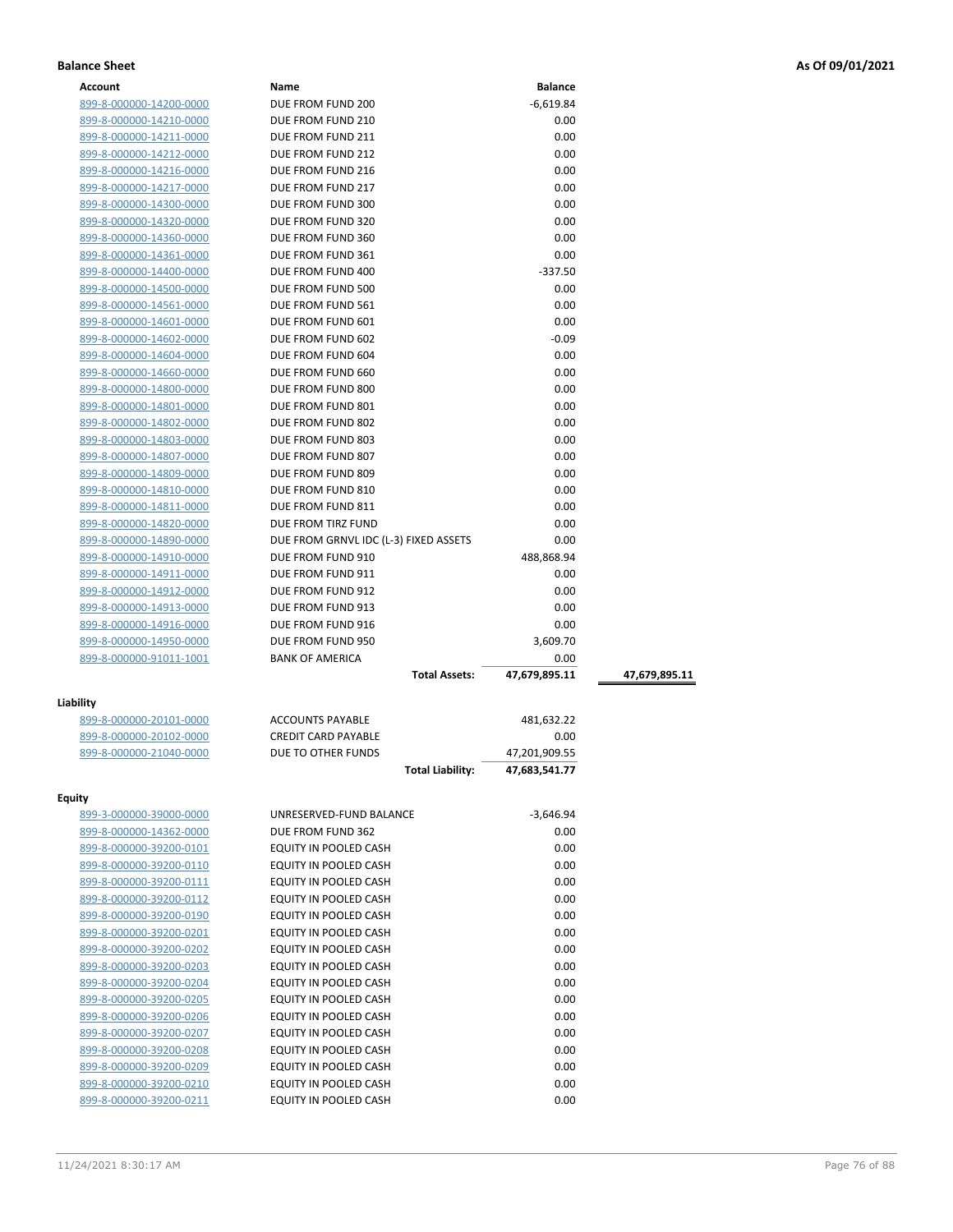| <b>Account</b>          | Name                                  | <b>Balance</b>                 |               |
|-------------------------|---------------------------------------|--------------------------------|---------------|
| 899-8-000000-14200-0000 | DUE FROM FUND 200                     | $-6,619.84$                    |               |
| 899-8-000000-14210-0000 | DUE FROM FUND 210                     | 0.00                           |               |
| 899-8-000000-14211-0000 | DUE FROM FUND 211                     | 0.00                           |               |
| 899-8-000000-14212-0000 | DUE FROM FUND 212                     | 0.00                           |               |
| 899-8-000000-14216-0000 | DUE FROM FUND 216                     | 0.00                           |               |
| 899-8-000000-14217-0000 | DUE FROM FUND 217                     | 0.00                           |               |
| 899-8-000000-14300-0000 | DUE FROM FUND 300                     | 0.00                           |               |
| 899-8-000000-14320-0000 | DUE FROM FUND 320                     | 0.00                           |               |
| 899-8-000000-14360-0000 | DUE FROM FUND 360                     | 0.00                           |               |
| 899-8-000000-14361-0000 | DUE FROM FUND 361                     | 0.00                           |               |
| 899-8-000000-14400-0000 | DUE FROM FUND 400                     | $-337.50$                      |               |
| 899-8-000000-14500-0000 | DUE FROM FUND 500                     | 0.00                           |               |
| 899-8-000000-14561-0000 | DUE FROM FUND 561                     | 0.00                           |               |
| 899-8-000000-14601-0000 | DUE FROM FUND 601                     | 0.00                           |               |
| 899-8-000000-14602-0000 | DUE FROM FUND 602                     | $-0.09$                        |               |
| 899-8-000000-14604-0000 | DUE FROM FUND 604                     | 0.00                           |               |
| 899-8-000000-14660-0000 | DUE FROM FUND 660                     | 0.00                           |               |
| 899-8-000000-14800-0000 | DUE FROM FUND 800                     | 0.00                           |               |
| 899-8-000000-14801-0000 | DUE FROM FUND 801                     | 0.00                           |               |
| 899-8-000000-14802-0000 | DUE FROM FUND 802                     | 0.00                           |               |
| 899-8-000000-14803-0000 | DUE FROM FUND 803                     | 0.00                           |               |
| 899-8-000000-14807-0000 | DUE FROM FUND 807                     | 0.00                           |               |
| 899-8-000000-14809-0000 | DUE FROM FUND 809                     | 0.00                           |               |
| 899-8-000000-14810-0000 | DUE FROM FUND 810                     | 0.00                           |               |
| 899-8-000000-14811-0000 | DUE FROM FUND 811                     | 0.00                           |               |
| 899-8-000000-14820-0000 | DUE FROM TIRZ FUND                    | 0.00                           |               |
| 899-8-000000-14890-0000 | DUE FROM GRNVL IDC (L-3) FIXED ASSETS | 0.00                           |               |
| 899-8-000000-14910-0000 | DUE FROM FUND 910                     | 488,868.94                     |               |
| 899-8-000000-14911-0000 | DUE FROM FUND 911                     | 0.00                           |               |
| 899-8-000000-14912-0000 | DUE FROM FUND 912                     | 0.00                           |               |
| 899-8-000000-14913-0000 | DUE FROM FUND 913                     | 0.00                           |               |
| 899-8-000000-14916-0000 | DUE FROM FUND 916                     | 0.00                           |               |
| 899-8-000000-14950-0000 | DUE FROM FUND 950                     | 3,609.70                       |               |
| 899-8-000000-91011-1001 | <b>BANK OF AMERICA</b>                | 0.00                           |               |
|                         | <b>Total Assets:</b>                  | 47,679,895.11                  | 47,679,895.11 |
|                         |                                       |                                |               |
| Liability               | <b>ACCOUNTS PAYABLE</b>               |                                |               |
| 899-8-000000-20101-0000 | <b>CREDIT CARD PAYABLE</b>            | 481,632.22<br>0.00             |               |
| 899-8-000000-20102-0000 | DUE TO OTHER FUNDS                    |                                |               |
| 899-8-000000-21040-0000 | <b>Total Liability:</b>               | 47,201,909.55<br>47,683,541.77 |               |
|                         |                                       |                                |               |
| Equity                  |                                       |                                |               |
| 899-3-000000-39000-0000 | UNRESERVED-FUND BALANCE               | $-3,646.94$                    |               |
| 899-8-000000-14362-0000 | DUE FROM FUND 362                     | 0.00                           |               |
| 899-8-000000-39200-0101 | EQUITY IN POOLED CASH                 | 0.00                           |               |
| 899-8-000000-39200-0110 | EQUITY IN POOLED CASH                 | 0.00                           |               |
| 899-8-000000-39200-0111 | EQUITY IN POOLED CASH                 | 0.00                           |               |
| 899-8-000000-39200-0112 | EQUITY IN POOLED CASH                 | 0.00                           |               |
| 899-8-000000-39200-0190 | EQUITY IN POOLED CASH                 | 0.00                           |               |
| 899-8-000000-39200-0201 | EQUITY IN POOLED CASH                 | 0.00                           |               |
| 899-8-000000-39200-0202 | EQUITY IN POOLED CASH                 | 0.00                           |               |
| 899-8-000000-39200-0203 | EQUITY IN POOLED CASH                 | 0.00                           |               |
| 899-8-000000-39200-0204 | EQUITY IN POOLED CASH                 | 0.00                           |               |
| 899-8-000000-39200-0205 | EQUITY IN POOLED CASH                 | 0.00                           |               |
| 899-8-000000-39200-0206 | EQUITY IN POOLED CASH                 | 0.00                           |               |
| 899-8-000000-39200-0207 | EQUITY IN POOLED CASH                 | 0.00                           |               |
| 899-8-000000-39200-0208 | EQUITY IN POOLED CASH                 | 0.00                           |               |
| 899-8-000000-39200-0209 | EQUITY IN POOLED CASH                 | 0.00                           |               |

899-8-000000-39200-0210 EQUITY IN POOLED CASH 0.00 899-8-000000-39200-0211 EQUITY IN POOLED CASH 0.00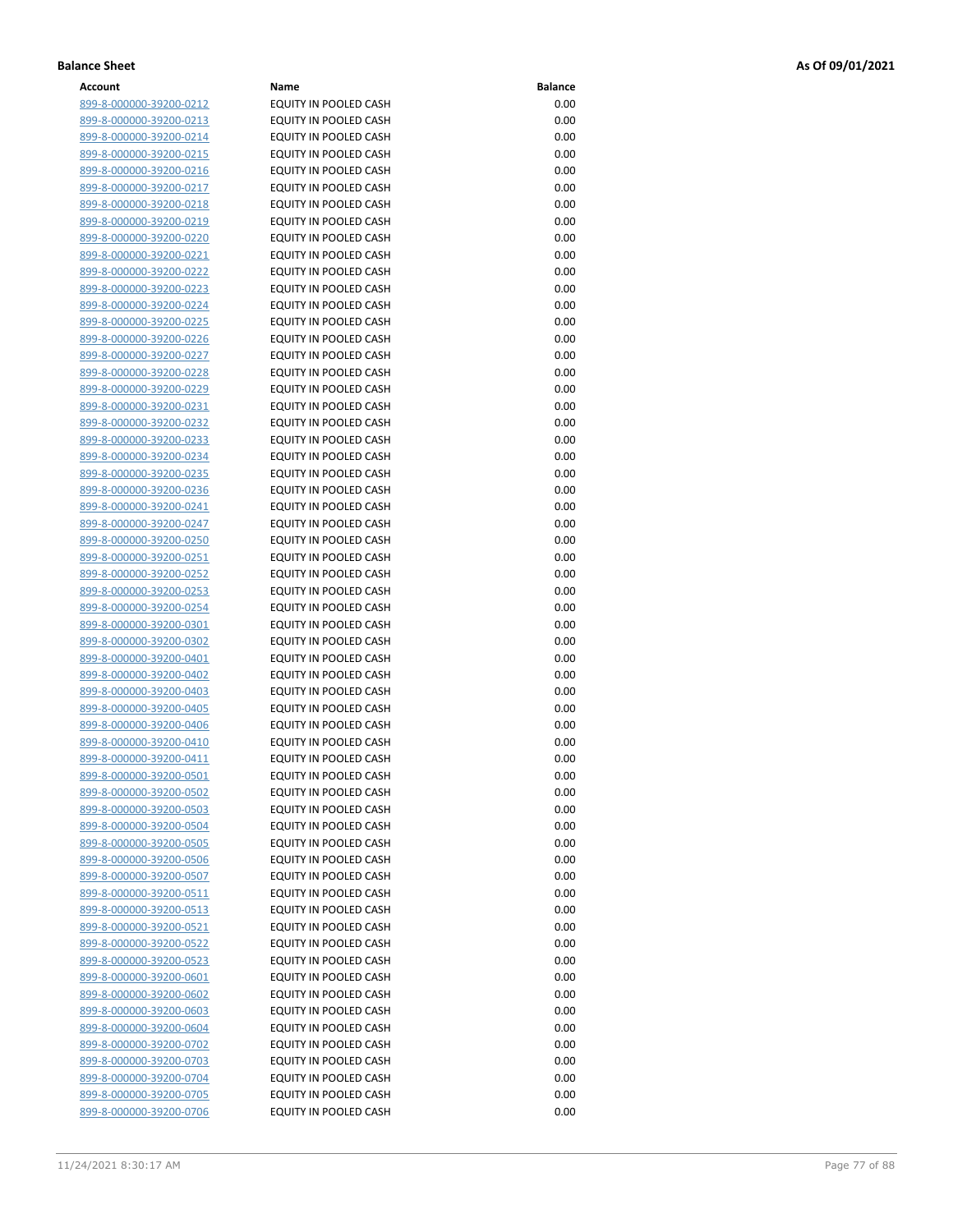| Account                        | Name                         | <b>Balance</b> |
|--------------------------------|------------------------------|----------------|
| 899-8-000000-39200-0212        | EQUITY IN POOLED CASH        | 0.00           |
| 899-8-000000-39200-0213        | EQUITY IN POOLED CASH        | 0.00           |
| 899-8-000000-39200-0214        | EQUITY IN POOLED CASH        | 0.00           |
| 899-8-000000-39200-0215        | EQUITY IN POOLED CASH        | 0.00           |
| 899-8-000000-39200-0216        | EQUITY IN POOLED CASH        | 0.00           |
| 899-8-000000-39200-0217        | <b>EQUITY IN POOLED CASH</b> | 0.00           |
| 899-8-000000-39200-0218        | EQUITY IN POOLED CASH        | 0.00           |
|                                | EQUITY IN POOLED CASH        | 0.00           |
| 899-8-000000-39200-0219        |                              |                |
| 899-8-000000-39200-0220        | EQUITY IN POOLED CASH        | 0.00           |
| 899-8-000000-39200-0221        | EQUITY IN POOLED CASH        | 0.00           |
| 899-8-000000-39200-0222        | EQUITY IN POOLED CASH        | 0.00           |
| 899-8-000000-39200-0223        | EQUITY IN POOLED CASH        | 0.00           |
| 899-8-000000-39200-0224        | EQUITY IN POOLED CASH        | 0.00           |
| 899-8-000000-39200-0225        | EQUITY IN POOLED CASH        | 0.00           |
| 899-8-000000-39200-0226        | EQUITY IN POOLED CASH        | 0.00           |
| 899-8-000000-39200-0227        | EQUITY IN POOLED CASH        | 0.00           |
| 899-8-000000-39200-0228        | EQUITY IN POOLED CASH        | 0.00           |
| 899-8-000000-39200-0229        | EQUITY IN POOLED CASH        | 0.00           |
| 899-8-000000-39200-0231        | EQUITY IN POOLED CASH        | 0.00           |
| 899-8-000000-39200-0232        | EQUITY IN POOLED CASH        | 0.00           |
| 899-8-000000-39200-0233        | EQUITY IN POOLED CASH        | 0.00           |
| 899-8-000000-39200-0234        | EQUITY IN POOLED CASH        | 0.00           |
| 899-8-000000-39200-0235        | EQUITY IN POOLED CASH        | 0.00           |
| 899-8-000000-39200-0236        | EQUITY IN POOLED CASH        | 0.00           |
| 899-8-000000-39200-0241        | EQUITY IN POOLED CASH        | 0.00           |
| 899-8-000000-39200-0247        | <b>EQUITY IN POOLED CASH</b> | 0.00           |
| 899-8-000000-39200-0250        | EQUITY IN POOLED CASH        | 0.00           |
| 899-8-000000-39200-0251        | EQUITY IN POOLED CASH        | 0.00           |
| 899-8-000000-39200-0252        | EQUITY IN POOLED CASH        | 0.00           |
| 899-8-000000-39200-0253        | EQUITY IN POOLED CASH        | 0.00           |
| 899-8-000000-39200-0254        | EQUITY IN POOLED CASH        | 0.00           |
| 899-8-000000-39200-0301        | EQUITY IN POOLED CASH        | 0.00           |
| 899-8-000000-39200-0302        | EQUITY IN POOLED CASH        | 0.00           |
| 899-8-000000-39200-0401        | EQUITY IN POOLED CASH        | 0.00           |
| 899-8-000000-39200-0402        | EQUITY IN POOLED CASH        | 0.00           |
| 899-8-000000-39200-0403        | EQUITY IN POOLED CASH        | 0.00           |
| 899-8-000000-39200-0405        | EQUITY IN POOLED CASH        | 0.00           |
|                                | EQUITY IN POOLED CASH        | 0.00           |
| 899-8-000000-39200-0406        |                              |                |
| 899-8-000000-39200-0410        | EQUITY IN POOLED CASH        | 0.00           |
| 899-8-000000-39200-0411        | EQUITY IN POOLED CASH        | 0.00           |
| <u>899-8-000000-39200-0501</u> | EQUITY IN POOLED CASH        | 0.00           |
| 899-8-000000-39200-0502        | EQUITY IN POOLED CASH        | 0.00           |
| 899-8-000000-39200-0503        | EQUITY IN POOLED CASH        | 0.00           |
| 899-8-000000-39200-0504        | EQUITY IN POOLED CASH        | 0.00           |
| 899-8-000000-39200-0505        | EQUITY IN POOLED CASH        | 0.00           |
| 899-8-000000-39200-0506        | <b>EQUITY IN POOLED CASH</b> | 0.00           |
| 899-8-000000-39200-0507        | EQUITY IN POOLED CASH        | 0.00           |
| <u>899-8-000000-39200-0511</u> | EQUITY IN POOLED CASH        | 0.00           |
| 899-8-000000-39200-0513        | EQUITY IN POOLED CASH        | 0.00           |
| 899-8-000000-39200-0521        | EQUITY IN POOLED CASH        | 0.00           |
| 899-8-000000-39200-0522        | EQUITY IN POOLED CASH        | 0.00           |
| 899-8-000000-39200-0523        | EQUITY IN POOLED CASH        | 0.00           |
| <u>899-8-000000-39200-0601</u> | EQUITY IN POOLED CASH        | 0.00           |
| 899-8-000000-39200-0602        | EQUITY IN POOLED CASH        | 0.00           |
| 899-8-000000-39200-0603        | EQUITY IN POOLED CASH        | 0.00           |
| 899-8-000000-39200-0604        | EQUITY IN POOLED CASH        | 0.00           |
| 899-8-000000-39200-0702        | EQUITY IN POOLED CASH        | 0.00           |
| <u>899-8-000000-39200-0703</u> | EQUITY IN POOLED CASH        | 0.00           |
| 899-8-000000-39200-0704        | EQUITY IN POOLED CASH        | 0.00           |
| 899-8-000000-39200-0705        | EQUITY IN POOLED CASH        | 0.00           |
| 899-8-000000-39200-0706        | EQUITY IN POOLED CASH        | 0.00           |
|                                |                              |                |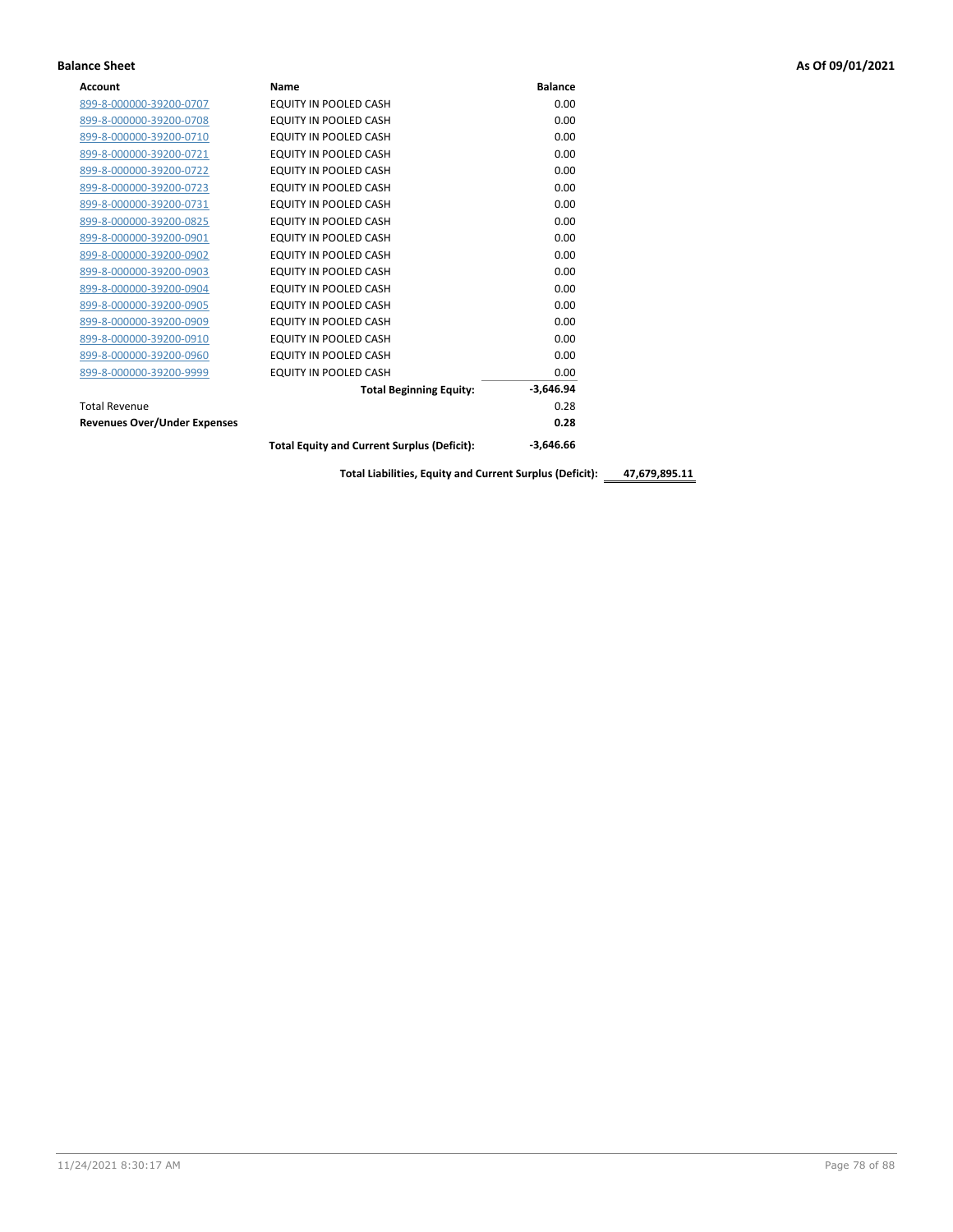| <b>Account</b>                      | <b>Name</b>                                        | <b>Balance</b> |
|-------------------------------------|----------------------------------------------------|----------------|
| 899-8-000000-39200-0707             | EQUITY IN POOLED CASH                              | 0.00           |
| 899-8-000000-39200-0708             | <b>EQUITY IN POOLED CASH</b>                       | 0.00           |
| 899-8-000000-39200-0710             | EQUITY IN POOLED CASH                              | 0.00           |
| 899-8-000000-39200-0721             | <b>EQUITY IN POOLED CASH</b>                       | 0.00           |
| 899-8-000000-39200-0722             | EQUITY IN POOLED CASH                              | 0.00           |
| 899-8-000000-39200-0723             | <b>EQUITY IN POOLED CASH</b>                       | 0.00           |
| 899-8-000000-39200-0731             | EQUITY IN POOLED CASH                              | 0.00           |
| 899-8-000000-39200-0825             | EQUITY IN POOLED CASH                              | 0.00           |
| 899-8-000000-39200-0901             | EQUITY IN POOLED CASH                              | 0.00           |
| 899-8-000000-39200-0902             | <b>EQUITY IN POOLED CASH</b>                       | 0.00           |
| 899-8-000000-39200-0903             | <b>EQUITY IN POOLED CASH</b>                       | 0.00           |
| 899-8-000000-39200-0904             | EQUITY IN POOLED CASH                              | 0.00           |
| 899-8-000000-39200-0905             | EQUITY IN POOLED CASH                              | 0.00           |
| 899-8-000000-39200-0909             | EQUITY IN POOLED CASH                              | 0.00           |
| 899-8-000000-39200-0910             | EQUITY IN POOLED CASH                              | 0.00           |
| 899-8-000000-39200-0960             | <b>EQUITY IN POOLED CASH</b>                       | 0.00           |
| 899-8-000000-39200-9999             | EQUITY IN POOLED CASH                              | 0.00           |
|                                     | <b>Total Beginning Equity:</b>                     | $-3,646.94$    |
| <b>Total Revenue</b>                |                                                    | 0.28           |
| <b>Revenues Over/Under Expenses</b> |                                                    | 0.28           |
|                                     | <b>Total Equity and Current Surplus (Deficit):</b> | $-3,646.66$    |

**Total Liabilities, Equity and Current Surplus (Deficit): 47,679,895.11**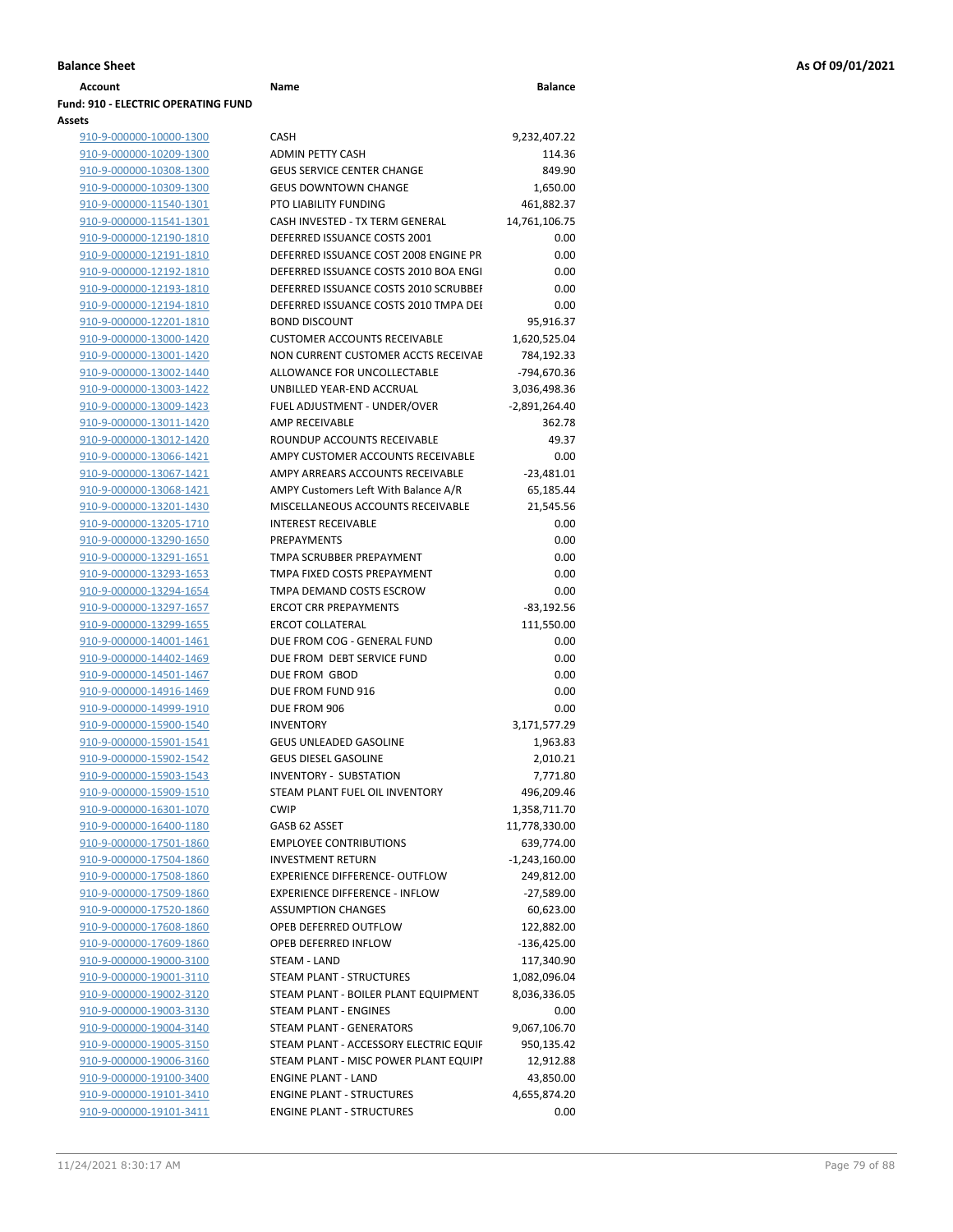| <b>Account</b>                             | Name                                   | <b>Balance</b>  |
|--------------------------------------------|----------------------------------------|-----------------|
| <b>Fund: 910 - ELECTRIC OPERATING FUND</b> |                                        |                 |
| Assets                                     |                                        |                 |
| 910-9-000000-10000-1300                    | <b>CASH</b>                            | 9,232,407.22    |
| 910-9-000000-10209-1300                    | <b>ADMIN PETTY CASH</b>                | 114.36          |
| 910-9-000000-10308-1300                    | <b>GEUS SERVICE CENTER CHANGE</b>      | 849.90          |
| 910-9-000000-10309-1300                    | <b>GEUS DOWNTOWN CHANGE</b>            | 1,650.00        |
| 910-9-000000-11540-1301                    | PTO LIABILITY FUNDING                  | 461,882.37      |
| 910-9-000000-11541-1301                    | CASH INVESTED - TX TERM GENERAL        | 14,761,106.75   |
| 910-9-000000-12190-1810                    | DEFERRED ISSUANCE COSTS 2001           | 0.00            |
| 910-9-000000-12191-1810                    | DEFERRED ISSUANCE COST 2008 ENGINE PR  | 0.00            |
| 910-9-000000-12192-1810                    | DEFERRED ISSUANCE COSTS 2010 BOA ENGL  | 0.00            |
| 910-9-000000-12193-1810                    | DEFERRED ISSUANCE COSTS 2010 SCRUBBEI  | 0.00            |
|                                            | DEFERRED ISSUANCE COSTS 2010 TMPA DEL  | 0.00            |
| 910-9-000000-12194-1810                    |                                        |                 |
| 910-9-000000-12201-1810                    | <b>BOND DISCOUNT</b>                   | 95,916.37       |
| 910-9-000000-13000-1420                    | <b>CUSTOMER ACCOUNTS RECEIVABLE</b>    | 1,620,525.04    |
| 910-9-000000-13001-1420                    | NON CURRENT CUSTOMER ACCTS RECEIVAE    | 784,192.33      |
| 910-9-000000-13002-1440                    | ALLOWANCE FOR UNCOLLECTABLE            | -794,670.36     |
| 910-9-000000-13003-1422                    | UNBILLED YEAR-END ACCRUAL              | 3,036,498.36    |
| 910-9-000000-13009-1423                    | FUEL ADJUSTMENT - UNDER/OVER           | $-2,891,264.40$ |
| 910-9-000000-13011-1420                    | AMP RECEIVABLE                         | 362.78          |
| 910-9-000000-13012-1420                    | ROUNDUP ACCOUNTS RECEIVABLE            | 49.37           |
| 910-9-000000-13066-1421                    | AMPY CUSTOMER ACCOUNTS RECEIVABLE      | 0.00            |
| 910-9-000000-13067-1421                    | AMPY ARREARS ACCOUNTS RECEIVABLE       | $-23,481.01$    |
| 910-9-000000-13068-1421                    | AMPY Customers Left With Balance A/R   | 65,185.44       |
| 910-9-000000-13201-1430                    | MISCELLANEOUS ACCOUNTS RECEIVABLE      | 21,545.56       |
| 910-9-000000-13205-1710                    | <b>INTEREST RECEIVABLE</b>             | 0.00            |
| 910-9-000000-13290-1650                    | <b>PREPAYMENTS</b>                     | 0.00            |
| 910-9-000000-13291-1651                    | TMPA SCRUBBER PREPAYMENT               | 0.00            |
| 910-9-000000-13293-1653                    | TMPA FIXED COSTS PREPAYMENT            | 0.00            |
|                                            |                                        |                 |
| 910-9-000000-13294-1654                    | TMPA DEMAND COSTS ESCROW               | 0.00            |
| 910-9-000000-13297-1657                    | <b>ERCOT CRR PREPAYMENTS</b>           | $-83,192.56$    |
| 910-9-000000-13299-1655                    | ERCOT COLLATERAL                       | 111,550.00      |
| 910-9-000000-14001-1461                    | DUE FROM COG - GENERAL FUND            | 0.00            |
| 910-9-000000-14402-1469                    | DUE FROM DEBT SERVICE FUND             | 0.00            |
| 910-9-000000-14501-1467                    | DUE FROM GBOD                          | 0.00            |
| 910-9-000000-14916-1469                    | DUE FROM FUND 916                      | 0.00            |
| 910-9-000000-14999-1910                    | DUE FROM 906                           | 0.00            |
| 910-9-000000-15900-1540                    | <b>INVENTORY</b>                       | 3,171,577.29    |
| 910-9-000000-15901-1541                    | <b>GEUS UNLEADED GASOLINE</b>          | 1,963.83        |
| 910-9-000000-15902-1542                    | <b>GEUS DIESEL GASOLINE</b>            | 2,010.21        |
| 910-9-000000-15903-1543                    | INVENTORY - SUBSTATION                 | 7,771.80        |
| 910-9-000000-15909-1510                    | STEAM PLANT FUEL OIL INVENTORY         | 496,209.46      |
| 910-9-000000-16301-1070                    | <b>CWIP</b>                            | 1,358,711.70    |
| 910-9-000000-16400-1180                    | GASB 62 ASSET                          | 11,778,330.00   |
| 910-9-000000-17501-1860                    | <b>EMPLOYEE CONTRIBUTIONS</b>          | 639,774.00      |
| 910-9-000000-17504-1860                    | <b>INVESTMENT RETURN</b>               | $-1,243,160.00$ |
| 910-9-000000-17508-1860                    | EXPERIENCE DIFFERENCE- OUTFLOW         | 249,812.00      |
|                                            | <b>EXPERIENCE DIFFERENCE - INFLOW</b>  |                 |
| 910-9-000000-17509-1860                    |                                        | $-27,589.00$    |
| 910-9-000000-17520-1860                    | <b>ASSUMPTION CHANGES</b>              | 60,623.00       |
| 910-9-000000-17608-1860                    | OPEB DEFERRED OUTFLOW                  | 122,882.00      |
| 910-9-000000-17609-1860                    | OPEB DEFERRED INFLOW                   | $-136,425.00$   |
| 910-9-000000-19000-3100                    | STEAM - LAND                           | 117,340.90      |
| 910-9-000000-19001-3110                    | STEAM PLANT - STRUCTURES               | 1,082,096.04    |
| 910-9-000000-19002-3120                    | STEAM PLANT - BOILER PLANT EQUIPMENT   | 8,036,336.05    |
| 910-9-000000-19003-3130                    | STEAM PLANT - ENGINES                  | 0.00            |
| 910-9-000000-19004-3140                    | STEAM PLANT - GENERATORS               | 9,067,106.70    |
| 910-9-000000-19005-3150                    | STEAM PLANT - ACCESSORY ELECTRIC EQUIF | 950,135.42      |
| 910-9-000000-19006-3160                    | STEAM PLANT - MISC POWER PLANT EQUIPI  | 12,912.88       |
| 910-9-000000-19100-3400                    | <b>ENGINE PLANT - LAND</b>             | 43,850.00       |
| 910-9-000000-19101-3410                    | <b>ENGINE PLANT - STRUCTURES</b>       | 4,655,874.20    |

|                         | DEFERRED ISSUANCE COSTS 2010 BOA ENGI  | 0.00            |
|-------------------------|----------------------------------------|-----------------|
| 910-9-000000-12193-1810 | DEFERRED ISSUANCE COSTS 2010 SCRUBBEI  | 0.00            |
| 910-9-000000-12194-1810 | DEFERRED ISSUANCE COSTS 2010 TMPA DEI  | 0.00            |
| 910-9-000000-12201-1810 | <b>BOND DISCOUNT</b>                   | 95,916.37       |
| 910-9-000000-13000-1420 | <b>CUSTOMER ACCOUNTS RECEIVABLE</b>    | 1,620,525.04    |
| 910-9-000000-13001-1420 | NON CURRENT CUSTOMER ACCTS RECEIVAE    | 784,192.33      |
| 910-9-000000-13002-1440 | ALLOWANCE FOR UNCOLLECTABLE            | -794,670.36     |
| 910-9-000000-13003-1422 | UNBILLED YEAR-END ACCRUAL              | 3,036,498.36    |
| 910-9-000000-13009-1423 | FUEL ADJUSTMENT - UNDER/OVER           | -2,891,264.40   |
| 910-9-000000-13011-1420 | <b>AMP RECEIVABLE</b>                  | 362.78          |
| 910-9-000000-13012-1420 | ROUNDUP ACCOUNTS RECEIVABLE            | 49.37           |
| 910-9-000000-13066-1421 | AMPY CUSTOMER ACCOUNTS RECEIVABLE      | 0.00            |
| 910-9-000000-13067-1421 | AMPY ARREARS ACCOUNTS RECEIVABLE       | $-23,481.01$    |
| 910-9-000000-13068-1421 | AMPY Customers Left With Balance A/R   | 65,185.44       |
| 910-9-000000-13201-1430 | MISCELLANEOUS ACCOUNTS RECEIVABLE      | 21,545.56       |
| 910-9-000000-13205-1710 | <b>INTEREST RECEIVABLE</b>             | 0.00            |
| 910-9-000000-13290-1650 | PREPAYMENTS                            | 0.00            |
| 910-9-000000-13291-1651 | TMPA SCRUBBER PREPAYMENT               | 0.00            |
| 910-9-000000-13293-1653 | TMPA FIXED COSTS PREPAYMENT            | 0.00            |
| 910-9-000000-13294-1654 | TMPA DEMAND COSTS ESCROW               | 0.00            |
| 910-9-000000-13297-1657 | <b>ERCOT CRR PREPAYMENTS</b>           | $-83,192.56$    |
| 910-9-000000-13299-1655 | <b>ERCOT COLLATERAL</b>                | 111,550.00      |
| 910-9-000000-14001-1461 | DUE FROM COG - GENERAL FUND            | 0.00            |
| 910-9-000000-14402-1469 | DUE FROM DEBT SERVICE FUND             | 0.00            |
| 910-9-000000-14501-1467 | DUE FROM GBOD                          | 0.00            |
| 910-9-000000-14916-1469 | DUE FROM FUND 916                      | 0.00            |
| 910-9-000000-14999-1910 | DUE FROM 906                           | 0.00            |
| 910-9-000000-15900-1540 | <b>INVENTORY</b>                       | 3,171,577.29    |
| 910-9-000000-15901-1541 | <b>GEUS UNLEADED GASOLINE</b>          | 1,963.83        |
| 910-9-000000-15902-1542 | <b>GEUS DIESEL GASOLINE</b>            | 2,010.21        |
| 910-9-000000-15903-1543 | <b>INVENTORY - SUBSTATION</b>          | 7,771.80        |
| 910-9-000000-15909-1510 | STEAM PLANT FUEL OIL INVENTORY         | 496,209.46      |
| 910-9-000000-16301-1070 | <b>CWIP</b>                            | 1,358,711.70    |
| 910-9-000000-16400-1180 | GASB 62 ASSET                          | 11,778,330.00   |
| 910-9-000000-17501-1860 | <b>EMPLOYEE CONTRIBUTIONS</b>          | 639,774.00      |
| 910-9-000000-17504-1860 | <b>INVESTMENT RETURN</b>               | $-1,243,160.00$ |
| 910-9-000000-17508-1860 | <b>EXPERIENCE DIFFERENCE- OUTFLOW</b>  | 249,812.00      |
| 910-9-000000-17509-1860 | <b>EXPERIENCE DIFFERENCE - INFLOW</b>  | $-27,589.00$    |
| 910-9-000000-17520-1860 | <b>ASSUMPTION CHANGES</b>              | 60,623.00       |
| 910-9-000000-17608-1860 | OPEB DEFERRED OUTFLOW                  | 122,882.00      |
| 910-9-000000-17609-1860 | OPEB DEFERRED INFLOW                   | $-136,425.00$   |
| 910-9-000000-19000-3100 | STEAM - LAND                           | 117,340.90      |
| 910-9-000000-19001-3110 | <b>STEAM PLANT - STRUCTURES</b>        | 1,082,096.04    |
| 910-9-000000-19002-3120 | STEAM PLANT - BOILER PLANT EQUIPMENT   | 8,036,336.05    |
| 910-9-000000-19003-3130 | STEAM PLANT - ENGINES                  | 0.00            |
| 910-9-000000-19004-3140 | STEAM PLANT - GENERATORS               | 9,067,106.70    |
| 910-9-000000-19005-3150 | STEAM PLANT - ACCESSORY ELECTRIC EQUIF | 950,135.42      |
| 910-9-000000-19006-3160 | STEAM PLANT - MISC POWER PLANT EQUIPI  | 12,912.88       |
| 910-9-000000-19100-3400 | <b>ENGINE PLANT - LAND</b>             | 43,850.00       |
|                         | <b>ENGINE PLANT - STRUCTURES</b>       | 4,655,874.20    |
| 910-9-000000-19101-3410 |                                        |                 |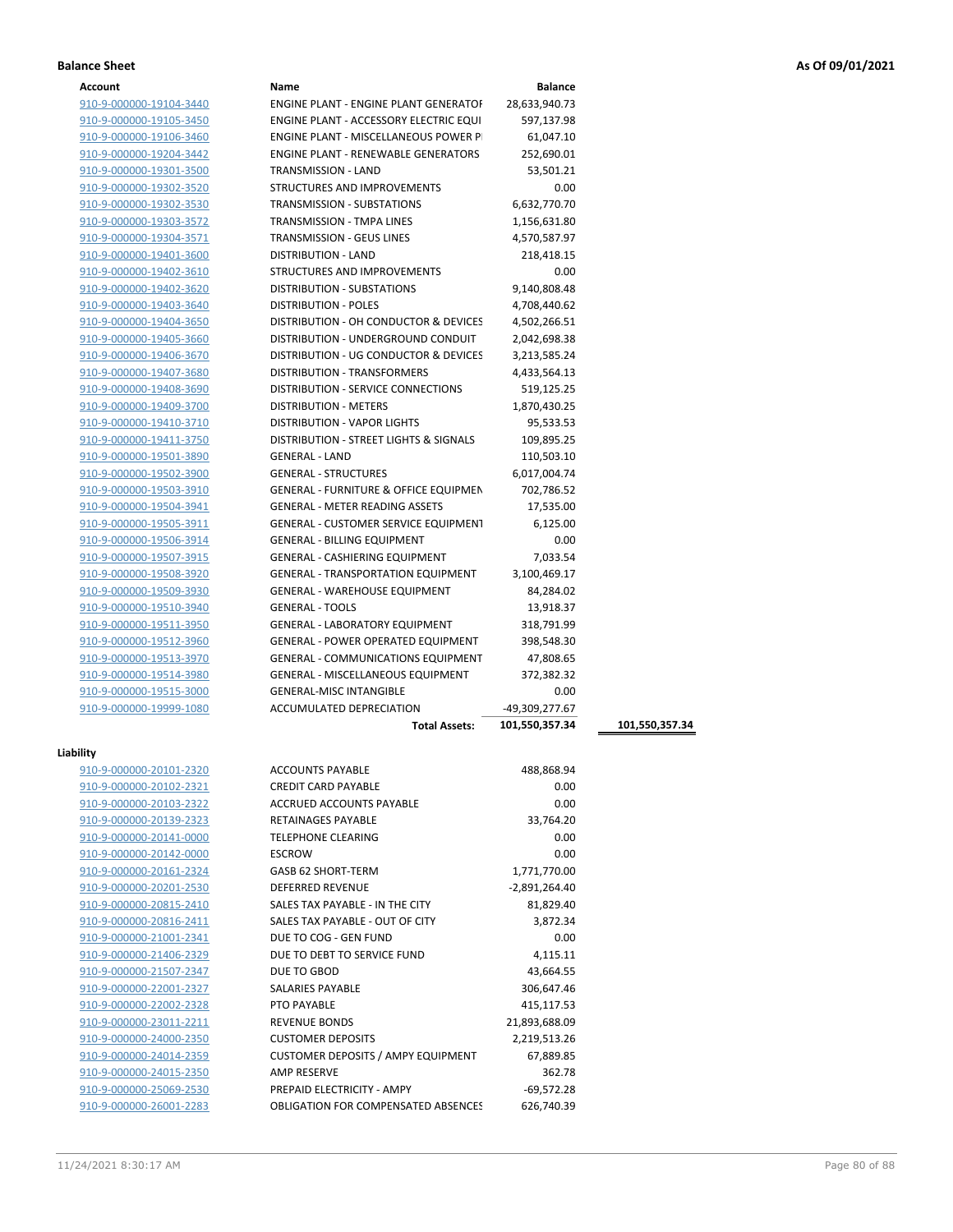| Account |
|---------|
|---------|

| Account                 | Name                                             | <b>Balance</b>  |                |
|-------------------------|--------------------------------------------------|-----------------|----------------|
| 910-9-000000-19104-3440 | ENGINE PLANT - ENGINE PLANT GENERATOF            | 28,633,940.73   |                |
| 910-9-000000-19105-3450 | ENGINE PLANT - ACCESSORY ELECTRIC EQUI           | 597,137.98      |                |
| 910-9-000000-19106-3460 | ENGINE PLANT - MISCELLANEOUS POWER P             | 61,047.10       |                |
| 910-9-000000-19204-3442 | <b>ENGINE PLANT - RENEWABLE GENERATORS</b>       | 252,690.01      |                |
| 910-9-000000-19301-3500 | <b>TRANSMISSION - LAND</b>                       | 53,501.21       |                |
| 910-9-000000-19302-3520 | STRUCTURES AND IMPROVEMENTS                      | 0.00            |                |
| 910-9-000000-19302-3530 | TRANSMISSION - SUBSTATIONS                       | 6,632,770.70    |                |
| 910-9-000000-19303-3572 | TRANSMISSION - TMPA LINES                        | 1,156,631.80    |                |
| 910-9-000000-19304-3571 | TRANSMISSION - GEUS LINES                        | 4,570,587.97    |                |
| 910-9-000000-19401-3600 | DISTRIBUTION - LAND                              | 218,418.15      |                |
| 910-9-000000-19402-3610 | STRUCTURES AND IMPROVEMENTS                      | 0.00            |                |
| 910-9-000000-19402-3620 | <b>DISTRIBUTION - SUBSTATIONS</b>                | 9,140,808.48    |                |
| 910-9-000000-19403-3640 | <b>DISTRIBUTION - POLES</b>                      | 4,708,440.62    |                |
|                         | DISTRIBUTION - OH CONDUCTOR & DEVICES            | 4,502,266.51    |                |
| 910-9-000000-19404-3650 |                                                  |                 |                |
| 910-9-000000-19405-3660 | DISTRIBUTION - UNDERGROUND CONDUIT               | 2,042,698.38    |                |
| 910-9-000000-19406-3670 | DISTRIBUTION - UG CONDUCTOR & DEVICES            | 3,213,585.24    |                |
| 910-9-000000-19407-3680 | DISTRIBUTION - TRANSFORMERS                      | 4,433,564.13    |                |
| 910-9-000000-19408-3690 | <b>DISTRIBUTION - SERVICE CONNECTIONS</b>        | 519,125.25      |                |
| 910-9-000000-19409-3700 | <b>DISTRIBUTION - METERS</b>                     | 1,870,430.25    |                |
| 910-9-000000-19410-3710 | DISTRIBUTION - VAPOR LIGHTS                      | 95,533.53       |                |
| 910-9-000000-19411-3750 | DISTRIBUTION - STREET LIGHTS & SIGNALS           | 109,895.25      |                |
| 910-9-000000-19501-3890 | <b>GENERAL - LAND</b>                            | 110,503.10      |                |
| 910-9-000000-19502-3900 | <b>GENERAL - STRUCTURES</b>                      | 6,017,004.74    |                |
| 910-9-000000-19503-3910 | <b>GENERAL - FURNITURE &amp; OFFICE EQUIPMEN</b> | 702,786.52      |                |
| 910-9-000000-19504-3941 | <b>GENERAL - METER READING ASSETS</b>            | 17,535.00       |                |
| 910-9-000000-19505-3911 | <b>GENERAL - CUSTOMER SERVICE EQUIPMENT</b>      | 6,125.00        |                |
| 910-9-000000-19506-3914 | <b>GENERAL - BILLING EQUIPMENT</b>               | 0.00            |                |
| 910-9-000000-19507-3915 | <b>GENERAL - CASHIERING EQUIPMENT</b>            | 7,033.54        |                |
| 910-9-000000-19508-3920 | <b>GENERAL - TRANSPORTATION EQUIPMENT</b>        | 3,100,469.17    |                |
| 910-9-000000-19509-3930 | <b>GENERAL - WAREHOUSE EQUIPMENT</b>             | 84,284.02       |                |
| 910-9-000000-19510-3940 | <b>GENERAL - TOOLS</b>                           | 13,918.37       |                |
| 910-9-000000-19511-3950 | <b>GENERAL - LABORATORY EQUIPMENT</b>            | 318,791.99      |                |
| 910-9-000000-19512-3960 | <b>GENERAL - POWER OPERATED EQUIPMENT</b>        | 398,548.30      |                |
| 910-9-000000-19513-3970 | <b>GENERAL - COMMUNICATIONS EQUIPMENT</b>        | 47,808.65       |                |
| 910-9-000000-19514-3980 | <b>GENERAL - MISCELLANEOUS EQUIPMENT</b>         | 372,382.32      |                |
| 910-9-000000-19515-3000 | <b>GENERAL-MISC INTANGIBLE</b>                   | 0.00            |                |
| 910-9-000000-19999-1080 | <b>ACCUMULATED DEPRECIATION</b>                  | -49,309,277.67  |                |
|                         | <b>Total Assets:</b>                             | 101,550,357.34  | 101,550,357.34 |
|                         |                                                  |                 |                |
| Liability               |                                                  |                 |                |
| 910-9-000000-20101-2320 | <b>ACCOUNTS PAYABLE</b>                          | 488,868.94      |                |
| 910-9-000000-20102-2321 | <b>CREDIT CARD PAYABLE</b>                       | 0.00            |                |
| 910-9-000000-20103-2322 | ACCRUED ACCOUNTS PAYABLE                         | 0.00            |                |
| 910-9-000000-20139-2323 | RETAINAGES PAYABLE                               | 33,764.20       |                |
| 910-9-000000-20141-0000 | <b>TELEPHONE CLEARING</b>                        | 0.00            |                |
| 910-9-000000-20142-0000 | <b>ESCROW</b>                                    | 0.00            |                |
| 910-9-000000-20161-2324 | GASB 62 SHORT-TERM                               | 1,771,770.00    |                |
| 910-9-000000-20201-2530 | <b>DEFERRED REVENUE</b>                          | $-2,891,264.40$ |                |
| 910-9-000000-20815-2410 | SALES TAX PAYABLE - IN THE CITY                  | 81,829.40       |                |
| 910-9-000000-20816-2411 | SALES TAX PAYABLE - OUT OF CITY                  | 3,872.34        |                |
| 910-9-000000-21001-2341 | DUE TO COG - GEN FUND                            | 0.00            |                |
| 910-9-000000-21406-2329 | DUE TO DEBT TO SERVICE FUND                      | 4,115.11        |                |
| 910-9-000000-21507-2347 | DUE TO GBOD                                      | 43,664.55       |                |
| 910-9-000000-22001-2327 | SALARIES PAYABLE                                 | 306,647.46      |                |
| 910-9-000000-22002-2328 | PTO PAYABLE                                      | 415,117.53      |                |
|                         |                                                  | 21,893,688.09   |                |
| 910-9-000000-23011-2211 | <b>REVENUE BONDS</b>                             |                 |                |
| 910-9-000000-24000-2350 | <b>CUSTOMER DEPOSITS</b>                         | 2,219,513.26    |                |
| 910-9-000000-24014-2359 | CUSTOMER DEPOSITS / AMPY EQUIPMENT               | 67,889.85       |                |
| 910-9-000000-24015-2350 | AMP RESERVE                                      | 362.78          |                |

910-9-000000-25069-2530 **PREPAID ELECTRICITY - AMPY** -69,572.28 910-9-000000-26001-2283 OBLIGATION FOR COMPENSATED ABSENCES 626,740.39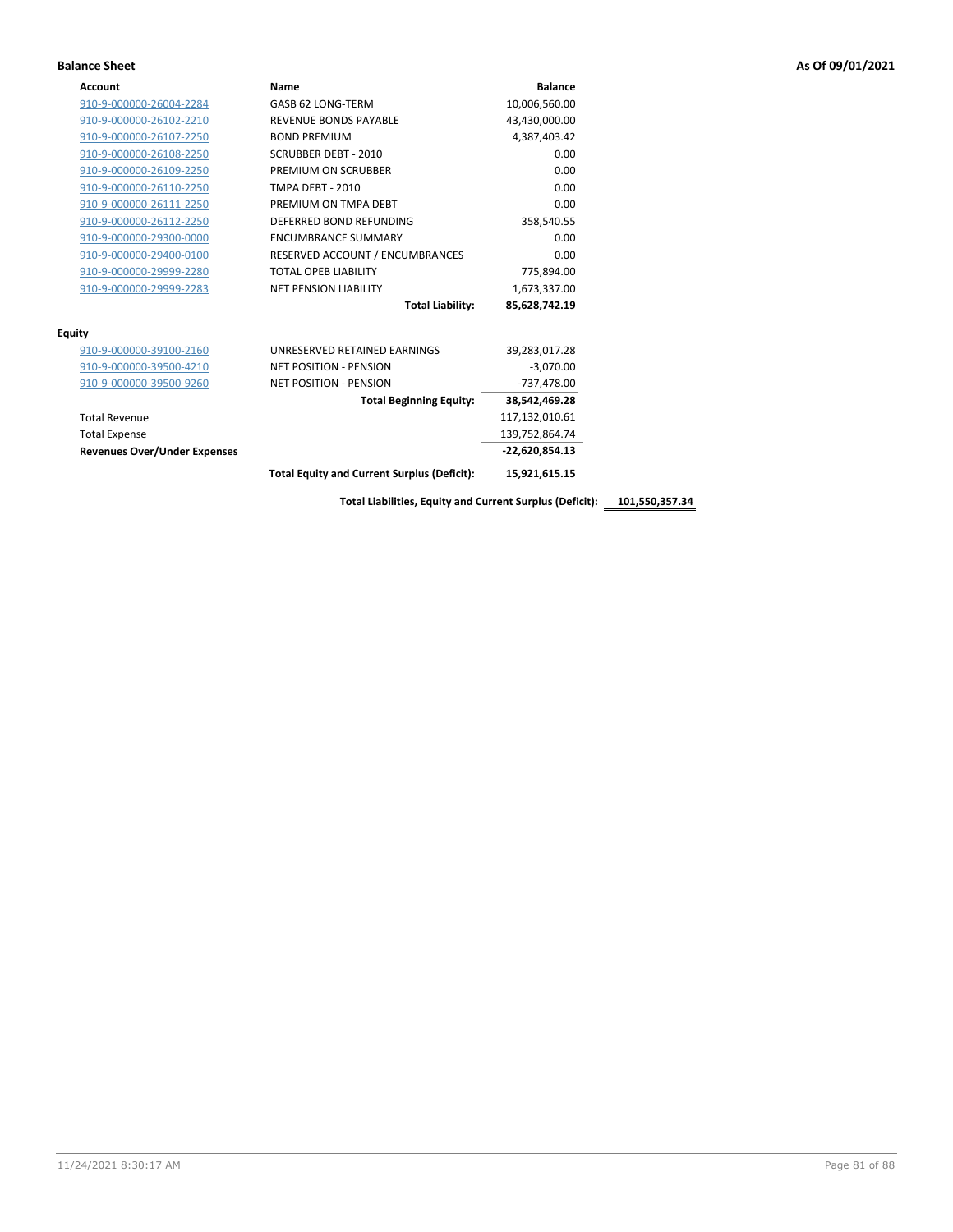| Account                             | Name                                               | <b>Balance</b> |
|-------------------------------------|----------------------------------------------------|----------------|
| 910-9-000000-26004-2284             | GASB 62 LONG-TERM                                  | 10,006,560.00  |
| 910-9-000000-26102-2210             | <b>REVENUE BONDS PAYABLE</b>                       | 43,430,000.00  |
| 910-9-000000-26107-2250             | <b>BOND PREMIUM</b>                                | 4,387,403.42   |
| 910-9-000000-26108-2250             | <b>SCRUBBER DEBT - 2010</b>                        | 0.00           |
| 910-9-000000-26109-2250             | PREMIUM ON SCRUBBER                                | 0.00           |
| 910-9-000000-26110-2250             | <b>TMPA DEBT - 2010</b>                            | 0.00           |
| 910-9-000000-26111-2250             | PREMIUM ON TMPA DEBT                               | 0.00           |
| 910-9-000000-26112-2250             | DEFERRED BOND REFUNDING                            | 358,540.55     |
| 910-9-000000-29300-0000             | <b>ENCUMBRANCE SUMMARY</b>                         | 0.00           |
| 910-9-000000-29400-0100             | RESERVED ACCOUNT / ENCUMBRANCES                    | 0.00           |
| 910-9-000000-29999-2280             | <b>TOTAL OPEB LIABILITY</b>                        | 775,894.00     |
| 910-9-000000-29999-2283             | <b>NET PENSION LIABILITY</b>                       | 1,673,337.00   |
|                                     | <b>Total Liability:</b>                            | 85,628,742.19  |
| <b>Equity</b>                       |                                                    |                |
| 910-9-000000-39100-2160             | UNRESERVED RETAINED EARNINGS                       | 39,283,017.28  |
| 910-9-000000-39500-4210             | <b>NET POSITION - PENSION</b>                      | $-3,070.00$    |
| 910-9-000000-39500-9260             | <b>NET POSITION - PENSION</b>                      | -737,478.00    |
|                                     | <b>Total Beginning Equity:</b>                     | 38,542,469.28  |
| <b>Total Revenue</b>                |                                                    | 117,132,010.61 |
| <b>Total Expense</b>                |                                                    | 139,752,864.74 |
| <b>Revenues Over/Under Expenses</b> |                                                    | -22,620,854.13 |
|                                     | <b>Total Equity and Current Surplus (Deficit):</b> | 15,921,615.15  |

**Total Liabilities, Equity and Current Surplus (Deficit): 101,550,357.34**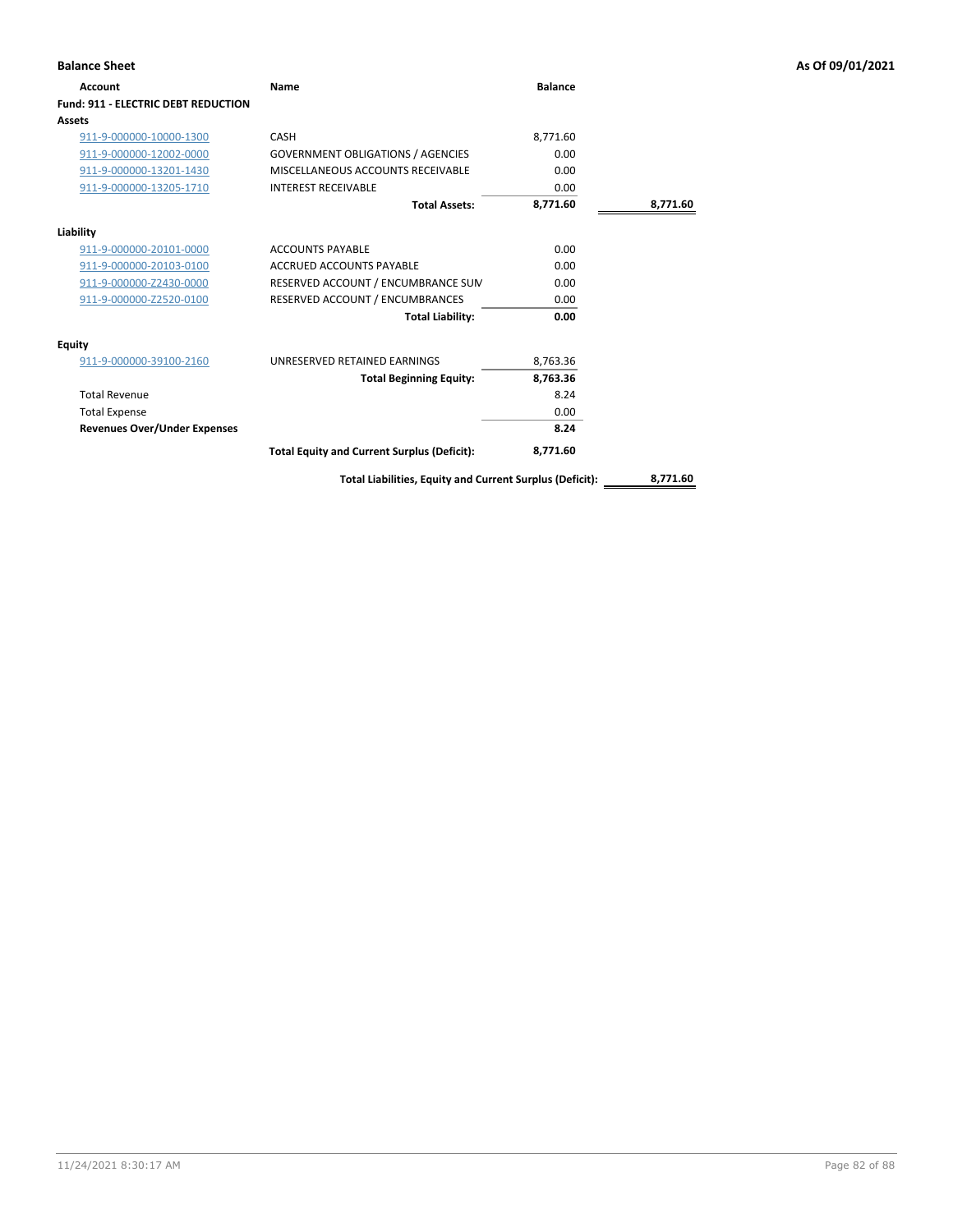| <b>Balance Sheet</b>                       |                                                          |                |          | As Of 09/01/2021 |
|--------------------------------------------|----------------------------------------------------------|----------------|----------|------------------|
| Account                                    | <b>Name</b>                                              | <b>Balance</b> |          |                  |
| <b>Fund: 911 - ELECTRIC DEBT REDUCTION</b> |                                                          |                |          |                  |
| Assets                                     |                                                          |                |          |                  |
| 911-9-000000-10000-1300                    | CASH                                                     | 8,771.60       |          |                  |
| 911-9-000000-12002-0000                    | <b>GOVERNMENT OBLIGATIONS / AGENCIES</b>                 | 0.00           |          |                  |
| 911-9-000000-13201-1430                    | MISCELLANEOUS ACCOUNTS RECEIVABLE                        | 0.00           |          |                  |
| 911-9-000000-13205-1710                    | <b>INTEREST RECEIVABLE</b>                               | 0.00           |          |                  |
|                                            | <b>Total Assets:</b>                                     | 8,771.60       | 8,771.60 |                  |
| Liability                                  |                                                          |                |          |                  |
| 911-9-000000-20101-0000                    | <b>ACCOUNTS PAYABLE</b>                                  | 0.00           |          |                  |
| 911-9-000000-20103-0100                    | <b>ACCRUED ACCOUNTS PAYABLE</b>                          | 0.00           |          |                  |
| 911-9-000000-Z2430-0000                    | RESERVED ACCOUNT / ENCUMBRANCE SUM                       | 0.00           |          |                  |
| 911-9-000000-Z2520-0100                    | RESERVED ACCOUNT / ENCUMBRANCES                          | 0.00           |          |                  |
|                                            | <b>Total Liability:</b>                                  | 0.00           |          |                  |
| <b>Equity</b>                              |                                                          |                |          |                  |
| 911-9-000000-39100-2160                    | UNRESERVED RETAINED EARNINGS                             | 8,763.36       |          |                  |
|                                            | <b>Total Beginning Equity:</b>                           | 8,763.36       |          |                  |
| <b>Total Revenue</b>                       |                                                          | 8.24           |          |                  |
| <b>Total Expense</b>                       |                                                          | 0.00           |          |                  |
| <b>Revenues Over/Under Expenses</b>        |                                                          | 8.24           |          |                  |
|                                            | <b>Total Equity and Current Surplus (Deficit):</b>       | 8,771.60       |          |                  |
|                                            | Total Liabilities, Equity and Current Surplus (Deficit): |                | 8,771.60 |                  |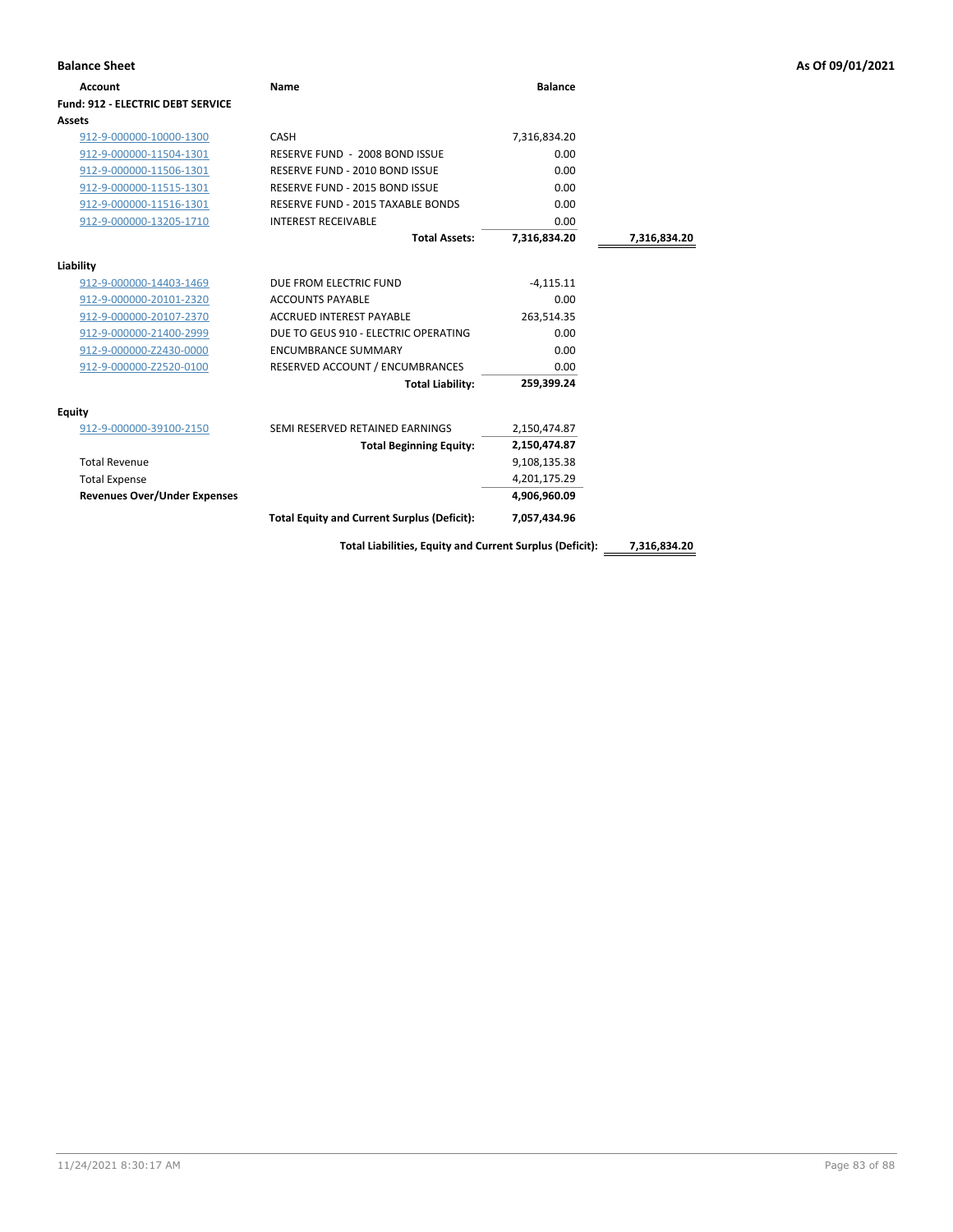| <b>Balance Sheet</b>                     |                                                          |                |              | As Of 09/01/2021 |
|------------------------------------------|----------------------------------------------------------|----------------|--------------|------------------|
| <b>Account</b>                           | <b>Name</b>                                              | <b>Balance</b> |              |                  |
| <b>Fund: 912 - ELECTRIC DEBT SERVICE</b> |                                                          |                |              |                  |
| Assets                                   |                                                          |                |              |                  |
| 912-9-000000-10000-1300                  | CASH                                                     | 7,316,834.20   |              |                  |
| 912-9-000000-11504-1301                  | RESERVE FUND - 2008 BOND ISSUE                           | 0.00           |              |                  |
| 912-9-000000-11506-1301                  | RESERVE FUND - 2010 BOND ISSUE                           | 0.00           |              |                  |
| 912-9-000000-11515-1301                  | RESERVE FUND - 2015 BOND ISSUE                           | 0.00           |              |                  |
| 912-9-000000-11516-1301                  | RESERVE FUND - 2015 TAXABLE BONDS                        | 0.00           |              |                  |
| 912-9-000000-13205-1710                  | <b>INTEREST RECEIVABLE</b>                               | 0.00           |              |                  |
|                                          | <b>Total Assets:</b>                                     | 7,316,834.20   | 7,316,834.20 |                  |
| Liability                                |                                                          |                |              |                  |
| 912-9-000000-14403-1469                  | DUE FROM ELECTRIC FUND                                   | $-4,115.11$    |              |                  |
| 912-9-000000-20101-2320                  | <b>ACCOUNTS PAYABLE</b>                                  | 0.00           |              |                  |
| 912-9-000000-20107-2370                  | <b>ACCRUED INTEREST PAYABLE</b>                          | 263,514.35     |              |                  |
| 912-9-000000-21400-2999                  | DUE TO GEUS 910 - ELECTRIC OPERATING                     | 0.00           |              |                  |
| 912-9-000000-Z2430-0000                  | <b>ENCUMBRANCE SUMMARY</b>                               | 0.00           |              |                  |
| 912-9-000000-Z2520-0100                  | RESERVED ACCOUNT / ENCUMBRANCES                          | 0.00           |              |                  |
|                                          | <b>Total Liability:</b>                                  | 259,399.24     |              |                  |
| <b>Equity</b>                            |                                                          |                |              |                  |
| 912-9-000000-39100-2150                  | SEMI RESERVED RETAINED EARNINGS                          | 2,150,474.87   |              |                  |
|                                          | <b>Total Beginning Equity:</b>                           | 2,150,474.87   |              |                  |
| <b>Total Revenue</b>                     |                                                          | 9,108,135.38   |              |                  |
| <b>Total Expense</b>                     |                                                          | 4,201,175.29   |              |                  |
| <b>Revenues Over/Under Expenses</b>      |                                                          | 4,906,960.09   |              |                  |
|                                          | <b>Total Equity and Current Surplus (Deficit):</b>       | 7,057,434.96   |              |                  |
|                                          | Total Liabilities, Equity and Current Surplus (Deficit): |                | 7,316,834.20 |                  |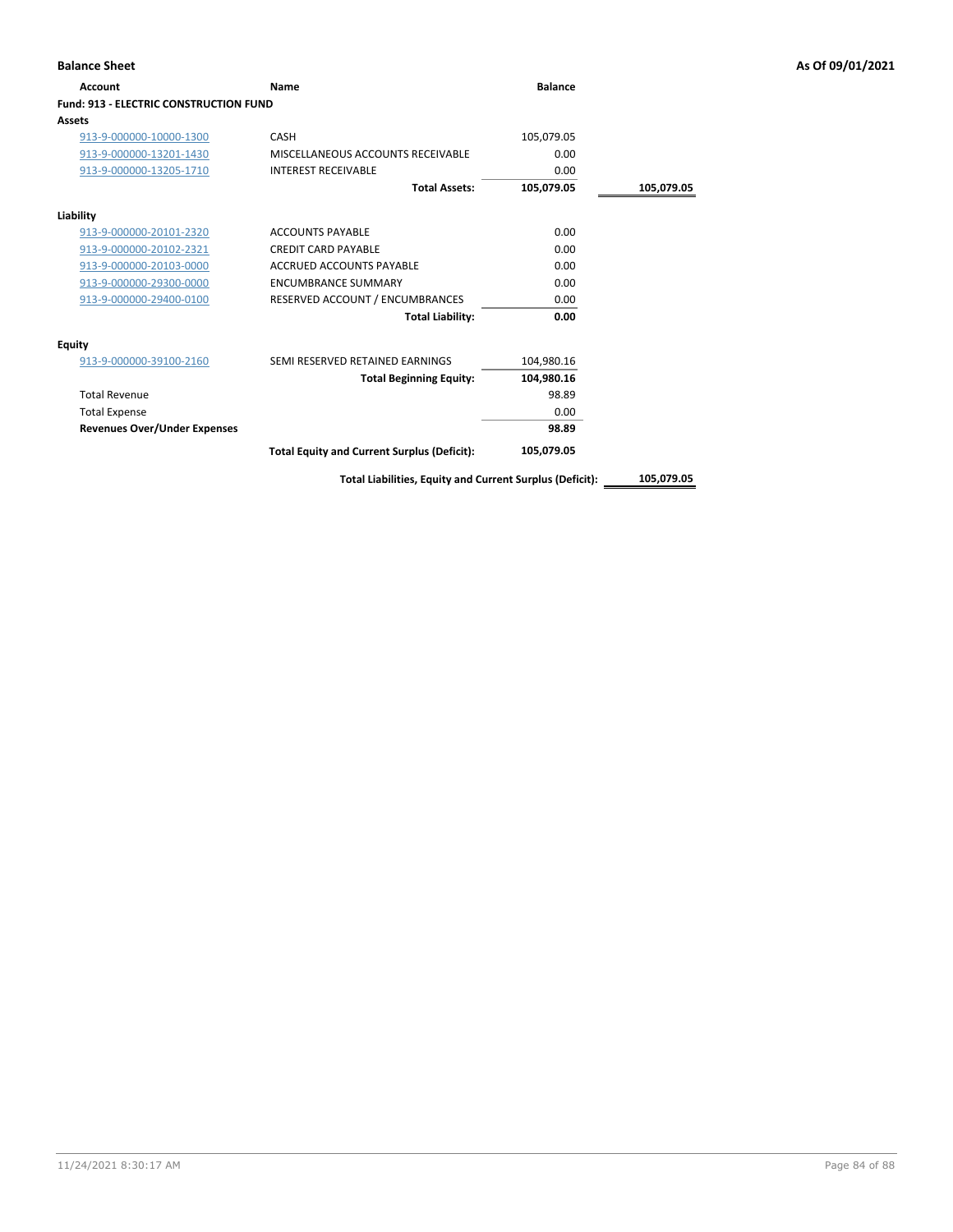| <b>Account</b>                                | Name                                               | <b>Balance</b> |            |
|-----------------------------------------------|----------------------------------------------------|----------------|------------|
| <b>Fund: 913 - ELECTRIC CONSTRUCTION FUND</b> |                                                    |                |            |
| Assets                                        |                                                    |                |            |
| 913-9-000000-10000-1300                       | <b>CASH</b>                                        | 105,079.05     |            |
| 913-9-000000-13201-1430                       | MISCELLANEOUS ACCOUNTS RECEIVABLE                  | 0.00           |            |
| 913-9-000000-13205-1710                       | <b>INTEREST RECEIVABLE</b>                         | 0.00           |            |
|                                               | <b>Total Assets:</b>                               | 105,079.05     | 105,079.05 |
| Liability                                     |                                                    |                |            |
| 913-9-000000-20101-2320                       | <b>ACCOUNTS PAYABLE</b>                            | 0.00           |            |
| 913-9-000000-20102-2321                       | <b>CREDIT CARD PAYABLE</b>                         | 0.00           |            |
| 913-9-000000-20103-0000                       | ACCRUED ACCOUNTS PAYABLE                           | 0.00           |            |
| 913-9-000000-29300-0000                       | <b>ENCUMBRANCE SUMMARY</b>                         | 0.00           |            |
| 913-9-000000-29400-0100                       | RESERVED ACCOUNT / ENCUMBRANCES                    | 0.00           |            |
|                                               | <b>Total Liability:</b>                            | 0.00           |            |
| <b>Equity</b>                                 |                                                    |                |            |
| 913-9-000000-39100-2160                       | SEMI RESERVED RETAINED EARNINGS                    | 104,980.16     |            |
|                                               | <b>Total Beginning Equity:</b>                     | 104,980.16     |            |
| <b>Total Revenue</b>                          |                                                    | 98.89          |            |
| <b>Total Expense</b>                          |                                                    | 0.00           |            |
| <b>Revenues Over/Under Expenses</b>           |                                                    | 98.89          |            |
|                                               | <b>Total Equity and Current Surplus (Deficit):</b> | 105,079.05     |            |

**Total Liabilities, Equity and Current Surplus (Deficit): 105,079.05**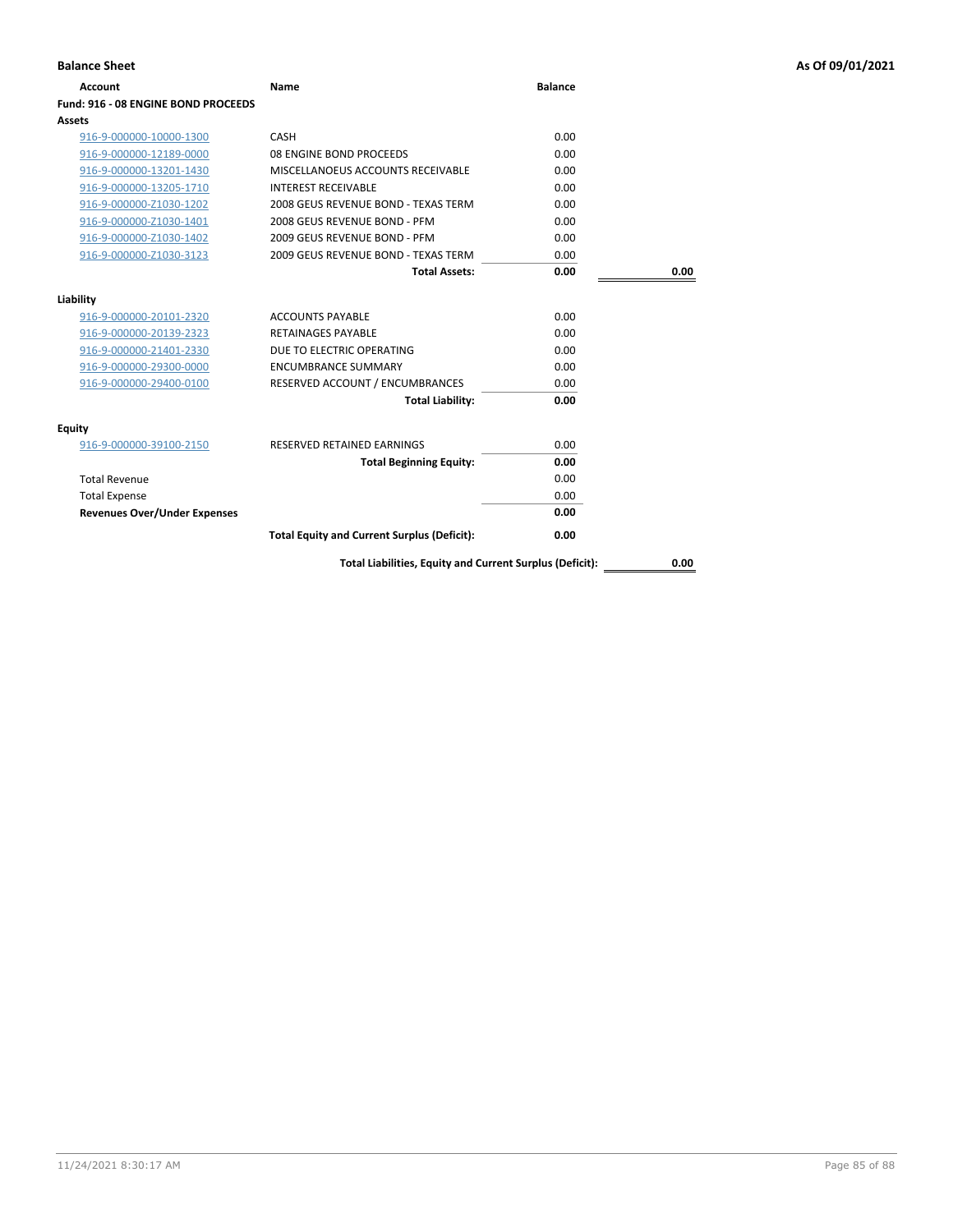| <b>Balance Sheet</b>                |                                                          |                |      | As Of 09/01/2021 |
|-------------------------------------|----------------------------------------------------------|----------------|------|------------------|
| <b>Account</b>                      | <b>Name</b>                                              | <b>Balance</b> |      |                  |
| Fund: 916 - 08 ENGINE BOND PROCEEDS |                                                          |                |      |                  |
| Assets                              |                                                          |                |      |                  |
| 916-9-000000-10000-1300             | CASH                                                     | 0.00           |      |                  |
| 916-9-000000-12189-0000             | 08 ENGINE BOND PROCEEDS                                  | 0.00           |      |                  |
| 916-9-000000-13201-1430             | MISCELLANOEUS ACCOUNTS RECEIVABLE                        | 0.00           |      |                  |
| 916-9-000000-13205-1710             | <b>INTEREST RECEIVABLE</b>                               | 0.00           |      |                  |
| 916-9-000000-Z1030-1202             | 2008 GEUS REVENUE BOND - TEXAS TERM                      | 0.00           |      |                  |
| 916-9-000000-Z1030-1401             | 2008 GEUS REVENUE BOND - PFM                             | 0.00           |      |                  |
| 916-9-000000-Z1030-1402             | 2009 GEUS REVENUE BOND - PFM                             | 0.00           |      |                  |
| 916-9-000000-Z1030-3123             | 2009 GEUS REVENUE BOND - TEXAS TERM                      | 0.00           |      |                  |
|                                     | <b>Total Assets:</b>                                     | 0.00           | 0.00 |                  |
| Liability                           |                                                          |                |      |                  |
| 916-9-000000-20101-2320             | <b>ACCOUNTS PAYABLE</b>                                  | 0.00           |      |                  |
| 916-9-000000-20139-2323             | <b>RETAINAGES PAYABLE</b>                                | 0.00           |      |                  |
| 916-9-000000-21401-2330             | DUE TO ELECTRIC OPERATING                                | 0.00           |      |                  |
| 916-9-000000-29300-0000             | <b>ENCUMBRANCE SUMMARY</b>                               | 0.00           |      |                  |
| 916-9-000000-29400-0100             | RESERVED ACCOUNT / ENCUMBRANCES                          | 0.00           |      |                  |
|                                     | <b>Total Liability:</b>                                  | 0.00           |      |                  |
| Equity                              |                                                          |                |      |                  |
| 916-9-000000-39100-2150             | RESERVED RETAINED EARNINGS                               | 0.00           |      |                  |
|                                     | <b>Total Beginning Equity:</b>                           | 0.00           |      |                  |
| <b>Total Revenue</b>                |                                                          | 0.00           |      |                  |
| <b>Total Expense</b>                |                                                          | 0.00           |      |                  |
| <b>Revenues Over/Under Expenses</b> |                                                          | 0.00           |      |                  |
|                                     | <b>Total Equity and Current Surplus (Deficit):</b>       | 0.00           |      |                  |
|                                     | Total Liabilities, Equity and Current Surplus (Deficit): |                | 0.00 |                  |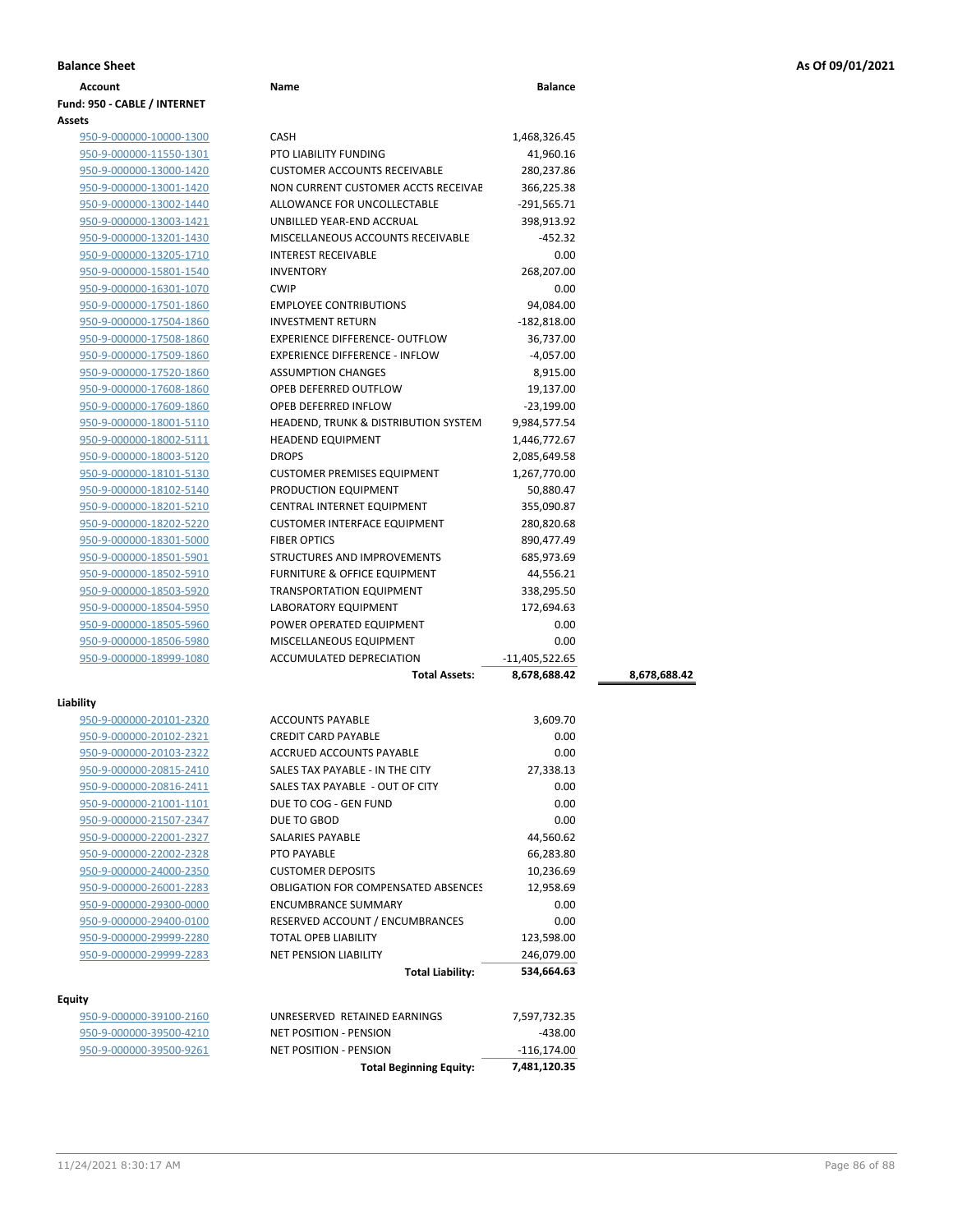| <b>Balance Sheet</b> | As Of 09/01/2021 |
|----------------------|------------------|
|                      |                  |

| Account                           | Name                                            | <b>Balance</b> |              |
|-----------------------------------|-------------------------------------------------|----------------|--------------|
| Fund: 950 - CABLE / INTERNET      |                                                 |                |              |
| <b>Assets</b>                     |                                                 |                |              |
| 950-9-000000-10000-1300           | <b>CASH</b>                                     | 1,468,326.45   |              |
| 950-9-000000-11550-1301           | <b>PTO LIABILITY FUNDING</b>                    | 41,960.16      |              |
| 950-9-000000-13000-1420           | <b>CUSTOMER ACCOUNTS RECEIVABLE</b>             | 280,237.86     |              |
| 950-9-000000-13001-1420           | NON CURRENT CUSTOMER ACCTS RECEIVAE             | 366,225.38     |              |
| 950-9-000000-13002-1440           | ALLOWANCE FOR UNCOLLECTABLE                     | $-291,565.71$  |              |
| 950-9-000000-13003-1421           | UNBILLED YEAR-END ACCRUAL                       | 398,913.92     |              |
| 950-9-000000-13201-1430           | MISCELLANEOUS ACCOUNTS RECEIVABLE               | $-452.32$      |              |
| 950-9-000000-13205-1710           | <b>INTEREST RECEIVABLE</b>                      | 0.00           |              |
| 950-9-000000-15801-1540           | <b>INVENTORY</b>                                | 268,207.00     |              |
| 950-9-000000-16301-1070           | <b>CWIP</b>                                     | 0.00           |              |
| 950-9-000000-17501-1860           | <b>EMPLOYEE CONTRIBUTIONS</b>                   | 94,084.00      |              |
| 950-9-000000-17504-1860           | <b>INVESTMENT RETURN</b>                        | $-182,818.00$  |              |
| 950-9-000000-17508-1860           | <b>EXPERIENCE DIFFERENCE- OUTFLOW</b>           | 36,737.00      |              |
| 950-9-000000-17509-1860           | <b>EXPERIENCE DIFFERENCE - INFLOW</b>           | $-4,057.00$    |              |
| 950-9-000000-17520-1860           | <b>ASSUMPTION CHANGES</b>                       | 8,915.00       |              |
| 950-9-000000-17608-1860           | OPEB DEFERRED OUTFLOW                           | 19,137.00      |              |
| 950-9-000000-17609-1860           | OPEB DEFERRED INFLOW                            | $-23,199.00$   |              |
| 950-9-000000-18001-5110           | <b>HEADEND, TRUNK &amp; DISTRIBUTION SYSTEM</b> | 9,984,577.54   |              |
| 950-9-000000-18002-5111           | <b>HEADEND EQUIPMENT</b>                        | 1,446,772.67   |              |
| 950-9-000000-18003-5120           | <b>DROPS</b>                                    | 2,085,649.58   |              |
| 950-9-000000-18101-5130           | <b>CUSTOMER PREMISES EQUIPMENT</b>              | 1,267,770.00   |              |
| 950-9-000000-18102-5140           | PRODUCTION EQUIPMENT                            | 50,880.47      |              |
| 950-9-000000-18201-5210           | CENTRAL INTERNET EQUIPMENT                      | 355,090.87     |              |
| 950-9-000000-18202-5220           | <b>CUSTOMER INTERFACE EQUIPMENT</b>             | 280,820.68     |              |
| 950-9-000000-18301-5000           | <b>FIBER OPTICS</b>                             | 890,477.49     |              |
| 950-9-000000-18501-5901           | STRUCTURES AND IMPROVEMENTS                     | 685,973.69     |              |
| 950-9-000000-18502-5910           | <b>FURNITURE &amp; OFFICE EQUIPMENT</b>         | 44,556.21      |              |
| 950-9-000000-18503-5920           | <b>TRANSPORTATION EQUIPMENT</b>                 | 338,295.50     |              |
| 950-9-000000-18504-5950           | LABORATORY EQUIPMENT                            | 172,694.63     |              |
| 950-9-000000-18505-5960           | POWER OPERATED EQUIPMENT                        | 0.00           |              |
| 950-9-000000-18506-5980           | MISCELLANEOUS EQUIPMENT                         | 0.00           |              |
| 950-9-000000-18999-1080           | ACCUMULATED DEPRECIATION                        | -11,405,522.65 |              |
|                                   | <b>Total Assets:</b>                            | 8,678,688.42   | 8,678,688.42 |
|                                   |                                                 |                |              |
| Liability                         |                                                 |                |              |
| 950-9-000000-20101-2320           | <b>ACCOUNTS PAYABLE</b>                         | 3,609.70       |              |
| 950-9-000000-20102-2321           | <b>CREDIT CARD PAYABLE</b>                      | 0.00           |              |
| 950-9-000000-20103-2322           | ACCRUED ACCOUNTS PAYABLE                        | 0.00           |              |
| 950-9-000000-20815-2410           | SALES TAX PAYABLE - IN THE CITY                 | 27,338.13      |              |
| 950-9-000000-20816-2411           | SALES TAX PAYABLE - OUT OF CITY                 | 0.00           |              |
| 950-9-000000-21001-1101           | DUE TO COG - GEN FUND                           | 0.00           |              |
| 950-9-000000-21507-2347           | DUE TO GBOD                                     | 0.00           |              |
| 950-9-000000-22001-2327           | SALARIES PAYABLE                                | 44,560.62      |              |
| 950-9-000000-22002-2328           | PTO PAYABLE                                     | 66,283.80      |              |
| 950-9-000000-24000-2350           | <b>CUSTOMER DEPOSITS</b>                        | 10,236.69      |              |
| 950-9-000000-26001-2283           | OBLIGATION FOR COMPENSATED ABSENCES             | 12,958.69      |              |
| 950-9-000000-29300-0000           | <b>ENCUMBRANCE SUMMARY</b>                      | 0.00           |              |
| 950-9-000000-29400-0100           | RESERVED ACCOUNT / ENCUMBRANCES                 | 0.00           |              |
| 950-9-000000-29999-2280           | TOTAL OPEB LIABILITY                            | 123,598.00     |              |
| 950-9-000000-29999-2283           | <b>NET PENSION LIABILITY</b>                    | 246,079.00     |              |
|                                   | <b>Total Liability:</b>                         | 534,664.63     |              |
|                                   |                                                 |                |              |
| Equity<br>950-9-000000-39100-2160 | UNRESERVED RETAINED EARNINGS                    | 7,597,732.35   |              |
| 950-9-000000-39500-4210           | NET POSITION - PENSION                          | $-438.00$      |              |
| 950-9-000000-39500-9261           | NET POSITION - PENSION                          | $-116, 174.00$ |              |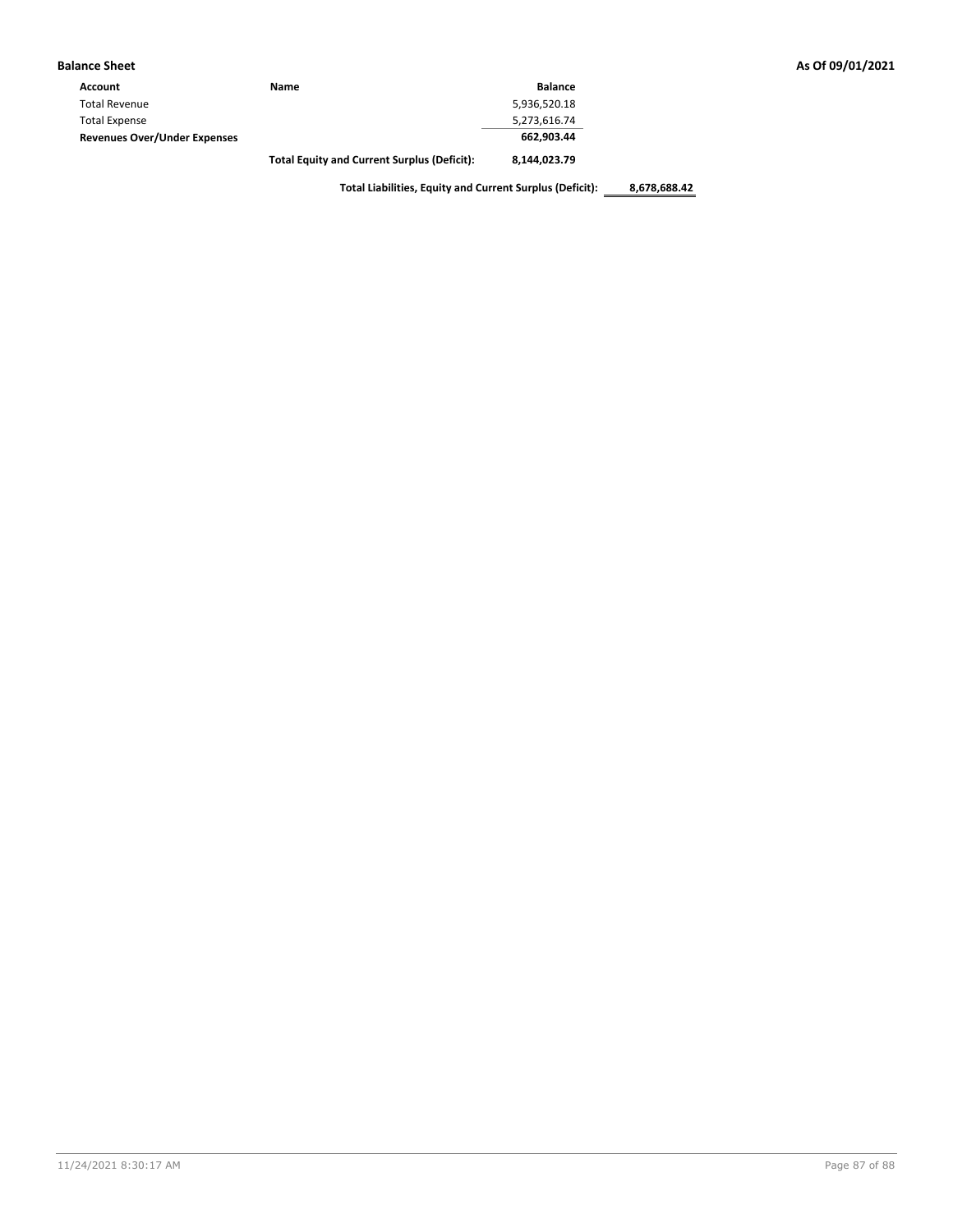| <b>Balance Sheet</b>                |                                                    |                |
|-------------------------------------|----------------------------------------------------|----------------|
| Account                             | Name                                               | <b>Balance</b> |
| <b>Total Revenue</b>                |                                                    | 5,936,520.18   |
| <b>Total Expense</b>                |                                                    | 5,273,616.74   |
| <b>Revenues Over/Under Expenses</b> |                                                    | 662,903.44     |
|                                     | <b>Total Equity and Current Surplus (Deficit):</b> | 8,144,023.79   |

**Total Liabilities, Equity and Current Surplus (Deficit): 8,678,688.42**